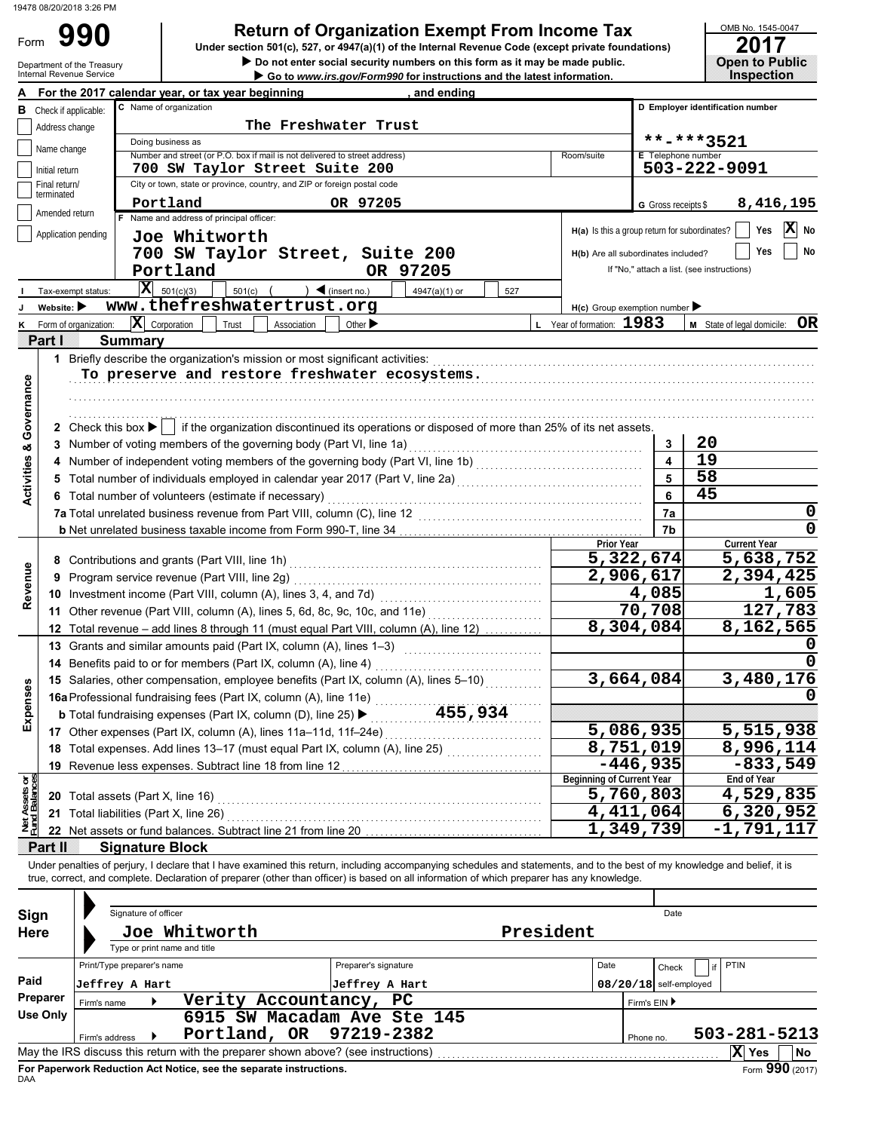## **Return of Organization Exempt From Income Tax 990 <sup>2017</sup>**

OMB No. 1545-0047

| Form                           |                             | 990                                    |                              | Under section 501(c), 527, or 4947(a)(1) of the Internal Revenue Code (except private foundations)                                                                                                                                                                                                                       |                             | Return of Organization Exempt From income Tax                               |           |                                               |                                            |              | <u>UMB NO. 1545-0047</u><br>2017 |
|--------------------------------|-----------------------------|----------------------------------------|------------------------------|--------------------------------------------------------------------------------------------------------------------------------------------------------------------------------------------------------------------------------------------------------------------------------------------------------------------------|-----------------------------|-----------------------------------------------------------------------------|-----------|-----------------------------------------------|--------------------------------------------|--------------|----------------------------------|
|                                |                             | Department of the Treasury             |                              |                                                                                                                                                                                                                                                                                                                          |                             | Do not enter social security numbers on this form as it may be made public. |           |                                               |                                            |              | <b>Open to Public</b>            |
|                                |                             | Internal Revenue Service               |                              |                                                                                                                                                                                                                                                                                                                          |                             | Go to www.irs.gov/Form990 for instructions and the latest information.      |           |                                               |                                            |              | <b>Inspection</b>                |
| A                              |                             |                                        | C Name of organization       | For the 2017 calendar year, or tax year beginning                                                                                                                                                                                                                                                                        |                             | , and ending                                                                |           |                                               | D Employer identification number           |              |                                  |
|                                |                             | <b>B</b> Check if applicable:          |                              |                                                                                                                                                                                                                                                                                                                          |                             |                                                                             |           |                                               |                                            |              |                                  |
|                                | Address change              |                                        | Doing business as            |                                                                                                                                                                                                                                                                                                                          | The Freshwater Trust        |                                                                             |           |                                               |                                            | **-***3521   |                                  |
|                                | Name change                 |                                        |                              | Number and street (or P.O. box if mail is not delivered to street address)                                                                                                                                                                                                                                               |                             |                                                                             |           | Room/suite                                    | E Telephone number                         |              |                                  |
|                                | Initial return              |                                        |                              | 700 SW Taylor Street Suite 200                                                                                                                                                                                                                                                                                           |                             |                                                                             |           |                                               |                                            | 503-222-9091 |                                  |
|                                | Final return/<br>terminated |                                        |                              | City or town, state or province, country, and ZIP or foreign postal code                                                                                                                                                                                                                                                 |                             |                                                                             |           |                                               |                                            |              |                                  |
|                                | Amended return              |                                        | Portland                     |                                                                                                                                                                                                                                                                                                                          | OR 97205                    |                                                                             |           |                                               | G Gross receipts \$                        |              | 8,416,195                        |
|                                |                             |                                        |                              | F Name and address of principal officer:                                                                                                                                                                                                                                                                                 |                             |                                                                             |           | H(a) Is this a group return for subordinates? |                                            |              | $ \mathbf{X} $ No<br>Yes         |
|                                |                             | Application pending                    | Joe Whitworth                |                                                                                                                                                                                                                                                                                                                          |                             |                                                                             |           |                                               |                                            |              |                                  |
|                                |                             |                                        |                              | 700 SW Taylor Street, Suite 200                                                                                                                                                                                                                                                                                          |                             |                                                                             |           | H(b) Are all subordinates included?           |                                            |              | Yes<br>No                        |
|                                |                             |                                        | Portland                     |                                                                                                                                                                                                                                                                                                                          |                             | OR 97205                                                                    |           |                                               | If "No," attach a list. (see instructions) |              |                                  |
|                                |                             | Tax-exempt status:                     | $ \mathbf{X} $ 501(c)(3)     | 501(c)                                                                                                                                                                                                                                                                                                                   | $\big)$ (insert no.)        | 4947(a)(1) or<br>527                                                        |           |                                               |                                            |              |                                  |
|                                | Website:                    |                                        |                              | www.thefreshwatertrust.org                                                                                                                                                                                                                                                                                               |                             |                                                                             |           | $H(c)$ Group exemption number                 |                                            |              |                                  |
|                                | Partill                     | Form of organization:                  | $ \mathbf{X} $ Corporation   | Trust<br>Association                                                                                                                                                                                                                                                                                                     | Other $\blacktriangleright$ |                                                                             |           | L Year of formation: 1983                     |                                            |              | OR<br>M State of legal domicile: |
|                                |                             | <b>Summary</b>                         |                              |                                                                                                                                                                                                                                                                                                                          |                             |                                                                             |           |                                               |                                            |              |                                  |
|                                |                             |                                        |                              | 1 Briefly describe the organization's mission or most significant activities:<br>To preserve and restore freshwater ecosystems.                                                                                                                                                                                          |                             |                                                                             |           |                                               |                                            |              |                                  |
|                                |                             |                                        |                              |                                                                                                                                                                                                                                                                                                                          |                             |                                                                             |           |                                               |                                            |              |                                  |
|                                |                             |                                        |                              |                                                                                                                                                                                                                                                                                                                          |                             |                                                                             |           |                                               |                                            |              |                                  |
| Governance                     |                             |                                        |                              | 2 Check this box $\blacktriangleright$   if the organization discontinued its operations or disposed of more than 25% of its net assets.                                                                                                                                                                                 |                             |                                                                             |           |                                               |                                            |              |                                  |
|                                |                             |                                        |                              | 3 Number of voting members of the governing body (Part VI, line 1a)                                                                                                                                                                                                                                                      |                             |                                                                             |           |                                               | 3                                          | 20           |                                  |
|                                |                             |                                        |                              | 4 Number of independent voting members of the governing body (Part VI, line 1b) [11] (11] Number of independent voting                                                                                                                                                                                                   |                             |                                                                             |           |                                               |                                            | 19           |                                  |
|                                |                             |                                        |                              | 5 Total number of individuals employed in calendar year 2017 (Part V, line 2a) [[[[[[[[[[[[[[[[[[[[[[[[[[[[[[[                                                                                                                                                                                                           |                             |                                                                             |           |                                               |                                            | 58           |                                  |
| <b>Activities &amp;</b>        |                             |                                        |                              | 6 Total number of volunteers (estimate if necessary)                                                                                                                                                                                                                                                                     |                             |                                                                             |           |                                               | 6                                          | 45           |                                  |
|                                |                             |                                        |                              |                                                                                                                                                                                                                                                                                                                          |                             |                                                                             |           |                                               | 7a                                         |              | 0                                |
|                                |                             |                                        |                              |                                                                                                                                                                                                                                                                                                                          |                             |                                                                             |           |                                               | 7b                                         |              | 0                                |
|                                |                             |                                        |                              |                                                                                                                                                                                                                                                                                                                          |                             |                                                                             |           | <b>Prior Year</b>                             |                                            |              | <b>Current Year</b>              |
|                                |                             |                                        |                              |                                                                                                                                                                                                                                                                                                                          |                             |                                                                             |           |                                               | 5,322,674                                  |              | 5,638,752                        |
|                                |                             |                                        |                              | 9 Program service revenue (Part VIII, line 2g)                                                                                                                                                                                                                                                                           |                             |                                                                             |           |                                               | 2,906,617                                  |              | 2,394,425                        |
| Revenue                        |                             |                                        |                              | 10 Investment income (Part VIII, column (A), lines 3, 4, and 7d)                                                                                                                                                                                                                                                         |                             |                                                                             |           |                                               | 4,085                                      |              | 1,605                            |
|                                |                             |                                        |                              | 11 Other revenue (Part VIII, column (A), lines 5, 6d, 8c, 9c, 10c, and 11e)                                                                                                                                                                                                                                              |                             |                                                                             |           |                                               | 70,708                                     |              | 127,783                          |
|                                |                             |                                        |                              | 12 Total revenue - add lines 8 through 11 (must equal Part VIII, column (A), line 12)                                                                                                                                                                                                                                    |                             |                                                                             |           |                                               | 8,304,084                                  |              | 8,162,565                        |
|                                |                             |                                        |                              | 13 Grants and similar amounts paid (Part IX, column (A), lines 1-3)                                                                                                                                                                                                                                                      |                             |                                                                             |           |                                               |                                            |              | O                                |
|                                |                             |                                        |                              | 14 Benefits paid to or for members (Part IX, column (A), line 4)                                                                                                                                                                                                                                                         |                             |                                                                             |           |                                               |                                            |              | 0                                |
|                                |                             |                                        |                              | 15 Salaries, other compensation, employee benefits (Part IX, column (A), lines 5-10)                                                                                                                                                                                                                                     |                             |                                                                             |           |                                               | 3,664,084                                  |              | 3,480,176                        |
| Expenses                       |                             |                                        |                              | 16a Professional fundraising fees (Part IX, column (A), line 11e)<br><b>b</b> Total fundraising expenses (Part IX, column (D), line 25) ▶                                                                                                                                                                                |                             | 455,934                                                                     |           |                                               |                                            |              |                                  |
|                                |                             |                                        |                              | 17 Other expenses (Part IX, column (A), lines 11a-11d, 11f-24e)                                                                                                                                                                                                                                                          |                             |                                                                             |           |                                               | 5,086,935                                  |              | 5,515,938                        |
|                                |                             |                                        |                              | 18 Total expenses. Add lines 13-17 (must equal Part IX, column (A), line 25)                                                                                                                                                                                                                                             |                             |                                                                             |           |                                               | 8,751,019                                  |              | 8,996,114                        |
|                                |                             |                                        |                              | 19 Revenue less expenses. Subtract line 18 from line 12                                                                                                                                                                                                                                                                  |                             |                                                                             |           |                                               | $-446,935$                                 |              | $\overline{-833,549}$            |
|                                |                             |                                        |                              |                                                                                                                                                                                                                                                                                                                          |                             |                                                                             |           | <b>Beginning of Current Year</b>              |                                            |              | <b>End of Year</b>               |
|                                |                             |                                        |                              |                                                                                                                                                                                                                                                                                                                          |                             |                                                                             |           |                                               | 5,760,803                                  |              | 4,529,835                        |
| Net Assets or<br>Fund Balances |                             | 21 Total liabilities (Part X, line 26) |                              |                                                                                                                                                                                                                                                                                                                          |                             |                                                                             |           |                                               | 4,411,064                                  |              | 6,320,952                        |
|                                |                             |                                        |                              | 22 Net assets or fund balances. Subtract line 21 from line 20                                                                                                                                                                                                                                                            |                             |                                                                             |           |                                               | 1,349,739                                  |              | $-1,791,117$                     |
|                                | Partill                     |                                        | <b>Signature Block</b>       |                                                                                                                                                                                                                                                                                                                          |                             |                                                                             |           |                                               |                                            |              |                                  |
|                                |                             |                                        |                              | Under penalties of perjury, I declare that I have examined this return, including accompanying schedules and statements, and to the best of my knowledge and belief, it is<br>true, correct, and complete. Declaration of preparer (other than officer) is based on all information of which preparer has any knowledge. |                             |                                                                             |           |                                               |                                            |              |                                  |
|                                |                             |                                        |                              |                                                                                                                                                                                                                                                                                                                          |                             |                                                                             |           |                                               |                                            |              |                                  |
|                                |                             | Signature of officer                   |                              |                                                                                                                                                                                                                                                                                                                          |                             |                                                                             |           |                                               | Date                                       |              |                                  |
| Sign<br><b>Here</b>            |                             |                                        | Joe Whitworth                |                                                                                                                                                                                                                                                                                                                          |                             |                                                                             | President |                                               |                                            |              |                                  |
|                                |                             |                                        | Type or print name and title |                                                                                                                                                                                                                                                                                                                          |                             |                                                                             |           |                                               |                                            |              |                                  |
|                                |                             | Print/Type preparer's name             |                              |                                                                                                                                                                                                                                                                                                                          | Preparer's signature        |                                                                             |           | Date                                          | Check                                      | if           | PTIN                             |
| Paid                           |                             | Jeffrey A Hart                         |                              |                                                                                                                                                                                                                                                                                                                          | Jeffrey A Hart              |                                                                             |           |                                               | $08/20/18$ self-employed                   |              |                                  |
|                                | Preparer                    | Firm's name                            |                              | Verity Accountancy,                                                                                                                                                                                                                                                                                                      | PC                          |                                                                             |           |                                               | Firm's EIN ▶                               |              |                                  |
|                                | <b>Use Only</b>             |                                        |                              | 6915 SW Macadam Ave Ste 145                                                                                                                                                                                                                                                                                              |                             |                                                                             |           |                                               |                                            |              |                                  |
|                                |                             | Firm's address                         | ▶                            | Portland, OR                                                                                                                                                                                                                                                                                                             | 97219-2382                  |                                                                             |           |                                               | Phone no.                                  |              | 503-281-5213                     |
|                                |                             |                                        |                              | May the IRS discuss this return with the preparer shown above? (see instructions)                                                                                                                                                                                                                                        |                             |                                                                             |           |                                               |                                            |              | X Yes<br>No                      |

| Paid                                                                                                         | Jeffrey A Hart |  |                                                                    | Jeffrey A Hart |  |  |              | $08/20/18$ self-employed |              |                 |  |  |
|--------------------------------------------------------------------------------------------------------------|----------------|--|--------------------------------------------------------------------|----------------|--|--|--------------|--------------------------|--------------|-----------------|--|--|
| Preparer                                                                                                     | Firm's name    |  | Verity Accountancy, PC                                             |                |  |  | Firm's EIN ▶ |                          |              |                 |  |  |
| Use Only                                                                                                     |                |  | 6915 SW Macadam Ave Ste 145                                        |                |  |  |              |                          |              |                 |  |  |
|                                                                                                              | Firm's address |  | Portland, OR 97219-2382                                            |                |  |  | Phone no.    |                          | 503-281-5213 |                 |  |  |
| X<br>May the IRS discuss this return with the preparer shown above? (see instructions)<br><b>Yes</b><br>  No |                |  |                                                                    |                |  |  |              |                          |              |                 |  |  |
| DAA                                                                                                          |                |  | For Paperwork Reduction Act Notice, see the separate instructions. |                |  |  |              |                          |              | Form 990 (2017) |  |  |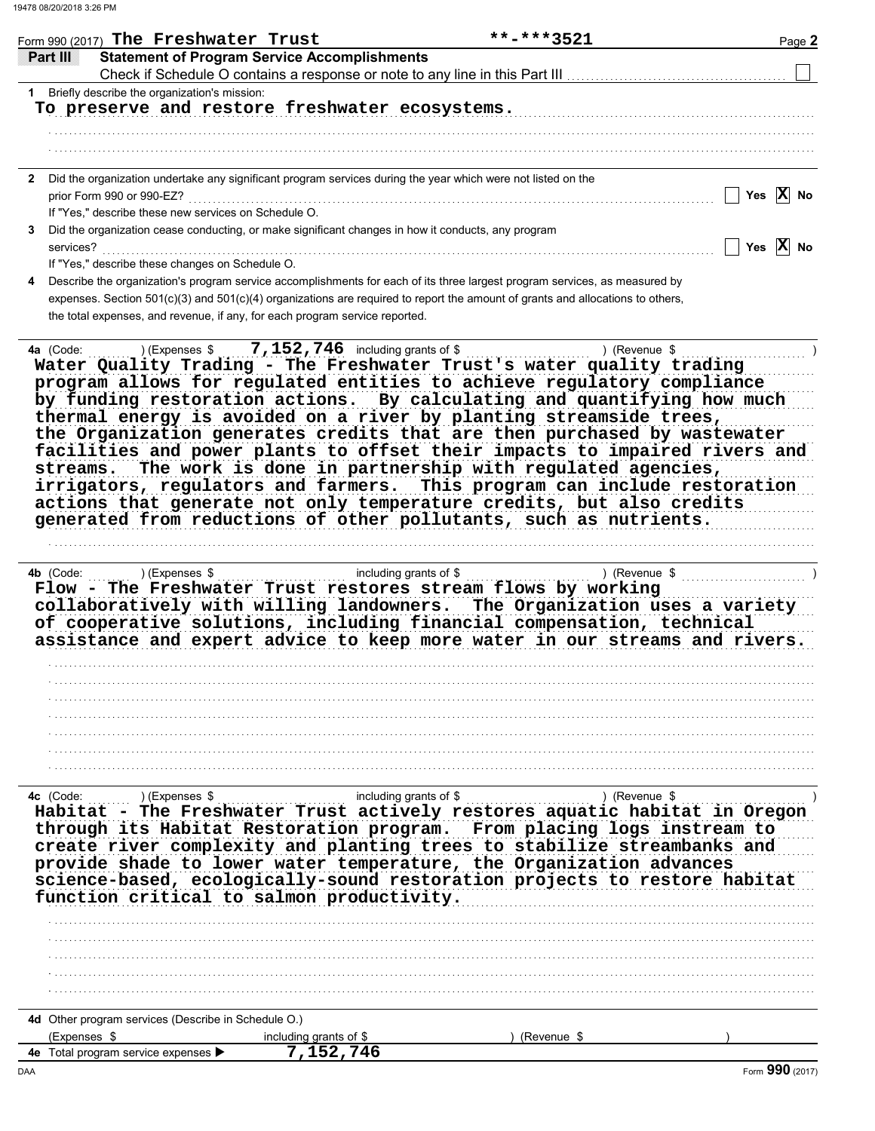|                 | Form 990 (2017) The Freshwater Trust<br>**-***3521                                                                                                | Page 2                |
|-----------------|---------------------------------------------------------------------------------------------------------------------------------------------------|-----------------------|
| <b>Partilli</b> | <b>Statement of Program Service Accomplishments</b>                                                                                               |                       |
|                 | Check if Schedule O contains a response or note to any line in this Part III                                                                      |                       |
| 1.              | Briefly describe the organization's mission:<br>To preserve and restore freshwater ecosystems.                                                    |                       |
|                 |                                                                                                                                                   |                       |
|                 |                                                                                                                                                   |                       |
|                 |                                                                                                                                                   |                       |
| 2               | Did the organization undertake any significant program services during the year which were not listed on the<br>prior Form 990 or 990-EZ?         | Yes $\overline{X}$ No |
|                 | If "Yes," describe these new services on Schedule O.                                                                                              |                       |
| 3<br>services?  | Did the organization cease conducting, or make significant changes in how it conducts, any program                                                | Yes $X$ No            |
|                 | If "Yes," describe these changes on Schedule O.                                                                                                   |                       |
|                 | Describe the organization's program service accomplishments for each of its three largest program services, as measured by                        |                       |
|                 | expenses. Section 501(c)(3) and 501(c)(4) organizations are required to report the amount of grants and allocations to others,                    |                       |
|                 | the total expenses, and revenue, if any, for each program service reported.                                                                       |                       |
| 4a (Code:       | <b>7, 152, 746</b> including grants of \$<br>) (Expenses \$<br>) (Revenue \$                                                                      |                       |
|                 | Water Quality Trading - The Freshwater Trust's water quality trading                                                                              |                       |
|                 | program allows for regulated entities to achieve regulatory compliance                                                                            |                       |
|                 | by funding restoration actions. By calculating and quantifying how much<br>thermal energy is avoided on a river by planting streamside trees,     |                       |
|                 | the Organization generates credits that are then purchased by wastewater                                                                          |                       |
|                 | facilities and power plants to offset their impacts to impaired rivers and                                                                        |                       |
| streams.        | The work is done in partnership with regulated agencies,                                                                                          |                       |
|                 | irrigators, regulators and farmers. This program can include restoration                                                                          |                       |
|                 | actions that generate not only temperature credits, but also credits                                                                              |                       |
|                 | generated from reductions of other pollutants, such as nutrients.                                                                                 |                       |
|                 |                                                                                                                                                   |                       |
|                 |                                                                                                                                                   |                       |
| 4b (Code:       | ) (Revenue \$                                                                                                                                     |                       |
|                 | Flow - The Freshwater Trust restores stream flows by working                                                                                      |                       |
|                 | collaboratively with willing landowners. The Organization uses a variety                                                                          |                       |
|                 | of cooperative solutions, including financial compensation, technical                                                                             |                       |
|                 | assistance and expert advice to keep more water in our streams and rivers.                                                                        |                       |
|                 |                                                                                                                                                   |                       |
|                 |                                                                                                                                                   |                       |
|                 |                                                                                                                                                   |                       |
|                 |                                                                                                                                                   |                       |
|                 |                                                                                                                                                   |                       |
|                 |                                                                                                                                                   |                       |
|                 |                                                                                                                                                   |                       |
|                 |                                                                                                                                                   |                       |
|                 |                                                                                                                                                   |                       |
|                 | Habitat - The Freshwater Trust actively restores aquatic habitat in Oregon                                                                        |                       |
|                 |                                                                                                                                                   |                       |
|                 | through its Habitat Restoration program. From placing logs instream to<br>create river complexity and planting trees to stabilize streambanks and |                       |
|                 |                                                                                                                                                   |                       |
|                 | provide shade to lower water temperature, the Organization advances                                                                               |                       |
|                 | science-based, ecologically-sound restoration projects to restore habitat                                                                         |                       |
|                 | function critical to salmon productivity.                                                                                                         |                       |
|                 |                                                                                                                                                   |                       |
|                 |                                                                                                                                                   |                       |
|                 |                                                                                                                                                   |                       |
|                 |                                                                                                                                                   |                       |
|                 |                                                                                                                                                   |                       |
|                 |                                                                                                                                                   |                       |

4d Other program services (Describe in Schedule O.)

|    |                                             |                         |          | $\mathbf{A} \mathbf{A} \mathbf{A}$ |
|----|---------------------------------------------|-------------------------|----------|------------------------------------|
| 4е | ⊧ service expenses <i>∎</i><br>otal<br>วram |                         |          |                                    |
|    | (Expenses                                   | arants<br>,udinc<br>nt. | (Revenue |                                    |
|    | ີ                                           |                         |          |                                    |

Form 990 (2017)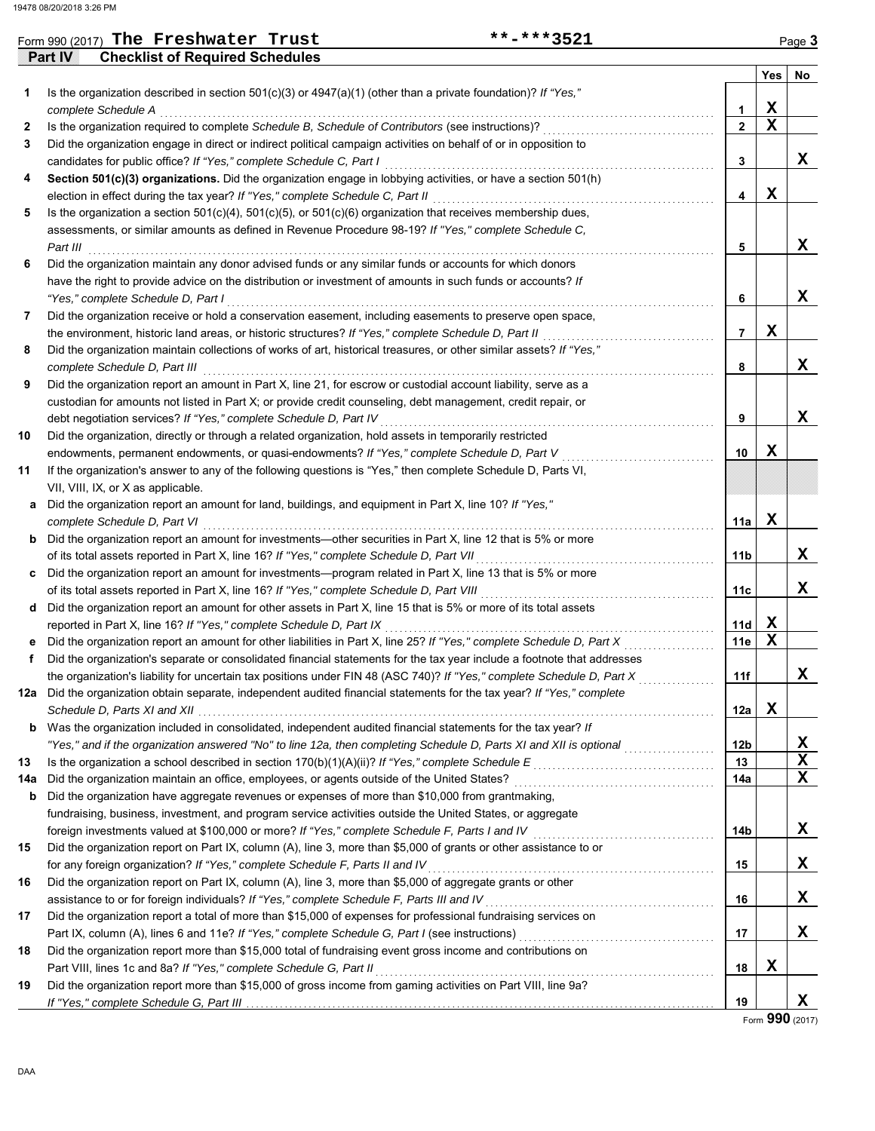|              | **-***3521<br>Form 990 (2017) The Freshwater Trust                                                                      |                |             | Page 3 |
|--------------|-------------------------------------------------------------------------------------------------------------------------|----------------|-------------|--------|
|              | <b>Checklist of Required Schedules</b><br>Part IV                                                                       |                |             |        |
|              |                                                                                                                         |                | Yes         | No     |
| 1            | Is the organization described in section $501(c)(3)$ or $4947(a)(1)$ (other than a private foundation)? If "Yes,"       |                |             |        |
|              | complete Schedule A                                                                                                     | 1              | X           |        |
| $\mathbf{z}$ | Is the organization required to complete Schedule B, Schedule of Contributors (see instructions)?                       | $\overline{2}$ | $\mathbf x$ |        |
| 3            | Did the organization engage in direct or indirect political campaign activities on behalf of or in opposition to        |                |             |        |
|              | candidates for public office? If "Yes," complete Schedule C, Part I                                                     | 3              |             | x      |
| 4            | Section 501(c)(3) organizations. Did the organization engage in lobbying activities, or have a section 501(h)           |                |             |        |
|              | election in effect during the tax year? If "Yes," complete Schedule C, Part II                                          | 4              | X           |        |
| 5            | Is the organization a section $501(c)(4)$ , $501(c)(5)$ , or $501(c)(6)$ organization that receives membership dues,    |                |             |        |
|              | assessments, or similar amounts as defined in Revenue Procedure 98-19? If "Yes," complete Schedule C,                   |                |             |        |
|              | Part III                                                                                                                | 5              |             | x      |
| 6            | Did the organization maintain any donor advised funds or any similar funds or accounts for which donors                 |                |             |        |
|              | have the right to provide advice on the distribution or investment of amounts in such funds or accounts? If             |                |             |        |
|              | "Yes," complete Schedule D, Part I                                                                                      | 6              |             | x      |
| 7            | Did the organization receive or hold a conservation easement, including easements to preserve open space,               |                |             |        |
|              | the environment, historic land areas, or historic structures? If "Yes," complete Schedule D, Part II                    | $\overline{7}$ | X           |        |
| 8            | Did the organization maintain collections of works of art, historical treasures, or other similar assets? If "Yes,"     |                |             |        |
|              | complete Schedule D, Part III                                                                                           | 8              |             | x      |
| 9            | Did the organization report an amount in Part X, line 21, for escrow or custodial account liability, serve as a         |                |             |        |
|              | custodian for amounts not listed in Part X; or provide credit counseling, debt management, credit repair, or            |                |             |        |
|              | debt negotiation services? If "Yes," complete Schedule D, Part IV                                                       | 9              |             | x      |
| 10           | Did the organization, directly or through a related organization, hold assets in temporarily restricted                 |                |             |        |
|              | endowments, permanent endowments, or quasi-endowments? If "Yes," complete Schedule D, Part V                            | 10             | X           |        |
| 11           | If the organization's answer to any of the following questions is "Yes," then complete Schedule D, Parts VI,            |                |             |        |
|              | VII, VIII, IX, or X as applicable.                                                                                      |                |             |        |
| а            | Did the organization report an amount for land, buildings, and equipment in Part X, line 10? If "Yes,"                  |                |             |        |
|              | complete Schedule D, Part VI                                                                                            | 11a            | X           |        |
| b            | Did the organization report an amount for investments—other securities in Part X, line 12 that is 5% or more            |                |             |        |
|              | of its total assets reported in Part X, line 16? If "Yes," complete Schedule D, Part VII                                | 11b            |             | X      |
|              | Did the organization report an amount for investments—program related in Part X, line 13 that is 5% or more             |                |             |        |
|              | of its total assets reported in Part X, line 16? If "Yes," complete Schedule D, Part VIII                               | 11c            |             | x      |
| d            | Did the organization report an amount for other assets in Part X, line 15 that is 5% or more of its total assets        |                |             |        |
|              | reported in Part X, line 16? If "Yes," complete Schedule D, Part IX                                                     | 11d            | X           |        |
|              | Did the organization report an amount for other liabilities in Part X, line 25? If "Yes," complete Schedule D, Part X   | 11e            | X           |        |
|              | Did the organization's separate or consolidated financial statements for the tax year include a footnote that addresses |                |             |        |
|              |                                                                                                                         | 11f            |             | A      |
|              | 12a Did the organization obtain separate, independent audited financial statements for the tax year? If "Yes," complete |                |             |        |
|              |                                                                                                                         | 12a            | X           |        |
| b            | Was the organization included in consolidated, independent audited financial statements for the tax year? If            |                |             |        |
|              | "Yes," and if the organization answered "No" to line 12a, then completing Schedule D, Parts XI and XII is optional      | 12b            |             | x      |
| 13           |                                                                                                                         | 13             |             | х      |
| 14a          | Did the organization maintain an office, employees, or agents outside of the United States?                             | 14a            |             | х      |
| b            | Did the organization have aggregate revenues or expenses of more than \$10,000 from grantmaking,                        |                |             |        |
|              | fundraising, business, investment, and program service activities outside the United States, or aggregate               |                |             |        |
|              | foreign investments valued at \$100,000 or more? If "Yes," complete Schedule F, Parts I and IV                          | 14b            |             | x      |
| 15           | Did the organization report on Part IX, column (A), line 3, more than \$5,000 of grants or other assistance to or       |                |             |        |
|              | for any foreign organization? If "Yes," complete Schedule F, Parts II and IV                                            | 15             |             | x      |
| 16           | Did the organization report on Part IX, column (A), line 3, more than \$5,000 of aggregate grants or other              |                |             |        |
|              | assistance to or for foreign individuals? If "Yes," complete Schedule F, Parts III and IV                               | 16             |             | x      |
| 17           | Did the organization report a total of more than \$15,000 of expenses for professional fundraising services on          |                |             |        |
|              | Part IX, column (A), lines 6 and 11e? If "Yes," complete Schedule G, Part I (see instructions) [[[[[[[[[[[[[[           | 17             |             | x      |
| 18           | Did the organization report more than \$15,000 total of fundraising event gross income and contributions on             |                |             |        |
|              | Part VIII, lines 1c and 8a? If "Yes," complete Schedule G, Part II                                                      | 18             | X           |        |
| 19           | Did the organization report more than \$15,000 of gross income from gaming activities on Part VIII, line 9a?            |                |             |        |
|              | If "Yes," complete Schedule G, Part III.                                                                                | 19             |             | x      |

Form **990** (2017)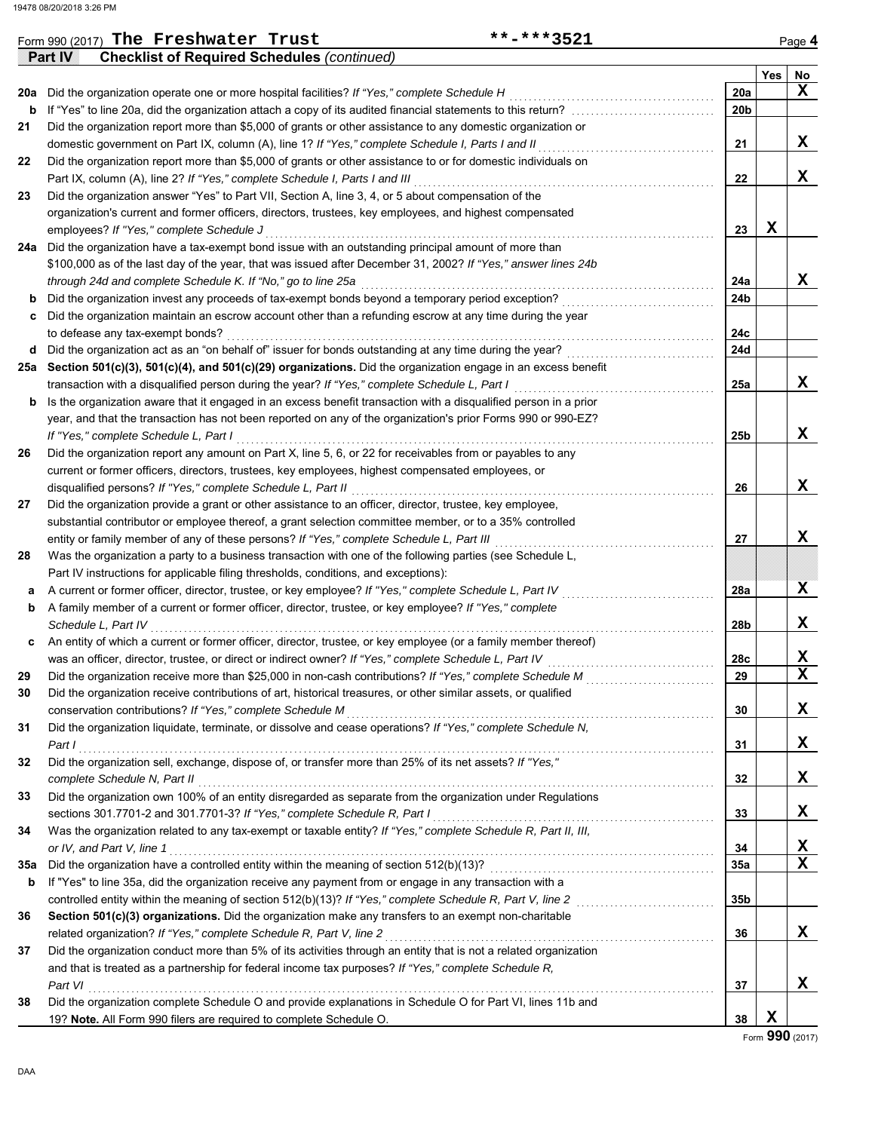|          | Form 990 (2017) The Freshwater Trust<br>**-***3521                                                                                                                                                                                        |                 |     | Page 4  |
|----------|-------------------------------------------------------------------------------------------------------------------------------------------------------------------------------------------------------------------------------------------|-----------------|-----|---------|
|          | Part IV<br><b>Checklist of Required Schedules (continued)</b>                                                                                                                                                                             |                 |     |         |
|          | Did the organization operate one or more hospital facilities? If "Yes," complete Schedule H                                                                                                                                               | 20a             | Yes | No<br>x |
| 20a<br>b |                                                                                                                                                                                                                                           | 20 <sub>b</sub> |     |         |
| 21       | If "Yes" to line 20a, did the organization attach a copy of its audited financial statements to this return?                                                                                                                              |                 |     |         |
|          | Did the organization report more than \$5,000 of grants or other assistance to any domestic organization or<br>domestic government on Part IX, column (A), line 1? If "Yes," complete Schedule I, Parts I and II                          | 21              |     | x       |
| 22       | Did the organization report more than \$5,000 of grants or other assistance to or for domestic individuals on                                                                                                                             |                 |     |         |
|          | Part IX, column (A), line 2? If "Yes," complete Schedule I, Parts I and III                                                                                                                                                               | 22              |     | x       |
| 23       | Did the organization answer "Yes" to Part VII, Section A, line 3, 4, or 5 about compensation of the                                                                                                                                       |                 |     |         |
|          | organization's current and former officers, directors, trustees, key employees, and highest compensated                                                                                                                                   |                 |     |         |
|          | employees? If "Yes," complete Schedule J                                                                                                                                                                                                  | 23              | X   |         |
|          | 24a Did the organization have a tax-exempt bond issue with an outstanding principal amount of more than                                                                                                                                   |                 |     |         |
|          | \$100,000 as of the last day of the year, that was issued after December 31, 2002? If "Yes," answer lines 24b                                                                                                                             |                 |     |         |
|          | through 24d and complete Schedule K. If "No," go to line 25a                                                                                                                                                                              | 24a             |     | x       |
| b        | Did the organization invest any proceeds of tax-exempt bonds beyond a temporary period exception?                                                                                                                                         | 24 <sub>b</sub> |     |         |
| c        | Did the organization maintain an escrow account other than a refunding escrow at any time during the year                                                                                                                                 |                 |     |         |
|          | to defease any tax-exempt bonds?                                                                                                                                                                                                          | 24c             |     |         |
|          | d Did the organization act as an "on behalf of" issuer for bonds outstanding at any time during the year?                                                                                                                                 | 24d             |     |         |
|          | 25a Section 501(c)(3), 501(c)(4), and 501(c)(29) organizations. Did the organization engage in an excess benefit                                                                                                                          |                 |     |         |
|          |                                                                                                                                                                                                                                           | 25a             |     | X       |
|          | transaction with a disqualified person during the year? If "Yes," complete Schedule L, Part I<br>.                                                                                                                                        |                 |     |         |
|          | <b>b</b> Is the organization aware that it engaged in an excess benefit transaction with a disqualified person in a prior<br>year, and that the transaction has not been reported on any of the organization's prior Forms 990 or 990-EZ? |                 |     |         |
|          |                                                                                                                                                                                                                                           |                 |     | x       |
|          | If "Yes," complete Schedule L, Part I                                                                                                                                                                                                     | 25 <sub>b</sub> |     |         |
| 26       | Did the organization report any amount on Part X, line 5, 6, or 22 for receivables from or payables to any                                                                                                                                |                 |     |         |
|          | current or former officers, directors, trustees, key employees, highest compensated employees, or                                                                                                                                         |                 |     | x       |
|          | disqualified persons? If "Yes," complete Schedule L, Part II                                                                                                                                                                              | 26              |     |         |
| 27       | Did the organization provide a grant or other assistance to an officer, director, trustee, key employee,                                                                                                                                  |                 |     |         |
|          | substantial contributor or employee thereof, a grant selection committee member, or to a 35% controlled                                                                                                                                   |                 |     | х       |
|          | entity or family member of any of these persons? If "Yes," complete Schedule L, Part III                                                                                                                                                  | 27              |     |         |
| 28       | Was the organization a party to a business transaction with one of the following parties (see Schedule L,                                                                                                                                 |                 |     |         |
|          | Part IV instructions for applicable filing thresholds, conditions, and exceptions):                                                                                                                                                       |                 |     |         |
| а        | A current or former officer, director, trustee, or key employee? If "Yes," complete Schedule L, Part IV                                                                                                                                   | 28a             |     | X       |
| b        | A family member of a current or former officer, director, trustee, or key employee? If "Yes," complete                                                                                                                                    |                 |     |         |
|          | Schedule L, Part IV                                                                                                                                                                                                                       | 28b             |     | х       |
| c        | An entity of which a current or former officer, director, trustee, or key employee (or a family member thereof)                                                                                                                           |                 |     |         |
|          | was an officer, director, trustee, or direct or indirect owner? If "Yes," complete Schedule L, Part IV                                                                                                                                    | 28c             |     | х<br>X  |
| 29       |                                                                                                                                                                                                                                           | 29              |     |         |
| 30       | Did the organization receive contributions of art, historical treasures, or other similar assets, or qualified                                                                                                                            |                 |     |         |
|          | conservation contributions? If "Yes," complete Schedule M                                                                                                                                                                                 | 30              |     | X       |
| 31       | Did the organization liquidate, terminate, or dissolve and cease operations? If "Yes," complete Schedule N,                                                                                                                               |                 |     |         |
|          | Part I                                                                                                                                                                                                                                    | 31              |     | X       |
| 32       | Did the organization sell, exchange, dispose of, or transfer more than 25% of its net assets? If "Yes,"                                                                                                                                   |                 |     |         |
|          | complete Schedule N, Part II                                                                                                                                                                                                              | 32              |     | X       |
| 33       | Did the organization own 100% of an entity disregarded as separate from the organization under Regulations                                                                                                                                |                 |     |         |
|          | sections 301.7701-2 and 301.7701-3? If "Yes," complete Schedule R, Part I                                                                                                                                                                 | 33              |     | X       |
| 34       | Was the organization related to any tax-exempt or taxable entity? If "Yes," complete Schedule R, Part II, III,                                                                                                                            |                 |     |         |

**35a** Did the organization have a controlled entity within the meaning of section 512(b)(13)? . . . . . . . . . . . . . . . . . . . . . . . . . . . . . . . . . . . . . . . . . . . . . . .

**b** If "Yes" to line 35a, did the organization receive any payment from or engage in any transaction with a

**Section 501(c)(3) organizations.** Did the organization make any transfers to an exempt non-charitable

**38** Did the organization complete Schedule O and provide explanations in Schedule O for Part VI, lines 11b and

Did the organization conduct more than 5% of its activities through an entity that is not a related organization and that is treated as a partnership for federal income tax purposes? *If "Yes," complete Schedule R,*

*or IV, and Part V, line 1* . . . . . . . . . . . . . . . . . . . . . . . . . . . . . . . . . . . . . . . . . . . . . . . . . . . . . . . . . . . . . . . . . . . . . . . . . . . . . . . . . . . . . . . . . . . . . . . . . . . . . . . . . . . . . . . . . .

related organization? *If "Yes," complete Schedule R, Part V, line 2* . . . . . . . . . . . . . . . . . . . . . . . . . . . . . . . . . . . . . . . . . . . . . . . . . . . . . . . . . . . . . . . . . . . . .

*Part VI* . . . . . . . . . . . . . . . . . . . . . . . . . . . . . . . . . . . . . . . . . . . . . . . . . . . . . . . . . . . . . . . . . . . . . . . . . . . . . . . . . . . . . . . . . . . . . . . . . . . . . . . . . . . . . . . . . . . . . . . . . . . . . . . . . . .

19? **Note.** All Form 990 filers are required to complete Schedule O. **38**

controlled entity within the meaning of section 512(b)(13)? *If "Yes," complete Schedule R, Part V, line 2* . . . . . . . . . . . . . . . . . . . . . . . . . . . . . **35b**

**X**

**X X**

**X**

**X**

**37**

**36**

**35a 34**

**36**

**37**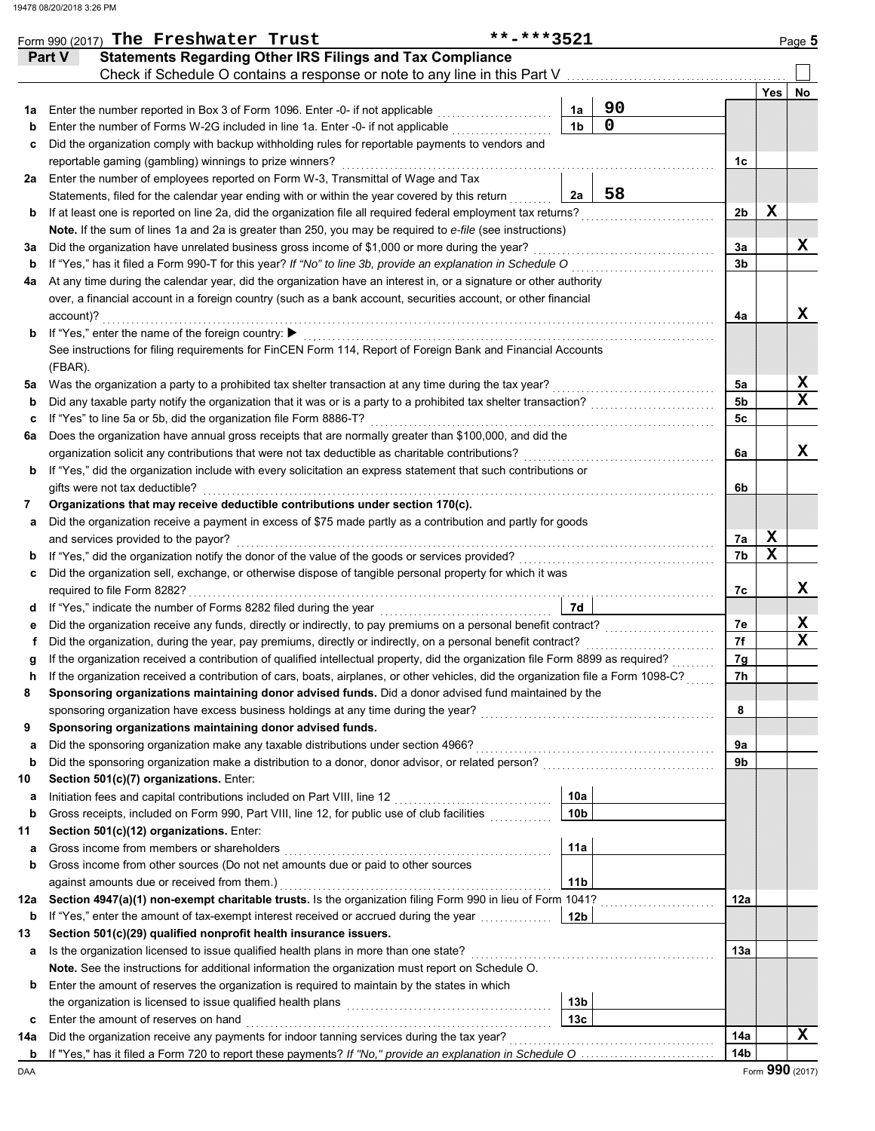|    | **-***3521<br>Form 990 (2017) The Freshwater Trust<br><b>Statements Regarding Other IRS Filings and Tax Compliance</b><br><b>Part V</b>                    |                |    |                |             | Page 5 |
|----|------------------------------------------------------------------------------------------------------------------------------------------------------------|----------------|----|----------------|-------------|--------|
|    | Check if Schedule O contains a response or note to any line in this Part V [11] Check if Schedule O contains a response or note to any line in this Part V |                |    |                |             |        |
|    |                                                                                                                                                            |                |    |                | <b>Yes</b>  | No     |
|    | 1a Enter the number reported in Box 3 of Form 1096. Enter -0- if not applicable                                                                            | 1a             | 90 |                |             |        |
| b  | Enter the number of Forms W-2G included in line 1a. Enter -0- if not applicable [1] [1] [1] [1] [1] [1] Enter -0- if not applicable                        | 1 <sub>b</sub> | 0  |                |             |        |
| c  | Did the organization comply with backup withholding rules for reportable payments to vendors and                                                           |                |    |                |             |        |
|    | reportable gaming (gambling) winnings to prize winners?                                                                                                    |                |    | 1c             |             |        |
| 2a | Enter the number of employees reported on Form W-3, Transmittal of Wage and Tax                                                                            |                |    |                |             |        |
|    | Statements, filed for the calendar year ending with or within the year covered by this return                                                              | 2a             | 58 |                |             |        |
| b  |                                                                                                                                                            |                |    | 2b             | X           |        |
|    | Note. If the sum of lines 1a and 2a is greater than 250, you may be required to e-file (see instructions)                                                  |                |    |                |             |        |
| За | Did the organization have unrelated business gross income of \$1,000 or more during the year?                                                              |                |    | 3a             |             | X      |
| b  | If "Yes," has it filed a Form 990-T for this year? If "No" to line 3b, provide an explanation in Schedule O                                                |                |    | 3 <sub>b</sub> |             |        |
| 4a | At any time during the calendar year, did the organization have an interest in, or a signature or other authority                                          |                |    |                |             |        |
|    | over, a financial account in a foreign country (such as a bank account, securities account, or other financial                                             |                |    |                |             |        |
|    | account)?                                                                                                                                                  |                |    | 4a             |             | X      |
|    | <b>b</b> If "Yes," enter the name of the foreign country: ▶                                                                                                |                |    |                |             |        |
|    | See instructions for filing requirements for FinCEN Form 114, Report of Foreign Bank and Financial Accounts                                                |                |    |                |             |        |
|    | (FBAR).                                                                                                                                                    |                |    |                |             |        |
| 5а | Was the organization a party to a prohibited tax shelter transaction at any time during the tax year?                                                      |                |    | 5а             |             | х      |
| b  |                                                                                                                                                            |                |    | 5 <sub>b</sub> |             | X      |
| c  | If "Yes" to line 5a or 5b, did the organization file Form 8886-T?                                                                                          |                |    | 5с             |             |        |
| 6a | Does the organization have annual gross receipts that are normally greater than \$100,000, and did the                                                     |                |    |                |             |        |
|    | organization solicit any contributions that were not tax deductible as charitable contributions?                                                           |                |    | 6a             |             | X      |
|    | <b>b</b> If "Yes," did the organization include with every solicitation an express statement that such contributions or                                    |                |    |                |             |        |
|    | gifts were not tax deductible?                                                                                                                             |                |    | 6b             |             |        |
| 7  | Organizations that may receive deductible contributions under section 170(c).                                                                              |                |    |                |             |        |
| a  | Did the organization receive a payment in excess of \$75 made partly as a contribution and partly for goods                                                |                |    |                |             |        |
|    | and services provided to the payor?                                                                                                                        |                |    | 7a             | X           |        |
| b  |                                                                                                                                                            |                |    | 7b             | $\mathbf x$ |        |
| c  | Did the organization sell, exchange, or otherwise dispose of tangible personal property for which it was                                                   |                |    |                |             |        |
|    |                                                                                                                                                            |                |    | 7c             |             | X      |
|    | d If "Yes," indicate the number of Forms 8282 filed during the year<br>[[[COSET ]]                                                                         | 7d             |    |                |             |        |
| е  | Did the organization receive any funds, directly or indirectly, to pay premiums on a personal benefit contract?                                            |                |    | 7e             |             | Χ<br>X |
| f  |                                                                                                                                                            |                |    | 7f             |             |        |
| g  |                                                                                                                                                            |                |    | 7g             |             |        |
| h  | If the organization received a contribution of cars, boats, airplanes, or other vehicles, did the organization file a Form 1098-C?                         |                |    | 7h             |             |        |
| 8  | Sponsoring organizations maintaining donor advised funds. Did a donor advised fund maintained by the                                                       |                |    |                |             |        |
|    |                                                                                                                                                            |                |    | 8              |             |        |
| 9  | Sponsoring organizations maintaining donor advised funds.                                                                                                  |                |    |                |             |        |
| а  | Did the sponsoring organization make any taxable distributions under section 4966?                                                                         |                |    | 9a             |             |        |
| b  |                                                                                                                                                            |                |    | 9b             |             |        |
| 10 | Section 501(c)(7) organizations. Enter:                                                                                                                    |                |    |                |             |        |
| а  |                                                                                                                                                            | 10a            |    |                |             |        |
| b  | Gross receipts, included on Form 990, Part VIII, line 12, for public use of club facilities                                                                | 10b            |    |                |             |        |

| 11  | Section 501(c)(12) organizations. Enter:                                                                           |                 |  |     |  |  |  |  |  |
|-----|--------------------------------------------------------------------------------------------------------------------|-----------------|--|-----|--|--|--|--|--|
| a   | Gross income from members or shareholders                                                                          | 11a             |  |     |  |  |  |  |  |
| b   | Gross income from other sources (Do not net amounts due or paid to other sources                                   |                 |  |     |  |  |  |  |  |
|     | against amounts due or received from them.)                                                                        | 11 <sub>b</sub> |  |     |  |  |  |  |  |
| 12a | Section 4947(a)(1) non-exempt charitable trusts. Is the organization filing Form 990 in lieu of Form 1041?         |                 |  | 12a |  |  |  |  |  |
| b   | If "Yes," enter the amount of tax-exempt interest received or accrued during the year                              | 12b             |  |     |  |  |  |  |  |
| 13  | Section 501(c)(29) qualified nonprofit health insurance issuers.                                                   |                 |  |     |  |  |  |  |  |
| a   | Is the organization licensed to issue qualified health plans in more than one state?                               |                 |  |     |  |  |  |  |  |
|     | Note. See the instructions for additional information the organization must report on Schedule O.                  |                 |  |     |  |  |  |  |  |
|     | <b>b</b> Enter the amount of reserves the organization is required to maintain by the states in which              |                 |  |     |  |  |  |  |  |
|     | the organization is licensed to issue qualified health plans                                                       | 13 <sub>b</sub> |  |     |  |  |  |  |  |
| c   | Enter the amount of reserves on hand                                                                               | 13с             |  |     |  |  |  |  |  |
| 14a | Did the organization receive any payments for indoor tanning services during the tax year?                         |                 |  | 14a |  |  |  |  |  |
|     | <b>b</b> If "Yes," has it filed a Form 720 to report these payments? If "No," provide an explanation in Schedule O |                 |  | 14b |  |  |  |  |  |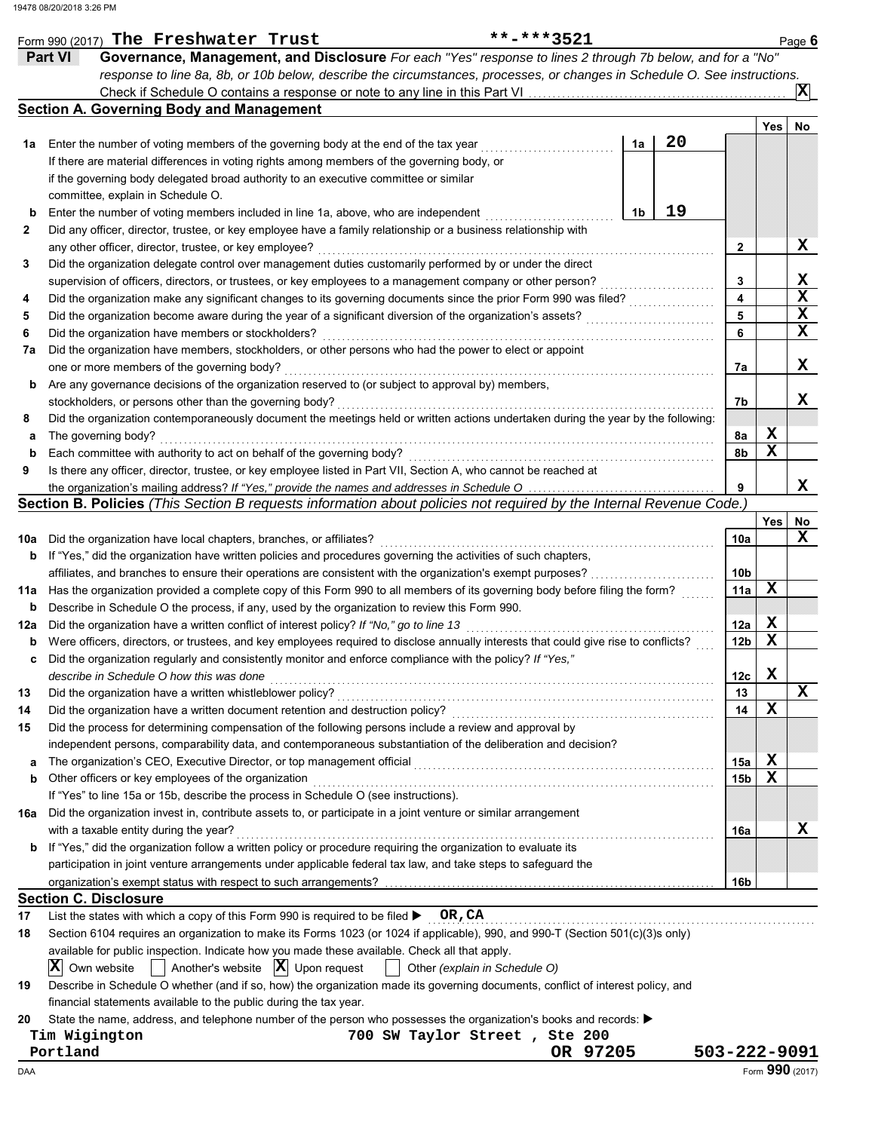|             | Form 990 (2017) The Freshwater Trust                                                                                                                     | **-***3521                    |          |                |    |                 |     | Page $6$        |
|-------------|----------------------------------------------------------------------------------------------------------------------------------------------------------|-------------------------------|----------|----------------|----|-----------------|-----|-----------------|
|             | Governance, Management, and Disclosure For each "Yes" response to lines 2 through 7b below, and for a "No"<br>Part VI                                    |                               |          |                |    |                 |     |                 |
|             | response to line 8a, 8b, or 10b below, describe the circumstances, processes, or changes in Schedule O. See instructions.                                |                               |          |                |    |                 |     |                 |
|             |                                                                                                                                                          |                               |          |                |    |                 |     | 'Х              |
|             | <b>Section A. Governing Body and Management</b>                                                                                                          |                               |          |                |    |                 |     |                 |
|             |                                                                                                                                                          |                               |          |                |    |                 | Yes | No              |
| 1a          | Enter the number of voting members of the governing body at the end of the tax year                                                                      |                               |          | 1a             | 20 |                 |     |                 |
|             | If there are material differences in voting rights among members of the governing body, or                                                               |                               |          |                |    |                 |     |                 |
|             | if the governing body delegated broad authority to an executive committee or similar                                                                     |                               |          |                |    |                 |     |                 |
|             | committee, explain in Schedule O.                                                                                                                        |                               |          |                |    |                 |     |                 |
| $\mathbf b$ | Enter the number of voting members included in line 1a, above, who are independent                                                                       |                               |          | 1 <sub>b</sub> | 19 |                 |     |                 |
| 2           | Did any officer, director, trustee, or key employee have a family relationship or a business relationship with                                           |                               |          |                |    |                 |     |                 |
|             | any other officer, director, trustee, or key employee?                                                                                                   |                               |          |                |    | $\mathbf{2}$    |     | X               |
| 3           | Did the organization delegate control over management duties customarily performed by or under the direct                                                |                               |          |                |    |                 |     |                 |
|             | supervision of officers, directors, or trustees, or key employees to a management company or other person?                                               |                               |          |                |    | 3               |     | X               |
| 4           | Did the organization make any significant changes to its governing documents since the prior Form 990 was filed?                                         |                               |          |                |    | 4               |     | X               |
| 5           | Did the organization become aware during the year of a significant diversion of the organization's assets?                                               |                               |          |                |    | 5               |     | X               |
| 6           | Did the organization have members or stockholders?                                                                                                       |                               |          |                |    | 6               |     | $\mathbf x$     |
| 7а          | Did the organization have members, stockholders, or other persons who had the power to elect or appoint                                                  |                               |          |                |    |                 |     |                 |
|             | one or more members of the governing body?                                                                                                               |                               |          |                |    | 7a              |     | X               |
| b           | Are any governance decisions of the organization reserved to (or subject to approval by) members,                                                        |                               |          |                |    |                 |     |                 |
|             | stockholders, or persons other than the governing body?                                                                                                  |                               |          |                |    | 7b              |     | x               |
| 8           | Did the organization contemporaneously document the meetings held or written actions undertaken during the year by the following:                        |                               |          |                |    |                 |     |                 |
| а           | The governing body?                                                                                                                                      |                               |          |                |    | 8a              | х   |                 |
| $\mathbf b$ | Each committee with authority to act on behalf of the governing body?                                                                                    |                               |          |                |    | 8b              | X   |                 |
| 9           | Is there any officer, director, trustee, or key employee listed in Part VII, Section A, who cannot be reached at                                         |                               |          |                |    |                 |     |                 |
|             | the organization's mailing address? If "Yes," provide the names and addresses in Schedule O                                                              |                               |          |                |    | 9               |     | x               |
|             | Section B. Policies (This Section B requests information about policies not required by the Internal Revenue Code.)                                      |                               |          |                |    |                 |     |                 |
|             |                                                                                                                                                          |                               |          |                |    |                 | Yes | No              |
| 10a         | Did the organization have local chapters, branches, or affiliates?                                                                                       |                               |          |                |    | 10a             |     | X               |
| b           | If "Yes," did the organization have written policies and procedures governing the activities of such chapters,                                           |                               |          |                |    |                 |     |                 |
|             | affiliates, and branches to ensure their operations are consistent with the organization's exempt purposes?                                              |                               |          |                |    | 10 <sub>b</sub> |     |                 |
| 11a         | Has the organization provided a complete copy of this Form 990 to all members of its governing body before filing the form?                              |                               |          |                |    | 11a             | X   |                 |
| b           | Describe in Schedule O the process, if any, used by the organization to review this Form 990.                                                            |                               |          |                |    |                 |     |                 |
| 12a         | Did the organization have a written conflict of interest policy? If "No," go to line 13                                                                  |                               |          |                |    | 12a             | х   |                 |
| b           | Were officers, directors, or trustees, and key employees required to disclose annually interests that could give rise to conflicts?                      |                               |          |                |    | 12b             | X   |                 |
|             | Did the organization regularly and consistently monitor and enforce compliance with the policy? If "Yes,"                                                |                               |          |                |    |                 |     |                 |
|             | describe in Schedule O how this was done                                                                                                                 |                               |          |                |    | 12с             | X   |                 |
| 13          | Did the organization have a written whistleblower policy?                                                                                                |                               |          |                |    | 13              |     | X               |
| 14          | Did the organization have a written document retention and destruction policy?                                                                           |                               |          |                |    | 14              | X   |                 |
| 15          | Did the process for determining compensation of the following persons include a review and approval by                                                   |                               |          |                |    |                 |     |                 |
|             | independent persons, comparability data, and contemporaneous substantiation of the deliberation and decision?                                            |                               |          |                |    |                 |     |                 |
|             | The organization's CEO, Executive Director, or top management official                                                                                   |                               |          |                |    | 15a             | х   |                 |
| а           |                                                                                                                                                          |                               |          |                |    |                 | X   |                 |
| b           | Other officers or key employees of the organization<br>If "Yes" to line 15a or 15b, describe the process in Schedule O (see instructions).               |                               |          |                |    | 15b             |     |                 |
|             | Did the organization invest in, contribute assets to, or participate in a joint venture or similar arrangement                                           |                               |          |                |    |                 |     |                 |
| 16a         |                                                                                                                                                          |                               |          |                |    |                 |     | x               |
|             | with a taxable entity during the year?<br>If "Yes," did the organization follow a written policy or procedure requiring the organization to evaluate its |                               |          |                |    | 16a             |     |                 |
| b           | participation in joint venture arrangements under applicable federal tax law, and take steps to safeguard the                                            |                               |          |                |    |                 |     |                 |
|             |                                                                                                                                                          |                               |          |                |    |                 |     |                 |
|             |                                                                                                                                                          |                               |          |                |    | 16b             |     |                 |
|             | <b>Section C. Disclosure</b>                                                                                                                             |                               |          |                |    |                 |     |                 |
| 17          | List the states with which a copy of this Form 990 is required to be filed $\triangleright$ OR, CA                                                       |                               |          |                |    |                 |     |                 |
| 18          | Section 6104 requires an organization to make its Forms 1023 (or 1024 if applicable), 990, and 990-T (Section 501(c)(3)s only)                           |                               |          |                |    |                 |     |                 |
|             | available for public inspection. Indicate how you made these available. Check all that apply.                                                            |                               |          |                |    |                 |     |                 |
|             | IХ<br>Another's website $ \mathbf{X} $ Upon request<br>Own website                                                                                       | Other (explain in Schedule O) |          |                |    |                 |     |                 |
| 19          | Describe in Schedule O whether (and if so, how) the organization made its governing documents, conflict of interest policy, and                          |                               |          |                |    |                 |     |                 |
|             | financial statements available to the public during the tax year.                                                                                        |                               |          |                |    |                 |     |                 |
| 20          | State the name, address, and telephone number of the person who possesses the organization's books and records: ▶                                        |                               |          |                |    |                 |     |                 |
|             | Tim Wigington<br>700 SW Taylor Street, Ste 200                                                                                                           |                               |          |                |    |                 |     |                 |
|             | Portland                                                                                                                                                 |                               | OR 97205 |                |    | 503-222-9091    |     |                 |
| DAA         |                                                                                                                                                          |                               |          |                |    |                 |     | Form 990 (2017) |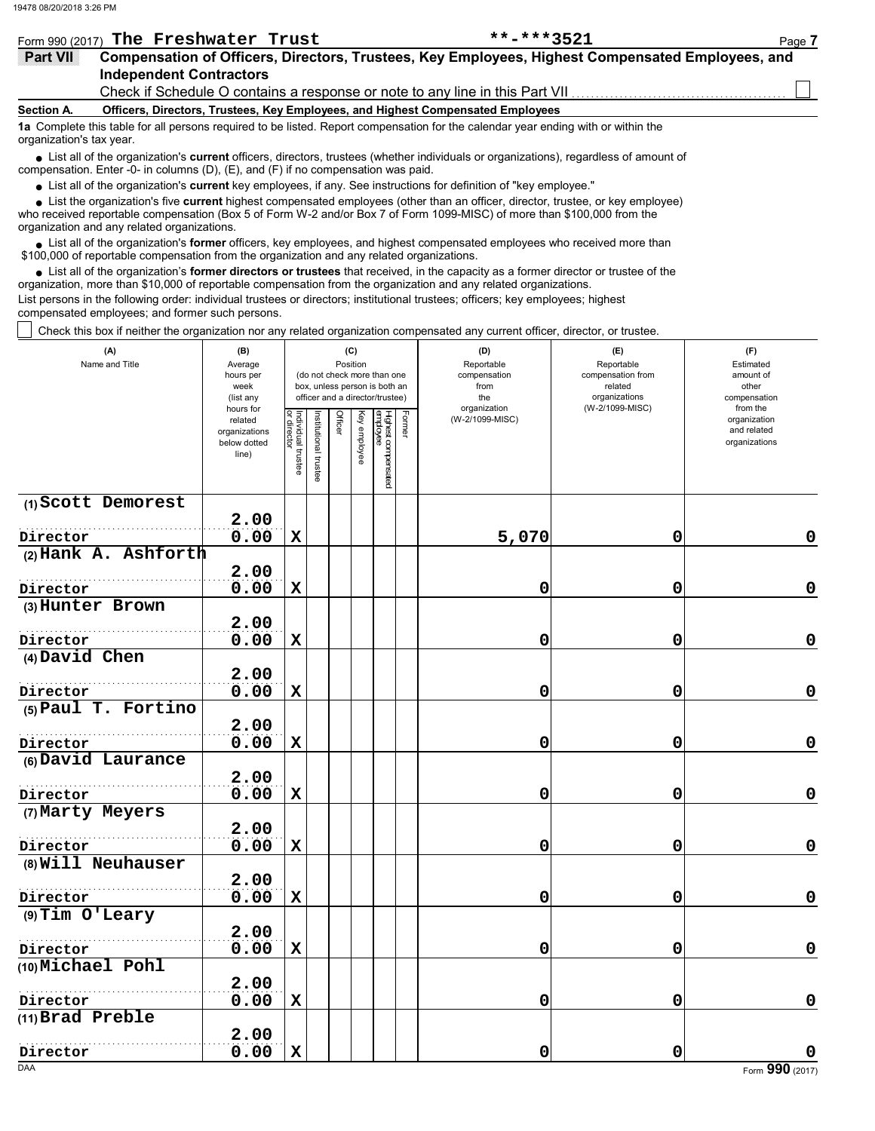|                   | Form 990 (2017) The Freshwater Trust                                                                           | **_***3521                                                                                       | Page 7 |
|-------------------|----------------------------------------------------------------------------------------------------------------|--------------------------------------------------------------------------------------------------|--------|
| Part VII          |                                                                                                                | Compensation of Officers, Directors, Trustees, Key Employees, Highest Compensated Employees, and |        |
|                   | <b>Independent Contractors</b>                                                                                 |                                                                                                  |        |
|                   | Check if Schedule O contains a response or note to any line in this Part VII.                                  |                                                                                                  |        |
| <b>Section A.</b> | Officers, Directors, Trustees, Key Employees, and Highest Compensated Employees                                |                                                                                                  |        |
|                   | a Anti-attitution in the three areas and the three and the second and the three controls of the second and the |                                                                                                  |        |

**1a** Complete this table for all persons required to be listed. Report compensation for the calendar year ending with or within the organization's tax year.

■ List all of the organization's **current** officers, directors, trustees (whether individuals or organizations), regardless of amount of<br>proposition Enter 0 in columns (D) (E) and (E) if no componeation was paid compensation. Enter -0- in columns (D), (E), and (F) if no compensation was paid.

List all of the organization's **current** key employees, if any. See instructions for definition of "key employee."

who received reportable compensation (Box 5 of Form W-2 and/or Box 7 of Form 1099-MISC) of more than \$100,000 from the organization and any related organizations. ■ List all of the organization's **current** key employees, if any. See instructions for definition of "key employee."<br>■ List the organization's five **current** highest compensated employees (other than an officer, director,

■ List all of the organization's **former** officers, key employees, and highest compensated employees who received more than<br> **•** 000 of repertable compensation from the ergenization and any related ergenizations \$100,000 of reportable compensation from the organization and any related organizations.

List all of the organization's **former directors or trustees** that received, in the capacity as a former director or trustee of the • List all of the organization's **former directors or trustees** that received, in the capacity as a former director organization, more than \$10,000 of reportable compensation from the organization and any related organizat

List persons in the following order: individual trustees or directors; institutional trustees; officers; key employees; highest compensated employees; and former such persons.

Check this box if neither the organization nor any related organization compensated any current officer, director, or trustee.

| (A)<br>Name and Title | (B)<br>Average<br>hours per<br>week<br>(list any<br>hours for |                                   |                      | (C)<br>Position |              | (do not check more than one<br>box, unless person is both an<br>officer and a director/trustee) | (D)<br>Reportable<br>compensation<br>from<br>the<br>organization |                 | (E)<br>Reportable<br>compensation from<br>related<br>organizations<br>(W-2/1099-MISC) | (F)<br>Estimated<br>amount of<br>other<br>compensation<br>from the |
|-----------------------|---------------------------------------------------------------|-----------------------------------|----------------------|-----------------|--------------|-------------------------------------------------------------------------------------------------|------------------------------------------------------------------|-----------------|---------------------------------------------------------------------------------------|--------------------------------------------------------------------|
|                       | related<br>organizations<br>below dotted<br>line)             | Individual trustee<br>or director | nstitutional trustee | Officer         | Key employee | Highest compensated<br>employee                                                                 | Former                                                           | (W-2/1099-MISC) |                                                                                       | organization<br>and related<br>organizations                       |
| (1) Scott Demorest    |                                                               |                                   |                      |                 |              |                                                                                                 |                                                                  |                 |                                                                                       |                                                                    |
|                       | 2.00                                                          |                                   |                      |                 |              |                                                                                                 |                                                                  |                 |                                                                                       |                                                                    |
| Director              | 0.00                                                          | $\mathbf x$                       |                      |                 |              |                                                                                                 |                                                                  | 5,070           | 0                                                                                     | $\mathbf 0$                                                        |
| (2) Hank A. Ashforth  | 2.00                                                          |                                   |                      |                 |              |                                                                                                 |                                                                  |                 |                                                                                       |                                                                    |
|                       |                                                               |                                   |                      |                 |              |                                                                                                 |                                                                  |                 |                                                                                       | $\pmb{0}$                                                          |
| Director              | 0.00                                                          | $\mathbf x$                       |                      |                 |              |                                                                                                 |                                                                  | 0               | 0                                                                                     |                                                                    |
| (3) Hunter Brown      | 2.00                                                          |                                   |                      |                 |              |                                                                                                 |                                                                  |                 |                                                                                       |                                                                    |
| Director              | 0.00                                                          | $\mathbf x$                       |                      |                 |              |                                                                                                 |                                                                  | 0               | 0                                                                                     | $\mathbf 0$                                                        |
| (4) David Chen        |                                                               |                                   |                      |                 |              |                                                                                                 |                                                                  |                 |                                                                                       |                                                                    |
|                       | 2.00                                                          |                                   |                      |                 |              |                                                                                                 |                                                                  |                 |                                                                                       |                                                                    |
| Director              | 0.00                                                          | $\mathbf x$                       |                      |                 |              |                                                                                                 |                                                                  | 0               | 0                                                                                     | $\mathbf 0$                                                        |
| (5) Paul T. Fortino   |                                                               |                                   |                      |                 |              |                                                                                                 |                                                                  |                 |                                                                                       |                                                                    |
|                       | 2.00                                                          |                                   |                      |                 |              |                                                                                                 |                                                                  |                 |                                                                                       |                                                                    |
| Director              | 0.00                                                          | $\mathbf x$                       |                      |                 |              |                                                                                                 |                                                                  | 0               | 0                                                                                     | $\pmb{0}$                                                          |
| (6) David Laurance    |                                                               |                                   |                      |                 |              |                                                                                                 |                                                                  |                 |                                                                                       |                                                                    |
|                       | 2.00                                                          |                                   |                      |                 |              |                                                                                                 |                                                                  |                 |                                                                                       |                                                                    |
| Director              | 0.00                                                          | $\mathbf x$                       |                      |                 |              |                                                                                                 |                                                                  | 0               | 0                                                                                     | $\mathbf 0$                                                        |
| (7) Marty Meyers      |                                                               |                                   |                      |                 |              |                                                                                                 |                                                                  |                 |                                                                                       |                                                                    |
|                       | 2.00                                                          |                                   |                      |                 |              |                                                                                                 |                                                                  |                 |                                                                                       |                                                                    |
| Director              | 0.00                                                          | $\mathbf x$                       |                      |                 |              |                                                                                                 |                                                                  | 0               | 0                                                                                     | $\mathbf 0$                                                        |
| (8) Will Neuhauser    |                                                               |                                   |                      |                 |              |                                                                                                 |                                                                  |                 |                                                                                       |                                                                    |
|                       | 2.00                                                          |                                   |                      |                 |              |                                                                                                 |                                                                  |                 |                                                                                       |                                                                    |
| Director              | 0.00                                                          | $\mathbf x$                       |                      |                 |              |                                                                                                 |                                                                  | $\mathbf 0$     | 0                                                                                     | $\mathbf 0$                                                        |
| $(9)$ Tim O'Leary     |                                                               |                                   |                      |                 |              |                                                                                                 |                                                                  |                 |                                                                                       |                                                                    |
|                       | 2.00                                                          |                                   |                      |                 |              |                                                                                                 |                                                                  |                 |                                                                                       |                                                                    |
| Director              | 0.00                                                          | $\mathbf x$                       |                      |                 |              |                                                                                                 |                                                                  | 0               | 0                                                                                     | $\mathbf 0$                                                        |
| (10) Michael Pohl     |                                                               |                                   |                      |                 |              |                                                                                                 |                                                                  |                 |                                                                                       |                                                                    |
|                       | 2.00                                                          |                                   |                      |                 |              |                                                                                                 |                                                                  |                 |                                                                                       |                                                                    |
| Director              | 0.00                                                          | $\mathbf x$                       |                      |                 |              |                                                                                                 |                                                                  | 0               | 0                                                                                     | $\mathbf 0$                                                        |
| (11) Brad Preble      |                                                               |                                   |                      |                 |              |                                                                                                 |                                                                  |                 |                                                                                       |                                                                    |
|                       | 2.00                                                          |                                   |                      |                 |              |                                                                                                 |                                                                  |                 |                                                                                       |                                                                    |
| Director              | 0.00                                                          | $\mathbf x$                       |                      |                 |              |                                                                                                 |                                                                  | 0               | 0                                                                                     | 0                                                                  |
| <b>DAA</b>            |                                                               |                                   |                      |                 |              |                                                                                                 |                                                                  |                 |                                                                                       | Form 990 (2017)                                                    |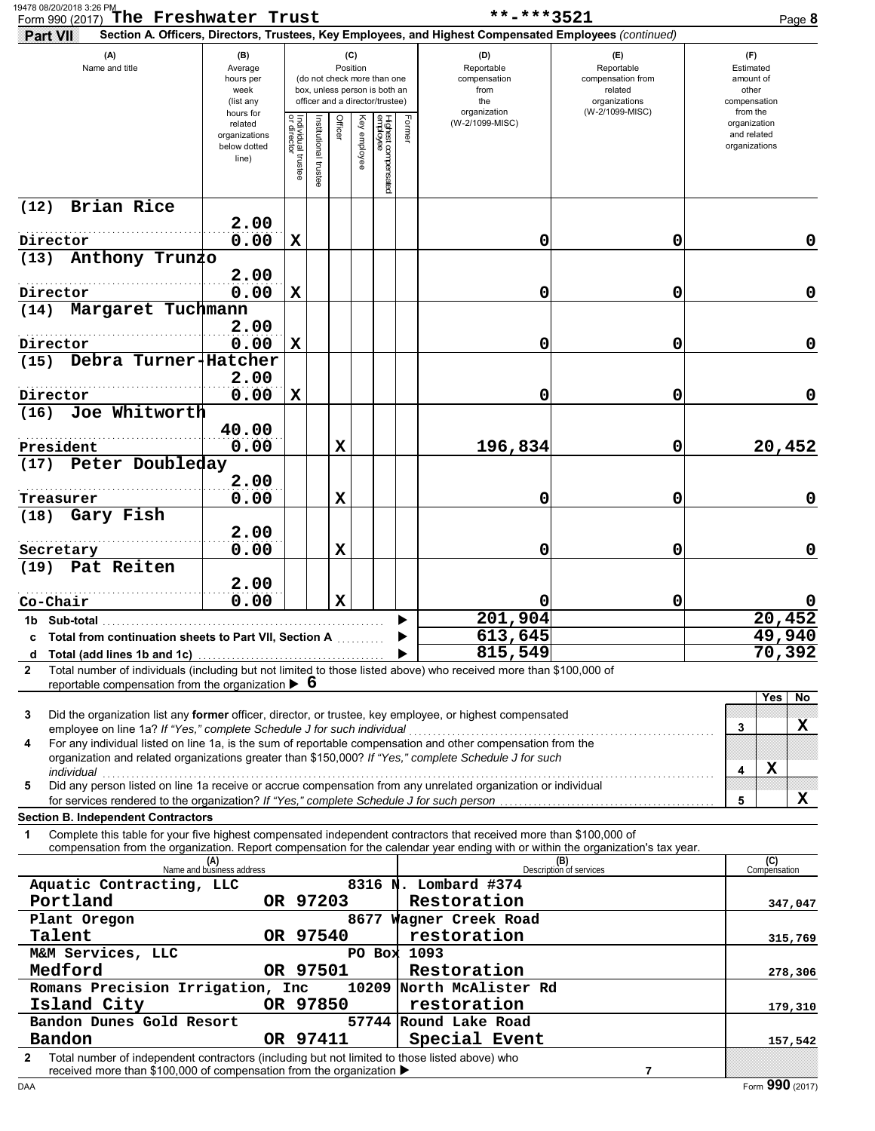| 19478 08/20/2018 3:26 PM<br>Form 990 (2017) The Freshwater Trust |                                                                        |                                                                |                                   |                       |         |                 |                                                                                                 |        | **-***3521                                                                                                                                                                                                                                             |                                                                    |                                                          | Page 8      |
|------------------------------------------------------------------|------------------------------------------------------------------------|----------------------------------------------------------------|-----------------------------------|-----------------------|---------|-----------------|-------------------------------------------------------------------------------------------------|--------|--------------------------------------------------------------------------------------------------------------------------------------------------------------------------------------------------------------------------------------------------------|--------------------------------------------------------------------|----------------------------------------------------------|-------------|
| Part VII                                                         |                                                                        |                                                                |                                   |                       |         |                 |                                                                                                 |        | Section A. Officers, Directors, Trustees, Key Employees, and Highest Compensated Employees (continued)                                                                                                                                                 |                                                                    |                                                          |             |
| (A)<br>Name and title                                            |                                                                        | (B)<br>Average<br>hours per<br>week<br>(list any               |                                   |                       |         | (C)<br>Position | (do not check more than one<br>box, unless person is both an<br>officer and a director/trustee) |        | (D)<br>Reportable<br>compensation<br>from<br>the                                                                                                                                                                                                       | (E)<br>Reportable<br>compensation from<br>related<br>organizations | (F)<br>Estimated<br>amount of<br>other<br>compensation   |             |
|                                                                  |                                                                        | hours for<br>related<br>organizations<br>below dotted<br>line) | Individual trustee<br>or director | Institutional trustee | Officer | Key employee    | Highest compensated<br>employee                                                                 | Former | organization<br>(W-2/1099-MISC)                                                                                                                                                                                                                        | (W-2/1099-MISC)                                                    | from the<br>organization<br>and related<br>organizations |             |
| (12)                                                             | <b>Brian Rice</b>                                                      |                                                                |                                   |                       |         |                 |                                                                                                 |        |                                                                                                                                                                                                                                                        |                                                                    |                                                          |             |
| Director                                                         |                                                                        | 2.00<br>0.00                                                   | X                                 |                       |         |                 |                                                                                                 |        | 0                                                                                                                                                                                                                                                      | 0                                                                  |                                                          | 0           |
| (13)                                                             | Anthony Trunzo                                                         |                                                                |                                   |                       |         |                 |                                                                                                 |        |                                                                                                                                                                                                                                                        |                                                                    |                                                          |             |
| Director                                                         |                                                                        | 2.00<br>0.00                                                   | $\mathbf x$                       |                       |         |                 |                                                                                                 |        | 0                                                                                                                                                                                                                                                      | 0                                                                  |                                                          | $\mathbf 0$ |
| (14)                                                             | Margaret Tuchmann                                                      | 2.00                                                           |                                   |                       |         |                 |                                                                                                 |        |                                                                                                                                                                                                                                                        |                                                                    |                                                          |             |
| Director                                                         |                                                                        | 0.00                                                           | $\mathbf x$                       |                       |         |                 |                                                                                                 |        | 0                                                                                                                                                                                                                                                      | 0                                                                  |                                                          | $\mathbf 0$ |
| (15) Debra Turner-Hatcher                                        |                                                                        |                                                                |                                   |                       |         |                 |                                                                                                 |        |                                                                                                                                                                                                                                                        |                                                                    |                                                          |             |
|                                                                  |                                                                        | 2.00                                                           |                                   |                       |         |                 |                                                                                                 |        |                                                                                                                                                                                                                                                        |                                                                    |                                                          | $\mathbf 0$ |
| Director<br>(16)                                                 | Joe Whitworth                                                          | 0.00                                                           | X                                 |                       |         |                 |                                                                                                 |        | 0                                                                                                                                                                                                                                                      | 0                                                                  |                                                          |             |
| President                                                        |                                                                        | 40.00<br>0.00                                                  |                                   |                       | X       |                 |                                                                                                 |        | 196,834                                                                                                                                                                                                                                                | 0                                                                  |                                                          | 20,452      |
| (17)                                                             | Peter Doubleday                                                        |                                                                |                                   |                       |         |                 |                                                                                                 |        |                                                                                                                                                                                                                                                        |                                                                    |                                                          |             |
| Treasurer                                                        |                                                                        | 2.00<br>0.00                                                   |                                   |                       | X       |                 |                                                                                                 |        | 0                                                                                                                                                                                                                                                      | 0                                                                  |                                                          | $\mathbf 0$ |
| (18)                                                             | Gary Fish                                                              |                                                                |                                   |                       |         |                 |                                                                                                 |        |                                                                                                                                                                                                                                                        |                                                                    |                                                          |             |
|                                                                  |                                                                        | 2.00                                                           |                                   |                       |         |                 |                                                                                                 |        |                                                                                                                                                                                                                                                        |                                                                    |                                                          |             |
| Secretary                                                        |                                                                        | 0.00                                                           |                                   |                       | X       |                 |                                                                                                 |        | 0                                                                                                                                                                                                                                                      | 0                                                                  |                                                          | $\mathbf 0$ |
| (19) Pat Reiten                                                  |                                                                        | 2.00                                                           |                                   |                       |         |                 |                                                                                                 |        |                                                                                                                                                                                                                                                        |                                                                    |                                                          |             |
| Co-Chair                                                         |                                                                        | 0.00                                                           |                                   |                       | X       |                 |                                                                                                 |        | 0                                                                                                                                                                                                                                                      | 0                                                                  |                                                          | 0           |
| 1b Sub-total                                                     |                                                                        |                                                                |                                   |                       |         |                 |                                                                                                 |        | 201,904                                                                                                                                                                                                                                                |                                                                    |                                                          | 20,452      |
|                                                                  | c Total from continuation sheets to Part VII, Section A                |                                                                |                                   |                       |         |                 |                                                                                                 |        | 613,645                                                                                                                                                                                                                                                |                                                                    |                                                          | 49,940      |
|                                                                  |                                                                        |                                                                |                                   |                       |         |                 |                                                                                                 |        | 815,549                                                                                                                                                                                                                                                |                                                                    |                                                          | 70,392      |
| 2                                                                | reportable compensation from the organization $\triangleright$ 6       |                                                                |                                   |                       |         |                 |                                                                                                 |        | Total number of individuals (including but not limited to those listed above) who received more than \$100,000 of                                                                                                                                      |                                                                    |                                                          |             |
| 3                                                                |                                                                        |                                                                |                                   |                       |         |                 |                                                                                                 |        | Did the organization list any former officer, director, or trustee, key employee, or highest compensated                                                                                                                                               |                                                                    | Yes                                                      | No.         |
| 4                                                                | employee on line 1a? If "Yes," complete Schedule J for such individual |                                                                |                                   |                       |         |                 |                                                                                                 |        | For any individual listed on line 1a, is the sum of reportable compensation and other compensation from the                                                                                                                                            |                                                                    | 3                                                        | x           |
| individual                                                       |                                                                        |                                                                |                                   |                       |         |                 |                                                                                                 |        | organization and related organizations greater than \$150,000? If "Yes," complete Schedule J for such                                                                                                                                                  |                                                                    | X<br>4                                                   |             |
| 5                                                                |                                                                        |                                                                |                                   |                       |         |                 |                                                                                                 |        | Did any person listed on line 1a receive or accrue compensation from any unrelated organization or individual<br>for services rendered to the organization? If "Yes," complete Schedule J for such person                                              |                                                                    | 5                                                        | X           |
| <b>Section B. Independent Contractors</b>                        |                                                                        |                                                                |                                   |                       |         |                 |                                                                                                 |        |                                                                                                                                                                                                                                                        |                                                                    |                                                          |             |
| 1                                                                |                                                                        |                                                                |                                   |                       |         |                 |                                                                                                 |        | Complete this table for your five highest compensated independent contractors that received more than \$100,000 of<br>compensation from the organization. Report compensation for the calendar year ending with or within the organization's tax year. |                                                                    |                                                          |             |
|                                                                  |                                                                        | (A)<br>Name and business address                               |                                   |                       |         |                 |                                                                                                 |        |                                                                                                                                                                                                                                                        | (B)<br>Description of services                                     | (C)<br>Compensation                                      |             |
|                                                                  | Aquatic Contracting, LLC                                               |                                                                |                                   |                       |         |                 |                                                                                                 |        | 8316 N. Lombard #374                                                                                                                                                                                                                                   |                                                                    |                                                          |             |
| Portland<br>Plant Oregon                                         |                                                                        |                                                                | OR 97203                          |                       |         |                 |                                                                                                 |        | Restoration<br>8677 Wagner Creek Road                                                                                                                                                                                                                  |                                                                    |                                                          | 347,047     |
| Talent                                                           |                                                                        |                                                                | OR 97540                          |                       |         |                 |                                                                                                 |        | restoration                                                                                                                                                                                                                                            |                                                                    |                                                          | 315,769     |
| M&M Services, LLC                                                |                                                                        |                                                                |                                   |                       |         |                 |                                                                                                 |        | PO Box 1093                                                                                                                                                                                                                                            |                                                                    |                                                          |             |
| Medford                                                          |                                                                        |                                                                | OR 97501                          |                       |         |                 |                                                                                                 |        | Restoration                                                                                                                                                                                                                                            |                                                                    |                                                          | 278,306     |
| Island City                                                      | Romans Precision Irrigation, Inc                                       |                                                                | OR 97850                          |                       |         |                 |                                                                                                 |        | 10209 North McAlister Rd<br>restoration                                                                                                                                                                                                                |                                                                    |                                                          |             |
|                                                                  | Bandon Dunes Gold Resort                                               |                                                                |                                   |                       |         |                 |                                                                                                 |        | 57744 Round Lake Road                                                                                                                                                                                                                                  |                                                                    |                                                          | 179,310     |
| Bandon                                                           |                                                                        |                                                                | OR 97411                          |                       |         |                 |                                                                                                 |        | Special Event                                                                                                                                                                                                                                          |                                                                    |                                                          | 157,542     |
| 2                                                                | received more than \$100,000 of compensation from the organization ▶   |                                                                |                                   |                       |         |                 |                                                                                                 |        | Total number of independent contractors (including but not limited to those listed above) who                                                                                                                                                          | 7                                                                  |                                                          |             |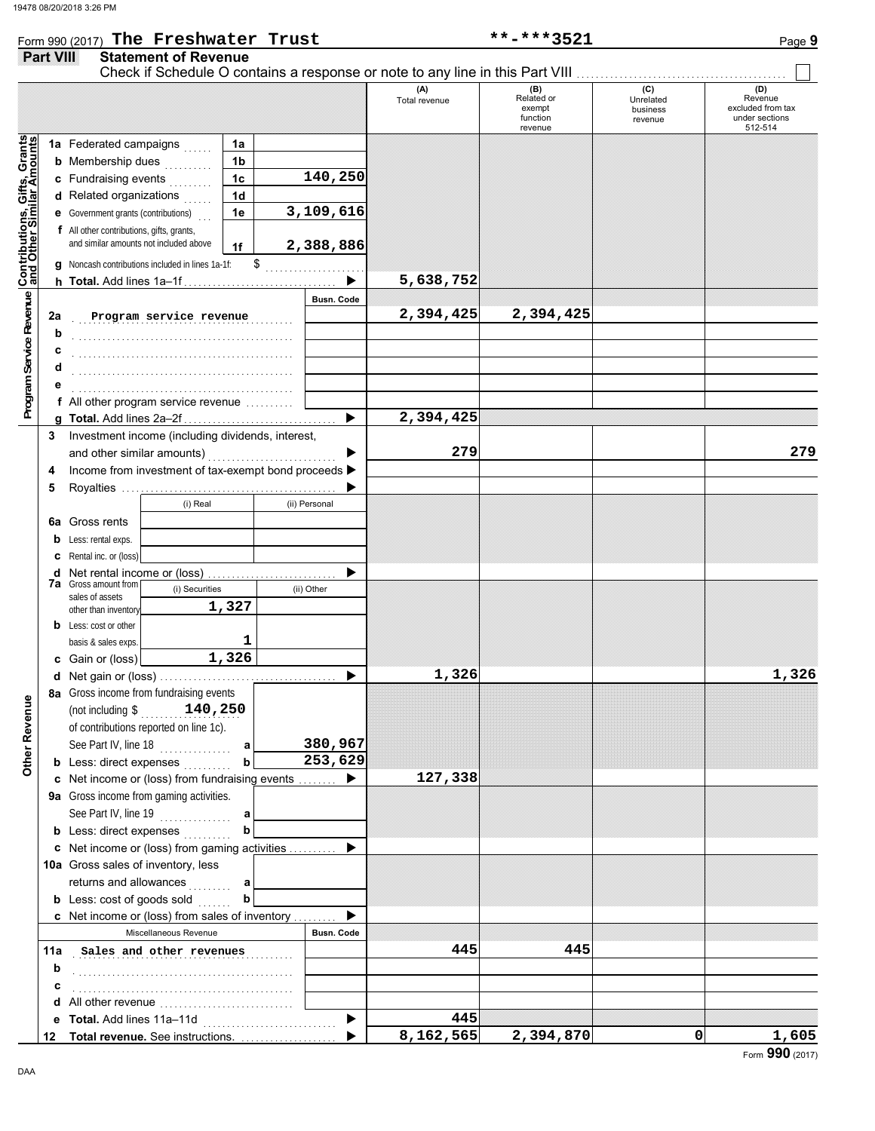|                                                                                                            |        | Form 990 (2017) The Freshwater Trust                                               |                      |                       | **-***3521<br>Page 9 |                                         |                                         |                                                       |  |  |
|------------------------------------------------------------------------------------------------------------|--------|------------------------------------------------------------------------------------|----------------------|-----------------------|----------------------|-----------------------------------------|-----------------------------------------|-------------------------------------------------------|--|--|
| <b>Part VIII</b>                                                                                           |        | <b>Statement of Revenue</b>                                                        |                      |                       |                      |                                         |                                         |                                                       |  |  |
|                                                                                                            |        |                                                                                    |                      |                       | (A)<br>Total revenue | (B)<br>Related or<br>exempt<br>function | (C)<br>Unrelated<br>business<br>revenue | (D)<br>Revenue<br>excluded from tax<br>under sections |  |  |
|                                                                                                            |        |                                                                                    |                      |                       |                      | revenue                                 |                                         | 512-514                                               |  |  |
| Program Service Revenue Contributions, Gifts, Grants<br>Program Service Revenue Cand Other Similar Amounts |        | 1a Federated campaigns                                                             | 1a                   |                       |                      |                                         |                                         |                                                       |  |  |
|                                                                                                            |        | <b>b</b> Membership dues                                                           | 1 <sub>b</sub>       | 140,250               |                      |                                         |                                         |                                                       |  |  |
|                                                                                                            |        | c Fundraising events<br>d Related organizations                                    | 1c<br>1 <sub>d</sub> |                       |                      |                                         |                                         |                                                       |  |  |
|                                                                                                            |        | <b>e</b> Government grants (contributions)                                         | 1e                   | 3,109,616             |                      |                                         |                                         |                                                       |  |  |
|                                                                                                            |        | f All other contributions, gifts, grants,                                          |                      |                       |                      |                                         |                                         |                                                       |  |  |
|                                                                                                            |        | and similar amounts not included above                                             | 1f                   | 2,388,886             |                      |                                         |                                         |                                                       |  |  |
|                                                                                                            |        | Noncash contributions included in lines 1a-1f:                                     | \$                   |                       |                      |                                         |                                         |                                                       |  |  |
|                                                                                                            |        |                                                                                    |                      |                       | 5,638,752            |                                         |                                         |                                                       |  |  |
|                                                                                                            |        |                                                                                    |                      | <b>Busn. Code</b>     |                      |                                         |                                         |                                                       |  |  |
|                                                                                                            | 2a     | Program service revenue                                                            |                      |                       | 2,394,425            | 2,394,425                               |                                         |                                                       |  |  |
|                                                                                                            | b      |                                                                                    |                      |                       |                      |                                         |                                         |                                                       |  |  |
|                                                                                                            | с      |                                                                                    |                      |                       |                      |                                         |                                         |                                                       |  |  |
|                                                                                                            | d      |                                                                                    |                      |                       |                      |                                         |                                         |                                                       |  |  |
|                                                                                                            |        |                                                                                    |                      |                       |                      |                                         |                                         |                                                       |  |  |
|                                                                                                            |        | f All other program service revenue                                                |                      |                       |                      |                                         |                                         |                                                       |  |  |
|                                                                                                            |        |                                                                                    |                      |                       | 2,394,425            |                                         |                                         |                                                       |  |  |
|                                                                                                            | 3      | Investment income (including dividends, interest,                                  |                      |                       | 279                  |                                         |                                         | 279                                                   |  |  |
|                                                                                                            |        | and other similar amounts)<br>Income from investment of tax-exempt bond proceeds > |                      |                       |                      |                                         |                                         |                                                       |  |  |
|                                                                                                            | 4<br>5 |                                                                                    |                      |                       |                      |                                         |                                         |                                                       |  |  |
|                                                                                                            |        | (i) Real                                                                           |                      | (ii) Personal         |                      |                                         |                                         |                                                       |  |  |
|                                                                                                            |        | <b>6a</b> Gross rents                                                              |                      |                       |                      |                                         |                                         |                                                       |  |  |
|                                                                                                            | b      | Less: rental exps.                                                                 |                      |                       |                      |                                         |                                         |                                                       |  |  |
|                                                                                                            |        | <b>c</b> Rental inc. or (loss)                                                     |                      |                       |                      |                                         |                                         |                                                       |  |  |
|                                                                                                            | d      | Net rental income or (loss)                                                        |                      |                       |                      |                                         |                                         |                                                       |  |  |
|                                                                                                            |        | <b>7a</b> Gross amount from<br>(i) Securities<br>sales of assets                   |                      | (ii) Other            |                      |                                         |                                         |                                                       |  |  |
|                                                                                                            |        | other than inventory                                                               | 1,327                |                       |                      |                                         |                                         |                                                       |  |  |
|                                                                                                            |        | <b>b</b> Less: cost or other                                                       |                      |                       |                      |                                         |                                         |                                                       |  |  |
|                                                                                                            |        | basis & sales exps.                                                                | 1                    |                       |                      |                                         |                                         |                                                       |  |  |
|                                                                                                            |        | c Gain or (loss)                                                                   | 1,326                |                       |                      |                                         |                                         |                                                       |  |  |
|                                                                                                            |        |                                                                                    |                      |                       | 1,326                |                                         |                                         | 1,326                                                 |  |  |
|                                                                                                            |        | 8a Gross income from fundraising events                                            |                      |                       |                      |                                         |                                         |                                                       |  |  |
|                                                                                                            |        | (not including $\frac{140}{250}$                                                   |                      |                       |                      |                                         |                                         |                                                       |  |  |
|                                                                                                            |        | of contributions reported on line 1c).                                             |                      | 380,967               |                      |                                         |                                         |                                                       |  |  |
| Other Revenue                                                                                              |        | See Part IV, line 18<br><b>b</b> Less: direct expenses                             | a<br>$\mathbf b$     | 253,629               |                      |                                         |                                         |                                                       |  |  |
|                                                                                                            |        | c Net income or (loss) from fundraising events                                     |                      | $\blacktriangleright$ | 127,338              |                                         |                                         |                                                       |  |  |
|                                                                                                            |        | 9a Gross income from gaming activities.                                            |                      |                       |                      |                                         |                                         |                                                       |  |  |
|                                                                                                            |        | See Part IV, line 19                                                               | a                    |                       |                      |                                         |                                         |                                                       |  |  |
|                                                                                                            |        | <b>b</b> Less: direct expenses                                                     | $\mathbf b$          |                       |                      |                                         |                                         |                                                       |  |  |
|                                                                                                            |        | c Net income or (loss) from gaming activities                                      |                      |                       |                      |                                         |                                         |                                                       |  |  |
|                                                                                                            |        | 10a Gross sales of inventory, less                                                 |                      |                       |                      |                                         |                                         |                                                       |  |  |
|                                                                                                            |        | returns and allowances<br>.                                                        |                      |                       |                      |                                         |                                         |                                                       |  |  |
|                                                                                                            |        | <b>b</b> Less: cost of goods sold $\ldots$                                         | $\mathbf b$          |                       |                      |                                         |                                         |                                                       |  |  |
|                                                                                                            |        | c Net income or (loss) from sales of inventory                                     |                      | ▶                     |                      |                                         |                                         |                                                       |  |  |
|                                                                                                            |        | Miscellaneous Revenue                                                              |                      | Busn. Code            |                      |                                         |                                         |                                                       |  |  |
|                                                                                                            | 11a    | Sales and other revenues                                                           |                      |                       | 445                  | 445                                     |                                         |                                                       |  |  |
|                                                                                                            | b      |                                                                                    |                      |                       |                      |                                         |                                         |                                                       |  |  |
|                                                                                                            | с      |                                                                                    |                      |                       |                      |                                         |                                         |                                                       |  |  |
|                                                                                                            | е      | Total. Add lines 11a-11d                                                           |                      | ▶                     | 445                  |                                         |                                         |                                                       |  |  |
| 12                                                                                                         |        | Total revenue. See instructions.                                                   |                      | ь                     | 8,162,565            | 2,394,870                               | 0                                       | 1,605                                                 |  |  |
|                                                                                                            |        |                                                                                    |                      |                       |                      |                                         |                                         | nnn                                                   |  |  |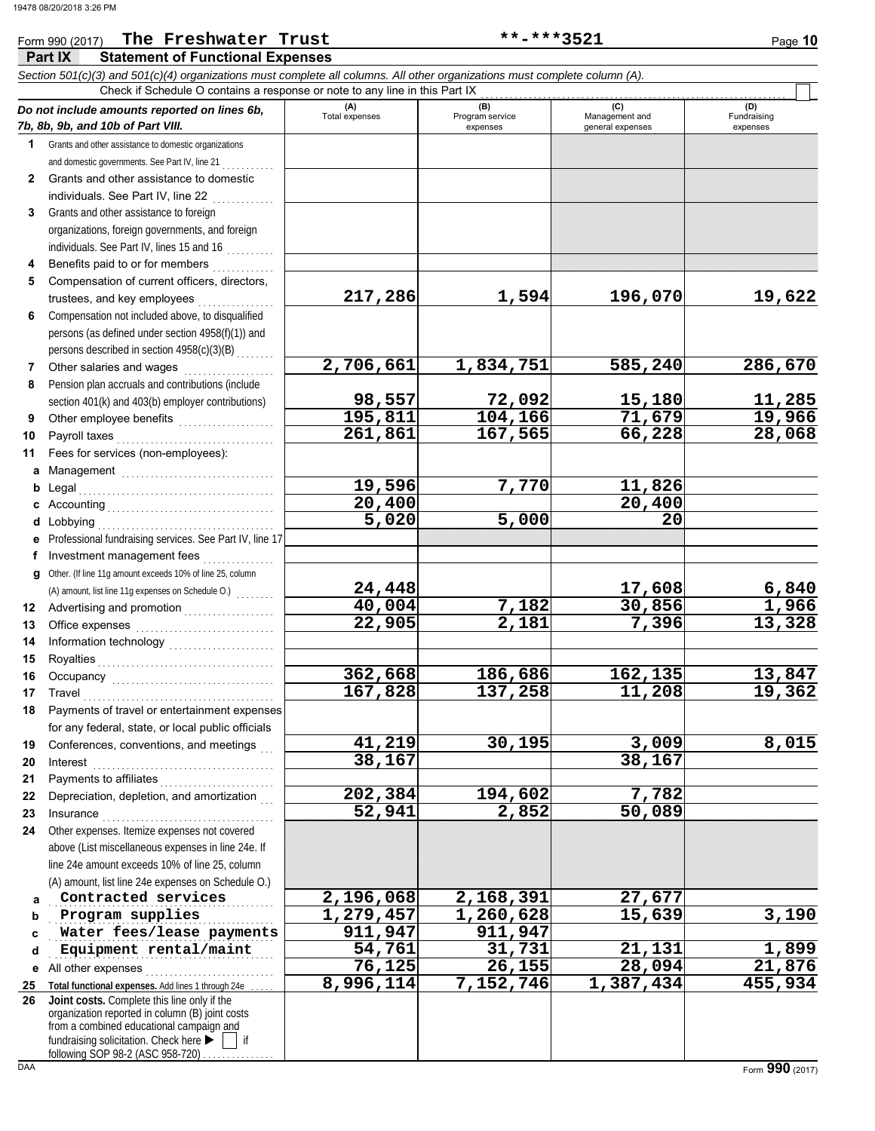|              | Check if Schedule O contains a response or note to any line in this Part IX                                      |                       |                                    |                                    |                                |  |  |  |  |  |
|--------------|------------------------------------------------------------------------------------------------------------------|-----------------------|------------------------------------|------------------------------------|--------------------------------|--|--|--|--|--|
|              | Do not include amounts reported on lines 6b,<br>7b, 8b, 9b, and 10b of Part VIII.                                | (A)<br>Total expenses | (B)<br>Program service<br>expenses | Management and<br>general expenses | (D)<br>Fundraising<br>expenses |  |  |  |  |  |
| $\mathbf{1}$ | Grants and other assistance to domestic organizations                                                            |                       |                                    |                                    |                                |  |  |  |  |  |
|              | and domestic governments. See Part IV, line 21                                                                   |                       |                                    |                                    |                                |  |  |  |  |  |
| $\mathbf{2}$ | Grants and other assistance to domestic                                                                          |                       |                                    |                                    |                                |  |  |  |  |  |
|              | individuals. See Part IV, line 22                                                                                |                       |                                    |                                    |                                |  |  |  |  |  |
| 3            | Grants and other assistance to foreign                                                                           |                       |                                    |                                    |                                |  |  |  |  |  |
|              | organizations, foreign governments, and foreign                                                                  |                       |                                    |                                    |                                |  |  |  |  |  |
|              | individuals. See Part IV, lines 15 and 16                                                                        |                       |                                    |                                    |                                |  |  |  |  |  |
| 4            | Benefits paid to or for members                                                                                  |                       |                                    |                                    |                                |  |  |  |  |  |
| 5            | Compensation of current officers, directors,                                                                     |                       |                                    |                                    |                                |  |  |  |  |  |
|              | trustees, and key employees                                                                                      | 217,286               | 1,594                              | 196,070                            | 19,622                         |  |  |  |  |  |
| 6            | Compensation not included above, to disqualified                                                                 |                       |                                    |                                    |                                |  |  |  |  |  |
|              | persons (as defined under section 4958(f)(1)) and                                                                |                       |                                    |                                    |                                |  |  |  |  |  |
|              | persons described in section 4958(c)(3)(B)                                                                       |                       |                                    |                                    |                                |  |  |  |  |  |
| 7            | Other salaries and wages                                                                                         | 2,706,661             | 1,834,751                          | 585,240                            | 286,670                        |  |  |  |  |  |
| 8            | Pension plan accruals and contributions (include                                                                 |                       |                                    |                                    |                                |  |  |  |  |  |
|              | section 401(k) and 403(b) employer contributions)                                                                | 98,557                | 72,092                             | 15,180                             | 11,285                         |  |  |  |  |  |
| 9            | Other employee benefits <b>Constanting</b>                                                                       | 195,811               | 104,166                            | 71,679                             | 19,966                         |  |  |  |  |  |
| 10           |                                                                                                                  | 261,861               | 167,565                            | 66,228                             | 28,068                         |  |  |  |  |  |
| 11           | Fees for services (non-employees):                                                                               |                       |                                    |                                    |                                |  |  |  |  |  |
| а            | Management                                                                                                       |                       |                                    |                                    |                                |  |  |  |  |  |
| b            |                                                                                                                  | 19,596                | 7,770                              | 11,826                             |                                |  |  |  |  |  |
| c            |                                                                                                                  | 20,400                |                                    | 20,400                             |                                |  |  |  |  |  |
| d            | Lobbying                                                                                                         | 5,020                 | 5,000                              | 20                                 |                                |  |  |  |  |  |
| е            | Professional fundraising services. See Part IV, line 17                                                          |                       |                                    |                                    |                                |  |  |  |  |  |
| f.           | Investment management fees                                                                                       |                       |                                    |                                    |                                |  |  |  |  |  |
| a            | Other. (If line 11g amount exceeds 10% of line 25, column                                                        |                       |                                    |                                    |                                |  |  |  |  |  |
|              | (A) amount, list line 11g expenses on Schedule O.)                                                               | 24,448                |                                    | 17,608                             | 6,840                          |  |  |  |  |  |
| 12           |                                                                                                                  | 40,004                | 7,182                              | 30,856                             | 1,966                          |  |  |  |  |  |
| 13           |                                                                                                                  | 22,905                | 2,181                              | 7,396                              | 13,328                         |  |  |  |  |  |
| 14           |                                                                                                                  |                       |                                    |                                    |                                |  |  |  |  |  |
| 15           |                                                                                                                  |                       |                                    |                                    |                                |  |  |  |  |  |
| 16           |                                                                                                                  | 362,668               | 186,686                            | 162, 135                           | 13,847                         |  |  |  |  |  |
| 17           |                                                                                                                  | 167,828               | 137,258                            | 11,208                             | 19,362                         |  |  |  |  |  |
| 18           | Payments of travel or entertainment expenses                                                                     |                       |                                    |                                    |                                |  |  |  |  |  |
|              | for any federal, state, or local public officials                                                                |                       |                                    |                                    |                                |  |  |  |  |  |
| 19           | Conferences, conventions, and meetings                                                                           | 41,219                | 30,195                             | 3,009                              | 8,015                          |  |  |  |  |  |
| 20           | Interest                                                                                                         | 38,167                |                                    | 38,167                             |                                |  |  |  |  |  |
| 21           | Payments to affiliates [11] [11] Payments to affiliates [11] [11] [11] Allenance and Payments and Payments and P |                       |                                    |                                    |                                |  |  |  |  |  |
| 22           | Depreciation, depletion, and amortization                                                                        | 202,384               | 194,602                            | 7,782                              |                                |  |  |  |  |  |
| 23           | Insurance                                                                                                        | 52,941                | 2,852                              | 50,089                             |                                |  |  |  |  |  |
| 24           | Other expenses. Itemize expenses not covered                                                                     |                       |                                    |                                    |                                |  |  |  |  |  |
|              | above (List miscellaneous expenses in line 24e. If                                                               |                       |                                    |                                    |                                |  |  |  |  |  |
|              | line 24e amount exceeds 10% of line 25, column                                                                   |                       |                                    |                                    |                                |  |  |  |  |  |
|              | (A) amount, list line 24e expenses on Schedule O.)<br>Contracted services                                        | 2,196,068             | 2,168,391                          | 27,677                             |                                |  |  |  |  |  |
| a            | Program supplies                                                                                                 | 1,279,457             | 1,260,628                          | 15,639                             | 3,190                          |  |  |  |  |  |
| b            | Water fees/lease payments                                                                                        | 911,947               | 911,947                            |                                    |                                |  |  |  |  |  |
| C<br>d       | Equipment rental/maint                                                                                           | 54,761                | 31,731                             | 21,131                             | 1,899                          |  |  |  |  |  |
|              | All other expenses                                                                                               | 76,125                | 26,155                             | 28,094                             | 21,876                         |  |  |  |  |  |
| е<br>25      | Total functional expenses. Add lines 1 through 24e                                                               | 8,996,114             | 7,152,746                          | 1,387,434                          | 455,934                        |  |  |  |  |  |
| 26           | Joint costs. Complete this line only if the                                                                      |                       |                                    |                                    |                                |  |  |  |  |  |
|              | organization reported in column (B) joint costs                                                                  |                       |                                    |                                    |                                |  |  |  |  |  |
|              | from a combined educational campaign and                                                                         |                       |                                    |                                    |                                |  |  |  |  |  |
|              | fundraising solicitation. Check here ▶<br>if<br>following SOP 98-2 (ASC 958-720)                                 |                       |                                    |                                    |                                |  |  |  |  |  |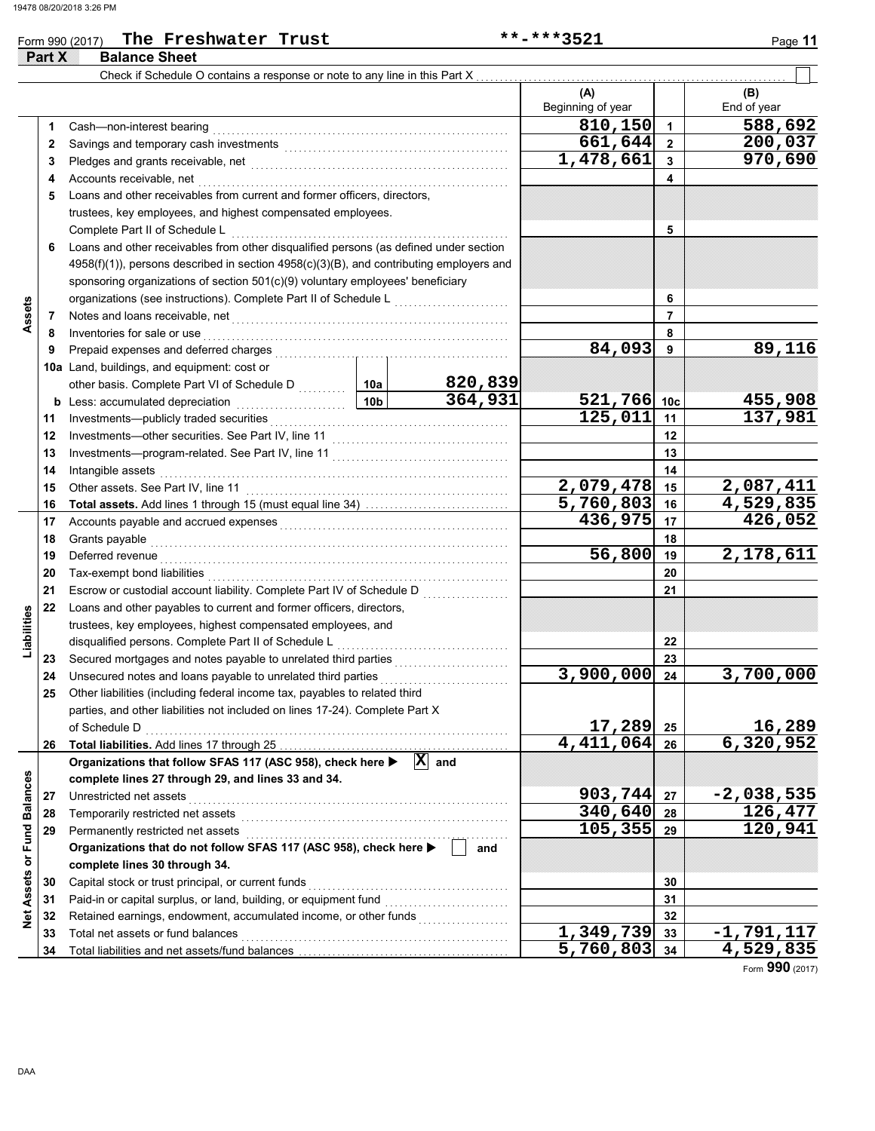### Form 990 (2017) The Freshwater Trust **\*\*-\*\*\*\*3521** Page 11

|                             | <b>Part X</b> | <b>Balance Sheet</b>                                                                                                                                                                                                           |                 |                    |                           |                         |                        |
|-----------------------------|---------------|--------------------------------------------------------------------------------------------------------------------------------------------------------------------------------------------------------------------------------|-----------------|--------------------|---------------------------|-------------------------|------------------------|
|                             |               | Check if Schedule O contains a response or note to any line in this Part X                                                                                                                                                     |                 |                    |                           |                         |                        |
|                             |               |                                                                                                                                                                                                                                |                 |                    | (A)<br>Beginning of year  |                         | (B)<br>End of year     |
|                             | 1             | Cash-non-interest bearing                                                                                                                                                                                                      |                 |                    | 810,150                   | $\overline{\mathbf{1}}$ | 588,692                |
|                             | 2             |                                                                                                                                                                                                                                |                 |                    | 661,644                   | $\overline{\mathbf{2}}$ | 200,037                |
|                             | 3             | Pledges and grants receivable, net <b>constructs</b>                                                                                                                                                                           |                 |                    | 1,478,661                 | 3                       | 970,690                |
|                             | 4             | Accounts receivable, net                                                                                                                                                                                                       |                 |                    | 4                         |                         |                        |
|                             | 5             | Loans and other receivables from current and former officers, directors,                                                                                                                                                       |                 |                    |                           |                         |                        |
|                             |               | trustees, key employees, and highest compensated employees.                                                                                                                                                                    |                 |                    |                           |                         |                        |
|                             |               | Complete Part II of Schedule L                                                                                                                                                                                                 |                 |                    |                           | 5                       |                        |
|                             | 6             | Loans and other receivables from other disqualified persons (as defined under section                                                                                                                                          |                 |                    |                           |                         |                        |
|                             |               | $4958(f)(1)$ ), persons described in section $4958(c)(3)(B)$ , and contributing employers and                                                                                                                                  |                 |                    |                           |                         |                        |
|                             |               | sponsoring organizations of section 501(c)(9) voluntary employees' beneficiary                                                                                                                                                 |                 |                    |                           |                         |                        |
|                             |               | organizations (see instructions). Complete Part II of Schedule L                                                                                                                                                               |                 |                    |                           | 6                       |                        |
| Assets                      | 7             | Notes and loans receivable, net                                                                                                                                                                                                |                 |                    |                           | $\overline{7}$          |                        |
|                             | 8             | Inventories for sale or use                                                                                                                                                                                                    |                 |                    |                           | 8                       |                        |
|                             | 9             | Prepaid expenses and deferred charges                                                                                                                                                                                          |                 |                    | 84,093                    | 9                       | 89,116                 |
|                             |               | 10a Land, buildings, and equipment: cost or                                                                                                                                                                                    |                 |                    |                           |                         |                        |
|                             |               | other basis. Complete Part VI of Schedule D  10a                                                                                                                                                                               |                 | 820,839            |                           |                         |                        |
|                             |               | <b>b</b> Less: accumulated depreciation                                                                                                                                                                                        | 10 <sub>b</sub> | 364,931            | 521,766 10c               |                         | 455,908                |
|                             | 11            |                                                                                                                                                                                                                                |                 |                    | 125,011                   | 11                      | 137,981                |
|                             | 12            |                                                                                                                                                                                                                                |                 |                    | 12                        |                         |                        |
|                             | 13            |                                                                                                                                                                                                                                |                 |                    | 13                        |                         |                        |
|                             | 14            | Intangible assets                                                                                                                                                                                                              |                 |                    | 14                        |                         |                        |
|                             | 15            | Other assets. See Part IV, line 11                                                                                                                                                                                             | 2,079,478       | 15                 | 2,087,411                 |                         |                        |
|                             | 16            |                                                                                                                                                                                                                                |                 |                    | 5,760,803                 | 16                      | 4,529,835              |
|                             | 17            | Accounts payable and accrued expenses [[11][11] Accounts payable and accrued expenses [[11] Accounts and accrued expenses [[11] Accounts accredit accredit accredit accredit accredit accredit accredit accredit accredit accr |                 | 436,975            | 17                        | $\overline{426}$ , 052  |                        |
|                             | 18            | Grants payable                                                                                                                                                                                                                 |                 |                    | 18                        |                         |                        |
|                             | 19            | Deferred revenue                                                                                                                                                                                                               |                 |                    | 56,800                    | 19                      | 2,178,611              |
|                             | 20            | Tax-exempt bond liabilities                                                                                                                                                                                                    |                 |                    |                           | 20                      |                        |
|                             | 21            | Escrow or custodial account liability. Complete Part IV of Schedule D                                                                                                                                                          |                 |                    |                           | 21                      |                        |
|                             | 22            | Loans and other payables to current and former officers, directors,                                                                                                                                                            |                 |                    |                           |                         |                        |
| Liabilities                 |               | trustees, key employees, highest compensated employees, and                                                                                                                                                                    |                 |                    |                           |                         |                        |
|                             |               | disqualified persons. Complete Part II of Schedule L                                                                                                                                                                           |                 |                    |                           | 22                      |                        |
|                             | 23            | Secured mortgages and notes payable to unrelated third parties                                                                                                                                                                 |                 |                    |                           | 23                      |                        |
|                             | 24            | Unsecured notes and loans payable to unrelated third parties                                                                                                                                                                   |                 |                    | 3,900,000                 | 24                      | 3,700,000              |
|                             | 25            | Other liabilities (including federal income tax, payables to related third                                                                                                                                                     |                 |                    |                           |                         |                        |
|                             |               | parties, and other liabilities not included on lines 17-24). Complete Part X                                                                                                                                                   |                 |                    |                           |                         |                        |
|                             |               | of Schedule D                                                                                                                                                                                                                  |                 |                    | 17,289                    | 25                      | 16,289                 |
|                             | 26            |                                                                                                                                                                                                                                |                 |                    | $\overline{4,411,064}$ 26 |                         | 6,320,952              |
|                             |               | Organizations that follow SFAS 117 (ASC 958), check here ▶                                                                                                                                                                     |                 | $\overline{X}$ and |                           |                         |                        |
|                             |               | complete lines 27 through 29, and lines 33 and 34.                                                                                                                                                                             |                 |                    |                           |                         |                        |
|                             | 27            | Unrestricted net assets                                                                                                                                                                                                        |                 |                    | 903,744 27                |                         | $-2,038,535$           |
|                             | 28            | Temporarily restricted net assets                                                                                                                                                                                              |                 |                    | 340,640 28                |                         | <u>126,477</u>         |
|                             | 29            | Permanently restricted net assets                                                                                                                                                                                              |                 |                    | 105, 355                  | 29                      | 120,941                |
|                             |               | Organizations that do not follow SFAS 117 (ASC 958), check here ▶                                                                                                                                                              |                 | and                |                           |                         |                        |
| Net Assets or Fund Balances |               | complete lines 30 through 34.                                                                                                                                                                                                  |                 |                    |                           |                         |                        |
|                             | 30            | Capital stock or trust principal, or current funds                                                                                                                                                                             |                 |                    |                           | 30                      |                        |
|                             | 31            | Paid-in or capital surplus, or land, building, or equipment fund                                                                                                                                                               |                 |                    | 31                        |                         |                        |
|                             | 32            | Retained earnings, endowment, accumulated income, or other funds                                                                                                                                                               |                 |                    |                           | 32                      |                        |
|                             | 33            | Total net assets or fund balances                                                                                                                                                                                              |                 |                    | 1,349,739                 | 33                      | -1,79 <u>1,117</u>     |
|                             | 34            |                                                                                                                                                                                                                                |                 |                    | $5,760,803$ 34            |                         | $\overline{4,529,835}$ |

Form **990** (2017)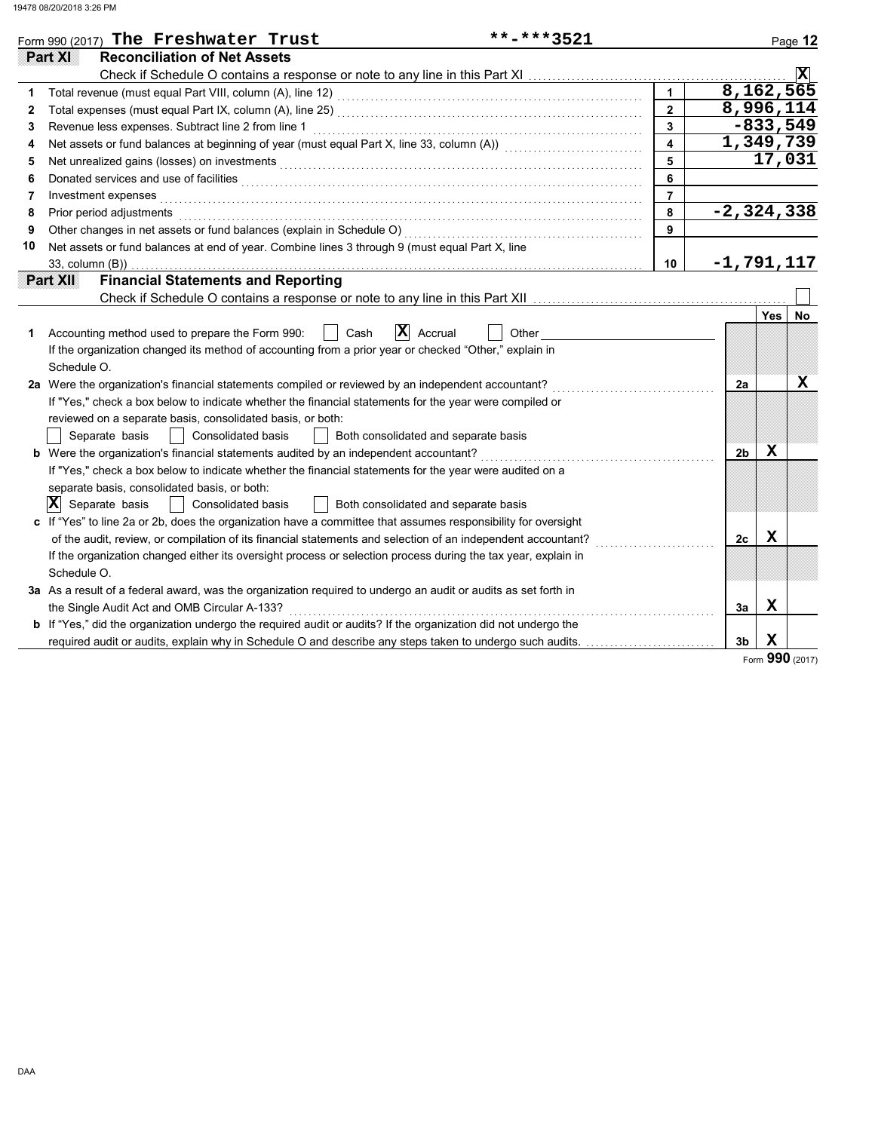| **-***3521                                                                                                            |                         |                                                                                                                                                                                                                                                                                                                                                                                                                                                                                                                                                                                                                                                                                                                                                                                                              |          | Page 12                                                                                                                                                                                                                                                                                       |
|-----------------------------------------------------------------------------------------------------------------------|-------------------------|--------------------------------------------------------------------------------------------------------------------------------------------------------------------------------------------------------------------------------------------------------------------------------------------------------------------------------------------------------------------------------------------------------------------------------------------------------------------------------------------------------------------------------------------------------------------------------------------------------------------------------------------------------------------------------------------------------------------------------------------------------------------------------------------------------------|----------|-----------------------------------------------------------------------------------------------------------------------------------------------------------------------------------------------------------------------------------------------------------------------------------------------|
|                                                                                                                       |                         |                                                                                                                                                                                                                                                                                                                                                                                                                                                                                                                                                                                                                                                                                                                                                                                                              |          |                                                                                                                                                                                                                                                                                               |
|                                                                                                                       |                         |                                                                                                                                                                                                                                                                                                                                                                                                                                                                                                                                                                                                                                                                                                                                                                                                              |          | $ \mathbf{x} $                                                                                                                                                                                                                                                                                |
|                                                                                                                       | $\mathbf{1}$            |                                                                                                                                                                                                                                                                                                                                                                                                                                                                                                                                                                                                                                                                                                                                                                                                              |          |                                                                                                                                                                                                                                                                                               |
|                                                                                                                       | $\overline{2}$          |                                                                                                                                                                                                                                                                                                                                                                                                                                                                                                                                                                                                                                                                                                                                                                                                              |          |                                                                                                                                                                                                                                                                                               |
|                                                                                                                       | $\overline{\mathbf{3}}$ |                                                                                                                                                                                                                                                                                                                                                                                                                                                                                                                                                                                                                                                                                                                                                                                                              |          |                                                                                                                                                                                                                                                                                               |
|                                                                                                                       | $\overline{\mathbf{4}}$ |                                                                                                                                                                                                                                                                                                                                                                                                                                                                                                                                                                                                                                                                                                                                                                                                              |          |                                                                                                                                                                                                                                                                                               |
|                                                                                                                       | 5                       |                                                                                                                                                                                                                                                                                                                                                                                                                                                                                                                                                                                                                                                                                                                                                                                                              |          | 17,031                                                                                                                                                                                                                                                                                        |
|                                                                                                                       | 6                       |                                                                                                                                                                                                                                                                                                                                                                                                                                                                                                                                                                                                                                                                                                                                                                                                              |          |                                                                                                                                                                                                                                                                                               |
|                                                                                                                       | $\overline{7}$          |                                                                                                                                                                                                                                                                                                                                                                                                                                                                                                                                                                                                                                                                                                                                                                                                              |          |                                                                                                                                                                                                                                                                                               |
|                                                                                                                       | 8                       |                                                                                                                                                                                                                                                                                                                                                                                                                                                                                                                                                                                                                                                                                                                                                                                                              |          |                                                                                                                                                                                                                                                                                               |
|                                                                                                                       | 9                       |                                                                                                                                                                                                                                                                                                                                                                                                                                                                                                                                                                                                                                                                                                                                                                                                              |          |                                                                                                                                                                                                                                                                                               |
| Net assets or fund balances at end of year. Combine lines 3 through 9 (must equal Part X, line                        |                         |                                                                                                                                                                                                                                                                                                                                                                                                                                                                                                                                                                                                                                                                                                                                                                                                              |          |                                                                                                                                                                                                                                                                                               |
|                                                                                                                       | 10                      |                                                                                                                                                                                                                                                                                                                                                                                                                                                                                                                                                                                                                                                                                                                                                                                                              |          |                                                                                                                                                                                                                                                                                               |
|                                                                                                                       |                         |                                                                                                                                                                                                                                                                                                                                                                                                                                                                                                                                                                                                                                                                                                                                                                                                              |          |                                                                                                                                                                                                                                                                                               |
|                                                                                                                       |                         |                                                                                                                                                                                                                                                                                                                                                                                                                                                                                                                                                                                                                                                                                                                                                                                                              |          |                                                                                                                                                                                                                                                                                               |
|                                                                                                                       |                         |                                                                                                                                                                                                                                                                                                                                                                                                                                                                                                                                                                                                                                                                                                                                                                                                              | Yes      | No                                                                                                                                                                                                                                                                                            |
| $ \mathbf{X} $ Accrual<br>Cash<br>Other                                                                               |                         |                                                                                                                                                                                                                                                                                                                                                                                                                                                                                                                                                                                                                                                                                                                                                                                                              |          |                                                                                                                                                                                                                                                                                               |
| If the organization changed its method of accounting from a prior year or checked "Other," explain in                 |                         |                                                                                                                                                                                                                                                                                                                                                                                                                                                                                                                                                                                                                                                                                                                                                                                                              |          |                                                                                                                                                                                                                                                                                               |
|                                                                                                                       |                         |                                                                                                                                                                                                                                                                                                                                                                                                                                                                                                                                                                                                                                                                                                                                                                                                              |          |                                                                                                                                                                                                                                                                                               |
|                                                                                                                       |                         |                                                                                                                                                                                                                                                                                                                                                                                                                                                                                                                                                                                                                                                                                                                                                                                                              |          | X                                                                                                                                                                                                                                                                                             |
| If "Yes," check a box below to indicate whether the financial statements for the year were compiled or                |                         |                                                                                                                                                                                                                                                                                                                                                                                                                                                                                                                                                                                                                                                                                                                                                                                                              |          |                                                                                                                                                                                                                                                                                               |
|                                                                                                                       |                         |                                                                                                                                                                                                                                                                                                                                                                                                                                                                                                                                                                                                                                                                                                                                                                                                              |          |                                                                                                                                                                                                                                                                                               |
| Both consolidated and separate basis                                                                                  |                         |                                                                                                                                                                                                                                                                                                                                                                                                                                                                                                                                                                                                                                                                                                                                                                                                              |          |                                                                                                                                                                                                                                                                                               |
|                                                                                                                       |                         |                                                                                                                                                                                                                                                                                                                                                                                                                                                                                                                                                                                                                                                                                                                                                                                                              | X        |                                                                                                                                                                                                                                                                                               |
| If "Yes," check a box below to indicate whether the financial statements for the year were audited on a               |                         |                                                                                                                                                                                                                                                                                                                                                                                                                                                                                                                                                                                                                                                                                                                                                                                                              |          |                                                                                                                                                                                                                                                                                               |
|                                                                                                                       |                         |                                                                                                                                                                                                                                                                                                                                                                                                                                                                                                                                                                                                                                                                                                                                                                                                              |          |                                                                                                                                                                                                                                                                                               |
| Both consolidated and separate basis                                                                                  |                         |                                                                                                                                                                                                                                                                                                                                                                                                                                                                                                                                                                                                                                                                                                                                                                                                              |          |                                                                                                                                                                                                                                                                                               |
| c If "Yes" to line 2a or 2b, does the organization have a committee that assumes responsibility for oversight         |                         |                                                                                                                                                                                                                                                                                                                                                                                                                                                                                                                                                                                                                                                                                                                                                                                                              |          |                                                                                                                                                                                                                                                                                               |
| of the audit, review, or compilation of its financial statements and selection of an independent accountant?          |                         |                                                                                                                                                                                                                                                                                                                                                                                                                                                                                                                                                                                                                                                                                                                                                                                                              | X        |                                                                                                                                                                                                                                                                                               |
| If the organization changed either its oversight process or selection process during the tax year, explain in         |                         |                                                                                                                                                                                                                                                                                                                                                                                                                                                                                                                                                                                                                                                                                                                                                                                                              |          |                                                                                                                                                                                                                                                                                               |
|                                                                                                                       |                         |                                                                                                                                                                                                                                                                                                                                                                                                                                                                                                                                                                                                                                                                                                                                                                                                              |          |                                                                                                                                                                                                                                                                                               |
| 3a As a result of a federal award, was the organization required to undergo an audit or audits as set forth in        |                         |                                                                                                                                                                                                                                                                                                                                                                                                                                                                                                                                                                                                                                                                                                                                                                                                              |          |                                                                                                                                                                                                                                                                                               |
|                                                                                                                       |                         |                                                                                                                                                                                                                                                                                                                                                                                                                                                                                                                                                                                                                                                                                                                                                                                                              | x        |                                                                                                                                                                                                                                                                                               |
| <b>b</b> If "Yes," did the organization undergo the required audit or audits? If the organization did not undergo the |                         |                                                                                                                                                                                                                                                                                                                                                                                                                                                                                                                                                                                                                                                                                                                                                                                                              |          |                                                                                                                                                                                                                                                                                               |
|                                                                                                                       |                         |                                                                                                                                                                                                                                                                                                                                                                                                                                                                                                                                                                                                                                                                                                                                                                                                              |          |                                                                                                                                                                                                                                                                                               |
|                                                                                                                       |                         | Total expenses (must equal Part IX, column (A), line 25) [1] [20] [20] [20] [20] [20] [20] [30] [20] [20] [20] [<br>Net assets or fund balances at beginning of year (must equal Part X, line 33, column (A)) [[[[[[[[[[[[[[[[[[[<br>Net unrealized gains (losses) on investments [1] production in the university of the unrealized gains (losses)<br>Prior period adjustments <b>construction and construction of the construction</b> of the construction of the construction of the construction of the construction of the construction of the construction of the construction of th<br>2a Were the organization's financial statements compiled or reviewed by an independent accountant?<br>required audit or audits, explain why in Schedule O and describe any steps taken to undergo such audits. | 2a<br>За | 8,162,565<br>8,996,114<br>$-833,549$<br>1,349,739<br>$-2, 324, 338$<br>$-1,791,117$<br>Check if Schedule O contains a response or note to any line in this Part XII [11] [11] Check if Schedule O contains a response or note to any line in this Part XII<br>2 <sub>b</sub><br>2c<br>х<br>3b |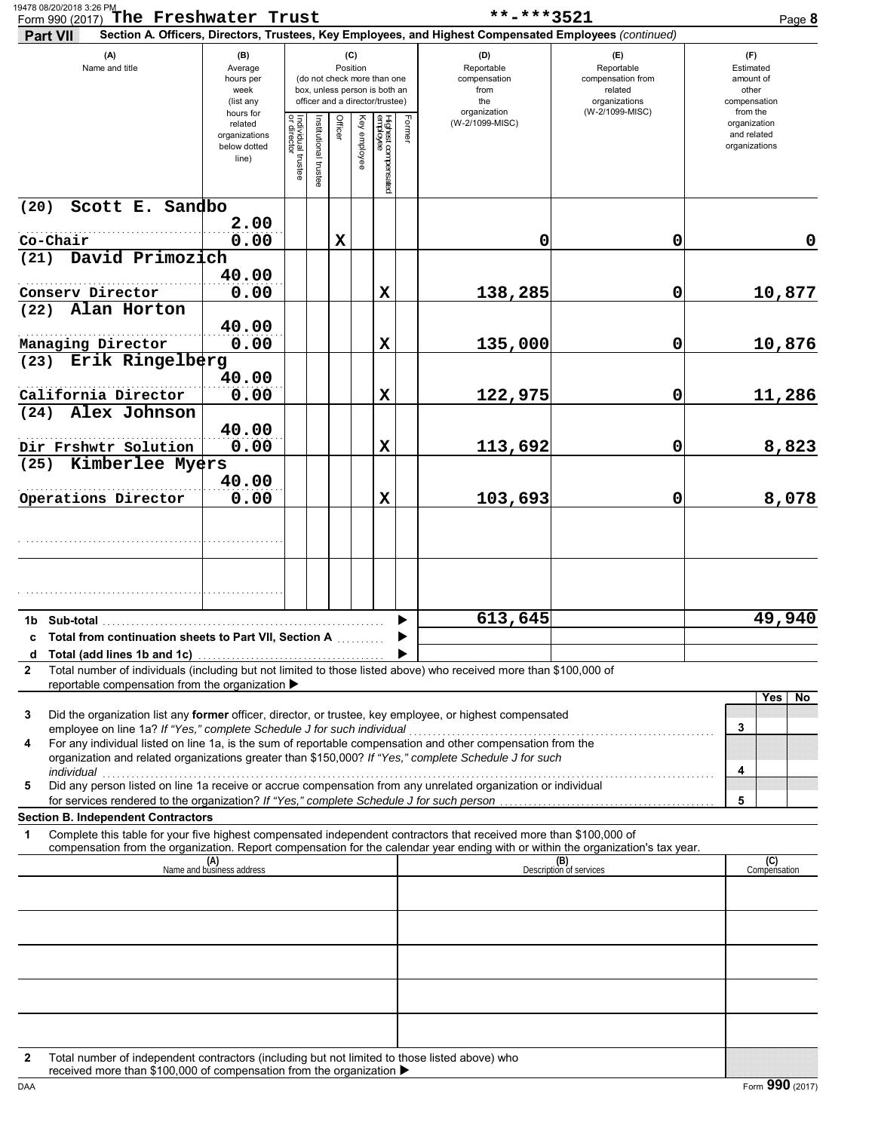| Form 990 (2017) The Freshwater Trust<br>Part VII                                                                                                                                                                          |                                                                |                                                                                                                    |                       |             |              |                                 |                                                                  | **-***3521<br>Section A. Officers, Directors, Trustees, Key Employees, and Highest Compensated Employees (continued) |                                                                           | Page 8                                       |
|---------------------------------------------------------------------------------------------------------------------------------------------------------------------------------------------------------------------------|----------------------------------------------------------------|--------------------------------------------------------------------------------------------------------------------|-----------------------|-------------|--------------|---------------------------------|------------------------------------------------------------------|----------------------------------------------------------------------------------------------------------------------|---------------------------------------------------------------------------|----------------------------------------------|
| (A)<br>Name and title                                                                                                                                                                                                     | (B)<br>Average<br>hours per<br>week<br>(list any               | (C)<br>Position<br>(do not check more than one<br>box, unless person is both an<br>officer and a director/trustee) |                       |             |              |                                 | (D)<br>Reportable<br>compensation<br>from<br>the<br>organization | (E)<br>Reportable<br>compensation from<br>related<br>organizations<br>(W-2/1099-MISC)                                | $(\Gamma)$<br>Estimated<br>amount of<br>other<br>compensation<br>from the |                                              |
|                                                                                                                                                                                                                           | hours for<br>related<br>organizations<br>below dotted<br>line) | Individual trustee<br>or director                                                                                  | Institutional trustee | Officer     | Key employee | Highest compensated<br>employee | Former                                                           | (W-2/1099-MISC)                                                                                                      |                                                                           | organization<br>and related<br>organizations |
| Scott E. Sandbo<br>(20)                                                                                                                                                                                                   |                                                                |                                                                                                                    |                       |             |              |                                 |                                                                  |                                                                                                                      |                                                                           |                                              |
| Co-Chair                                                                                                                                                                                                                  | 2.00<br>0.00                                                   |                                                                                                                    |                       | $\mathbf x$ |              |                                 |                                                                  | 0                                                                                                                    | 0                                                                         | $\mathbf 0$                                  |
| David Primozich<br>(21)                                                                                                                                                                                                   |                                                                |                                                                                                                    |                       |             |              |                                 |                                                                  |                                                                                                                      |                                                                           |                                              |
| Conserv Director                                                                                                                                                                                                          | 40.00<br>0.00                                                  |                                                                                                                    |                       |             |              | $\mathbf x$                     |                                                                  | 138,285                                                                                                              | 0                                                                         | 10,877                                       |
| Alan Horton<br>(22)                                                                                                                                                                                                       |                                                                |                                                                                                                    |                       |             |              |                                 |                                                                  |                                                                                                                      |                                                                           |                                              |
| Managing Director                                                                                                                                                                                                         | 40.00<br>0.00                                                  |                                                                                                                    |                       |             |              | $\mathbf x$                     |                                                                  | 135,000                                                                                                              | 0                                                                         | 10,876                                       |
| Erik Ringelberg<br>(23)                                                                                                                                                                                                   |                                                                |                                                                                                                    |                       |             |              |                                 |                                                                  |                                                                                                                      |                                                                           |                                              |
| California Director                                                                                                                                                                                                       | 40.00<br>0.00                                                  |                                                                                                                    |                       |             |              | $\mathbf x$                     |                                                                  | 122,975                                                                                                              | 0                                                                         | 11,286                                       |
| Alex Johnson<br>(24)                                                                                                                                                                                                      |                                                                |                                                                                                                    |                       |             |              |                                 |                                                                  |                                                                                                                      |                                                                           |                                              |
|                                                                                                                                                                                                                           | 40.00<br>0.00                                                  |                                                                                                                    |                       |             |              | $\mathbf x$                     |                                                                  |                                                                                                                      | 0                                                                         |                                              |
| Dir Frshwtr Solution<br>Kimberlee Myers<br>(25)                                                                                                                                                                           |                                                                |                                                                                                                    |                       |             |              |                                 |                                                                  | 113,692                                                                                                              |                                                                           | 8,823                                        |
|                                                                                                                                                                                                                           | 40.00                                                          |                                                                                                                    |                       |             |              |                                 |                                                                  |                                                                                                                      |                                                                           |                                              |
| Operations Director                                                                                                                                                                                                       | 0.00                                                           |                                                                                                                    |                       |             |              | X                               |                                                                  | 103,693                                                                                                              | 0                                                                         | 8,078                                        |
|                                                                                                                                                                                                                           |                                                                |                                                                                                                    |                       |             |              |                                 |                                                                  |                                                                                                                      |                                                                           |                                              |
|                                                                                                                                                                                                                           |                                                                |                                                                                                                    |                       |             |              |                                 |                                                                  |                                                                                                                      |                                                                           |                                              |
|                                                                                                                                                                                                                           |                                                                |                                                                                                                    |                       |             |              |                                 |                                                                  |                                                                                                                      |                                                                           |                                              |
| 1b Sub-total                                                                                                                                                                                                              |                                                                |                                                                                                                    |                       |             |              |                                 |                                                                  | 613,645                                                                                                              |                                                                           | 49,940                                       |
| c Total from continuation sheets to Part VII, Section A                                                                                                                                                                   |                                                                |                                                                                                                    |                       |             |              |                                 |                                                                  |                                                                                                                      |                                                                           |                                              |
| d<br>Total number of individuals (including but not limited to those listed above) who received more than \$100,000 of<br>2<br>reportable compensation from the organization ▶                                            |                                                                |                                                                                                                    |                       |             |              |                                 |                                                                  |                                                                                                                      |                                                                           |                                              |
| Did the organization list any former officer, director, or trustee, key employee, or highest compensated<br>3                                                                                                             |                                                                |                                                                                                                    |                       |             |              |                                 |                                                                  |                                                                                                                      |                                                                           | Yes<br>No                                    |
| For any individual listed on line 1a, is the sum of reportable compensation and other compensation from the<br>4<br>organization and related organizations greater than \$150,000? If "Yes," complete Schedule J for such |                                                                |                                                                                                                    |                       |             |              |                                 |                                                                  |                                                                                                                      |                                                                           | 3                                            |
| <i>individual</i><br>Did any person listed on line 1a receive or accrue compensation from any unrelated organization or individual<br>5                                                                                   |                                                                |                                                                                                                    |                       |             |              |                                 |                                                                  |                                                                                                                      |                                                                           | 4<br>5                                       |
| <b>Section B. Independent Contractors</b><br>Complete this table for your five highest compensated independent contractors that received more than \$100,000 of<br>1                                                      |                                                                |                                                                                                                    |                       |             |              |                                 |                                                                  |                                                                                                                      |                                                                           |                                              |
| compensation from the organization. Report compensation for the calendar year ending with or within the organization's tax year.                                                                                          | (A)<br>Name and business address                               |                                                                                                                    |                       |             |              |                                 |                                                                  |                                                                                                                      | (B)<br>Description of services                                            | (C)                                          |
|                                                                                                                                                                                                                           |                                                                |                                                                                                                    |                       |             |              |                                 |                                                                  |                                                                                                                      |                                                                           | Compensation                                 |
|                                                                                                                                                                                                                           |                                                                |                                                                                                                    |                       |             |              |                                 |                                                                  |                                                                                                                      |                                                                           |                                              |
|                                                                                                                                                                                                                           |                                                                |                                                                                                                    |                       |             |              |                                 |                                                                  |                                                                                                                      |                                                                           |                                              |
|                                                                                                                                                                                                                           |                                                                |                                                                                                                    |                       |             |              |                                 |                                                                  |                                                                                                                      |                                                                           |                                              |
|                                                                                                                                                                                                                           |                                                                |                                                                                                                    |                       |             |              |                                 |                                                                  |                                                                                                                      |                                                                           |                                              |
|                                                                                                                                                                                                                           |                                                                |                                                                                                                    |                       |             |              |                                 |                                                                  |                                                                                                                      |                                                                           |                                              |
|                                                                                                                                                                                                                           |                                                                |                                                                                                                    |                       |             |              |                                 |                                                                  |                                                                                                                      |                                                                           |                                              |
| Total number of independent contractors (including but not limited to those listed above) who<br>$\mathbf{2}$                                                                                                             |                                                                |                                                                                                                    |                       |             |              |                                 |                                                                  |                                                                                                                      |                                                                           |                                              |
| received more than \$100,000 of compensation from the organization ▶<br>DAA                                                                                                                                               |                                                                |                                                                                                                    |                       |             |              |                                 |                                                                  |                                                                                                                      |                                                                           | Form 990 (2017)                              |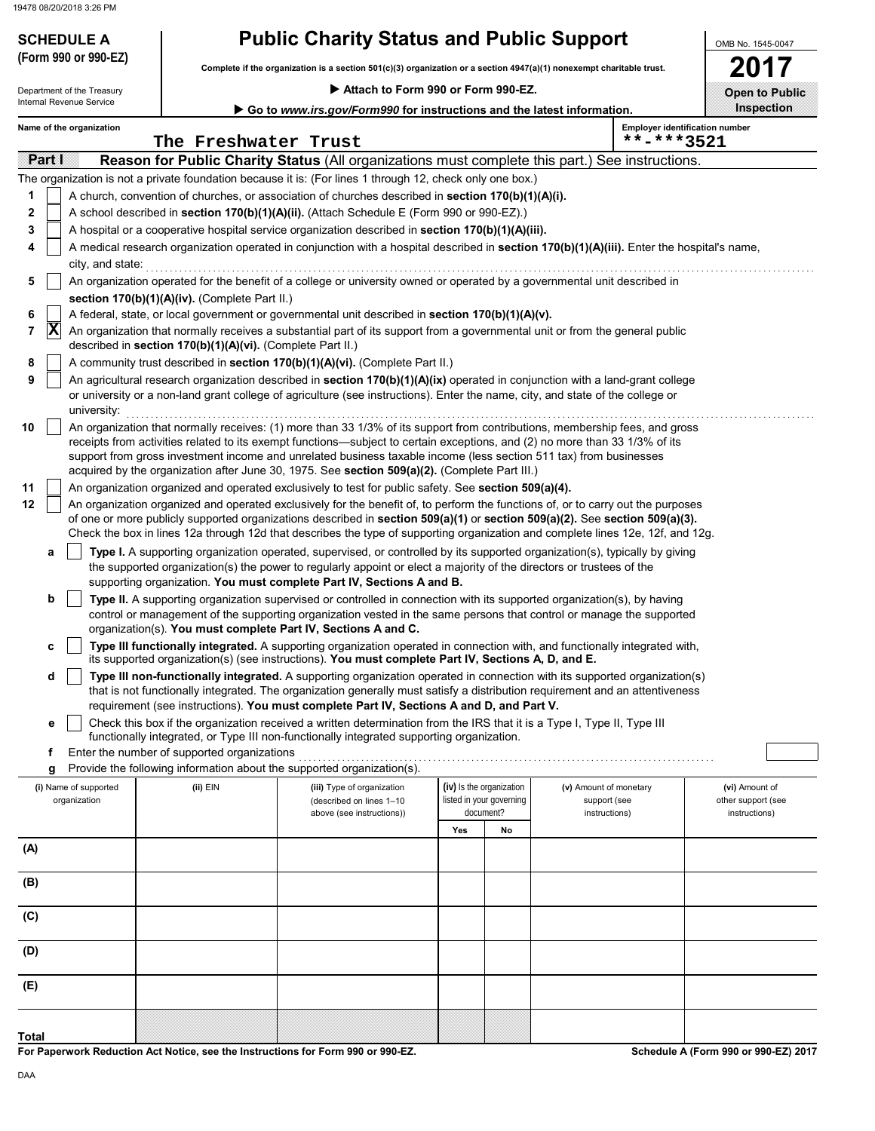Department of the Treasury

## **SCHEDULE A Public Charity Status and Public Support**

**Complete if the organization is a section 501(c)(3) organization or a section 4947(a)(1) nonexempt charitable trust. (Form 990 or 990-EZ)**

 **Attach to Form 990 or Form 990-EZ.**

**2017 Open to Public**

OMB No. 1545-0047

| Internal Revenue Service<br>Go to www.irs.gov/Form990 for instructions and the latest information. |                                                                                                                                                                                                                                                                                                                                                                                                                                                                                  |                          |                                                                                                  |                                                                                                                                                                                                                                                                                                                  |     |                                       |                               | <b>Inspection</b>                     |  |  |  |  |  |
|----------------------------------------------------------------------------------------------------|----------------------------------------------------------------------------------------------------------------------------------------------------------------------------------------------------------------------------------------------------------------------------------------------------------------------------------------------------------------------------------------------------------------------------------------------------------------------------------|--------------------------|--------------------------------------------------------------------------------------------------|------------------------------------------------------------------------------------------------------------------------------------------------------------------------------------------------------------------------------------------------------------------------------------------------------------------|-----|---------------------------------------|-------------------------------|---------------------------------------|--|--|--|--|--|
|                                                                                                    |                                                                                                                                                                                                                                                                                                                                                                                                                                                                                  | Name of the organization | The Freshwater Trust                                                                             |                                                                                                                                                                                                                                                                                                                  |     |                                       | **-***3521                    | <b>Employer identification number</b> |  |  |  |  |  |
|                                                                                                    | <b>Partil</b>                                                                                                                                                                                                                                                                                                                                                                                                                                                                    |                          |                                                                                                  | Reason for Public Charity Status (All organizations must complete this part.) See instructions.                                                                                                                                                                                                                  |     |                                       |                               |                                       |  |  |  |  |  |
|                                                                                                    |                                                                                                                                                                                                                                                                                                                                                                                                                                                                                  |                          |                                                                                                  | The organization is not a private foundation because it is: (For lines 1 through 12, check only one box.)                                                                                                                                                                                                        |     |                                       |                               |                                       |  |  |  |  |  |
| 1                                                                                                  |                                                                                                                                                                                                                                                                                                                                                                                                                                                                                  |                          |                                                                                                  | A church, convention of churches, or association of churches described in section 170(b)(1)(A)(i).                                                                                                                                                                                                               |     |                                       |                               |                                       |  |  |  |  |  |
| 2                                                                                                  |                                                                                                                                                                                                                                                                                                                                                                                                                                                                                  |                          |                                                                                                  | A school described in section 170(b)(1)(A)(ii). (Attach Schedule E (Form 990 or 990-EZ).)                                                                                                                                                                                                                        |     |                                       |                               |                                       |  |  |  |  |  |
| 3                                                                                                  |                                                                                                                                                                                                                                                                                                                                                                                                                                                                                  |                          |                                                                                                  | A hospital or a cooperative hospital service organization described in section 170(b)(1)(A)(iii).                                                                                                                                                                                                                |     |                                       |                               |                                       |  |  |  |  |  |
| 4                                                                                                  |                                                                                                                                                                                                                                                                                                                                                                                                                                                                                  | city, and state:         |                                                                                                  | A medical research organization operated in conjunction with a hospital described in section 170(b)(1)(A)(iii). Enter the hospital's name,                                                                                                                                                                       |     |                                       |                               |                                       |  |  |  |  |  |
| 5                                                                                                  |                                                                                                                                                                                                                                                                                                                                                                                                                                                                                  |                          |                                                                                                  | An organization operated for the benefit of a college or university owned or operated by a governmental unit described in                                                                                                                                                                                        |     |                                       |                               |                                       |  |  |  |  |  |
|                                                                                                    |                                                                                                                                                                                                                                                                                                                                                                                                                                                                                  |                          | section 170(b)(1)(A)(iv). (Complete Part II.)                                                    |                                                                                                                                                                                                                                                                                                                  |     |                                       |                               |                                       |  |  |  |  |  |
| 6                                                                                                  |                                                                                                                                                                                                                                                                                                                                                                                                                                                                                  |                          | A federal, state, or local government or governmental unit described in section 170(b)(1)(A)(v). |                                                                                                                                                                                                                                                                                                                  |     |                                       |                               |                                       |  |  |  |  |  |
| 7                                                                                                  | X                                                                                                                                                                                                                                                                                                                                                                                                                                                                                |                          | described in section 170(b)(1)(A)(vi). (Complete Part II.)                                       | An organization that normally receives a substantial part of its support from a governmental unit or from the general public                                                                                                                                                                                     |     |                                       |                               |                                       |  |  |  |  |  |
| 8                                                                                                  |                                                                                                                                                                                                                                                                                                                                                                                                                                                                                  |                          |                                                                                                  | A community trust described in section 170(b)(1)(A)(vi). (Complete Part II.)                                                                                                                                                                                                                                     |     |                                       |                               |                                       |  |  |  |  |  |
| 9                                                                                                  |                                                                                                                                                                                                                                                                                                                                                                                                                                                                                  |                          |                                                                                                  | An agricultural research organization described in section 170(b)(1)(A)(ix) operated in conjunction with a land-grant college                                                                                                                                                                                    |     |                                       |                               |                                       |  |  |  |  |  |
|                                                                                                    |                                                                                                                                                                                                                                                                                                                                                                                                                                                                                  | university:              |                                                                                                  | or university or a non-land grant college of agriculture (see instructions). Enter the name, city, and state of the college or                                                                                                                                                                                   |     |                                       |                               |                                       |  |  |  |  |  |
| 10                                                                                                 | An organization that normally receives: (1) more than 33 1/3% of its support from contributions, membership fees, and gross<br>receipts from activities related to its exempt functions—subject to certain exceptions, and (2) no more than 33 1/3% of its<br>support from gross investment income and unrelated business taxable income (less section 511 tax) from businesses<br>acquired by the organization after June 30, 1975. See section 509(a)(2). (Complete Part III.) |                          |                                                                                                  |                                                                                                                                                                                                                                                                                                                  |     |                                       |                               |                                       |  |  |  |  |  |
| 11                                                                                                 |                                                                                                                                                                                                                                                                                                                                                                                                                                                                                  |                          |                                                                                                  | An organization organized and operated exclusively to test for public safety. See section 509(a)(4).                                                                                                                                                                                                             |     |                                       |                               |                                       |  |  |  |  |  |
| 12                                                                                                 |                                                                                                                                                                                                                                                                                                                                                                                                                                                                                  |                          |                                                                                                  | An organization organized and operated exclusively for the benefit of, to perform the functions of, or to carry out the purposes<br>of one or more publicly supported organizations described in section 509(a)(1) or section 509(a)(2). See section 509(a)(3).                                                  |     |                                       |                               |                                       |  |  |  |  |  |
|                                                                                                    |                                                                                                                                                                                                                                                                                                                                                                                                                                                                                  |                          |                                                                                                  | Check the box in lines 12a through 12d that describes the type of supporting organization and complete lines 12e, 12f, and 12g.                                                                                                                                                                                  |     |                                       |                               |                                       |  |  |  |  |  |
|                                                                                                    | а                                                                                                                                                                                                                                                                                                                                                                                                                                                                                |                          |                                                                                                  | Type I. A supporting organization operated, supervised, or controlled by its supported organization(s), typically by giving                                                                                                                                                                                      |     |                                       |                               |                                       |  |  |  |  |  |
|                                                                                                    |                                                                                                                                                                                                                                                                                                                                                                                                                                                                                  |                          |                                                                                                  | the supported organization(s) the power to regularly appoint or elect a majority of the directors or trustees of the                                                                                                                                                                                             |     |                                       |                               |                                       |  |  |  |  |  |
|                                                                                                    |                                                                                                                                                                                                                                                                                                                                                                                                                                                                                  |                          |                                                                                                  | supporting organization. You must complete Part IV, Sections A and B.                                                                                                                                                                                                                                            |     |                                       |                               |                                       |  |  |  |  |  |
|                                                                                                    | b                                                                                                                                                                                                                                                                                                                                                                                                                                                                                |                          |                                                                                                  | Type II. A supporting organization supervised or controlled in connection with its supported organization(s), by having<br>control or management of the supporting organization vested in the same persons that control or manage the supported<br>organization(s). You must complete Part IV, Sections A and C. |     |                                       |                               |                                       |  |  |  |  |  |
|                                                                                                    | с                                                                                                                                                                                                                                                                                                                                                                                                                                                                                |                          |                                                                                                  | Type III functionally integrated. A supporting organization operated in connection with, and functionally integrated with,<br>its supported organization(s) (see instructions). You must complete Part IV, Sections A, D, and E.                                                                                 |     |                                       |                               |                                       |  |  |  |  |  |
|                                                                                                    | d                                                                                                                                                                                                                                                                                                                                                                                                                                                                                |                          |                                                                                                  | Type III non-functionally integrated. A supporting organization operated in connection with its supported organization(s)                                                                                                                                                                                        |     |                                       |                               |                                       |  |  |  |  |  |
|                                                                                                    |                                                                                                                                                                                                                                                                                                                                                                                                                                                                                  |                          |                                                                                                  | that is not functionally integrated. The organization generally must satisfy a distribution requirement and an attentiveness<br>requirement (see instructions). You must complete Part IV, Sections A and D, and Part V.                                                                                         |     |                                       |                               |                                       |  |  |  |  |  |
|                                                                                                    | е                                                                                                                                                                                                                                                                                                                                                                                                                                                                                |                          |                                                                                                  | Check this box if the organization received a written determination from the IRS that it is a Type I, Type II, Type III                                                                                                                                                                                          |     |                                       |                               |                                       |  |  |  |  |  |
|                                                                                                    |                                                                                                                                                                                                                                                                                                                                                                                                                                                                                  |                          |                                                                                                  | functionally integrated, or Type III non-functionally integrated supporting organization.                                                                                                                                                                                                                        |     |                                       |                               |                                       |  |  |  |  |  |
|                                                                                                    | f                                                                                                                                                                                                                                                                                                                                                                                                                                                                                |                          | Enter the number of supported organizations                                                      |                                                                                                                                                                                                                                                                                                                  |     |                                       |                               |                                       |  |  |  |  |  |
|                                                                                                    | g                                                                                                                                                                                                                                                                                                                                                                                                                                                                                |                          |                                                                                                  | Provide the following information about the supported organization(s).                                                                                                                                                                                                                                           |     |                                       |                               |                                       |  |  |  |  |  |
|                                                                                                    |                                                                                                                                                                                                                                                                                                                                                                                                                                                                                  | (i) Name of supported    | (ii) EIN                                                                                         | (iii) Type of organization                                                                                                                                                                                                                                                                                       |     | (iv) Is the organization              | (v) Amount of monetary        | (vi) Amount of                        |  |  |  |  |  |
|                                                                                                    |                                                                                                                                                                                                                                                                                                                                                                                                                                                                                  | organization             |                                                                                                  | (described on lines 1-10<br>above (see instructions))                                                                                                                                                                                                                                                            |     | listed in your governing<br>document? | support (see<br>instructions) | other support (see<br>instructions)   |  |  |  |  |  |
|                                                                                                    |                                                                                                                                                                                                                                                                                                                                                                                                                                                                                  |                          |                                                                                                  |                                                                                                                                                                                                                                                                                                                  | Yes | No                                    |                               |                                       |  |  |  |  |  |
| (A)                                                                                                |                                                                                                                                                                                                                                                                                                                                                                                                                                                                                  |                          |                                                                                                  |                                                                                                                                                                                                                                                                                                                  |     |                                       |                               |                                       |  |  |  |  |  |
|                                                                                                    |                                                                                                                                                                                                                                                                                                                                                                                                                                                                                  |                          |                                                                                                  |                                                                                                                                                                                                                                                                                                                  |     |                                       |                               |                                       |  |  |  |  |  |
| (B)                                                                                                |                                                                                                                                                                                                                                                                                                                                                                                                                                                                                  |                          |                                                                                                  |                                                                                                                                                                                                                                                                                                                  |     |                                       |                               |                                       |  |  |  |  |  |
| (C)                                                                                                |                                                                                                                                                                                                                                                                                                                                                                                                                                                                                  |                          |                                                                                                  |                                                                                                                                                                                                                                                                                                                  |     |                                       |                               |                                       |  |  |  |  |  |
| (D)                                                                                                |                                                                                                                                                                                                                                                                                                                                                                                                                                                                                  |                          |                                                                                                  |                                                                                                                                                                                                                                                                                                                  |     |                                       |                               |                                       |  |  |  |  |  |
| (E)                                                                                                |                                                                                                                                                                                                                                                                                                                                                                                                                                                                                  |                          |                                                                                                  |                                                                                                                                                                                                                                                                                                                  |     |                                       |                               |                                       |  |  |  |  |  |
|                                                                                                    |                                                                                                                                                                                                                                                                                                                                                                                                                                                                                  |                          |                                                                                                  |                                                                                                                                                                                                                                                                                                                  |     |                                       |                               |                                       |  |  |  |  |  |
|                                                                                                    |                                                                                                                                                                                                                                                                                                                                                                                                                                                                                  |                          |                                                                                                  |                                                                                                                                                                                                                                                                                                                  |     |                                       |                               |                                       |  |  |  |  |  |
| <b>Total</b>                                                                                       |                                                                                                                                                                                                                                                                                                                                                                                                                                                                                  |                          |                                                                                                  |                                                                                                                                                                                                                                                                                                                  |     |                                       |                               |                                       |  |  |  |  |  |

**For Paperwork Reduction Act Notice, see the Instructions for Form 990 or 990-EZ.**

**Schedule A (Form 990 or 990-EZ) 2017**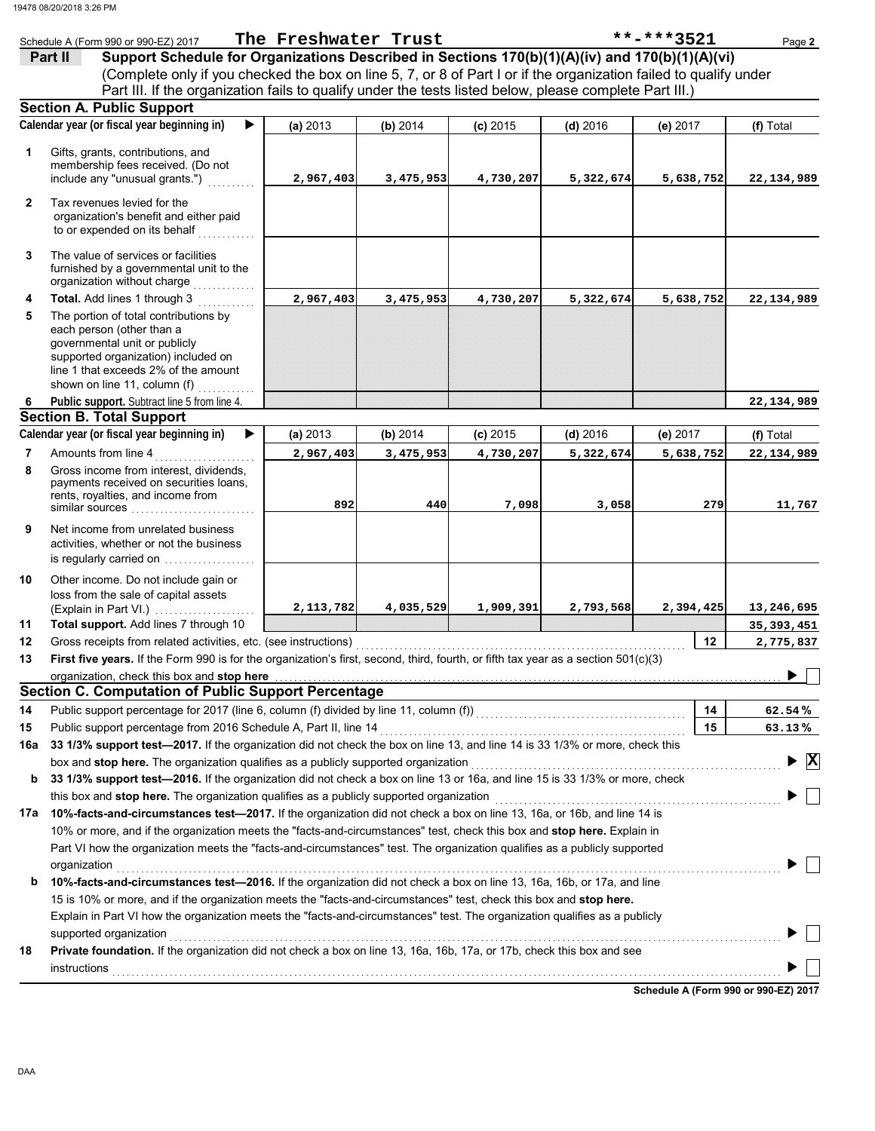|              | Schedule A (Form 990 or 990-EZ) 2017                                                                                                                                                                                           | The Freshwater Trust |           |            |            | **-***3521 | Page 2                         |
|--------------|--------------------------------------------------------------------------------------------------------------------------------------------------------------------------------------------------------------------------------|----------------------|-----------|------------|------------|------------|--------------------------------|
|              | Support Schedule for Organizations Described in Sections 170(b)(1)(A)(iv) and 170(b)(1)(A)(vi)<br>Pan I                                                                                                                        |                      |           |            |            |            |                                |
|              | (Complete only if you checked the box on line 5, 7, or 8 of Part I or if the organization failed to qualify under                                                                                                              |                      |           |            |            |            |                                |
|              | Part III. If the organization fails to qualify under the tests listed below, please complete Part III.)                                                                                                                        |                      |           |            |            |            |                                |
|              | <b>Section A. Public Support</b>                                                                                                                                                                                               |                      |           |            |            |            |                                |
|              | Calendar year (or fiscal year beginning in)                                                                                                                                                                                    | (a) 2013             | (b) 2014  | $(c)$ 2015 | $(d)$ 2016 | (e) 2017   | (f) Total                      |
|              |                                                                                                                                                                                                                                |                      |           |            |            |            |                                |
| 1            | Gifts, grants, contributions, and<br>membership fees received. (Do not                                                                                                                                                         |                      |           |            |            |            |                                |
|              | include any "unusual grants.")                                                                                                                                                                                                 | 2,967,403            | 3,475,953 | 4,730,207  | 5,322,674  | 5,638,752  | 22,134,989                     |
|              |                                                                                                                                                                                                                                |                      |           |            |            |            |                                |
| $\mathbf{2}$ | Tax revenues levied for the                                                                                                                                                                                                    |                      |           |            |            |            |                                |
|              | organization's benefit and either paid                                                                                                                                                                                         |                      |           |            |            |            |                                |
|              | to or expended on its behalf                                                                                                                                                                                                   |                      |           |            |            |            |                                |
| 3            | The value of services or facilities                                                                                                                                                                                            |                      |           |            |            |            |                                |
|              | furnished by a governmental unit to the                                                                                                                                                                                        |                      |           |            |            |            |                                |
|              | organization without charge                                                                                                                                                                                                    |                      |           |            |            |            |                                |
| 4            | Total. Add lines 1 through 3                                                                                                                                                                                                   | 2,967,403            | 3,475,953 | 4,730,207  | 5,322,674  | 5,638,752  | 22,134,989                     |
| 5            | The portion of total contributions by                                                                                                                                                                                          |                      |           |            |            |            |                                |
|              | each person (other than a<br>governmental unit or publicly                                                                                                                                                                     |                      |           |            |            |            |                                |
|              | supported organization) included on                                                                                                                                                                                            |                      |           |            |            |            |                                |
|              | line 1 that exceeds 2% of the amount                                                                                                                                                                                           |                      |           |            |            |            |                                |
|              | shown on line 11, column (f)                                                                                                                                                                                                   |                      |           |            |            |            |                                |
| 6            | Public support. Subtract line 5 from line 4.                                                                                                                                                                                   |                      |           |            |            |            | 22,134,989                     |
|              | <b>Section B. Total Support</b>                                                                                                                                                                                                |                      |           |            |            |            |                                |
|              | Calendar year (or fiscal year beginning in)                                                                                                                                                                                    | (a) 2013             | (b) 2014  | $(c)$ 2015 | $(d)$ 2016 | (e) 2017   | (f) Total                      |
| 7            | Amounts from line 4                                                                                                                                                                                                            | 2,967,403            | 3,475,953 | 4,730,207  | 5,322,674  | 5,638,752  | 22,134,989                     |
| 8            | Gross income from interest, dividends,                                                                                                                                                                                         |                      |           |            |            |            |                                |
|              | payments received on securities loans,<br>rents, royalties, and income from                                                                                                                                                    |                      |           |            |            |            |                                |
|              | similar sources                                                                                                                                                                                                                | 892                  | 440       | 7,098      | 3,058      | 279        | 11,767                         |
| 9            | Net income from unrelated business                                                                                                                                                                                             |                      |           |            |            |            |                                |
|              | activities, whether or not the business                                                                                                                                                                                        |                      |           |            |            |            |                                |
|              | is regularly carried on                                                                                                                                                                                                        |                      |           |            |            |            |                                |
| 10           | Other income. Do not include gain or                                                                                                                                                                                           |                      |           |            |            |            |                                |
|              | loss from the sale of capital assets                                                                                                                                                                                           |                      |           |            |            |            |                                |
|              | (Explain in Part VI.)                                                                                                                                                                                                          | 2,113,782            | 4,035,529 | 1,909,391  | 2,793,568  | 2,394,425  | 13,246,695                     |
| 11           | Total support. Add lines 7 through 10                                                                                                                                                                                          |                      |           |            |            |            | 35,393,451                     |
| 12           | Gross receipts from related activities, etc. (see instructions)                                                                                                                                                                |                      |           |            |            | 12         | 2,775,837                      |
| 13           | First five years. If the Form 990 is for the organization's first, second, third, fourth, or fifth tax year as a section 501(c)(3)                                                                                             |                      |           |            |            |            |                                |
|              | organization, check this box and stop here                                                                                                                                                                                     |                      |           |            |            |            |                                |
|              | <b>Section C. Computation of Public Support Percentage</b>                                                                                                                                                                     |                      |           |            |            |            |                                |
| 14           | Public support percentage for 2017 (line 6, column (f) divided by line 11, column (f)) [[[[[[[[[[[[[[[[[[[[[[                                                                                                                  |                      |           |            |            | 14         | $62.54\%$                      |
| 15           | Public support percentage from 2016 Schedule A, Part II, line 14 [11] match contains the container container that the support percentage from 2016 Schedule A, Part II, line 14 [11] match contains the support of the support |                      |           |            |            | 15         | 63.13%                         |
| 16a          | 33 1/3% support test-2017. If the organization did not check the box on line 13, and line 14 is 33 1/3% or more, check this                                                                                                    |                      |           |            |            |            |                                |
|              | box and stop here. The organization qualifies as a publicly supported organization [11] content to content the organization and stop here.                                                                                     |                      |           |            |            |            | $\blacktriangleright$ $\mid$ X |
| b            | 33 1/3% support test-2016. If the organization did not check a box on line 13 or 16a, and line 15 is 33 1/3% or more, check                                                                                                    |                      |           |            |            |            |                                |
|              | this box and stop here. The organization qualifies as a publicly supported organization [1] [1] [1] [1] [1] [1                                                                                                                 |                      |           |            |            |            |                                |
| 17a          | 10%-facts-and-circumstances test-2017. If the organization did not check a box on line 13, 16a, or 16b, and line 14 is                                                                                                         |                      |           |            |            |            |                                |
|              | 10% or more, and if the organization meets the "facts-and-circumstances" test, check this box and stop here. Explain in                                                                                                        |                      |           |            |            |            |                                |
|              | Part VI how the organization meets the "facts-and-circumstances" test. The organization qualifies as a publicly supported                                                                                                      |                      |           |            |            |            |                                |
|              | organization                                                                                                                                                                                                                   |                      |           |            |            |            |                                |
| b            | 10%-facts-and-circumstances test-2016. If the organization did not check a box on line 13, 16a, 16b, or 17a, and line                                                                                                          |                      |           |            |            |            |                                |
|              | 15 is 10% or more, and if the organization meets the "facts-and-circumstances" test, check this box and stop here.                                                                                                             |                      |           |            |            |            |                                |
|              | Explain in Part VI how the organization meets the "facts-and-circumstances" test. The organization qualifies as a publicly                                                                                                     |                      |           |            |            |            |                                |
|              |                                                                                                                                                                                                                                |                      |           |            |            |            |                                |
|              | Private foundation. If the organization did not check a box on line 13, 16a, 16b, 17a, or 17b, check this box and see                                                                                                          |                      |           |            |            |            |                                |
| 18           |                                                                                                                                                                                                                                |                      |           |            |            |            |                                |
|              |                                                                                                                                                                                                                                |                      |           |            |            |            |                                |

**Schedule A (Form 990 or 990-EZ) 2017**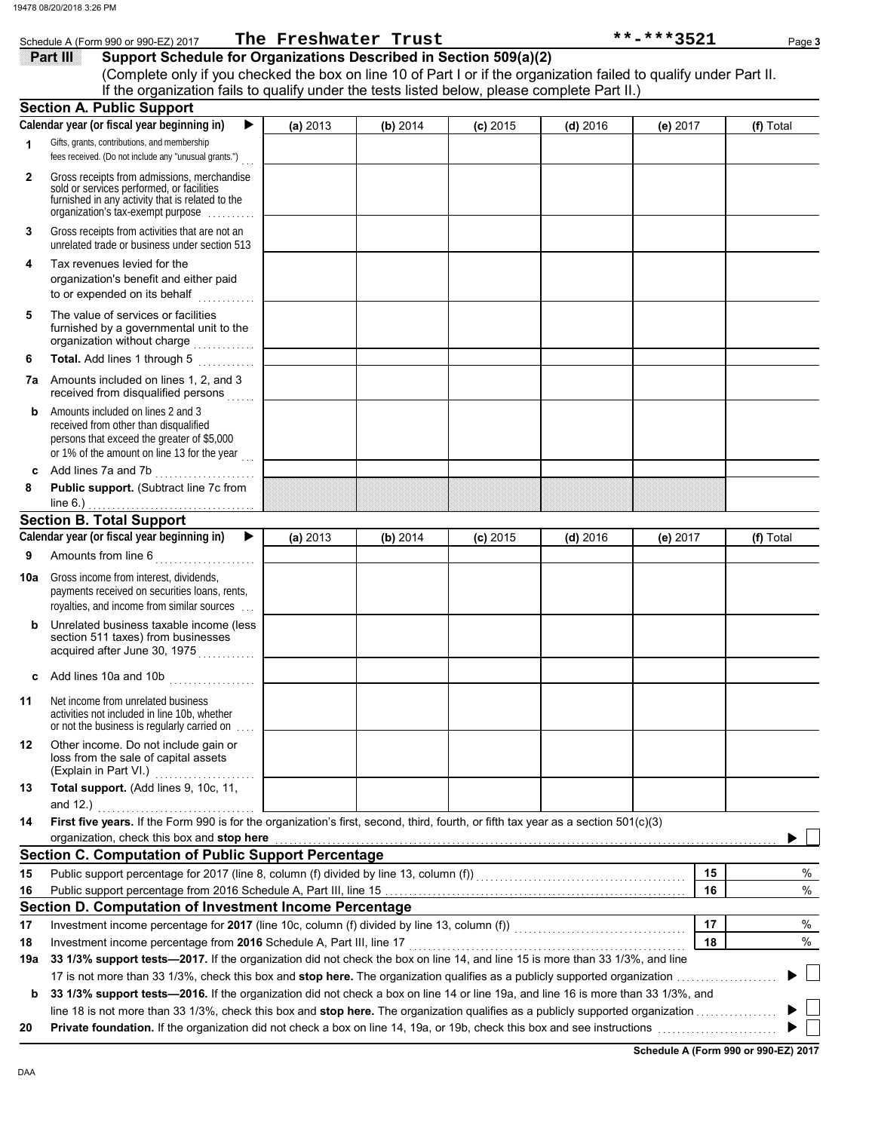|              | Schedule A (Form 990 or 990-EZ) 2017                                                                                                                                                                                                                                                                       |          | The Freshwater Trust |            |            | **-***3521 | Page 3    |
|--------------|------------------------------------------------------------------------------------------------------------------------------------------------------------------------------------------------------------------------------------------------------------------------------------------------------------|----------|----------------------|------------|------------|------------|-----------|
|              | Support Schedule for Organizations Described in Section 509(a)(2)<br><b>Part III</b><br>(Complete only if you checked the box on line 10 of Part I or if the organization failed to qualify under Part II.<br>If the organization fails to qualify under the tests listed below, please complete Part II.) |          |                      |            |            |            |           |
|              | <b>Section A. Public Support</b>                                                                                                                                                                                                                                                                           |          |                      |            |            |            |           |
|              | Calendar year (or fiscal year beginning in)<br>▶                                                                                                                                                                                                                                                           | (a) 2013 | (b) 2014             | $(c)$ 2015 | $(d)$ 2016 | (e) 2017   | (f) Total |
| 1            | Gifts, grants, contributions, and membership                                                                                                                                                                                                                                                               |          |                      |            |            |            |           |
|              | fees received. (Do not include any "unusual grants.")                                                                                                                                                                                                                                                      |          |                      |            |            |            |           |
| $\mathbf{2}$ | Gross receipts from admissions, merchandise<br>sold or services performed, or facilities<br>furnished in any activity that is related to the<br>organization's tax-exempt purpose                                                                                                                          |          |                      |            |            |            |           |
| 3            | Gross receipts from activities that are not an<br>unrelated trade or business under section 513                                                                                                                                                                                                            |          |                      |            |            |            |           |
| 4            | Tax revenues levied for the<br>organization's benefit and either paid<br>to or expended on its behalf<br>.                                                                                                                                                                                                 |          |                      |            |            |            |           |
| 5            | The value of services or facilities<br>furnished by a governmental unit to the<br>organization without charge<br>.                                                                                                                                                                                         |          |                      |            |            |            |           |
| 6            | Total. Add lines 1 through 5                                                                                                                                                                                                                                                                               |          |                      |            |            |            |           |
| 7a           | Amounts included on lines 1, 2, and 3<br>received from disqualified persons                                                                                                                                                                                                                                |          |                      |            |            |            |           |
| b            | Amounts included on lines 2 and 3<br>received from other than disqualified<br>persons that exceed the greater of \$5,000<br>or 1% of the amount on line 13 for the year                                                                                                                                    |          |                      |            |            |            |           |
| c            | Add lines 7a and 7b                                                                                                                                                                                                                                                                                        |          |                      |            |            |            |           |
| 8            | Public support. (Subtract line 7c from                                                                                                                                                                                                                                                                     |          |                      |            |            |            |           |
|              | line $6.$ )                                                                                                                                                                                                                                                                                                |          |                      |            |            |            |           |
|              | <b>Section B. Total Support</b><br>Calendar year (or fiscal year beginning in)<br>▶                                                                                                                                                                                                                        |          |                      |            |            |            |           |
|              |                                                                                                                                                                                                                                                                                                            | (a) 2013 | (b) 2014             | $(c)$ 2015 | $(d)$ 2016 | (e) 2017   | (f) Total |
| 9            | Amounts from line 6<br>.                                                                                                                                                                                                                                                                                   |          |                      |            |            |            |           |
| 10a          | Gross income from interest, dividends,<br>payments received on securities loans, rents,<br>royalties, and income from similar sources                                                                                                                                                                      |          |                      |            |            |            |           |
|              | Unrelated business taxable income (less<br>section 511 taxes) from businesses<br>acquired after June 30, 1975                                                                                                                                                                                              |          |                      |            |            |            |           |
| c            | Add lines 10a and 10b                                                                                                                                                                                                                                                                                      |          |                      |            |            |            |           |
| 11           | Net income from unrelated business<br>activities not included in line 10b, whether<br>or not the business is regularly carried on                                                                                                                                                                          |          |                      |            |            |            |           |
| 12           | Other income. Do not include gain or<br>loss from the sale of capital assets                                                                                                                                                                                                                               |          |                      |            |            |            |           |
| 13           | Total support. (Add lines 9, 10c, 11,                                                                                                                                                                                                                                                                      |          |                      |            |            |            |           |
| 14           | First five years. If the Form 990 is for the organization's first, second, third, fourth, or fifth tax year as a section 501(c)(3)<br>organization, check this box and stop here                                                                                                                           |          |                      |            |            |            |           |
|              | <b>Section C. Computation of Public Support Percentage</b>                                                                                                                                                                                                                                                 |          |                      |            |            |            |           |
| 15           |                                                                                                                                                                                                                                                                                                            |          |                      |            |            | 15         | %         |
| 16           |                                                                                                                                                                                                                                                                                                            |          |                      |            |            | 16         | $\%$      |
|              | Section D. Computation of Investment Income Percentage                                                                                                                                                                                                                                                     |          |                      |            |            |            |           |
| 17           |                                                                                                                                                                                                                                                                                                            |          |                      |            |            | 17         | $\%$      |
| 18           | Investment income percentage from 2016 Schedule A, Part III, line 17                                                                                                                                                                                                                                       |          |                      |            |            | 18         | $\%$      |
| 19a          | 33 1/3% support tests—2017. If the organization did not check the box on line 14, and line 15 is more than 33 1/3%, and line                                                                                                                                                                               |          |                      |            |            |            |           |

17 is not more than 33 1/3%, check this box and **stop here.** The organization qualifies as a publicly supported organization . . . . . . . . . . . . . . . . . . . . . **b** 33 1/3% support tests—2016. If the organization did not check a box on line 14 or line 19a, and line 16 is more than 33 1/3%, and line 18 is not more than 33 1/3%, check this box and stop here. The organization qualifies as a publicly supported organization ..................

**20 Private foundation.** If the organization did not check a box on line 14, 19a, or 19b, check this box and see instructions . . . . . . . . . . . . . . . . . . . . . . . . .

**Schedule A (Form 990 or 990-EZ) 2017**

 $\blacktriangleright \Box$  $\blacktriangleright \Box$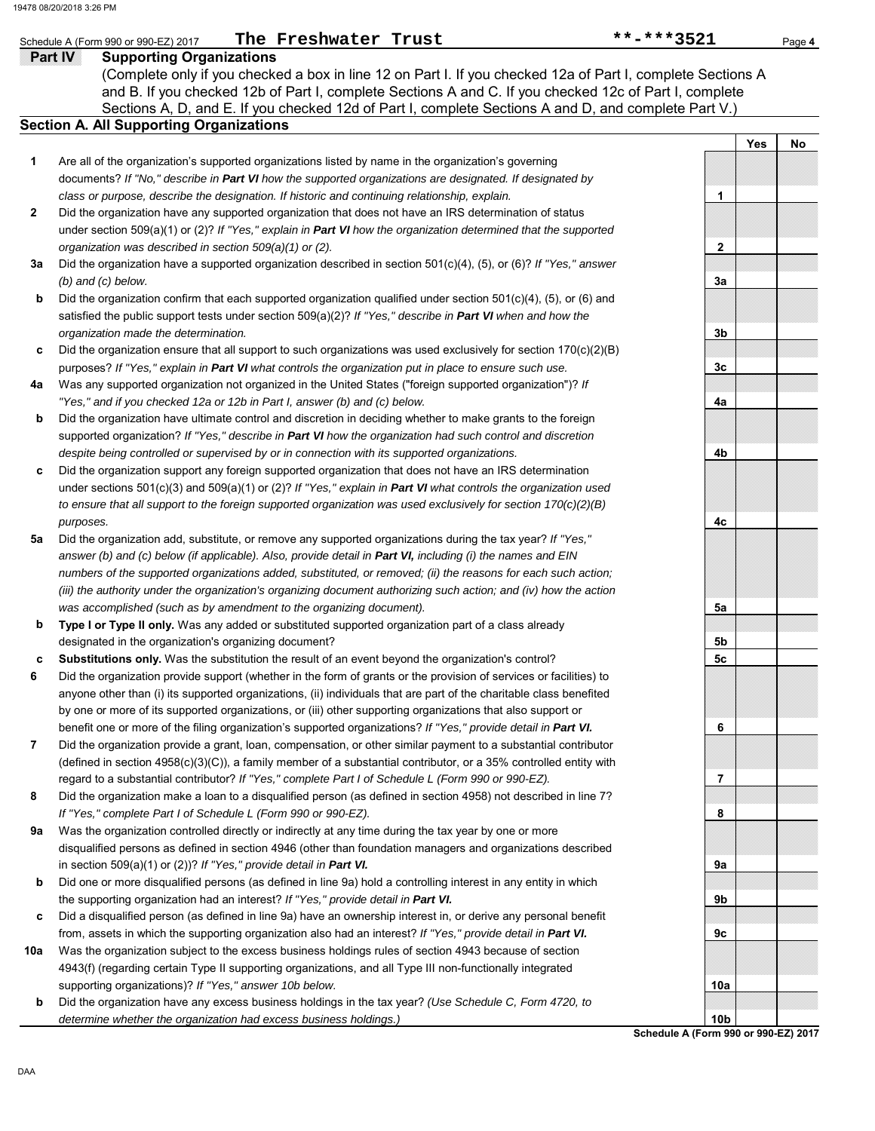### **Part IV Supporting Organizations** Schedule A (Form 990 or 990-EZ) 2017 **The Freshwater Trust \*\*\*\*\*\*\*\*\*\*\*\*\*\*\*\*\*\*\***3521 Page 4

Sections A, D, and E. If you checked 12d of Part I, complete Sections A and D, and complete Part V.) **Section A. All Supporting Organizations** (Complete only if you checked a box in line 12 on Part I. If you checked 12a of Part I, complete Sections A and B. If you checked 12b of Part I, complete Sections A and C. If you checked 12c of Part I, complete

- Are all of the organization's supported organizations listed by name in the organization's governing documents? *If "No," describe in Part VI how the supported organizations are designated. If designated by class or purpose, describe the designation. If historic and continuing relationship, explain.* **1**
- Did the organization have any supported organization that does not have an IRS determination of status under section 509(a)(1) or (2)? *If "Yes," explain in Part VI how the organization determined that the supported organization was described in section 509(a)(1) or (2).* **2**
- **3a** Did the organization have a supported organization described in section 501(c)(4), (5), or (6)? *If "Yes," answer (b) and (c) below.*
- **b** Did the organization confirm that each supported organization qualified under section 501(c)(4), (5), or (6) and satisfied the public support tests under section 509(a)(2)? *If "Yes," describe in Part VI when and how the organization made the determination.*
- **c** Did the organization ensure that all support to such organizations was used exclusively for section 170(c)(2)(B) purposes? *If "Yes," explain in Part VI what controls the organization put in place to ensure such use.*
- **4a** Was any supported organization not organized in the United States ("foreign supported organization")? *If "Yes," and if you checked 12a or 12b in Part I, answer (b) and (c) below.*
- **b** Did the organization have ultimate control and discretion in deciding whether to make grants to the foreign supported organization? *If "Yes," describe in Part VI how the organization had such control and discretion despite being controlled or supervised by or in connection with its supported organizations.*
- **c** Did the organization support any foreign supported organization that does not have an IRS determination under sections 501(c)(3) and 509(a)(1) or (2)? *If "Yes," explain in Part VI what controls the organization used to ensure that all support to the foreign supported organization was used exclusively for section 170(c)(2)(B) purposes.*
- **5a** Did the organization add, substitute, or remove any supported organizations during the tax year? *If "Yes," answer (b) and (c) below (if applicable). Also, provide detail in Part VI, including (i) the names and EIN numbers of the supported organizations added, substituted, or removed; (ii) the reasons for each such action; (iii) the authority under the organization's organizing document authorizing such action; and (iv) how the action was accomplished (such as by amendment to the organizing document).*
- **b Type I or Type II only.** Was any added or substituted supported organization part of a class already designated in the organization's organizing document?
- **c Substitutions only.** Was the substitution the result of an event beyond the organization's control?
- **6** Did the organization provide support (whether in the form of grants or the provision of services or facilities) to anyone other than (i) its supported organizations, (ii) individuals that are part of the charitable class benefited by one or more of its supported organizations, or (iii) other supporting organizations that also support or benefit one or more of the filing organization's supported organizations? *If "Yes," provide detail in Part VI.*
- **7** Did the organization provide a grant, loan, compensation, or other similar payment to a substantial contributor (defined in section 4958(c)(3)(C)), a family member of a substantial contributor, or a 35% controlled entity with regard to a substantial contributor? *If "Yes," complete Part I of Schedule L (Form 990 or 990-EZ).*
- **8** Did the organization make a loan to a disqualified person (as defined in section 4958) not described in line 7? *If "Yes," complete Part I of Schedule L (Form 990 or 990-EZ).*
- **9a** Was the organization controlled directly or indirectly at any time during the tax year by one or more disqualified persons as defined in section 4946 (other than foundation managers and organizations described in section 509(a)(1) or (2))? *If "Yes," provide detail in Part VI.*
- **b** Did one or more disqualified persons (as defined in line 9a) hold a controlling interest in any entity in which the supporting organization had an interest? *If "Yes," provide detail in Part VI.*
- **c** Did a disqualified person (as defined in line 9a) have an ownership interest in, or derive any personal benefit from, assets in which the supporting organization also had an interest? *If "Yes," provide detail in Part VI.*
- **10a** Was the organization subject to the excess business holdings rules of section 4943 because of section 4943(f) (regarding certain Type II supporting organizations, and all Type III non-functionally integrated supporting organizations)? *If "Yes," answer 10b below.*
	- **b** Did the organization have any excess business holdings in the tax year? *(Use Schedule C, Form 4720, to determine whether the organization had excess business holdings.)*



**Schedule A (Form 990 or 990-EZ) 2017**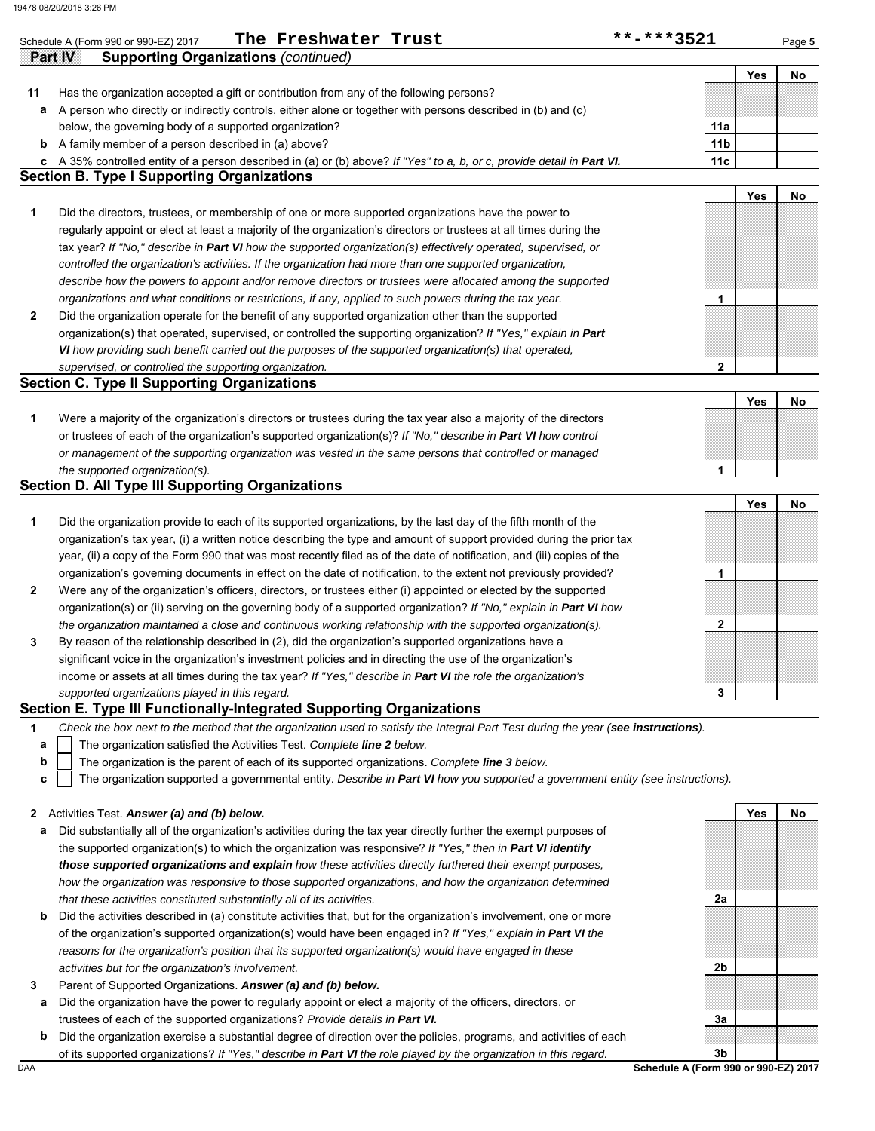|          | **-***3521<br>The Freshwater Trust<br>Schedule A (Form 990 or 990-EZ) 2017                                                                                                                                                       |                 |            | Page 5 |
|----------|----------------------------------------------------------------------------------------------------------------------------------------------------------------------------------------------------------------------------------|-----------------|------------|--------|
| Partilly | <b>Supporting Organizations (continued)</b>                                                                                                                                                                                      |                 |            |        |
|          |                                                                                                                                                                                                                                  |                 | Yes        | No     |
| 11       | Has the organization accepted a gift or contribution from any of the following persons?                                                                                                                                          |                 |            |        |
| а        | A person who directly or indirectly controls, either alone or together with persons described in (b) and (c)                                                                                                                     |                 |            |        |
|          | below, the governing body of a supported organization?                                                                                                                                                                           | 11a             |            |        |
| b        | A family member of a person described in (a) above?                                                                                                                                                                              | 11 <sub>b</sub> |            |        |
| c        | A 35% controlled entity of a person described in (a) or (b) above? If "Yes" to a, b, or c, provide detail in Part VI.<br><b>Section B. Type I Supporting Organizations</b>                                                       | 11c             |            |        |
|          |                                                                                                                                                                                                                                  |                 | Yes        | No     |
| 1        | Did the directors, trustees, or membership of one or more supported organizations have the power to                                                                                                                              |                 |            |        |
|          | regularly appoint or elect at least a majority of the organization's directors or trustees at all times during the                                                                                                               |                 |            |        |
|          | tax year? If "No," describe in Part VI how the supported organization(s) effectively operated, supervised, or                                                                                                                    |                 |            |        |
|          |                                                                                                                                                                                                                                  |                 |            |        |
|          | controlled the organization's activities. If the organization had more than one supported organization,                                                                                                                          |                 |            |        |
|          | describe how the powers to appoint and/or remove directors or trustees were allocated among the supported                                                                                                                        |                 |            |        |
|          | organizations and what conditions or restrictions, if any, applied to such powers during the tax year.                                                                                                                           | 1               |            |        |
| 2        | Did the organization operate for the benefit of any supported organization other than the supported                                                                                                                              |                 |            |        |
|          | organization(s) that operated, supervised, or controlled the supporting organization? If "Yes," explain in Part                                                                                                                  |                 |            |        |
|          | VI how providing such benefit carried out the purposes of the supported organization(s) that operated,                                                                                                                           |                 |            |        |
|          | supervised, or controlled the supporting organization.<br><b>Section C. Type II Supporting Organizations</b>                                                                                                                     | $\mathbf{2}$    |            |        |
|          |                                                                                                                                                                                                                                  |                 | <b>Yes</b> |        |
|          |                                                                                                                                                                                                                                  |                 |            | No     |
|          | Were a majority of the organization's directors or trustees during the tax year also a majority of the directors                                                                                                                 |                 |            |        |
|          | or trustees of each of the organization's supported organization(s)? If "No," describe in Part VI how control                                                                                                                    |                 |            |        |
|          | or management of the supporting organization was vested in the same persons that controlled or managed                                                                                                                           |                 |            |        |
|          | the supported organization(s).<br><b>Section D. All Type III Supporting Organizations</b>                                                                                                                                        | 1               |            |        |
|          |                                                                                                                                                                                                                                  |                 | Yes        | No     |
|          | Did the organization provide to each of its supported organizations, by the last day of the fifth month of the                                                                                                                   |                 |            |        |
|          | organization's tax year, (i) a written notice describing the type and amount of support provided during the prior tax                                                                                                            |                 |            |        |
|          | year, (ii) a copy of the Form 990 that was most recently filed as of the date of notification, and (iii) copies of the                                                                                                           |                 |            |        |
|          | organization's governing documents in effect on the date of notification, to the extent not previously provided?                                                                                                                 | 1               |            |        |
|          |                                                                                                                                                                                                                                  |                 |            |        |
| 2        | Were any of the organization's officers, directors, or trustees either (i) appointed or elected by the supported                                                                                                                 |                 |            |        |
|          | organization(s) or (ii) serving on the governing body of a supported organization? If "No," explain in Part VI how                                                                                                               |                 |            |        |
|          | the organization maintained a close and continuous working relationship with the supported organization(s).                                                                                                                      | 2               |            |        |
| 3        | By reason of the relationship described in (2), did the organization's supported organizations have a                                                                                                                            |                 |            |        |
|          | significant voice in the organization's investment policies and in directing the use of the organization's                                                                                                                       |                 |            |        |
|          | income or assets at all times during the tax year? If "Yes," describe in Part VI the role the organization's                                                                                                                     |                 |            |        |
|          | supported organizations played in this regard.<br>Section E. Type III Functionally-Integrated Supporting Organizations                                                                                                           | 3               |            |        |
|          | Check the box next to the method that the organization used to satisfy the Integral Part Test during the year (see instructions).                                                                                                |                 |            |        |
| 1<br>a   | The organization satisfied the Activities Test. Complete line 2 below.                                                                                                                                                           |                 |            |        |
| b        |                                                                                                                                                                                                                                  |                 |            |        |
| c        | The organization is the parent of each of its supported organizations. Complete line 3 below.<br>The organization supported a governmental entity. Describe in Part VI how you supported a government entity (see instructions). |                 |            |        |
|          |                                                                                                                                                                                                                                  |                 |            |        |
| 2        | Activities Test. Answer (a) and (b) below.                                                                                                                                                                                       |                 | Yes        | No     |
| а        | Did substantially all of the organization's activities during the tax year directly further the exempt purposes of                                                                                                               |                 |            |        |
|          | the supported organization(s) to which the organization was responsive? If "Yes," then in Part VI identify                                                                                                                       |                 |            |        |
|          | those supported organizations and explain how these activities directly furthered their exempt purposes,                                                                                                                         |                 |            |        |
|          | how the organization was responsive to those supported organizations, and how the organization determined                                                                                                                        |                 |            |        |
|          | that these activities constituted substantially all of its activities.                                                                                                                                                           | 2a              |            |        |
| b        | Did the activities described in (a) constitute activities that, but for the organization's involvement, one or more                                                                                                              |                 |            |        |
|          |                                                                                                                                                                                                                                  |                 |            |        |
|          | of the organization's supported organization(s) would have been engaged in? If "Yes," explain in Part VI the                                                                                                                     |                 |            |        |
|          | reasons for the organization's position that its supported organization(s) would have engaged in these                                                                                                                           |                 |            |        |
|          | activities but for the organization's involvement.                                                                                                                                                                               | 2b              |            |        |
| 3        | Parent of Supported Organizations. Answer (a) and (b) below.                                                                                                                                                                     |                 |            |        |
| а        | Did the organization have the power to regularly appoint or elect a majority of the officers, directors, or                                                                                                                      |                 |            |        |
|          | trustees of each of the supported organizations? Provide details in Part VI.                                                                                                                                                     | За              |            |        |
| b        | Did the organization exercise a substantial degree of direction over the policies, programs, and activities of each                                                                                                              |                 |            |        |
|          | of its supported organizations? If "Yes," describe in Part VI the role played by the organization in this regard.                                                                                                                | 3 <sub>b</sub>  |            |        |

DAA **Schedule A (Form 990 or 990-EZ) 2017**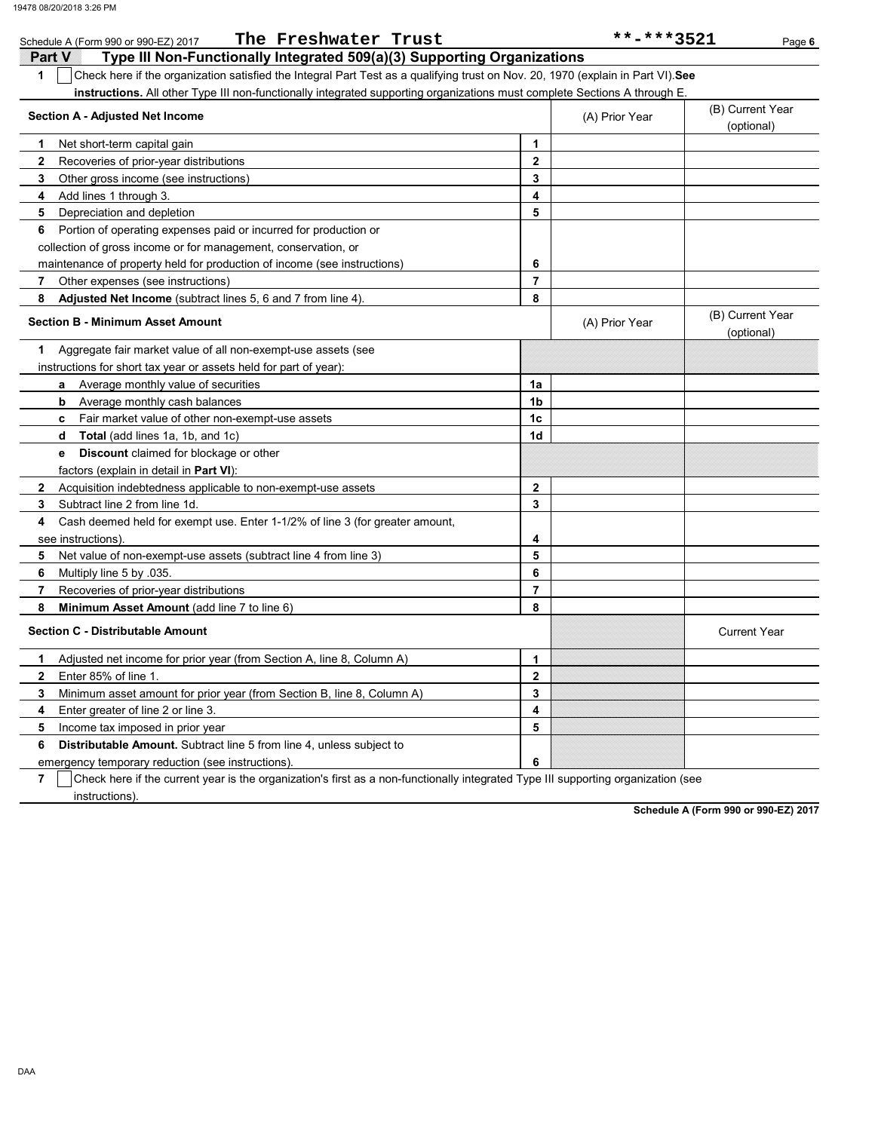| The Freshwater Trust<br>Schedule A (Form 990 or 990-EZ) 2017                                                                           |                         | **-***3521     | Page 6                         |
|----------------------------------------------------------------------------------------------------------------------------------------|-------------------------|----------------|--------------------------------|
| i 27. rav<br>Type III Non-Functionally Integrated 509(a)(3) Supporting Organizations                                                   |                         |                |                                |
| Check here if the organization satisfied the Integral Part Test as a qualifying trust on Nov. 20, 1970 (explain in Part VI). See<br>1  |                         |                |                                |
| instructions. All other Type III non-functionally integrated supporting organizations must complete Sections A through E.              |                         |                |                                |
| <b>Section A - Adjusted Net Income</b>                                                                                                 |                         | (A) Prior Year | (B) Current Year<br>(optional) |
| Net short-term capital gain<br>1                                                                                                       | 1                       |                |                                |
| $\mathbf{2}$<br>Recoveries of prior-year distributions                                                                                 | $\mathbf{2}$            |                |                                |
| 3<br>Other gross income (see instructions)                                                                                             | 3                       |                |                                |
| Add lines 1 through 3.<br>4                                                                                                            | 4                       |                |                                |
| Depreciation and depletion<br>5                                                                                                        | 5                       |                |                                |
| Portion of operating expenses paid or incurred for production or<br>6                                                                  |                         |                |                                |
| collection of gross income or for management, conservation, or                                                                         |                         |                |                                |
| maintenance of property held for production of income (see instructions)                                                               | 6                       |                |                                |
| Other expenses (see instructions)<br>7                                                                                                 | $\overline{\mathbf{r}}$ |                |                                |
| Adjusted Net Income (subtract lines 5, 6 and 7 from line 4).<br>8                                                                      | 8                       |                |                                |
| <b>Section B - Minimum Asset Amount</b>                                                                                                |                         | (A) Prior Year | (B) Current Year<br>(optional) |
| Aggregate fair market value of all non-exempt-use assets (see<br>1                                                                     |                         |                |                                |
| instructions for short tax year or assets held for part of year):                                                                      |                         |                |                                |
| a Average monthly value of securities                                                                                                  | 1a                      |                |                                |
| Average monthly cash balances<br>b                                                                                                     | 1b                      |                |                                |
| Fair market value of other non-exempt-use assets<br>c.                                                                                 | 1c                      |                |                                |
| Total (add lines 1a, 1b, and 1c)<br>d                                                                                                  | 1d                      |                |                                |
| Discount claimed for blockage or other<br>е                                                                                            |                         |                |                                |
| factors (explain in detail in Part VI):                                                                                                |                         |                |                                |
| Acquisition indebtedness applicable to non-exempt-use assets<br>$\mathbf{2}$                                                           | $\mathbf{2}$            |                |                                |
| Subtract line 2 from line 1d.<br>3                                                                                                     | 3                       |                |                                |
| Cash deemed held for exempt use. Enter 1-1/2% of line 3 (for greater amount,<br>4                                                      |                         |                |                                |
| see instructions)                                                                                                                      | 4                       |                |                                |
| 5<br>Net value of non-exempt-use assets (subtract line 4 from line 3)                                                                  | 5                       |                |                                |
| 6<br>Multiply line 5 by .035.                                                                                                          | 6                       |                |                                |
| Recoveries of prior-year distributions<br>7                                                                                            | 7                       |                |                                |
| 8<br>Minimum Asset Amount (add line 7 to line 6)                                                                                       | 8                       |                |                                |
| <b>Section C - Distributable Amount</b>                                                                                                |                         |                | <b>Current Year</b>            |
| Adjusted net income for prior year (from Section A, line 8, Column A)<br>1.                                                            | 1                       |                |                                |
| Enter 85% of line 1.<br>2                                                                                                              | 2                       |                |                                |
| Minimum asset amount for prior year (from Section B, line 8, Column A)<br>3                                                            | 3                       |                |                                |
| Enter greater of line 2 or line 3.<br>4                                                                                                | 4                       |                |                                |
| 5<br>Income tax imposed in prior year                                                                                                  | 5                       |                |                                |
| Distributable Amount. Subtract line 5 from line 4, unless subject to<br>6                                                              |                         |                |                                |
| emergency temporary reduction (see instructions)                                                                                       | 6                       |                |                                |
| 7<br>Check here if the current year is the organization's first as a non-functionally integrated Type III supporting organization (see |                         |                |                                |
| instructions).                                                                                                                         |                         |                |                                |

**Schedule A (Form 990 or 990-EZ) 2017**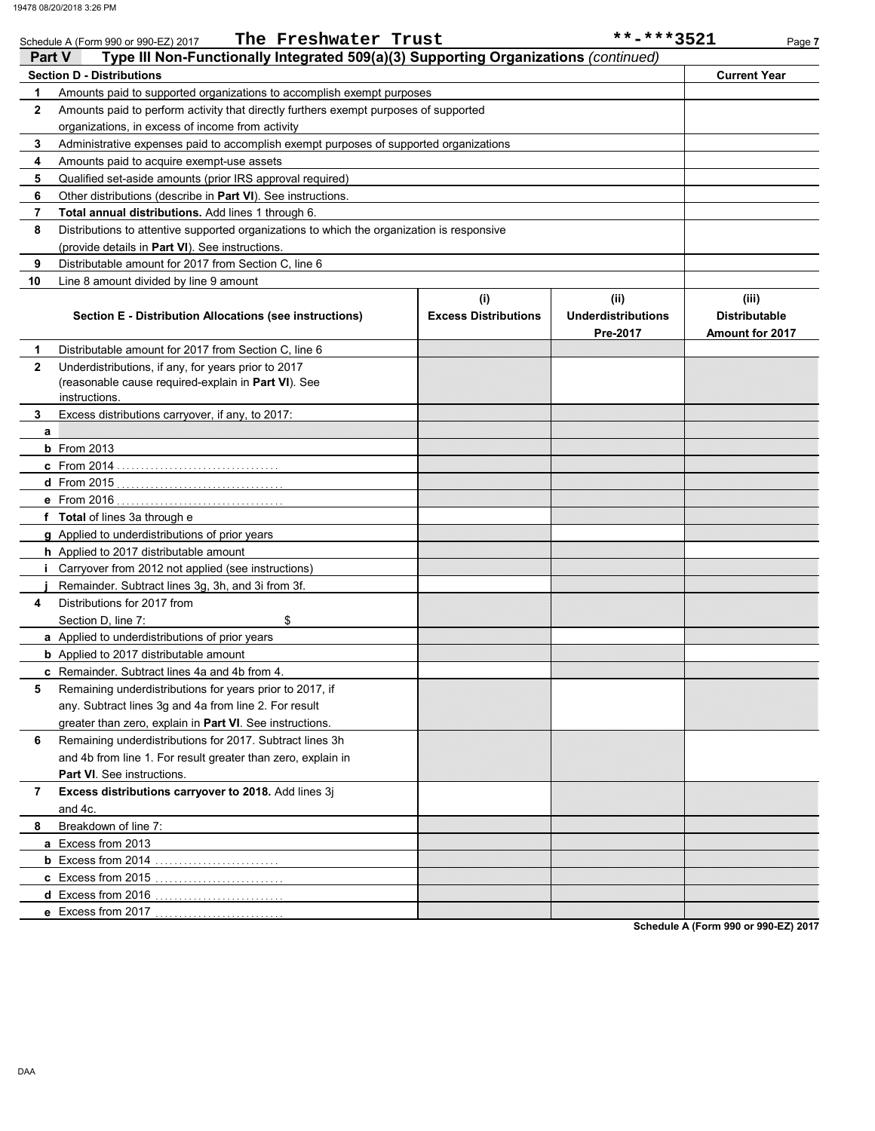|              | The Freshwater Trust<br>Schedule A (Form 990 or 990-EZ) 2017                               |                             | **-***3521                | Page 7                 |
|--------------|--------------------------------------------------------------------------------------------|-----------------------------|---------------------------|------------------------|
| Panav        | Type III Non-Functionally Integrated 509(a)(3) Supporting Organizations (continued)        |                             |                           |                        |
|              | <b>Section D - Distributions</b>                                                           |                             |                           | <b>Current Year</b>    |
| 1            | Amounts paid to supported organizations to accomplish exempt purposes                      |                             |                           |                        |
| $\mathbf{2}$ | Amounts paid to perform activity that directly furthers exempt purposes of supported       |                             |                           |                        |
|              | organizations, in excess of income from activity                                           |                             |                           |                        |
| 3            | Administrative expenses paid to accomplish exempt purposes of supported organizations      |                             |                           |                        |
| 4            | Amounts paid to acquire exempt-use assets                                                  |                             |                           |                        |
| 5            | Qualified set-aside amounts (prior IRS approval required)                                  |                             |                           |                        |
| 6            | Other distributions (describe in <b>Part VI</b> ). See instructions.                       |                             |                           |                        |
| 7            | Total annual distributions. Add lines 1 through 6.                                         |                             |                           |                        |
| 8            | Distributions to attentive supported organizations to which the organization is responsive |                             |                           |                        |
|              | (provide details in Part VI). See instructions.                                            |                             |                           |                        |
| 9            | Distributable amount for 2017 from Section C, line 6                                       |                             |                           |                        |
| 10           | Line 8 amount divided by line 9 amount                                                     |                             |                           |                        |
|              |                                                                                            | (i)                         | (ii)                      | (iii)                  |
|              | <b>Section E - Distribution Allocations (see instructions)</b>                             | <b>Excess Distributions</b> | <b>Underdistributions</b> | <b>Distributable</b>   |
|              |                                                                                            |                             | Pre-2017                  | <b>Amount for 2017</b> |
| 1.           | Distributable amount for 2017 from Section C, line 6                                       |                             |                           |                        |
| $\mathbf{2}$ | Underdistributions, if any, for years prior to 2017                                        |                             |                           |                        |
|              | (reasonable cause required-explain in Part VI). See                                        |                             |                           |                        |
|              | instructions.                                                                              |                             |                           |                        |
| 3            | Excess distributions carryover, if any, to 2017:                                           |                             |                           |                        |
| a            |                                                                                            |                             |                           |                        |
|              | $b$ From 2013                                                                              |                             |                           |                        |
|              |                                                                                            |                             |                           |                        |
|              |                                                                                            |                             |                           |                        |
|              |                                                                                            |                             |                           |                        |
|              | f Total of lines 3a through e                                                              |                             |                           |                        |
|              | g Applied to underdistributions of prior years                                             |                             |                           |                        |
|              | h Applied to 2017 distributable amount                                                     |                             |                           |                        |
|              | <i>i</i> Carryover from 2012 not applied (see instructions)                                |                             |                           |                        |
|              | Remainder. Subtract lines 3q, 3h, and 3i from 3f.                                          |                             |                           |                        |
| 4            | Distributions for 2017 from                                                                |                             |                           |                        |
|              | Section D, line 7:<br>\$                                                                   |                             |                           |                        |
|              | a Applied to underdistributions of prior years                                             |                             |                           |                        |
|              | <b>b</b> Applied to 2017 distributable amount                                              |                             |                           |                        |
|              | c Remainder. Subtract lines 4a and 4b from 4.                                              |                             |                           |                        |
| 5            | Remaining underdistributions for years prior to 2017, if                                   |                             |                           |                        |
|              | any. Subtract lines 3g and 4a from line 2. For result                                      |                             |                           |                        |
|              | greater than zero, explain in Part VI. See instructions.                                   |                             |                           |                        |
| 6            | Remaining underdistributions for 2017. Subtract lines 3h                                   |                             |                           |                        |
|              | and 4b from line 1. For result greater than zero, explain in                               |                             |                           |                        |
|              | <b>Part VI</b> . See instructions.                                                         |                             |                           |                        |
| 7            | Excess distributions carryover to 2018. Add lines 3j                                       |                             |                           |                        |
|              | and 4c.                                                                                    |                             |                           |                        |
| 8            | Breakdown of line 7:                                                                       |                             |                           |                        |
|              | a Excess from 2013                                                                         |                             |                           |                        |
|              |                                                                                            |                             |                           |                        |
|              | <b>c</b> Excess from 2015                                                                  |                             |                           |                        |
|              |                                                                                            |                             |                           |                        |
|              |                                                                                            |                             |                           |                        |

**Schedule A (Form 990 or 990-EZ) 2017**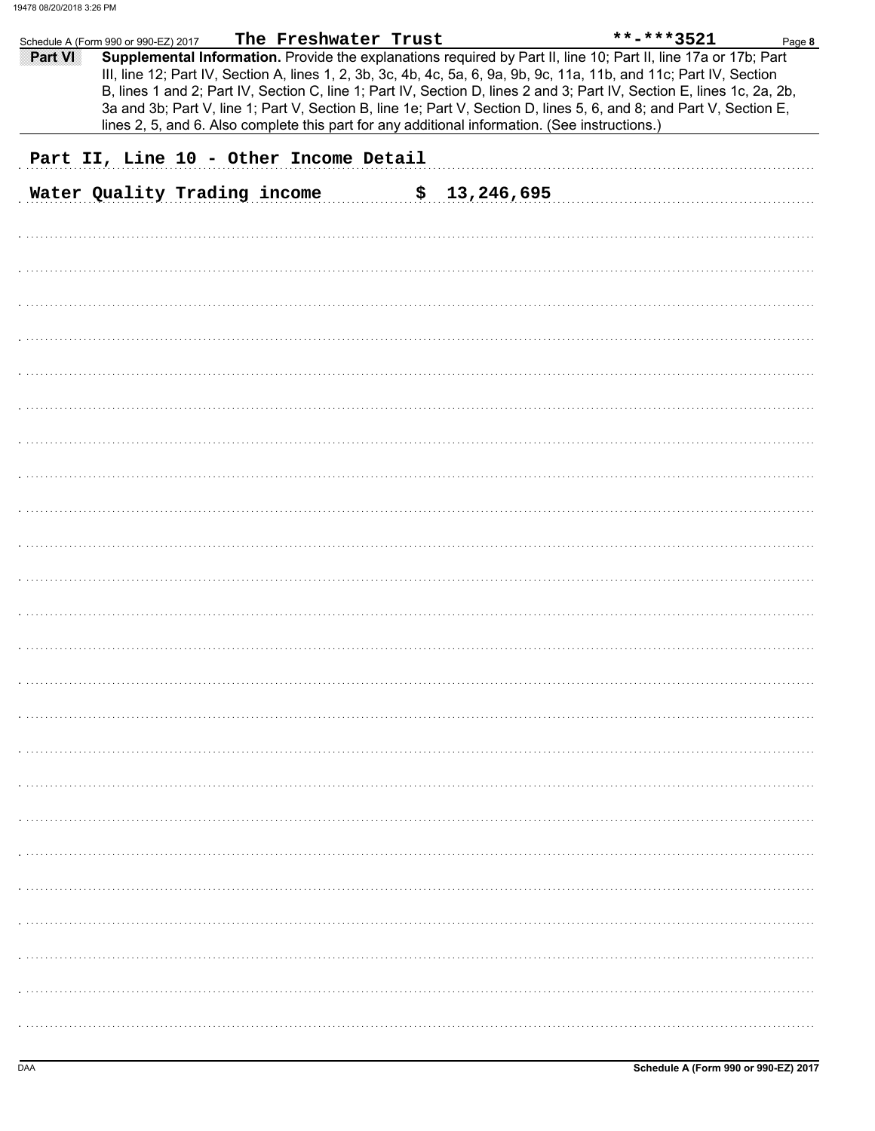|         | Schedule A (Form 990 or 990-EZ) 2017                                                           | The Freshwater Trust |              | **-***3521<br>Page 8                                                                                                                                                                                                                                                                                                                                                                                                                                                                     |
|---------|------------------------------------------------------------------------------------------------|----------------------|--------------|------------------------------------------------------------------------------------------------------------------------------------------------------------------------------------------------------------------------------------------------------------------------------------------------------------------------------------------------------------------------------------------------------------------------------------------------------------------------------------------|
| Part VI | lines 2, 5, and 6. Also complete this part for any additional information. (See instructions.) |                      |              | Supplemental Information. Provide the explanations required by Part II, line 10; Part II, line 17a or 17b; Part<br>III, line 12; Part IV, Section A, lines 1, 2, 3b, 3c, 4b, 4c, 5a, 6, 9a, 9b, 9c, 11a, 11b, and 11c; Part IV, Section<br>B, lines 1 and 2; Part IV, Section C, line 1; Part IV, Section D, lines 2 and 3; Part IV, Section E, lines 1c, 2a, 2b,<br>3a and 3b; Part V, line 1; Part V, Section B, line 1e; Part V, Section D, lines 5, 6, and 8; and Part V, Section E, |
|         | Part II, Line 10 - Other Income Detail                                                         |                      |              |                                                                                                                                                                                                                                                                                                                                                                                                                                                                                          |
|         | Water Quality Trading income                                                                   |                      | \$13,246,695 |                                                                                                                                                                                                                                                                                                                                                                                                                                                                                          |
|         |                                                                                                |                      |              |                                                                                                                                                                                                                                                                                                                                                                                                                                                                                          |
|         |                                                                                                |                      |              |                                                                                                                                                                                                                                                                                                                                                                                                                                                                                          |
|         |                                                                                                |                      |              |                                                                                                                                                                                                                                                                                                                                                                                                                                                                                          |
|         |                                                                                                |                      |              |                                                                                                                                                                                                                                                                                                                                                                                                                                                                                          |
|         |                                                                                                |                      |              |                                                                                                                                                                                                                                                                                                                                                                                                                                                                                          |
|         |                                                                                                |                      |              |                                                                                                                                                                                                                                                                                                                                                                                                                                                                                          |
|         |                                                                                                |                      |              |                                                                                                                                                                                                                                                                                                                                                                                                                                                                                          |
|         |                                                                                                |                      |              |                                                                                                                                                                                                                                                                                                                                                                                                                                                                                          |
|         |                                                                                                |                      |              |                                                                                                                                                                                                                                                                                                                                                                                                                                                                                          |
|         |                                                                                                |                      |              |                                                                                                                                                                                                                                                                                                                                                                                                                                                                                          |
|         |                                                                                                |                      |              |                                                                                                                                                                                                                                                                                                                                                                                                                                                                                          |
|         |                                                                                                |                      |              |                                                                                                                                                                                                                                                                                                                                                                                                                                                                                          |
|         |                                                                                                |                      |              |                                                                                                                                                                                                                                                                                                                                                                                                                                                                                          |
|         |                                                                                                |                      |              |                                                                                                                                                                                                                                                                                                                                                                                                                                                                                          |
|         |                                                                                                |                      |              |                                                                                                                                                                                                                                                                                                                                                                                                                                                                                          |
|         |                                                                                                |                      |              |                                                                                                                                                                                                                                                                                                                                                                                                                                                                                          |
|         |                                                                                                |                      |              |                                                                                                                                                                                                                                                                                                                                                                                                                                                                                          |
|         |                                                                                                |                      |              |                                                                                                                                                                                                                                                                                                                                                                                                                                                                                          |
|         |                                                                                                |                      |              |                                                                                                                                                                                                                                                                                                                                                                                                                                                                                          |
|         |                                                                                                |                      |              |                                                                                                                                                                                                                                                                                                                                                                                                                                                                                          |
|         |                                                                                                |                      |              |                                                                                                                                                                                                                                                                                                                                                                                                                                                                                          |
|         |                                                                                                |                      |              |                                                                                                                                                                                                                                                                                                                                                                                                                                                                                          |
|         |                                                                                                |                      |              |                                                                                                                                                                                                                                                                                                                                                                                                                                                                                          |
|         |                                                                                                |                      |              |                                                                                                                                                                                                                                                                                                                                                                                                                                                                                          |
|         |                                                                                                |                      |              |                                                                                                                                                                                                                                                                                                                                                                                                                                                                                          |
|         |                                                                                                |                      |              |                                                                                                                                                                                                                                                                                                                                                                                                                                                                                          |
|         |                                                                                                |                      |              |                                                                                                                                                                                                                                                                                                                                                                                                                                                                                          |
|         |                                                                                                |                      |              |                                                                                                                                                                                                                                                                                                                                                                                                                                                                                          |
|         |                                                                                                |                      |              |                                                                                                                                                                                                                                                                                                                                                                                                                                                                                          |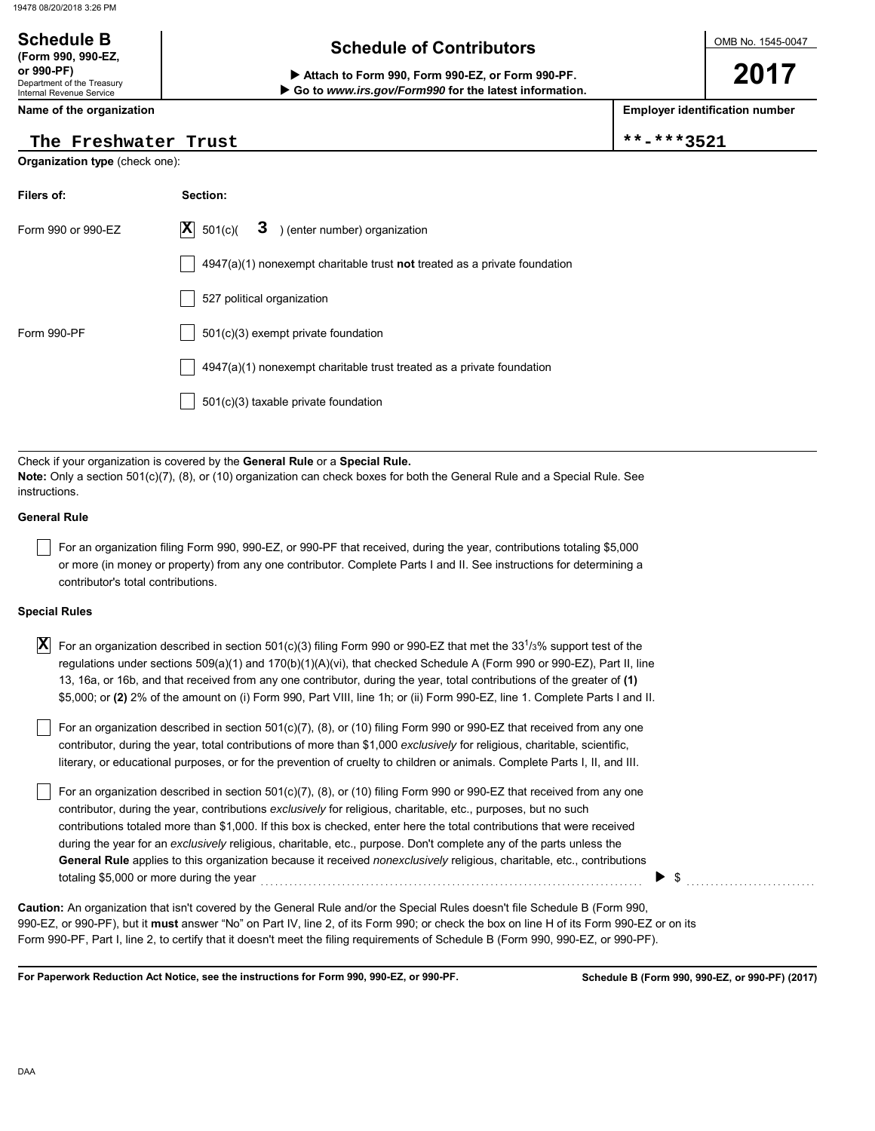### **Schedule of Contributors Schedule B (Form 990, 990-EZ,**

Department of the Treasury Internal Revenue Service **or 990-PF) Attach to Form 990, Form 990-EZ, or Form 990-PF.**

**Name of the organization**

### The Freshwater Trust  $\vert$  \*\*-\*\*\*3521

### **Organization type** (check one):

| Filers of:         | Section:                                                                           |
|--------------------|------------------------------------------------------------------------------------|
| Form 990 or 990-EZ | $ \mathbf{X} $ 501(c)(<br>$3$ ) (enter number) organization                        |
|                    | $4947(a)(1)$ nonexempt charitable trust <b>not</b> treated as a private foundation |
|                    | 527 political organization                                                         |
| Form 990-PF        | $501(c)(3)$ exempt private foundation                                              |
|                    | 4947(a)(1) nonexempt charitable trust treated as a private foundation              |
|                    | 501(c)(3) taxable private foundation                                               |
|                    |                                                                                    |

 **Go to** *www.irs.gov/Form990* **for the latest information.**

Check if your organization is covered by the **General Rule** or a **Special Rule. Note:** Only a section 501(c)(7), (8), or (10) organization can check boxes for both the General Rule and a Special Rule. See instructions.

### **General Rule**

For an organization filing Form 990, 990-EZ, or 990-PF that received, during the year, contributions totaling \$5,000 or more (in money or property) from any one contributor. Complete Parts I and II. See instructions for determining a contributor's total contributions.

### **Special Rules**

| X For an organization described in section 501(c)(3) filing Form 990 or 990-EZ that met the 33 <sup>1</sup> /3% support test of the |
|-------------------------------------------------------------------------------------------------------------------------------------|
| regulations under sections 509(a)(1) and 170(b)(1)(A)(vi), that checked Schedule A (Form 990 or 990-EZ), Part II, line              |
| 13, 16a, or 16b, and that received from any one contributor, during the year, total contributions of the greater of (1)             |
| \$5,000; or (2) 2% of the amount on (i) Form 990, Part VIII, line 1h; or (ii) Form 990-EZ, line 1. Complete Parts I and II.         |

literary, or educational purposes, or for the prevention of cruelty to children or animals. Complete Parts I, II, and III. For an organization described in section 501(c)(7), (8), or (10) filing Form 990 or 990-EZ that received from any one contributor, during the year, total contributions of more than \$1,000 *exclusively* for religious, charitable, scientific,

For an organization described in section 501(c)(7), (8), or (10) filing Form 990 or 990-EZ that received from any one contributor, during the year, contributions *exclusively* for religious, charitable, etc., purposes, but no such contributions totaled more than \$1,000. If this box is checked, enter here the total contributions that were received during the year for an *exclusively* religious, charitable, etc., purpose. Don't complete any of the parts unless the **General Rule** applies to this organization because it received *nonexclusively* religious, charitable, etc., contributions totaling \$5,000 or more during the year  $\ldots$   $\ldots$   $\ldots$   $\ldots$   $\ldots$   $\ldots$   $\ldots$   $\ldots$   $\ldots$   $\ldots$ 

990-EZ, or 990-PF), but it **must** answer "No" on Part IV, line 2, of its Form 990; or check the box on line H of its Form 990-EZ or on its Form 990-PF, Part I, line 2, to certify that it doesn't meet the filing requirements of Schedule B (Form 990, 990-EZ, or 990-PF). **Caution:** An organization that isn't covered by the General Rule and/or the Special Rules doesn't file Schedule B (Form 990,

**For Paperwork Reduction Act Notice, see the instructions for Form 990, 990-EZ, or 990-PF.**

DAA

OMB No. 1545-0047

**2017**

**Employer identification number**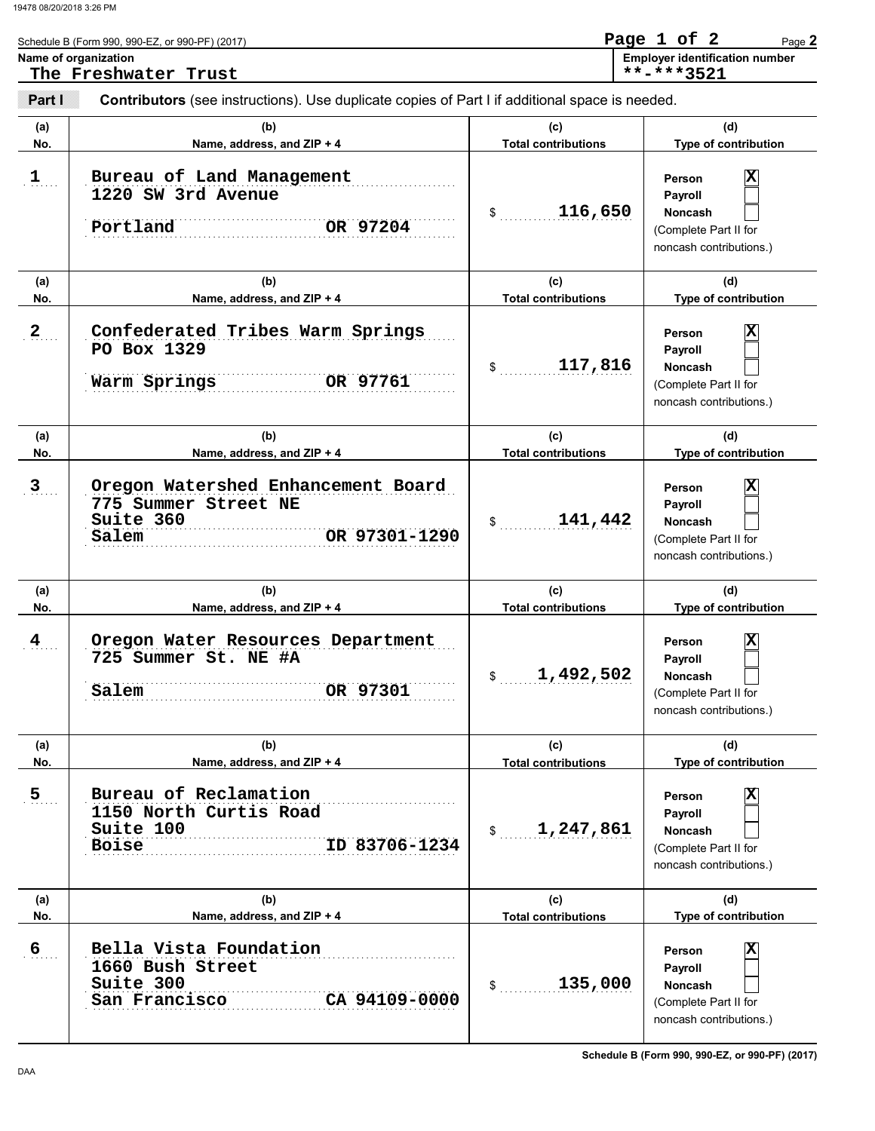|                | Schedule B (Form 990, 990-EZ, or 990-PF) (2017)                                                       |                                   | Page 1 of 2<br>Page 2                                                                         |
|----------------|-------------------------------------------------------------------------------------------------------|-----------------------------------|-----------------------------------------------------------------------------------------------|
|                | Name of organization<br>The Freshwater Trust                                                          |                                   | <b>Employer identification number</b><br>**-***3521                                           |
| Parill         | <b>Contributors</b> (see instructions). Use duplicate copies of Part I if additional space is needed. |                                   |                                                                                               |
| (a)<br>No.     | (b)<br>Name, address, and ZIP + 4                                                                     | (c)<br><b>Total contributions</b> | (d)<br>Type of contribution                                                                   |
| 1              | Bureau of Land Management<br>1220 SW 3rd Avenue<br>Portland<br>OR 97204                               | 116,650<br>\$                     | x<br>Person<br>Payroll<br>Noncash<br>(Complete Part II for<br>noncash contributions.)         |
| (a)<br>No.     | (b)<br>Name, address, and ZIP + 4                                                                     | (c)<br><b>Total contributions</b> | (d)<br>Type of contribution                                                                   |
| $\overline{2}$ | Confederated Tribes Warm Springs<br>PO Box 1329<br>OR 97761<br>Warm Springs                           | 117,816<br>\$                     | x<br>Person<br>Payroll<br><b>Noncash</b><br>(Complete Part II for<br>noncash contributions.)  |
| (a)<br>No.     | (b)<br>Name, address, and ZIP + 4                                                                     | (c)<br><b>Total contributions</b> | (d)<br>Type of contribution                                                                   |
| $\mathbf{3}$   | Oregon Watershed Enhancement Board<br>775 Summer Street NE<br>Suite 360<br>OR 97301-1290<br>Salem     | 141,442<br>\$                     | ΙX<br>Person<br>Payroll<br><b>Noncash</b><br>(Complete Part II for<br>noncash contributions.) |
| (a)<br>No.     | (b)<br>Name, address, and ZIP + 4                                                                     | (c)<br><b>Total contributions</b> | (d)<br>Type of contribution                                                                   |
| 4              | Oregon Water Resources Department<br>725 Summer St. NE #A<br>OR 97301<br>Salem                        | 1,492,502<br>\$                   | x<br>Person<br>Payroll<br>Noncash<br>(Complete Part II for<br>noncash contributions.)         |
| (a)<br>No.     | (b)<br>Name, address, and ZIP + 4                                                                     | (c)<br><b>Total contributions</b> | (d)<br>Type of contribution                                                                   |
| $\overline{5}$ | Bureau of Reclamation<br>1150 North Curtis Road<br>Suite 100<br>ID 83706-1234<br><b>Boise</b>         | 1,247,861<br>$\frac{1}{2}$        | x<br>Person<br>Payroll<br><b>Noncash</b><br>(Complete Part II for<br>noncash contributions.)  |
| (a)<br>No.     | (b)<br>Name, address, and ZIP + 4                                                                     | (c)<br><b>Total contributions</b> | (d)<br>Type of contribution                                                                   |
| 6              | Bella Vista Foundation<br>1660 Bush Street<br>Suite 300<br>CA 94109-0000<br>San Francisco             | 135,000<br>\$                     | x<br>Person<br>Payroll<br>Noncash<br>(Complete Part II for<br>noncash contributions.)         |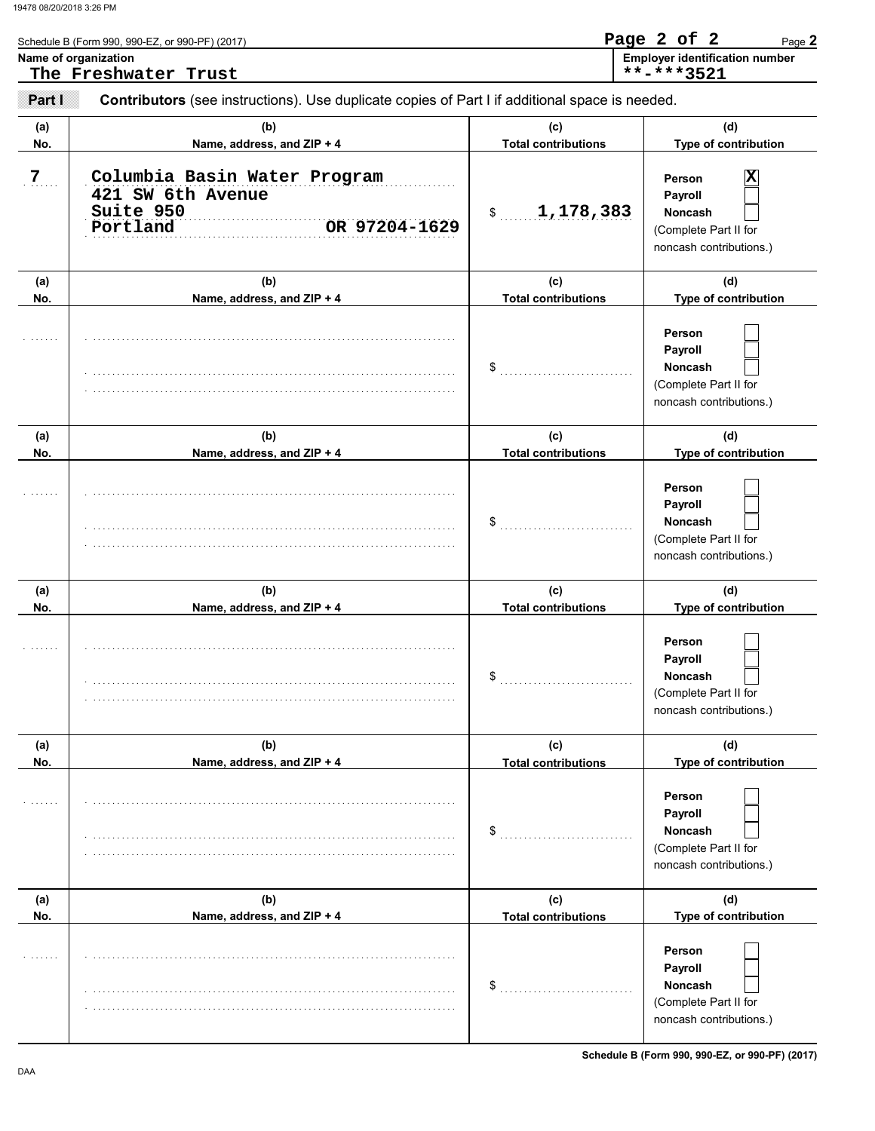|            | Schedule B (Form 990, 990-EZ, or 990-PF) (2017)<br>Name of organization<br>The Freshwater Trust |                                   | Page 2 of 2<br>Page 2<br><b>Employer identification number</b><br>**-***3521            |
|------------|-------------------------------------------------------------------------------------------------|-----------------------------------|-----------------------------------------------------------------------------------------|
| Part I     | Contributors (see instructions). Use duplicate copies of Part I if additional space is needed.  |                                   |                                                                                         |
| (a)<br>No. | (b)<br>Name, address, and ZIP + 4                                                               | (c)<br><b>Total contributions</b> | (d)<br>Type of contribution                                                             |
| 7          | Columbia Basin Water Program<br>421 SW 6th Avenue<br>Suite 950<br>OR 97204-1629<br>Portland     | 1,178,383<br>$\frac{1}{2}$        | x<br>Person<br>Payroll<br>Noncash<br>(Complete Part II for<br>noncash contributions.)   |
| (a)<br>No. | (b)<br>Name, address, and ZIP + 4                                                               | (c)<br><b>Total contributions</b> | (d)<br>Type of contribution                                                             |
|            |                                                                                                 | $\sim$                            | Person<br>Payroll<br><b>Noncash</b><br>(Complete Part II for<br>noncash contributions.) |
| (a)<br>No. | (b)<br>Name, address, and ZIP + 4                                                               | (c)<br><b>Total contributions</b> | (d)<br>Type of contribution                                                             |
|            |                                                                                                 | \$                                | Person<br>Payroll<br><b>Noncash</b><br>(Complete Part II for<br>noncash contributions.) |
| (a)<br>No. | (b)<br>Name, address, and ZIP + 4                                                               | (c)<br><b>Total contributions</b> | (d)<br>Type of contribution                                                             |
|            |                                                                                                 | \$                                | Person<br>Payroll<br>Noncash<br>(Complete Part II for<br>noncash contributions.)        |
| (a)<br>No. | (b)<br>Name, address, and ZIP + 4                                                               | (c)<br><b>Total contributions</b> | (d)<br>Type of contribution                                                             |
|            |                                                                                                 | \$                                | Person<br>Payroll<br>Noncash<br>(Complete Part II for<br>noncash contributions.)        |
| (a)<br>No. | (b)<br>Name, address, and ZIP + 4                                                               | (c)<br><b>Total contributions</b> | (d)<br>Type of contribution                                                             |
|            |                                                                                                 | \$                                | Person<br>Payroll<br>Noncash<br>(Complete Part II for<br>noncash contributions.)        |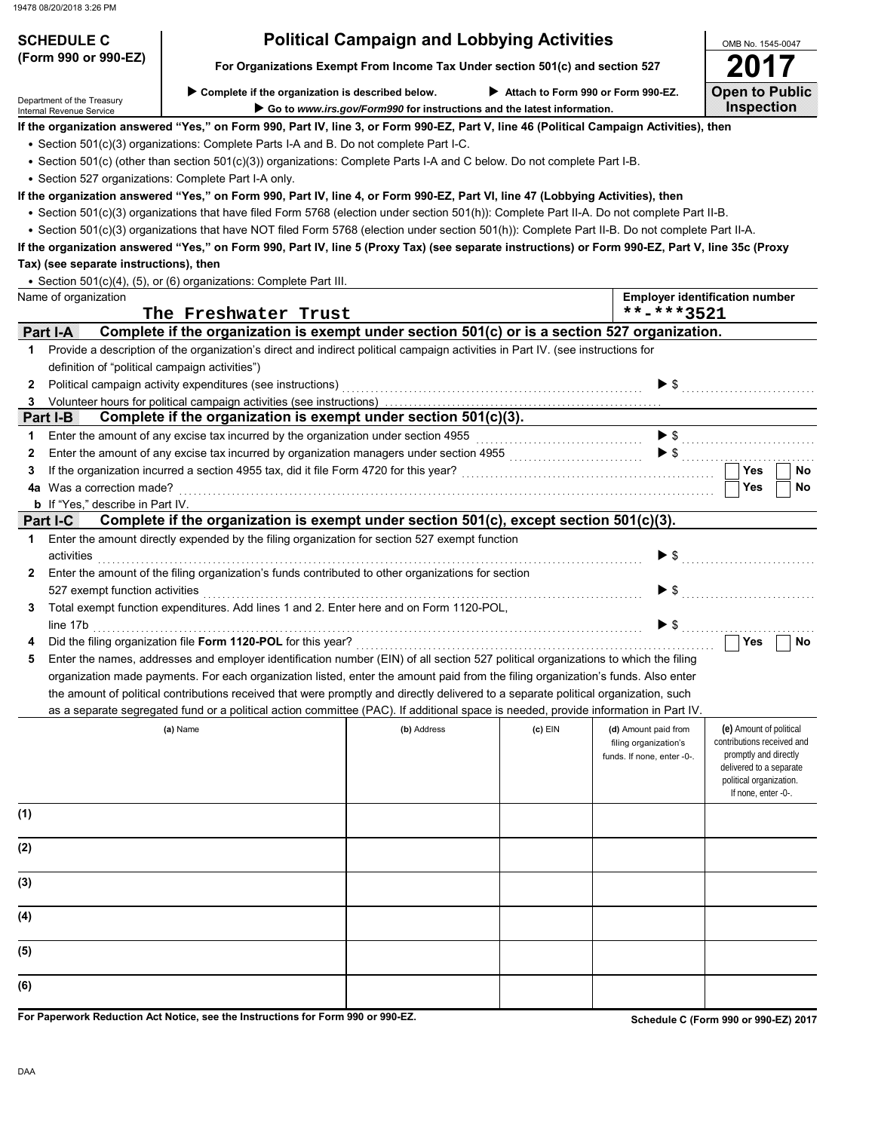| 19478 08/20/2018 3:26 PM                       |                                                                                                                                                  |             |                                                                                                              |                                                                             |                                                                                                                                                             |
|------------------------------------------------|--------------------------------------------------------------------------------------------------------------------------------------------------|-------------|--------------------------------------------------------------------------------------------------------------|-----------------------------------------------------------------------------|-------------------------------------------------------------------------------------------------------------------------------------------------------------|
| <b>SCHEDULE C</b>                              |                                                                                                                                                  |             | <b>Political Campaign and Lobbying Activities</b>                                                            |                                                                             |                                                                                                                                                             |
| (Form 990 or 990-EZ)                           | For Organizations Exempt From Income Tax Under section 501(c) and section 527                                                                    |             |                                                                                                              |                                                                             | OMB No. 1545-0047                                                                                                                                           |
| Department of the Treasury                     | Complete if the organization is described below.                                                                                                 |             | Attach to Form 990 or Form 990-EZ.<br>Go to www.irs.gov/Form990 for instructions and the latest information. |                                                                             | <b>Open to Public</b><br>Inspection                                                                                                                         |
| Internal Revenue Service                       | If the organization answered "Yes," on Form 990, Part IV, line 3, or Form 990-EZ, Part V, line 46 (Political Campaign Activities), then          |             |                                                                                                              |                                                                             |                                                                                                                                                             |
|                                                | • Section 501(c)(3) organizations: Complete Parts I-A and B. Do not complete Part I-C.                                                           |             |                                                                                                              |                                                                             |                                                                                                                                                             |
|                                                | • Section 501(c) (other than section 501(c)(3)) organizations: Complete Parts I-A and C below. Do not complete Part I-B.                         |             |                                                                                                              |                                                                             |                                                                                                                                                             |
|                                                | • Section 527 organizations: Complete Part I-A only.                                                                                             |             |                                                                                                              |                                                                             |                                                                                                                                                             |
|                                                | If the organization answered "Yes," on Form 990, Part IV, line 4, or Form 990-EZ, Part VI, line 47 (Lobbying Activities), then                   |             |                                                                                                              |                                                                             |                                                                                                                                                             |
|                                                | • Section 501(c)(3) organizations that have filed Form 5768 (election under section 501(h)): Complete Part II-A. Do not complete Part II-B.      |             |                                                                                                              |                                                                             |                                                                                                                                                             |
|                                                | • Section 501(c)(3) organizations that have NOT filed Form 5768 (election under section 501(h)): Complete Part II-B. Do not complete Part II-A.  |             |                                                                                                              |                                                                             |                                                                                                                                                             |
|                                                | If the organization answered "Yes," on Form 990, Part IV, line 5 (Proxy Tax) (see separate instructions) or Form 990-EZ, Part V, line 35c (Proxy |             |                                                                                                              |                                                                             |                                                                                                                                                             |
| Tax) (see separate instructions), then         |                                                                                                                                                  |             |                                                                                                              |                                                                             |                                                                                                                                                             |
|                                                | • Section 501(c)(4), (5), or (6) organizations: Complete Part III.                                                                               |             |                                                                                                              |                                                                             |                                                                                                                                                             |
| Name of organization                           |                                                                                                                                                  |             |                                                                                                              |                                                                             | <b>Employer identification number</b>                                                                                                                       |
|                                                | The Freshwater Trust                                                                                                                             |             |                                                                                                              | **-***3521                                                                  |                                                                                                                                                             |
| Part I-A                                       | Complete if the organization is exempt under section 501(c) or is a section 527 organization.                                                    |             |                                                                                                              |                                                                             |                                                                                                                                                             |
| 1                                              | Provide a description of the organization's direct and indirect political campaign activities in Part IV. (see instructions for                  |             |                                                                                                              |                                                                             |                                                                                                                                                             |
| definition of "political campaign activities") |                                                                                                                                                  |             |                                                                                                              |                                                                             |                                                                                                                                                             |
| 2                                              | Political campaign activity expenditures (see instructions)                                                                                      |             |                                                                                                              |                                                                             |                                                                                                                                                             |
| 3                                              | Volunteer hours for political campaign activities (see instructions).                                                                            |             |                                                                                                              |                                                                             |                                                                                                                                                             |
| <b>Part I-B</b>                                | Complete if the organization is exempt under section 501(c)(3).                                                                                  |             |                                                                                                              |                                                                             |                                                                                                                                                             |
| 1                                              | Enter the amount of any excise tax incurred by the organization under section 4955                                                               |             |                                                                                                              |                                                                             | $\blacktriangleright$ \$                                                                                                                                    |
| 2                                              | Enter the amount of any excise tax incurred by organization managers under section 4955                                                          |             |                                                                                                              |                                                                             |                                                                                                                                                             |
| 3                                              | If the organization incurred a section 4955 tax, did it file Form 4720 for this year?                                                            |             |                                                                                                              |                                                                             | <b>Yes</b><br>No                                                                                                                                            |
| 4a Was a correction made?                      |                                                                                                                                                  |             |                                                                                                              |                                                                             | <b>Yes</b><br>No                                                                                                                                            |
| <b>b</b> If "Yes," describe in Part IV.        | Complete if the organization is exempt under section 501(c), except section 501(c)(3).                                                           |             |                                                                                                              |                                                                             |                                                                                                                                                             |
| Part I-C<br>1                                  | Enter the amount directly expended by the filing organization for section 527 exempt function                                                    |             |                                                                                                              |                                                                             |                                                                                                                                                             |
| activities                                     |                                                                                                                                                  |             |                                                                                                              | $\blacktriangleright$ \$                                                    |                                                                                                                                                             |
| 2                                              | Enter the amount of the filing organization's funds contributed to other organizations for section                                               |             |                                                                                                              |                                                                             |                                                                                                                                                             |
| 527 exempt function activities                 |                                                                                                                                                  |             |                                                                                                              | $\blacktriangleright$ \$                                                    |                                                                                                                                                             |
| 3                                              | Total exempt function expenditures. Add lines 1 and 2. Enter here and on Form 1120-POL,                                                          |             |                                                                                                              |                                                                             |                                                                                                                                                             |
| line 17b                                       |                                                                                                                                                  |             |                                                                                                              | $\blacktriangleright$ s                                                     |                                                                                                                                                             |
| 4                                              | Did the filing organization file Form 1120-POL for this year?                                                                                    |             |                                                                                                              |                                                                             | Yes<br>No                                                                                                                                                   |
| 5                                              | Enter the names, addresses and employer identification number (EIN) of all section 527 political organizations to which the filing               |             |                                                                                                              |                                                                             |                                                                                                                                                             |
|                                                | organization made payments. For each organization listed, enter the amount paid from the filing organization's funds. Also enter                 |             |                                                                                                              |                                                                             |                                                                                                                                                             |
|                                                | the amount of political contributions received that were promptly and directly delivered to a separate political organization, such              |             |                                                                                                              |                                                                             |                                                                                                                                                             |
|                                                | as a separate segregated fund or a political action committee (PAC). If additional space is needed, provide information in Part IV.              |             |                                                                                                              |                                                                             |                                                                                                                                                             |
|                                                | (a) Name                                                                                                                                         | (b) Address | (c) EIN                                                                                                      | (d) Amount paid from<br>filing organization's<br>funds. If none, enter -0-. | (e) Amount of political<br>contributions received and<br>promptly and directly<br>delivered to a separate<br>political organization.<br>If none, enter -0-. |
| (1)                                            |                                                                                                                                                  |             |                                                                                                              |                                                                             |                                                                                                                                                             |
| (2)                                            |                                                                                                                                                  |             |                                                                                                              |                                                                             |                                                                                                                                                             |
| (3)                                            |                                                                                                                                                  |             |                                                                                                              |                                                                             |                                                                                                                                                             |
| (4)                                            |                                                                                                                                                  |             |                                                                                                              |                                                                             |                                                                                                                                                             |

**For Paperwork Reduction Act Notice, see the Instructions for Form 990 or 990-EZ.**

**Schedule C (Form 990 or 990-EZ) 2017**

**(5)**

**(6)**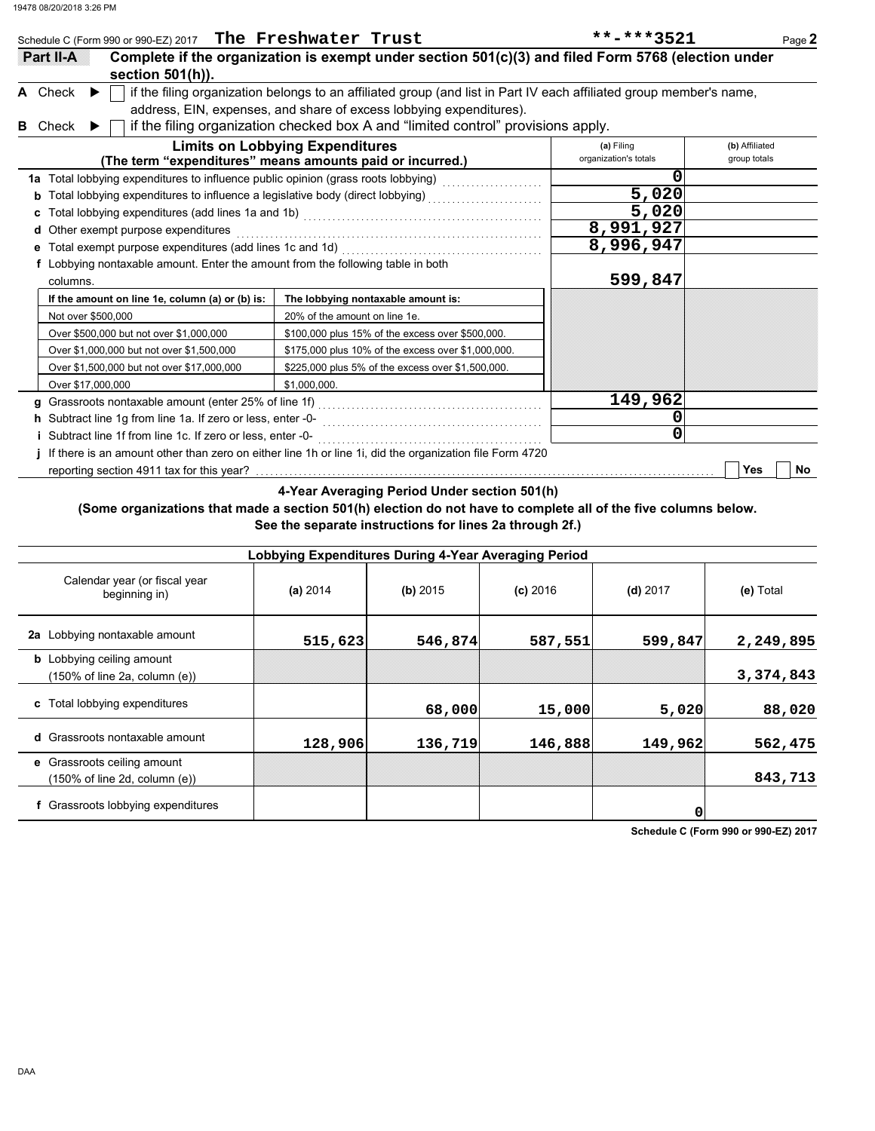|   | Schedule C (Form 990 or 990-EZ) 2017 The Freshwater Trust                       |                                                                                                                                                                                                                                                                                | **-***3521                          | Page 2                         |
|---|---------------------------------------------------------------------------------|--------------------------------------------------------------------------------------------------------------------------------------------------------------------------------------------------------------------------------------------------------------------------------|-------------------------------------|--------------------------------|
|   | <b>Ration</b><br>section 501(h)).                                               | Complete if the organization is exempt under section 501(c)(3) and filed Form 5768 (election under                                                                                                                                                                             |                                     |                                |
| в | A Check<br>$\blacktriangleright$<br>Check<br>$\blacktriangleright$              | if the filing organization belongs to an affiliated group (and list in Part IV each affiliated group member's name,<br>address, EIN, expenses, and share of excess lobbying expenditures).<br>if the filing organization checked box A and "limited control" provisions apply. |                                     |                                |
|   |                                                                                 | <b>Limits on Lobbying Expenditures</b><br>(The term "expenditures" means amounts paid or incurred.)                                                                                                                                                                            | (a) Filing<br>organization's totals | (b) Affiliated<br>group totals |
|   |                                                                                 | 1a Total lobbying expenditures to influence public opinion (grass roots lobbying) [[[[[[[[[[[[[[[[[[[[[[[[[[[                                                                                                                                                                  | ი                                   |                                |
|   |                                                                                 | Total lobbying expenditures to influence a legislative body (direct lobbying) [[[[[[[[[[[[[[[[[[[[[[[[[[[[[[[                                                                                                                                                                  | 5,020                               |                                |
|   |                                                                                 |                                                                                                                                                                                                                                                                                | 5,020                               |                                |
|   | d Other exempt purpose expenditures                                             |                                                                                                                                                                                                                                                                                | 8,991,927                           |                                |
|   | e Total exempt purpose expenditures (add lines 1c and 1d)                       |                                                                                                                                                                                                                                                                                | 8,996,947                           |                                |
|   | f Lobbying nontaxable amount. Enter the amount from the following table in both |                                                                                                                                                                                                                                                                                |                                     |                                |
|   | columns.                                                                        |                                                                                                                                                                                                                                                                                | 599,847                             |                                |
|   | If the amount on line 1e, column (a) or (b) is:                                 | The lobbying nontaxable amount is:                                                                                                                                                                                                                                             |                                     |                                |
|   | Not over \$500,000                                                              | 20% of the amount on line 1e.                                                                                                                                                                                                                                                  |                                     |                                |
|   | Over \$500,000 but not over \$1,000,000                                         | \$100,000 plus 15% of the excess over \$500,000.                                                                                                                                                                                                                               |                                     |                                |
|   | Over \$1,000,000 but not over \$1,500,000                                       | \$175,000 plus 10% of the excess over \$1,000,000.                                                                                                                                                                                                                             |                                     |                                |
|   | Over \$1,500,000 but not over \$17,000,000                                      | \$225,000 plus 5% of the excess over \$1,500,000.                                                                                                                                                                                                                              |                                     |                                |
|   | Over \$17,000,000                                                               | \$1,000,000.                                                                                                                                                                                                                                                                   |                                     |                                |
|   |                                                                                 | g Grassroots nontaxable amount (enter 25% of line 1f) [11] [11] [11] [11] Grassroots nontaxable amount (enter 25% of line 1f) [11] [11] $\cdot$ [11] $\cdot$ [11] $\cdot$ [11] $\cdot$ [11] $\cdot$ [11] $\cdot$ [11] $\cdot$ [11] $\cdot$ [11] $\cdot$ [                      | 149,962                             |                                |
|   | h Subtract line 1g from line 1a. If zero or less, enter -0-                     |                                                                                                                                                                                                                                                                                |                                     |                                |
|   | Subtract line 1f from line 1c. If zero or less, enter -0-                       |                                                                                                                                                                                                                                                                                |                                     |                                |
|   |                                                                                 | If there is an amount other than zero on either line 1h or line 1i, did the organization file Form 4720                                                                                                                                                                        |                                     |                                |
|   |                                                                                 |                                                                                                                                                                                                                                                                                |                                     | Yes<br>No                      |
|   |                                                                                 | 4-Year Averaging Period Under section 501(h)                                                                                                                                                                                                                                   |                                     |                                |

### **(Some organizations that made a section 501(h) election do not have to complete all of the five columns below. See the separate instructions for lines 2a through 2f.)**

| Lobbying Expenditures During 4-Year Averaging Period                                   |          |          |            |            |           |  |  |  |  |
|----------------------------------------------------------------------------------------|----------|----------|------------|------------|-----------|--|--|--|--|
| Calendar year (or fiscal year<br>beginning in)                                         | (a) 2014 | (b) 2015 | $(c)$ 2016 | $(d)$ 2017 | (e) Total |  |  |  |  |
| 2a Lobbying nontaxable amount                                                          | 515,623  | 546,874  | 587,551    | 599,847    | 2,249,895 |  |  |  |  |
| <b>b</b> Lobbying ceiling amount<br>$(150\% \text{ of line } 2a, \text{ column } (e))$ |          |          |            |            | 3,374,843 |  |  |  |  |
| c Total lobbying expenditures                                                          |          | 68,000   | 15,000     | 5,020      | 88,020    |  |  |  |  |
| <b>d</b> Grassroots nontaxable amount                                                  | 128,906  | 136,719  | 146,888    | 149,962    | 562,475   |  |  |  |  |
| <b>e</b> Grassroots ceiling amount<br>(150% of line 2d, column (e))                    |          |          |            |            | 843,713   |  |  |  |  |
| f Grassroots lobbying expenditures                                                     |          |          |            | 0          |           |  |  |  |  |

**Schedule C (Form 990 or 990-EZ) 2017**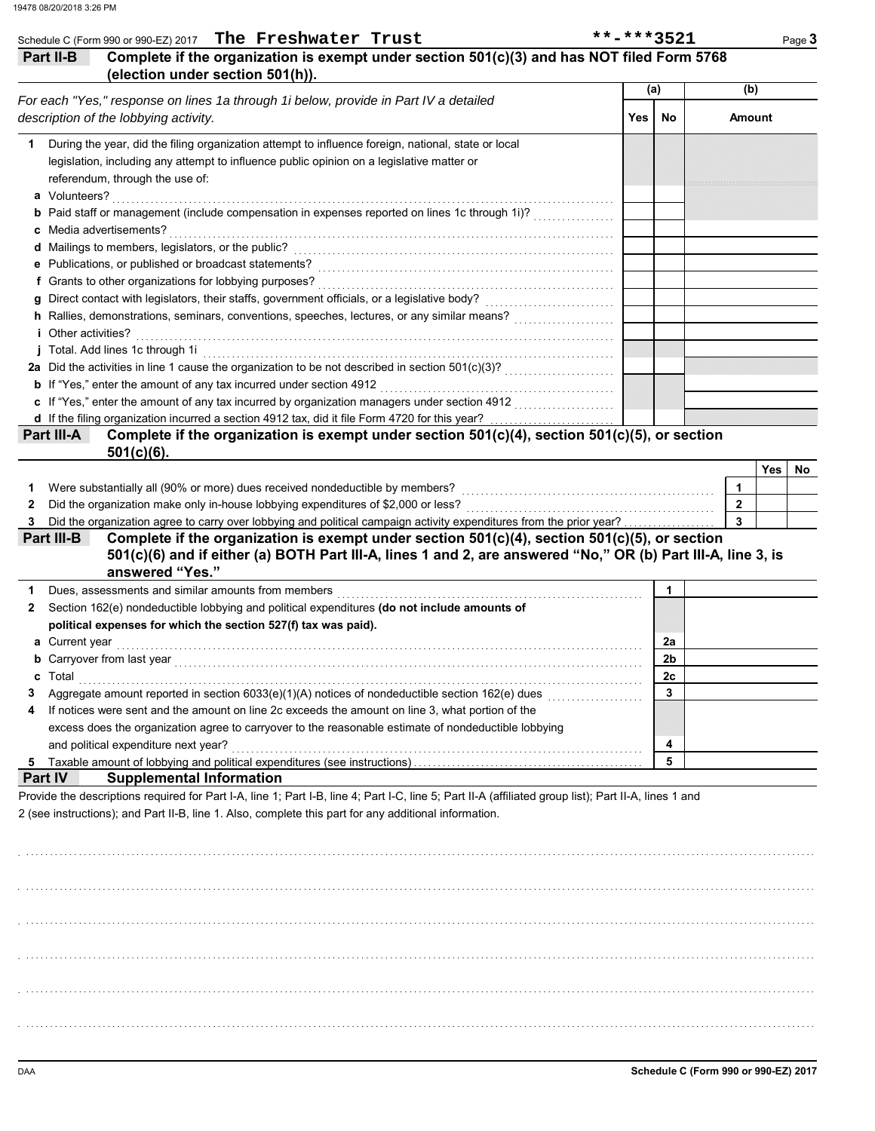|                                                                                                                                                                                                                                                                                                                                                                                                                                                   |     | (a)            | (b)                                       |     |  |
|---------------------------------------------------------------------------------------------------------------------------------------------------------------------------------------------------------------------------------------------------------------------------------------------------------------------------------------------------------------------------------------------------------------------------------------------------|-----|----------------|-------------------------------------------|-----|--|
| For each "Yes," response on lines 1a through 1i below, provide in Part IV a detailed                                                                                                                                                                                                                                                                                                                                                              |     |                |                                           |     |  |
| description of the lobbying activity.                                                                                                                                                                                                                                                                                                                                                                                                             | Yes | No             | <b>Amount</b>                             |     |  |
| During the year, did the filing organization attempt to influence foreign, national, state or local                                                                                                                                                                                                                                                                                                                                               |     |                |                                           |     |  |
| legislation, including any attempt to influence public opinion on a legislative matter or                                                                                                                                                                                                                                                                                                                                                         |     |                |                                           |     |  |
| referendum, through the use of:                                                                                                                                                                                                                                                                                                                                                                                                                   |     |                |                                           |     |  |
| a Volunteers?                                                                                                                                                                                                                                                                                                                                                                                                                                     |     |                |                                           |     |  |
| <b>b</b> Paid staff or management (include compensation in expenses reported on lines 1c through 1i)?<br>c Media advertisements?                                                                                                                                                                                                                                                                                                                  |     |                |                                           |     |  |
| d Mailings to members, legislators, or the public?                                                                                                                                                                                                                                                                                                                                                                                                |     |                |                                           |     |  |
| e Publications, or published or broadcast statements?                                                                                                                                                                                                                                                                                                                                                                                             |     |                |                                           |     |  |
| f Grants to other organizations for lobbying purposes?                                                                                                                                                                                                                                                                                                                                                                                            |     |                |                                           |     |  |
|                                                                                                                                                                                                                                                                                                                                                                                                                                                   |     |                |                                           |     |  |
| h Rallies, demonstrations, seminars, conventions, speeches, lectures, or any similar means?                                                                                                                                                                                                                                                                                                                                                       |     |                |                                           |     |  |
| <i>i</i> Other activities?                                                                                                                                                                                                                                                                                                                                                                                                                        |     |                |                                           |     |  |
| j Total. Add lines 1c through 1i                                                                                                                                                                                                                                                                                                                                                                                                                  |     |                |                                           |     |  |
|                                                                                                                                                                                                                                                                                                                                                                                                                                                   |     |                |                                           |     |  |
| <b>b</b> If "Yes," enter the amount of any tax incurred under section 4912                                                                                                                                                                                                                                                                                                                                                                        |     |                |                                           |     |  |
|                                                                                                                                                                                                                                                                                                                                                                                                                                                   |     |                |                                           |     |  |
| d If the filing organization incurred a section 4912 tax, did it file Form 4720 for this year?                                                                                                                                                                                                                                                                                                                                                    |     |                |                                           |     |  |
| Complete if the organization is exempt under section 501(c)(4), section 501(c)(5), or section<br>Part III-A                                                                                                                                                                                                                                                                                                                                       |     |                |                                           |     |  |
|                                                                                                                                                                                                                                                                                                                                                                                                                                                   |     |                |                                           |     |  |
| $501(c)(6)$ .                                                                                                                                                                                                                                                                                                                                                                                                                                     |     |                |                                           |     |  |
|                                                                                                                                                                                                                                                                                                                                                                                                                                                   |     |                |                                           | Yes |  |
| Were substantially all (90% or more) dues received nondeductible by members?                                                                                                                                                                                                                                                                                                                                                                      |     |                | 1                                         |     |  |
| Did the organization make only in-house lobbying expenditures of \$2,000 or less?<br>Did the organization agree to carry over lobbying and political campaign activity expenditures from the prior year?<br>3<br>Complete if the organization is exempt under section $501(c)(4)$ , section $501(c)(5)$ , or section<br>Partilles<br>501(c)(6) and if either (a) BOTH Part III-A, lines 1 and 2, are answered "No," OR (b) Part III-A, line 3, is |     |                | $\overline{2}$<br>$\overline{\mathbf{3}}$ |     |  |
| answered "Yes."                                                                                                                                                                                                                                                                                                                                                                                                                                   |     |                |                                           |     |  |
| Dues, assessments and similar amounts from members                                                                                                                                                                                                                                                                                                                                                                                                |     | $\mathbf{1}$   |                                           |     |  |
| Section 162(e) nondeductible lobbying and political expenditures (do not include amounts of                                                                                                                                                                                                                                                                                                                                                       |     |                |                                           |     |  |
| political expenses for which the section 527(f) tax was paid).<br><b>a</b> Current year                                                                                                                                                                                                                                                                                                                                                           |     | 2a             |                                           |     |  |
|                                                                                                                                                                                                                                                                                                                                                                                                                                                   |     | 2 <sub>b</sub> |                                           |     |  |
| с<br>Total                                                                                                                                                                                                                                                                                                                                                                                                                                        |     | 2с             |                                           |     |  |
| Aggregate amount reported in section 6033(e)(1)(A) notices of nondeductible section 162(e) dues                                                                                                                                                                                                                                                                                                                                                   |     | 3              |                                           |     |  |
| If notices were sent and the amount on line 2c exceeds the amount on line 3, what portion of the                                                                                                                                                                                                                                                                                                                                                  |     |                |                                           |     |  |
| excess does the organization agree to carryover to the reasonable estimate of nondeductible lobbying                                                                                                                                                                                                                                                                                                                                              |     |                |                                           |     |  |
| and political expenditure next year?                                                                                                                                                                                                                                                                                                                                                                                                              |     | 4              |                                           |     |  |
|                                                                                                                                                                                                                                                                                                                                                                                                                                                   |     | 5              |                                           |     |  |

|  |  |  |  |  | *-***352 |  |  |  |  |  |
|--|--|--|--|--|----------|--|--|--|--|--|
|--|--|--|--|--|----------|--|--|--|--|--|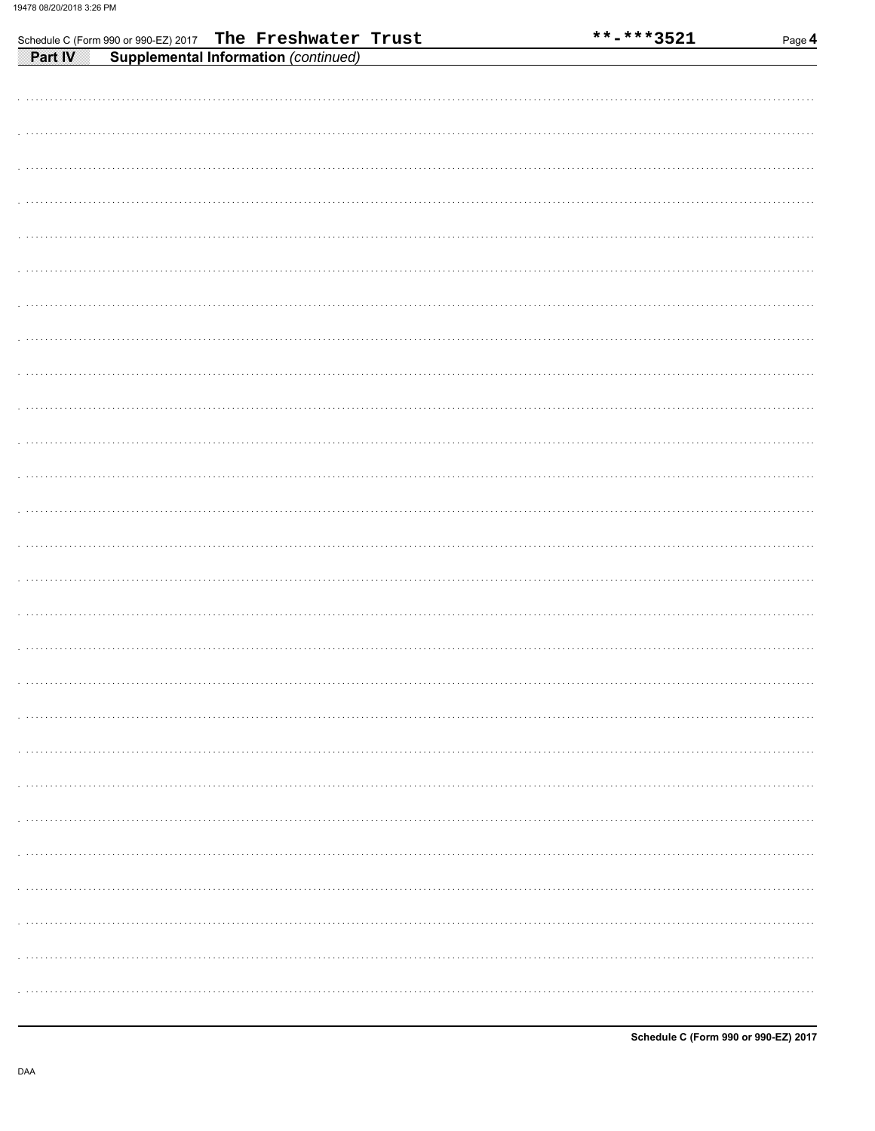|                | Schedule C (Form 990 or 990-EZ) 2017 The Freshwater Trust |  |  | **-***3521 | Page 4 |
|----------------|-----------------------------------------------------------|--|--|------------|--------|
| <b>Part IV</b> | <b>Supplemental Information (continued)</b>               |  |  |            |        |
|                |                                                           |  |  |            |        |
|                |                                                           |  |  |            |        |
|                |                                                           |  |  |            |        |
|                |                                                           |  |  |            |        |
|                |                                                           |  |  |            |        |
|                |                                                           |  |  |            |        |
|                |                                                           |  |  |            |        |
|                |                                                           |  |  |            |        |
|                |                                                           |  |  |            |        |
|                |                                                           |  |  |            |        |
|                |                                                           |  |  |            |        |
|                |                                                           |  |  |            |        |
|                |                                                           |  |  |            |        |
|                |                                                           |  |  |            |        |
|                |                                                           |  |  |            |        |
|                |                                                           |  |  |            |        |
|                |                                                           |  |  |            |        |
|                |                                                           |  |  |            |        |
|                |                                                           |  |  |            |        |
|                |                                                           |  |  |            |        |
|                |                                                           |  |  |            |        |
|                |                                                           |  |  |            |        |
|                |                                                           |  |  |            |        |
|                |                                                           |  |  |            |        |
|                |                                                           |  |  |            |        |
|                |                                                           |  |  |            |        |
|                |                                                           |  |  |            |        |
|                |                                                           |  |  |            |        |
|                |                                                           |  |  |            |        |
|                |                                                           |  |  |            |        |
|                |                                                           |  |  |            |        |
|                |                                                           |  |  |            |        |
|                |                                                           |  |  |            |        |
|                |                                                           |  |  |            |        |
|                |                                                           |  |  |            |        |
|                |                                                           |  |  |            |        |
|                |                                                           |  |  |            |        |
|                |                                                           |  |  |            |        |
|                |                                                           |  |  |            |        |
|                |                                                           |  |  |            |        |
|                |                                                           |  |  |            |        |
|                |                                                           |  |  |            |        |
|                |                                                           |  |  |            |        |
|                |                                                           |  |  |            |        |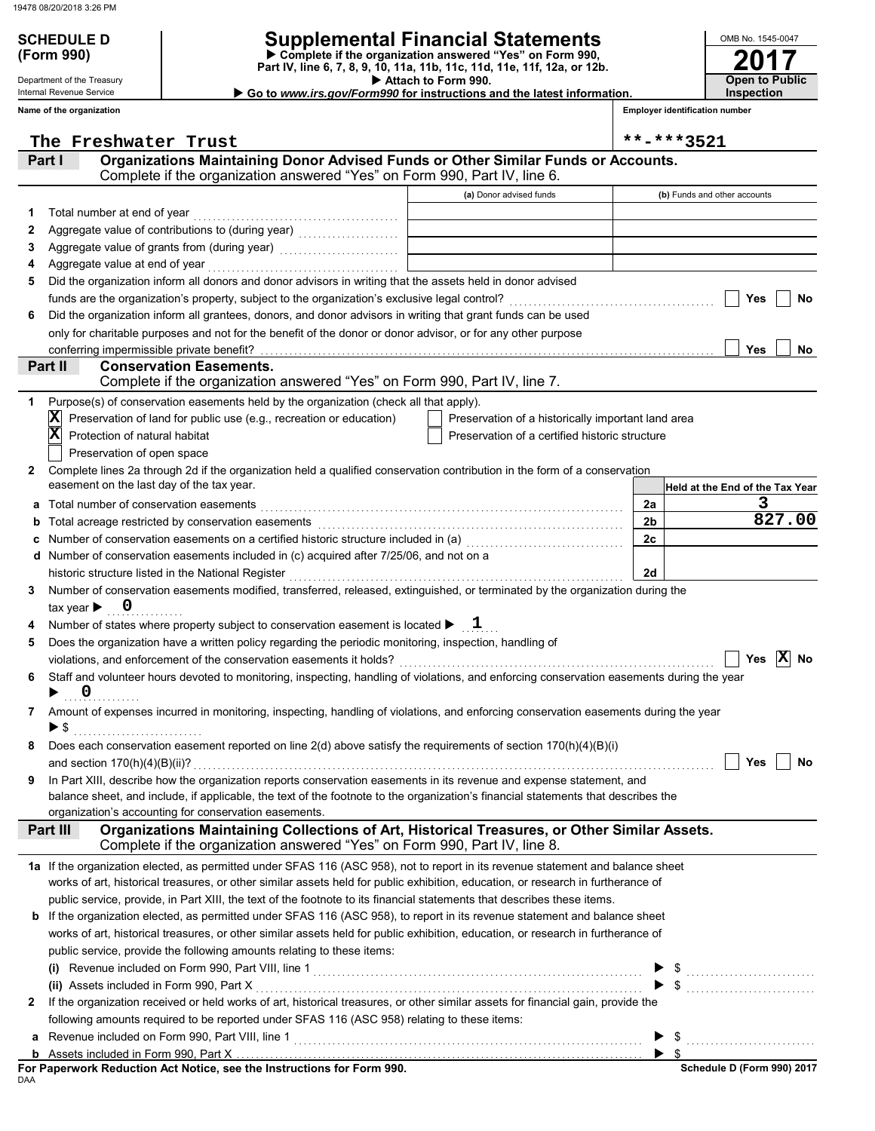### **SCHEDULE D Supplemental Financial Statements**

 **Attach to Form 990. (Form 990) Part IV, line 6, 7, 8, 9, 10, 11a, 11b, 11c, 11d, 11e, 11f, 12a, or 12b. Complete if the organization answered "Yes" on Form 990,**

 **Go to** *www.irs.gov/Form990* **for instructions and the latest information.**

Department of the Treasury Internal Revenue Service **Name of the organization**

**2017 Open to Public Inspection**

OMB No. 1545-0047

| <b>Employer identification number</b> |  |
|---------------------------------------|--|
|                                       |  |

|    | The Freshwater Trust                                                                                                                                                                  |                                                    |    | **-***3521                      |
|----|---------------------------------------------------------------------------------------------------------------------------------------------------------------------------------------|----------------------------------------------------|----|---------------------------------|
|    | Organizations Maintaining Donor Advised Funds or Other Similar Funds or Accounts.<br>I XI TEL<br>Complete if the organization answered "Yes" on Form 990, Part IV, line 6.            |                                                    |    |                                 |
|    |                                                                                                                                                                                       | (a) Donor advised funds                            |    | (b) Funds and other accounts    |
| 1. |                                                                                                                                                                                       |                                                    |    |                                 |
| 2  |                                                                                                                                                                                       |                                                    |    |                                 |
| 3  |                                                                                                                                                                                       |                                                    |    |                                 |
| 4  |                                                                                                                                                                                       |                                                    |    |                                 |
| 5  | Did the organization inform all donors and donor advisors in writing that the assets held in donor advised                                                                            |                                                    |    |                                 |
|    |                                                                                                                                                                                       |                                                    |    | Yes<br>No                       |
| 6  | Did the organization inform all grantees, donors, and donor advisors in writing that grant funds can be used                                                                          |                                                    |    |                                 |
|    | only for charitable purposes and not for the benefit of the donor or donor advisor, or for any other purpose                                                                          |                                                    |    |                                 |
|    | conferring impermissible private benefit?                                                                                                                                             |                                                    |    | Yes<br>No                       |
|    | Part II<br><b>Conservation Easements.</b><br>Complete if the organization answered "Yes" on Form 990, Part IV, line 7.                                                                |                                                    |    |                                 |
| 1  | Purpose(s) of conservation easements held by the organization (check all that apply).                                                                                                 |                                                    |    |                                 |
|    | Preservation of land for public use (e.g., recreation or education)<br>IХ                                                                                                             | Preservation of a historically important land area |    |                                 |
|    | X<br>Protection of natural habitat                                                                                                                                                    | Preservation of a certified historic structure     |    |                                 |
|    | Preservation of open space                                                                                                                                                            |                                                    |    |                                 |
| 2  | Complete lines 2a through 2d if the organization held a qualified conservation contribution in the form of a conservation                                                             |                                                    |    |                                 |
|    | easement on the last day of the tax year.                                                                                                                                             |                                                    |    | Held at the End of the Tax Year |
|    |                                                                                                                                                                                       |                                                    | 2a | З                               |
| b  |                                                                                                                                                                                       |                                                    | 2b | 827.00                          |
| с  |                                                                                                                                                                                       |                                                    | 2c |                                 |
|    | <b>d</b> Number of conservation easements included in $(c)$ acquired after $7/25/06$ , and not on a                                                                                   |                                                    |    |                                 |
|    |                                                                                                                                                                                       |                                                    | 2d |                                 |
| 3  | Number of conservation easements modified, transferred, released, extinguished, or terminated by the organization during the                                                          |                                                    |    |                                 |
|    | tax year $\blacktriangleright$ 0                                                                                                                                                      |                                                    |    |                                 |
|    | Number of states where property subject to conservation easement is located $\blacktriangleright$ $1$                                                                                 |                                                    |    |                                 |
| 5  | Does the organization have a written policy regarding the periodic monitoring, inspection, handling of                                                                                |                                                    |    |                                 |
|    |                                                                                                                                                                                       |                                                    |    | $ \mathbf{X} $ No<br>Yes        |
| 6  | Staff and volunteer hours devoted to monitoring, inspecting, handling of violations, and enforcing conservation easements during the year                                             |                                                    |    |                                 |
|    | $\overline{\mathbf{0}}$<br>▶                                                                                                                                                          |                                                    |    |                                 |
| 7. | Amount of expenses incurred in monitoring, inspecting, handling of violations, and enforcing conservation easements during the year                                                   |                                                    |    |                                 |
|    | $\blacktriangleright$ \$                                                                                                                                                              |                                                    |    |                                 |
|    | Does each conservation easement reported on line 2(d) above satisfy the requirements of section 170(h)(4)(B)(i)                                                                       |                                                    |    |                                 |
|    |                                                                                                                                                                                       |                                                    |    | Yes<br>No                       |
| 9  | In Part XIII, describe how the organization reports conservation easements in its revenue and expense statement, and                                                                  |                                                    |    |                                 |
|    | balance sheet, and include, if applicable, the text of the footnote to the organization's financial statements that describes the                                                     |                                                    |    |                                 |
|    | organization's accounting for conservation easements.                                                                                                                                 |                                                    |    |                                 |
|    | Organizations Maintaining Collections of Art, Historical Treasures, or Other Similar Assets.<br>Part III<br>Complete if the organization answered "Yes" on Form 990, Part IV, line 8. |                                                    |    |                                 |
|    | 1a If the organization elected, as permitted under SFAS 116 (ASC 958), not to report in its revenue statement and balance sheet                                                       |                                                    |    |                                 |
|    | works of art, historical treasures, or other similar assets held for public exhibition, education, or research in furtherance of                                                      |                                                    |    |                                 |
|    | public service, provide, in Part XIII, the text of the footnote to its financial statements that describes these items.                                                               |                                                    |    |                                 |
|    | <b>b</b> If the organization elected, as permitted under SFAS 116 (ASC 958), to report in its revenue statement and balance sheet                                                     |                                                    |    |                                 |
|    | works of art, historical treasures, or other similar assets held for public exhibition, education, or research in furtherance of                                                      |                                                    |    |                                 |
|    | public service, provide the following amounts relating to these items:                                                                                                                |                                                    |    |                                 |
|    |                                                                                                                                                                                       |                                                    |    |                                 |
|    |                                                                                                                                                                                       |                                                    |    |                                 |
| 2  | If the organization received or held works of art, historical treasures, or other similar assets for financial gain, provide the                                                      |                                                    |    |                                 |
|    | following amounts required to be reported under SFAS 116 (ASC 958) relating to these items:                                                                                           |                                                    |    |                                 |
| а  |                                                                                                                                                                                       |                                                    |    |                                 |
|    |                                                                                                                                                                                       |                                                    |    | $\blacktriangleright$ s         |
|    | For Paperwork Reduction Act Notice, see the Instructions for Form 990.                                                                                                                |                                                    |    | Schedule D (Form 990) 2017      |

DAA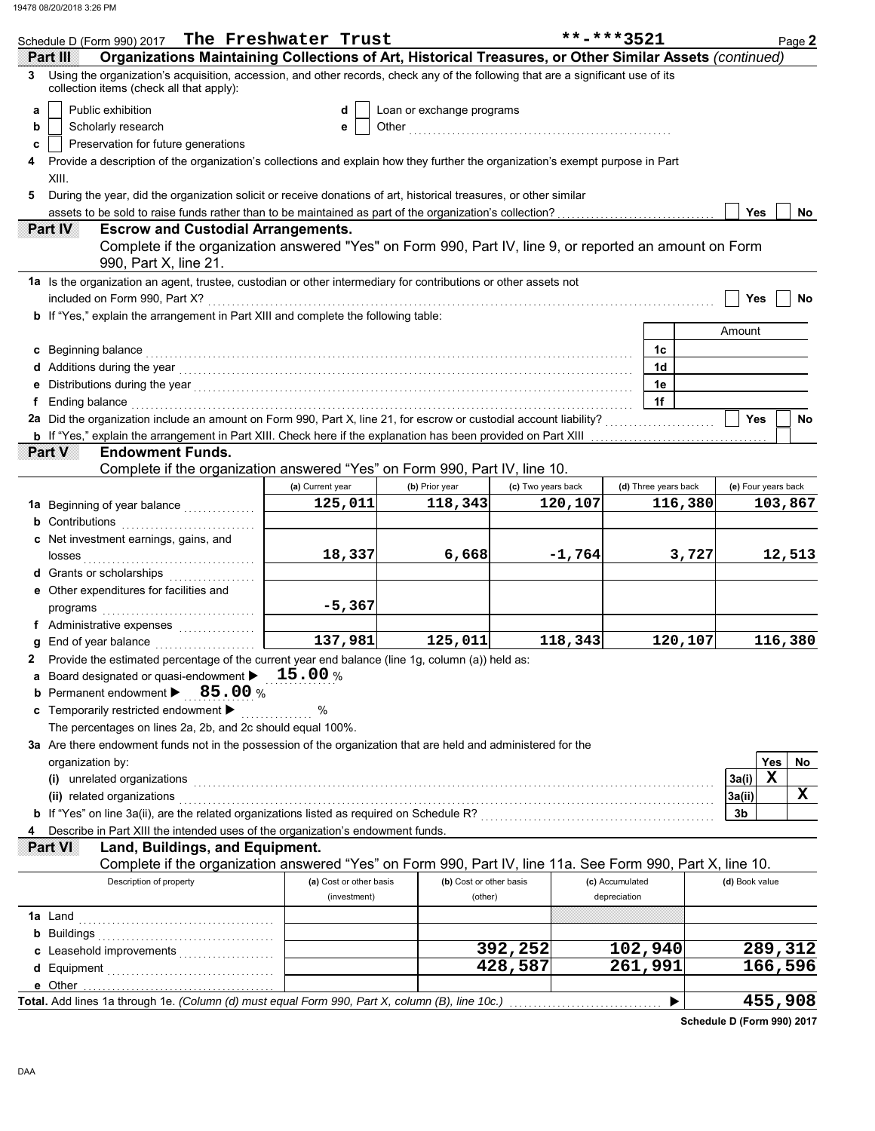| Schedule D (Form 990) 2017 The Freshwater Trust                                                                                                                                                                                                                                                |                         |                           |                    | **-***3521           |         |                     | Page 2      |
|------------------------------------------------------------------------------------------------------------------------------------------------------------------------------------------------------------------------------------------------------------------------------------------------|-------------------------|---------------------------|--------------------|----------------------|---------|---------------------|-------------|
| Organizations Maintaining Collections of Art, Historical Treasures, or Other Similar Assets (continued)<br>Part III                                                                                                                                                                            |                         |                           |                    |                      |         |                     |             |
| Using the organization's acquisition, accession, and other records, check any of the following that are a significant use of its<br>3<br>collection items (check all that apply):                                                                                                              |                         |                           |                    |                      |         |                     |             |
| Public exhibition<br>a                                                                                                                                                                                                                                                                         | d                       | Loan or exchange programs |                    |                      |         |                     |             |
| Scholarly research<br>b                                                                                                                                                                                                                                                                        | е                       | Other                     |                    |                      |         |                     |             |
| Preservation for future generations<br>c                                                                                                                                                                                                                                                       |                         |                           |                    |                      |         |                     |             |
| Provide a description of the organization's collections and explain how they further the organization's exempt purpose in Part<br>4                                                                                                                                                            |                         |                           |                    |                      |         |                     |             |
| XIII.                                                                                                                                                                                                                                                                                          |                         |                           |                    |                      |         |                     |             |
| During the year, did the organization solicit or receive donations of art, historical treasures, or other similar<br>5                                                                                                                                                                         |                         |                           |                    |                      |         |                     |             |
| assets to be sold to raise funds rather than to be maintained as part of the organization's collection?                                                                                                                                                                                        |                         |                           |                    |                      |         | Yes                 | No          |
| Part IV<br><b>Escrow and Custodial Arrangements.</b><br>Complete if the organization answered "Yes" on Form 990, Part IV, line 9, or reported an amount on Form<br>990, Part X, line 21.                                                                                                       |                         |                           |                    |                      |         |                     |             |
| 1a Is the organization an agent, trustee, custodian or other intermediary for contributions or other assets not                                                                                                                                                                                |                         |                           |                    |                      |         |                     |             |
| included on Form 990, Part X?                                                                                                                                                                                                                                                                  |                         |                           |                    |                      |         | Yes                 | No          |
| <b>b</b> If "Yes," explain the arrangement in Part XIII and complete the following table:                                                                                                                                                                                                      |                         |                           |                    |                      |         |                     |             |
|                                                                                                                                                                                                                                                                                                |                         |                           |                    |                      |         | Amount              |             |
| Beginning balance                                                                                                                                                                                                                                                                              |                         |                           |                    | 1c                   |         |                     |             |
|                                                                                                                                                                                                                                                                                                |                         |                           |                    | 1 <sub>d</sub>       |         |                     |             |
|                                                                                                                                                                                                                                                                                                |                         |                           |                    | 1e                   |         |                     |             |
| <b>f</b> Ending balance <b>constructs</b> and <b>constructs</b> and <b>constructs</b> and <b>constructs</b> and <b>constructs</b> and <b>constructs</b> and <b>constructs</b> and <b>constructs</b> and <b>constructs</b> and <b>constructs</b> and <b>constructs</b> and <b>constructs</b> an |                         |                           |                    | 1f                   |         |                     |             |
| 2a Did the organization include an amount on Form 990, Part X, line 21, for escrow or custodial account liability?                                                                                                                                                                             |                         |                           |                    |                      |         | <b>Yes</b>          | No          |
|                                                                                                                                                                                                                                                                                                |                         |                           |                    |                      |         |                     |             |
| Part V<br><b>Endowment Funds.</b><br>Complete if the organization answered "Yes" on Form 990, Part IV, line 10.                                                                                                                                                                                |                         |                           |                    |                      |         |                     |             |
|                                                                                                                                                                                                                                                                                                | (a) Current year        | (b) Prior year            | (c) Two years back | (d) Three years back |         | (e) Four years back |             |
| 1a Beginning of year balance                                                                                                                                                                                                                                                                   | 125,011                 | 118,343                   | 120,107            |                      | 116,380 |                     | 103,867     |
| <b>b</b> Contributions                                                                                                                                                                                                                                                                         |                         |                           |                    |                      |         |                     |             |
| c Net investment earnings, gains, and                                                                                                                                                                                                                                                          | 18,337                  | 6,668                     | $-1,764$           |                      | 3,727   |                     | 12,513      |
| d Grants or scholarships                                                                                                                                                                                                                                                                       |                         |                           |                    |                      |         |                     |             |
| e Other expenditures for facilities and                                                                                                                                                                                                                                                        |                         |                           |                    |                      |         |                     |             |
| programs                                                                                                                                                                                                                                                                                       | $-5,367$                |                           |                    |                      |         |                     |             |
| f Administrative expenses                                                                                                                                                                                                                                                                      |                         |                           |                    |                      |         |                     |             |
| g End of year balance                                                                                                                                                                                                                                                                          | $\overline{137,981}$    | 125,011                   | 118,343            |                      | 120,107 |                     | 116,380     |
| Provide the estimated percentage of the current year end balance (line 1g, column (a)) held as:                                                                                                                                                                                                |                         |                           |                    |                      |         |                     |             |
| <b>a</b> Board designated or quasi-endowment $\blacktriangleright$ 15.00 %                                                                                                                                                                                                                     |                         |                           |                    |                      |         |                     |             |
| <b>b</b> Permanent endowment $\blacktriangleright$ 85.00 %                                                                                                                                                                                                                                     |                         |                           |                    |                      |         |                     |             |
| c Temporarily restricted endowment >                                                                                                                                                                                                                                                           | $\%$<br>.               |                           |                    |                      |         |                     |             |
| The percentages on lines 2a, 2b, and 2c should equal 100%.                                                                                                                                                                                                                                     |                         |                           |                    |                      |         |                     |             |
| 3a Are there endowment funds not in the possession of the organization that are held and administered for the                                                                                                                                                                                  |                         |                           |                    |                      |         |                     |             |
| organization by:                                                                                                                                                                                                                                                                               |                         |                           |                    |                      |         |                     | Yes<br>No   |
| (i) unrelated organizations electron contract to the contract of the contract of the contract of the contract or contract or contract or contract or contract or contract or contract or contract or contract or contract or c                                                                 |                         |                           |                    |                      |         | 3a(i)               | $\mathbf x$ |
| (ii) related organizations [11] related organizations [11] relations with the contraction of the contraction of the contractions in the contraction of the contractions in the contraction of the contraction of the contracti                                                                 |                         |                           |                    |                      |         | 3a(ii)              | x           |
|                                                                                                                                                                                                                                                                                                |                         |                           |                    |                      |         | 3b                  |             |
| Describe in Part XIII the intended uses of the organization's endowment funds.<br>4<br>Part VI                                                                                                                                                                                                 |                         |                           |                    |                      |         |                     |             |
| Land, Buildings, and Equipment.                                                                                                                                                                                                                                                                |                         |                           |                    |                      |         |                     |             |
| Complete if the organization answered "Yes" on Form 990, Part IV, line 11a. See Form 990, Part X, line 10.<br>Description of property                                                                                                                                                          | (a) Cost or other basis | (b) Cost or other basis   |                    | (c) Accumulated      |         | (d) Book value      |             |
|                                                                                                                                                                                                                                                                                                | (investment)            | (other)                   |                    | depreciation         |         |                     |             |
|                                                                                                                                                                                                                                                                                                |                         |                           |                    |                      |         |                     |             |
|                                                                                                                                                                                                                                                                                                |                         |                           |                    |                      |         |                     |             |
| c Leasehold improvements                                                                                                                                                                                                                                                                       |                         |                           | 392,252            | 102,940              |         |                     | 289,312     |
|                                                                                                                                                                                                                                                                                                |                         |                           | 428,587            | 261,991              |         |                     | 166,596     |
| e Other                                                                                                                                                                                                                                                                                        |                         |                           |                    |                      |         |                     |             |
| Total. Add lines 1a through 1e. (Column (d) must equal Form 990, Part X, column (B), line 10c.)                                                                                                                                                                                                |                         |                           |                    |                      |         |                     | 455,908     |

**Schedule D (Form 990) 2017**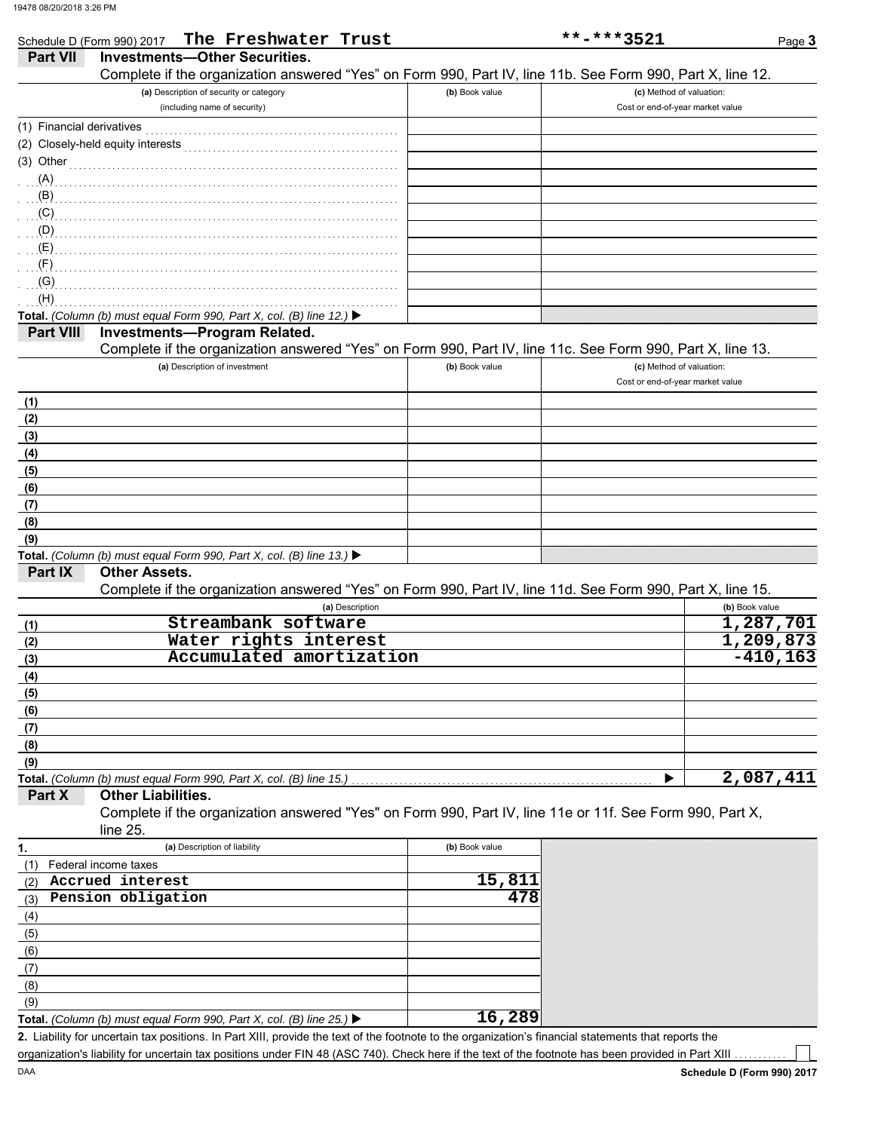| Schedule D (Form 990) 2017     | The Freshwater Trust                                                                                                                                 |                | **-***3521                       | Page 3         |
|--------------------------------|------------------------------------------------------------------------------------------------------------------------------------------------------|----------------|----------------------------------|----------------|
| <b>Part VII</b>                | <b>Investments-Other Securities.</b>                                                                                                                 |                |                                  |                |
|                                | Complete if the organization answered "Yes" on Form 990, Part IV, line 11b. See Form 990, Part X, line 12.                                           |                |                                  |                |
|                                | (a) Description of security or category                                                                                                              | (b) Book value | (c) Method of valuation:         |                |
|                                | (including name of security)                                                                                                                         |                | Cost or end-of-year market value |                |
| (1) Financial derivatives      |                                                                                                                                                      |                |                                  |                |
|                                | (2) Closely-held equity interests                                                                                                                    |                |                                  |                |
|                                |                                                                                                                                                      |                |                                  |                |
| $(3)$ Other                    |                                                                                                                                                      |                |                                  |                |
|                                | $(A)$ . The continuum of the continuum of $(A)$                                                                                                      |                |                                  |                |
| (B)                            |                                                                                                                                                      |                |                                  |                |
| (C)                            |                                                                                                                                                      |                |                                  |                |
| (D)                            |                                                                                                                                                      |                |                                  |                |
| $(E)$ . The summatrix of $(E)$ |                                                                                                                                                      |                |                                  |                |
| (F)                            |                                                                                                                                                      |                |                                  |                |
| $\langle G \rangle$            |                                                                                                                                                      |                |                                  |                |
| (H)                            |                                                                                                                                                      |                |                                  |                |
|                                | Total. (Column (b) must equal Form 990, Part X, col. (B) line 12.) ▶                                                                                 |                |                                  |                |
| Part VIII                      | <b>Investments-Program Related.</b>                                                                                                                  |                |                                  |                |
|                                | Complete if the organization answered "Yes" on Form 990, Part IV, line 11c. See Form 990, Part X, line 13.                                           |                |                                  |                |
|                                | (a) Description of investment                                                                                                                        | (b) Book value | (c) Method of valuation:         |                |
|                                |                                                                                                                                                      |                | Cost or end-of-year market value |                |
| (1)                            |                                                                                                                                                      |                |                                  |                |
| (2)                            |                                                                                                                                                      |                |                                  |                |
| (3)                            |                                                                                                                                                      |                |                                  |                |
| (4)                            |                                                                                                                                                      |                |                                  |                |
| (5)                            |                                                                                                                                                      |                |                                  |                |
| (6)                            |                                                                                                                                                      |                |                                  |                |
| (7)                            |                                                                                                                                                      |                |                                  |                |
|                                |                                                                                                                                                      |                |                                  |                |
| (8)                            |                                                                                                                                                      |                |                                  |                |
| (9)                            |                                                                                                                                                      |                |                                  |                |
|                                | Total. (Column (b) must equal Form 990, Part X, col. (B) line 13.) $\blacktriangleright$<br><b>Other Assets.</b>                                     |                |                                  |                |
| Part IX                        |                                                                                                                                                      |                |                                  |                |
|                                | Complete if the organization answered "Yes" on Form 990, Part IV, line 11d. See Form 990, Part X, line 15.                                           |                |                                  |                |
|                                | (a) Description                                                                                                                                      |                |                                  | (b) Book value |
| (1)                            | Streambank software                                                                                                                                  |                |                                  | 1,287,701      |
| (2)                            | Water rights interest                                                                                                                                |                |                                  | 1,209,873      |
| (3)                            | Accumulated amortization                                                                                                                             |                |                                  | $-410, 163$    |
| (4)                            |                                                                                                                                                      |                |                                  |                |
| (5)                            |                                                                                                                                                      |                |                                  |                |
| (6)                            |                                                                                                                                                      |                |                                  |                |
| (7)                            |                                                                                                                                                      |                |                                  |                |
| (8)                            |                                                                                                                                                      |                |                                  |                |
| (9)                            |                                                                                                                                                      |                |                                  |                |
|                                | Total. (Column (b) must equal Form 990, Part X, col. (B) line 15.)                                                                                   |                |                                  | 2,087,411      |
| Part X                         | <b>Other Liabilities.</b>                                                                                                                            |                |                                  |                |
|                                | Complete if the organization answered "Yes" on Form 990, Part IV, line 11e or 11f. See Form 990, Part X,                                             |                |                                  |                |
|                                | line 25.                                                                                                                                             |                |                                  |                |
| 1.                             | (a) Description of liability                                                                                                                         | (b) Book value |                                  |                |
| (1)                            | Federal income taxes                                                                                                                                 |                |                                  |                |
| (2)                            | Accrued interest                                                                                                                                     | 15,81          |                                  |                |
| (3)                            | Pension obligation                                                                                                                                   | 478            |                                  |                |
|                                |                                                                                                                                                      |                |                                  |                |
| (4)                            |                                                                                                                                                      |                |                                  |                |
| (5)                            |                                                                                                                                                      |                |                                  |                |
| (6)                            |                                                                                                                                                      |                |                                  |                |
| (7)                            |                                                                                                                                                      |                |                                  |                |
| (8)                            |                                                                                                                                                      |                |                                  |                |
| (9)                            |                                                                                                                                                      |                |                                  |                |
|                                | Total. (Column (b) must equal Form 990, Part X, col. (B) line 25.) $\blacktriangleright$                                                             | 16,289         |                                  |                |
|                                | 2. Liability for uncertain tax positions. In Part XIII, provide the text of the footnote to the organization's financial statements that reports the |                |                                  |                |

organization's liability for uncertain tax positions under FIN 48 (ASC 740). Check here if the text of the footnote has been provided in Part XIII

DAA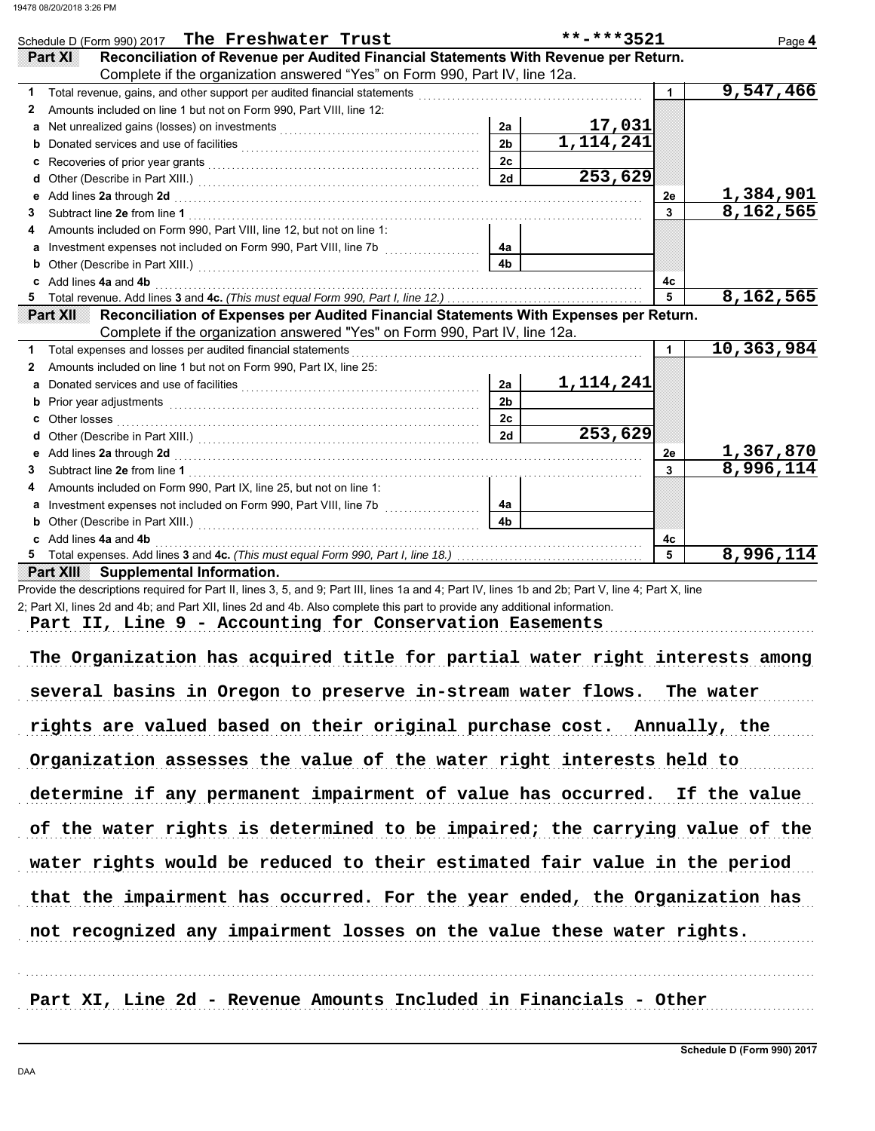|   | Schedule D (Form 990) 2017 The Freshwater Trust                                                                                                                                                                                     |                | **-***3521 |                      | Page 4                 |
|---|-------------------------------------------------------------------------------------------------------------------------------------------------------------------------------------------------------------------------------------|----------------|------------|----------------------|------------------------|
|   | Reconciliation of Revenue per Audited Financial Statements With Revenue per Return.<br>Part XI                                                                                                                                      |                |            |                      |                        |
|   | Complete if the organization answered "Yes" on Form 990, Part IV, line 12a.                                                                                                                                                         |                |            |                      |                        |
| 1 |                                                                                                                                                                                                                                     |                |            | $\mathbf 1$          | $\overline{9,547,466}$ |
| 2 | Amounts included on line 1 but not on Form 990, Part VIII, line 12:                                                                                                                                                                 |                |            |                      |                        |
|   |                                                                                                                                                                                                                                     | 2a             | 17,031     |                      |                        |
| b | Donated services and use of facilities <b>constructs</b> and the service of the service of the service of the service of the service of the service of the service of the service of the service of the service of the service of t | 2 <sub>b</sub> | 1,114,241  |                      |                        |
| c |                                                                                                                                                                                                                                     | 2c             |            |                      |                        |
| d |                                                                                                                                                                                                                                     | 2d             | 253,629    |                      |                        |
| е | Add lines 2a through 2d [11] March 2014 [12] March 2014 [12] March 2014 [12] March 2014 [12] March 2014 [12] March 2014 [12] March 2014 [12] March 2014 [12] March 2014 [12] March 2014 [12] March 2014 [12] March 2014 [12] M      |                |            | 2е                   | 1,384,901              |
| 3 |                                                                                                                                                                                                                                     |                |            | 3                    | 8,162,565              |
| 4 | Amounts included on Form 990, Part VIII, line 12, but not on line 1:                                                                                                                                                                |                |            |                      |                        |
|   |                                                                                                                                                                                                                                     | 4a             |            |                      |                        |
|   |                                                                                                                                                                                                                                     | 4 <sub>b</sub> |            |                      |                        |
|   | c Add lines 4a and 4b                                                                                                                                                                                                               |                |            | 4c                   |                        |
|   |                                                                                                                                                                                                                                     |                |            | $\overline{5}$       | 8,162,565              |
|   |                                                                                                                                                                                                                                     |                |            |                      |                        |
|   | Reconciliation of Expenses per Audited Financial Statements With Expenses per Return.<br><b>Part XII</b>                                                                                                                            |                |            |                      |                        |
|   | Complete if the organization answered "Yes" on Form 990, Part IV, line 12a.                                                                                                                                                         |                |            |                      |                        |
| 1 | Total expenses and losses per audited financial statements                                                                                                                                                                          |                |            | $\blacktriangleleft$ | 10,363,984             |
| 2 | Amounts included on line 1 but not on Form 990, Part IX, line 25:                                                                                                                                                                   |                |            |                      |                        |
| a |                                                                                                                                                                                                                                     | 2a             | 1,114,241  |                      |                        |
|   |                                                                                                                                                                                                                                     | 2 <sub>b</sub> |            |                      |                        |
|   | b Prior year adjustments <b>constructs</b> and a series of the construction of the construction of the construction of the construction of the construction of the construction of the construction of the construction of the cons | 2c             |            |                      |                        |
|   |                                                                                                                                                                                                                                     | 2d             | 253,629    |                      |                        |
|   |                                                                                                                                                                                                                                     |                |            | 2е                   | 1,367,870              |
| 3 | e Add lines 2a through 2d [11] contract the contract of the contract of the contract of the contract of the contract of the contract of the contract of the contract of the contract of the contract of the contract of the co      |                |            | 3                    | 8,996,114              |
| 4 | Amounts included on Form 990, Part IX, line 25, but not on line 1:                                                                                                                                                                  |                |            |                      |                        |
| а |                                                                                                                                                                                                                                     | 4a             |            |                      |                        |
| b |                                                                                                                                                                                                                                     | 4 <sub>b</sub> |            |                      |                        |
|   | Add lines 4a and 4b                                                                                                                                                                                                                 |                |            | 4c                   |                        |
|   |                                                                                                                                                                                                                                     |                |            | 5                    | 8,996,114              |

Provide the descriptions required for Part II, lines 3, 5, and 9; Part III, lines 1a and 4; Part IV, lines 1b and 2b; Part V, line 4; Part X, line 2; Part XI, lines 2d and 4b; and Part XII, lines 2d and 4b. Also complete this part to provide any additional information. Part II, Line 9 - Accounting for Conservation Easements

The Organization has acquired title for partial water right interests among several basins in Oregon to preserve in-stream water flows. The water rights are valued based on their original purchase cost. Annually, the Organization assesses the value of the water right interests held to determine if any permanent impairment of value has occurred. If the value of the water rights is determined to be impaired; the carrying value of the not recognized any impairment losses on the value these water rights. water rights would be reduced to their estimated fair value in the period that the impairment has occurred. For the year ended, the Organization has . . . . . . . . . . . . . . . . . . . . . . . . . . . . . . . . . . . . . . . . . . . . . . . . . . . . . . . . . . . . . . . . . . . . . . . . . . . . . . . . . . . . . . . . . . . . . . . . . . . . . . . . . . . . . . . . . . . . . . . . . . . . . . . . . . . . . . . . . . . . . . . . . . . . . . . . . . . . . . . . . . . . . .

Part XI, Line 2d - Revenue Amounts Included in Financials - Other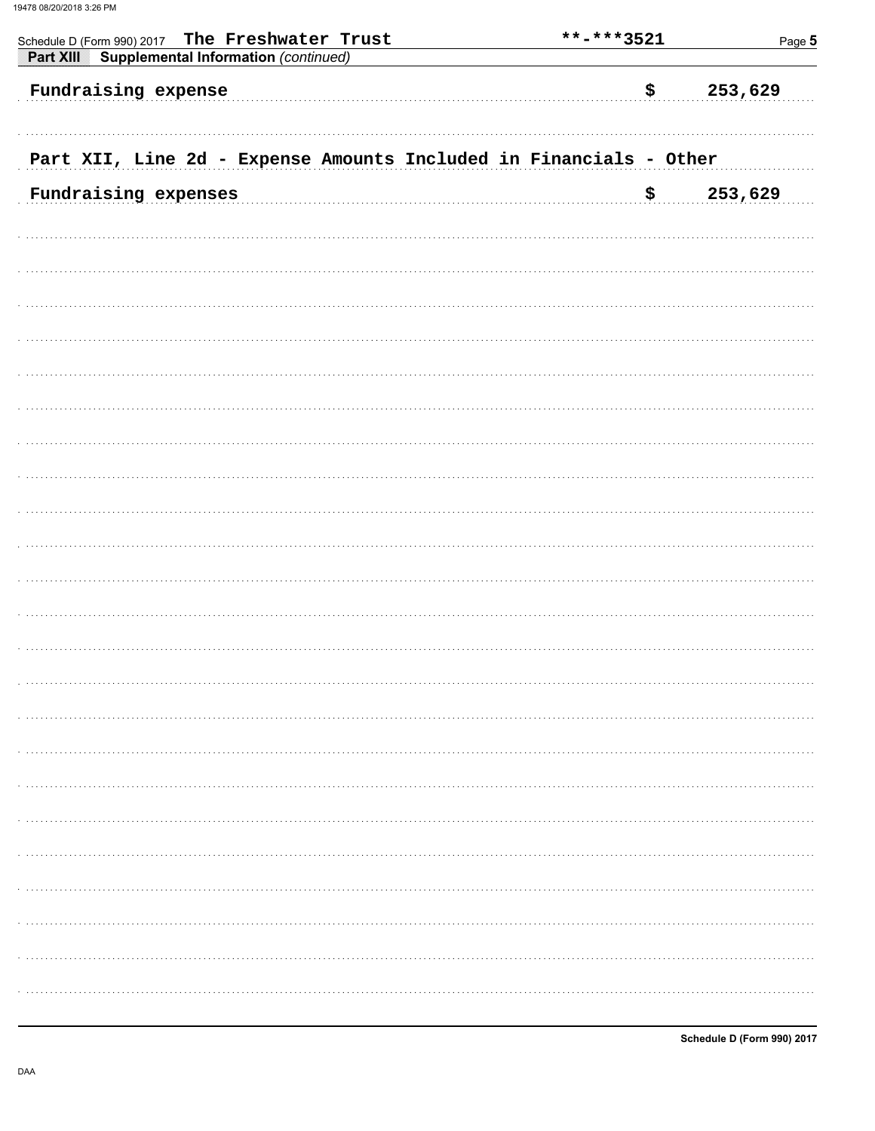| The Freshwater Trust<br>Schedule D (Form 990) 2017<br><b>Supplemental Information (continued)</b><br>Part XIII | **-***3521 | Page 5  |
|----------------------------------------------------------------------------------------------------------------|------------|---------|
| Fundraising expense                                                                                            | \$         | 253,629 |
| Part XII, Line 2d - Expense Amounts Included in Financials - Other                                             |            |         |
| Fundraising expenses                                                                                           | \$         | 253,629 |
|                                                                                                                |            |         |
|                                                                                                                |            |         |
|                                                                                                                |            |         |
|                                                                                                                |            |         |
|                                                                                                                |            |         |
|                                                                                                                |            |         |
|                                                                                                                |            |         |
|                                                                                                                |            |         |
|                                                                                                                |            |         |
|                                                                                                                |            |         |
|                                                                                                                |            |         |
|                                                                                                                |            |         |
|                                                                                                                |            |         |
|                                                                                                                |            |         |
|                                                                                                                |            |         |
|                                                                                                                |            |         |
|                                                                                                                |            |         |
|                                                                                                                |            |         |
|                                                                                                                |            |         |
|                                                                                                                |            |         |
|                                                                                                                |            |         |
|                                                                                                                |            |         |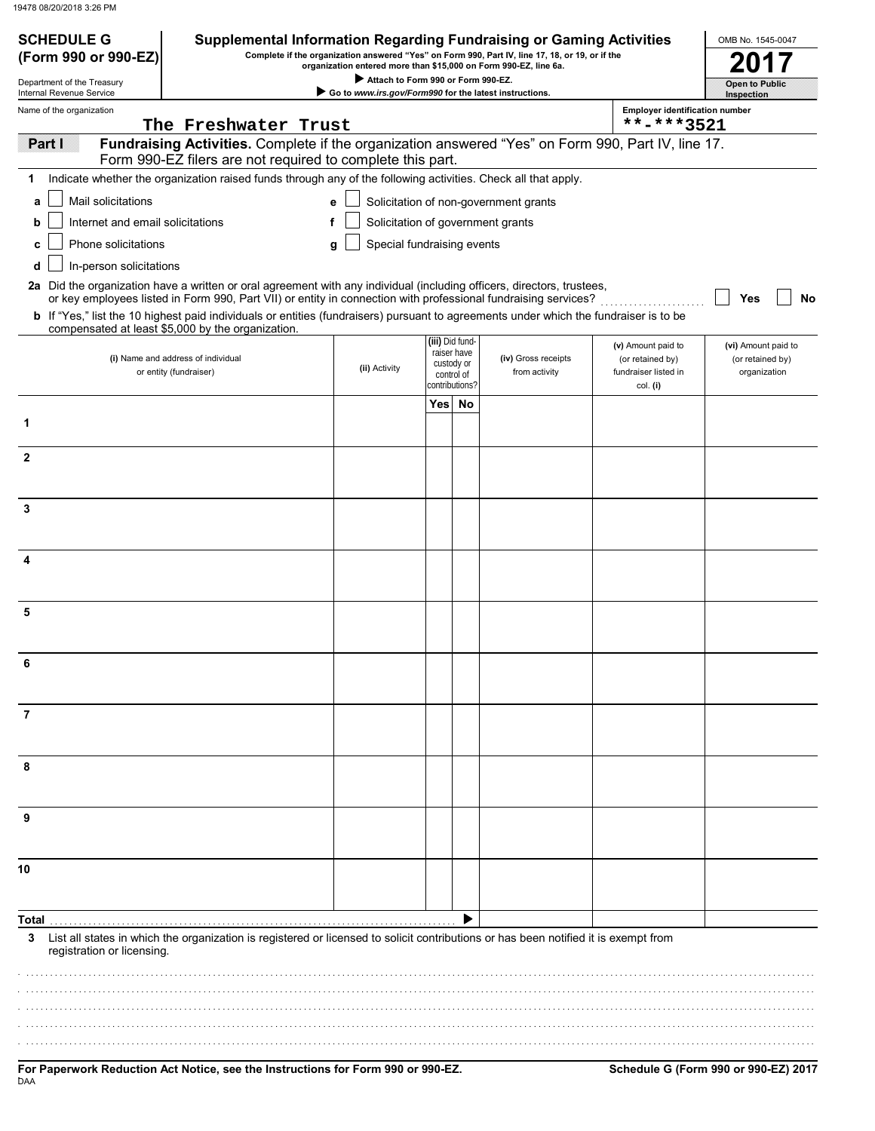| <b>SCHEDULE G</b><br>(Form 990 or 990-EZ) | <b>Supplemental Information Regarding Fundraising or Gaming Activities</b>                                                                                                                                                                                     |                                                                                                        |                 |                                                           | Complete if the organization answered "Yes" on Form 990, Part IV, line 17, 18, or 19, or if the |                                                                            | OMB No. 1545-0047                                       |
|-------------------------------------------|----------------------------------------------------------------------------------------------------------------------------------------------------------------------------------------------------------------------------------------------------------------|--------------------------------------------------------------------------------------------------------|-----------------|-----------------------------------------------------------|-------------------------------------------------------------------------------------------------|----------------------------------------------------------------------------|---------------------------------------------------------|
| Department of the Treasury                |                                                                                                                                                                                                                                                                | organization entered more than \$15,000 on Form 990-EZ, line 6a.<br>Attach to Form 990 or Form 990-EZ. |                 |                                                           |                                                                                                 |                                                                            |                                                         |
| Internal Revenue Service                  |                                                                                                                                                                                                                                                                | Go to www.irs.gov/Form990 for the latest instructions.                                                 |                 |                                                           |                                                                                                 |                                                                            | Open to Public<br>Inspection                            |
| Name of the organization                  | The Freshwater Trust                                                                                                                                                                                                                                           |                                                                                                        |                 |                                                           |                                                                                                 | <b>Employer identification number</b><br>**-***3521                        |                                                         |
| <b>Partil</b>                             | Fundraising Activities. Complete if the organization answered "Yes" on Form 990, Part IV, line 17.<br>Form 990-EZ filers are not required to complete this part.                                                                                               |                                                                                                        |                 |                                                           |                                                                                                 |                                                                            |                                                         |
| 1                                         | Indicate whether the organization raised funds through any of the following activities. Check all that apply.                                                                                                                                                  |                                                                                                        |                 |                                                           |                                                                                                 |                                                                            |                                                         |
| Mail solicitations<br>a                   |                                                                                                                                                                                                                                                                | е                                                                                                      |                 |                                                           | Solicitation of non-government grants                                                           |                                                                            |                                                         |
| b                                         | Internet and email solicitations                                                                                                                                                                                                                               | Solicitation of government grants<br>f                                                                 |                 |                                                           |                                                                                                 |                                                                            |                                                         |
| Phone solicitations                       |                                                                                                                                                                                                                                                                | Special fundraising events<br>g                                                                        |                 |                                                           |                                                                                                 |                                                                            |                                                         |
| In-person solicitations<br>d              | 2a Did the organization have a written or oral agreement with any individual (including officers, directors, trustees,                                                                                                                                         |                                                                                                        |                 |                                                           |                                                                                                 |                                                                            |                                                         |
|                                           | or key employees listed in Form 990, Part VII) or entity in connection with professional fundraising services?<br><b>b</b> If "Yes," list the 10 highest paid individuals or entities (fundraisers) pursuant to agreements under which the fundraiser is to be |                                                                                                        |                 |                                                           |                                                                                                 |                                                                            | No<br>Yes                                               |
|                                           | compensated at least \$5,000 by the organization.                                                                                                                                                                                                              |                                                                                                        |                 |                                                           |                                                                                                 |                                                                            |                                                         |
|                                           | (i) Name and address of individual<br>or entity (fundraiser)                                                                                                                                                                                                   | (ii) Activity                                                                                          | (iii) Did fund- | raiser have<br>custody or<br>control of<br>contributions? | (iv) Gross receipts<br>from activity                                                            | (v) Amount paid to<br>(or retained by)<br>fundraiser listed in<br>col. (i) | (vi) Amount paid to<br>(or retained by)<br>organization |
|                                           |                                                                                                                                                                                                                                                                |                                                                                                        | Yes No          |                                                           |                                                                                                 |                                                                            |                                                         |
| 1                                         |                                                                                                                                                                                                                                                                |                                                                                                        |                 |                                                           |                                                                                                 |                                                                            |                                                         |
| $\mathbf{2}$                              |                                                                                                                                                                                                                                                                |                                                                                                        |                 |                                                           |                                                                                                 |                                                                            |                                                         |
|                                           |                                                                                                                                                                                                                                                                |                                                                                                        |                 |                                                           |                                                                                                 |                                                                            |                                                         |
| 3                                         |                                                                                                                                                                                                                                                                |                                                                                                        |                 |                                                           |                                                                                                 |                                                                            |                                                         |
|                                           |                                                                                                                                                                                                                                                                |                                                                                                        |                 |                                                           |                                                                                                 |                                                                            |                                                         |
| 4                                         |                                                                                                                                                                                                                                                                |                                                                                                        |                 |                                                           |                                                                                                 |                                                                            |                                                         |
|                                           |                                                                                                                                                                                                                                                                |                                                                                                        |                 |                                                           |                                                                                                 |                                                                            |                                                         |
| 5                                         |                                                                                                                                                                                                                                                                |                                                                                                        |                 |                                                           |                                                                                                 |                                                                            |                                                         |
|                                           |                                                                                                                                                                                                                                                                |                                                                                                        |                 |                                                           |                                                                                                 |                                                                            |                                                         |
|                                           |                                                                                                                                                                                                                                                                |                                                                                                        |                 |                                                           |                                                                                                 |                                                                            |                                                         |
| 6                                         |                                                                                                                                                                                                                                                                |                                                                                                        |                 |                                                           |                                                                                                 |                                                                            |                                                         |
|                                           |                                                                                                                                                                                                                                                                |                                                                                                        |                 |                                                           |                                                                                                 |                                                                            |                                                         |
| 7                                         |                                                                                                                                                                                                                                                                |                                                                                                        |                 |                                                           |                                                                                                 |                                                                            |                                                         |
|                                           |                                                                                                                                                                                                                                                                |                                                                                                        |                 |                                                           |                                                                                                 |                                                                            |                                                         |
| 8                                         |                                                                                                                                                                                                                                                                |                                                                                                        |                 |                                                           |                                                                                                 |                                                                            |                                                         |
|                                           |                                                                                                                                                                                                                                                                |                                                                                                        |                 |                                                           |                                                                                                 |                                                                            |                                                         |
| 9                                         |                                                                                                                                                                                                                                                                |                                                                                                        |                 |                                                           |                                                                                                 |                                                                            |                                                         |
|                                           |                                                                                                                                                                                                                                                                |                                                                                                        |                 |                                                           |                                                                                                 |                                                                            |                                                         |
| 10                                        |                                                                                                                                                                                                                                                                |                                                                                                        |                 |                                                           |                                                                                                 |                                                                            |                                                         |
|                                           |                                                                                                                                                                                                                                                                |                                                                                                        |                 |                                                           |                                                                                                 |                                                                            |                                                         |
| Total                                     |                                                                                                                                                                                                                                                                |                                                                                                        |                 |                                                           |                                                                                                 |                                                                            |                                                         |
| 3<br>registration or licensing.           | List all states in which the organization is registered or licensed to solicit contributions or has been notified it is exempt from                                                                                                                            |                                                                                                        |                 |                                                           |                                                                                                 |                                                                            |                                                         |
|                                           |                                                                                                                                                                                                                                                                |                                                                                                        |                 |                                                           |                                                                                                 |                                                                            |                                                         |
|                                           |                                                                                                                                                                                                                                                                |                                                                                                        |                 |                                                           |                                                                                                 |                                                                            |                                                         |
|                                           |                                                                                                                                                                                                                                                                |                                                                                                        |                 |                                                           |                                                                                                 |                                                                            |                                                         |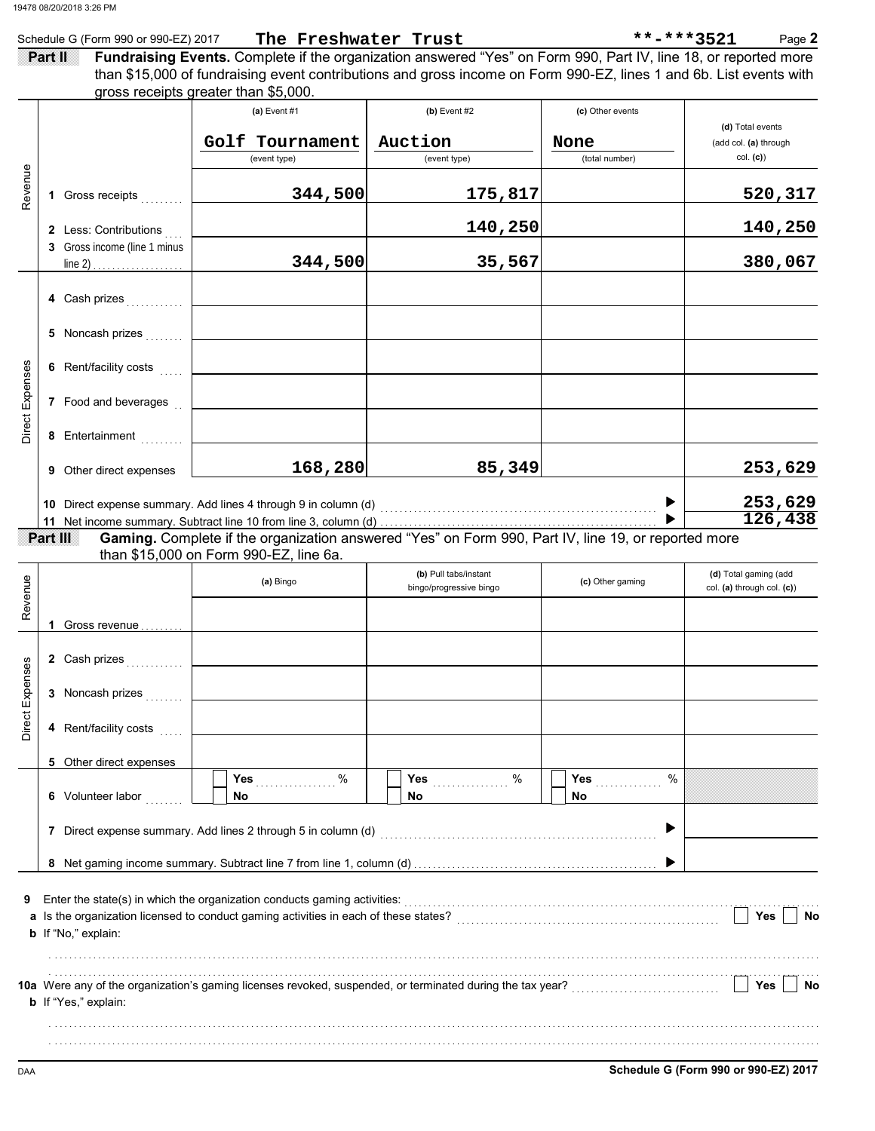|                 |         | Schedule G (Form 990 or 990-EZ) 2017 | The Freshwater Trust                                                                                                                          |                         |                  | **-***3521<br>Page 2       |
|-----------------|---------|--------------------------------------|-----------------------------------------------------------------------------------------------------------------------------------------------|-------------------------|------------------|----------------------------|
|                 | Partill |                                      | Fundraising Events. Complete if the organization answered "Yes" on Form 990, Part IV, line 18, or reported more                               |                         |                  |                            |
|                 |         |                                      | than \$15,000 of fundraising event contributions and gross income on Form 990-EZ, lines 1 and 6b. List events with                            |                         |                  |                            |
|                 |         |                                      | gross receipts greater than \$5,000.<br>(a) Event #1                                                                                          | $(b)$ Event #2          |                  |                            |
|                 |         |                                      |                                                                                                                                               |                         | (c) Other events | (d) Total events           |
|                 |         |                                      | Golf Tournament                                                                                                                               | Auction                 | None             | (add col. (a) through      |
|                 |         |                                      | (event type)                                                                                                                                  | (event type)            | (total number)   | col. (c)                   |
|                 |         |                                      |                                                                                                                                               |                         |                  |                            |
| Revenue         |         | 1 Gross receipts                     | 344,500                                                                                                                                       | 175,817                 |                  | <u>520,317</u>             |
|                 |         |                                      |                                                                                                                                               |                         |                  |                            |
|                 |         | 2 Less: Contributions                |                                                                                                                                               | 140,250                 |                  | 140,250                    |
|                 |         | 3 Gross income (line 1 minus         | 344,500                                                                                                                                       | 35,567                  |                  | 380,067                    |
|                 |         |                                      |                                                                                                                                               |                         |                  |                            |
|                 |         | 4 Cash prizes                        |                                                                                                                                               |                         |                  |                            |
|                 |         |                                      |                                                                                                                                               |                         |                  |                            |
|                 |         | 5 Noncash prizes                     |                                                                                                                                               |                         |                  |                            |
|                 |         |                                      |                                                                                                                                               |                         |                  |                            |
|                 |         | 6 Rent/facility costs                |                                                                                                                                               |                         |                  |                            |
|                 |         |                                      |                                                                                                                                               |                         |                  |                            |
|                 |         | 7 Food and beverages                 |                                                                                                                                               |                         |                  |                            |
| Direct Expenses |         | 8 Entertainment                      |                                                                                                                                               |                         |                  |                            |
|                 |         |                                      |                                                                                                                                               |                         |                  |                            |
|                 |         | <b>9</b> Other direct expenses       | 168,280                                                                                                                                       | 85,349                  |                  | 253,629                    |
|                 |         |                                      |                                                                                                                                               |                         |                  |                            |
|                 |         |                                      |                                                                                                                                               |                         |                  | 253,629                    |
|                 |         |                                      |                                                                                                                                               |                         |                  | 126,438                    |
|                 |         | Part III                             | Gaming. Complete if the organization answered "Yes" on Form 990, Part IV, line 19, or reported more<br>than \$15,000 on Form 990-EZ, line 6a. |                         |                  |                            |
|                 |         |                                      |                                                                                                                                               | (b) Pull tabs/instant   |                  | (d) Total gaming (add      |
| Revenue         |         |                                      | (a) Bingo                                                                                                                                     | bingo/progressive bingo | (c) Other gaming | col. (a) through col. (c)) |
|                 |         |                                      |                                                                                                                                               |                         |                  |                            |
|                 |         | Gross revenue                        |                                                                                                                                               |                         |                  |                            |
|                 |         |                                      |                                                                                                                                               |                         |                  |                            |
| ses             |         | 2 Cash prizes                        |                                                                                                                                               |                         |                  |                            |
|                 |         |                                      |                                                                                                                                               |                         |                  |                            |
|                 |         | 3 Noncash prizes                     |                                                                                                                                               |                         |                  |                            |
| Direct Expen    |         | 4 Rent/facility costs                |                                                                                                                                               |                         |                  |                            |
|                 |         |                                      |                                                                                                                                               |                         |                  |                            |
|                 |         | 5 Other direct expenses              |                                                                                                                                               |                         |                  |                            |
|                 |         |                                      | %<br>Yes                                                                                                                                      | Yes<br>%                | %<br>Yes         |                            |
|                 |         | 6 Volunteer labor                    | No.                                                                                                                                           | No                      | No               |                            |
|                 |         |                                      |                                                                                                                                               |                         |                  |                            |
|                 |         |                                      | 7 Direct expense summary. Add lines 2 through 5 in column (d)                                                                                 |                         |                  |                            |
|                 |         |                                      |                                                                                                                                               |                         |                  |                            |
|                 |         |                                      |                                                                                                                                               |                         |                  |                            |
| 9               |         |                                      | Enter the state(s) in which the organization conducts gaming activities:                                                                      |                         |                  |                            |
|                 |         |                                      | a Is the organization licensed to conduct gaming activities in each of these states?                                                          |                         |                  | Yes<br>No                  |
|                 |         | <b>b</b> If "No," explain:           |                                                                                                                                               |                         |                  |                            |
|                 |         |                                      |                                                                                                                                               |                         |                  |                            |
|                 |         |                                      |                                                                                                                                               |                         |                  |                            |
|                 |         | <b>b</b> If "Yes," explain:          |                                                                                                                                               |                         |                  | Yes<br>No                  |
|                 |         |                                      |                                                                                                                                               |                         |                  |                            |
|                 |         |                                      |                                                                                                                                               |                         |                  |                            |
|                 |         |                                      |                                                                                                                                               |                         |                  |                            |

DAA **Schedule G (Form 990 or 990-EZ) 2017**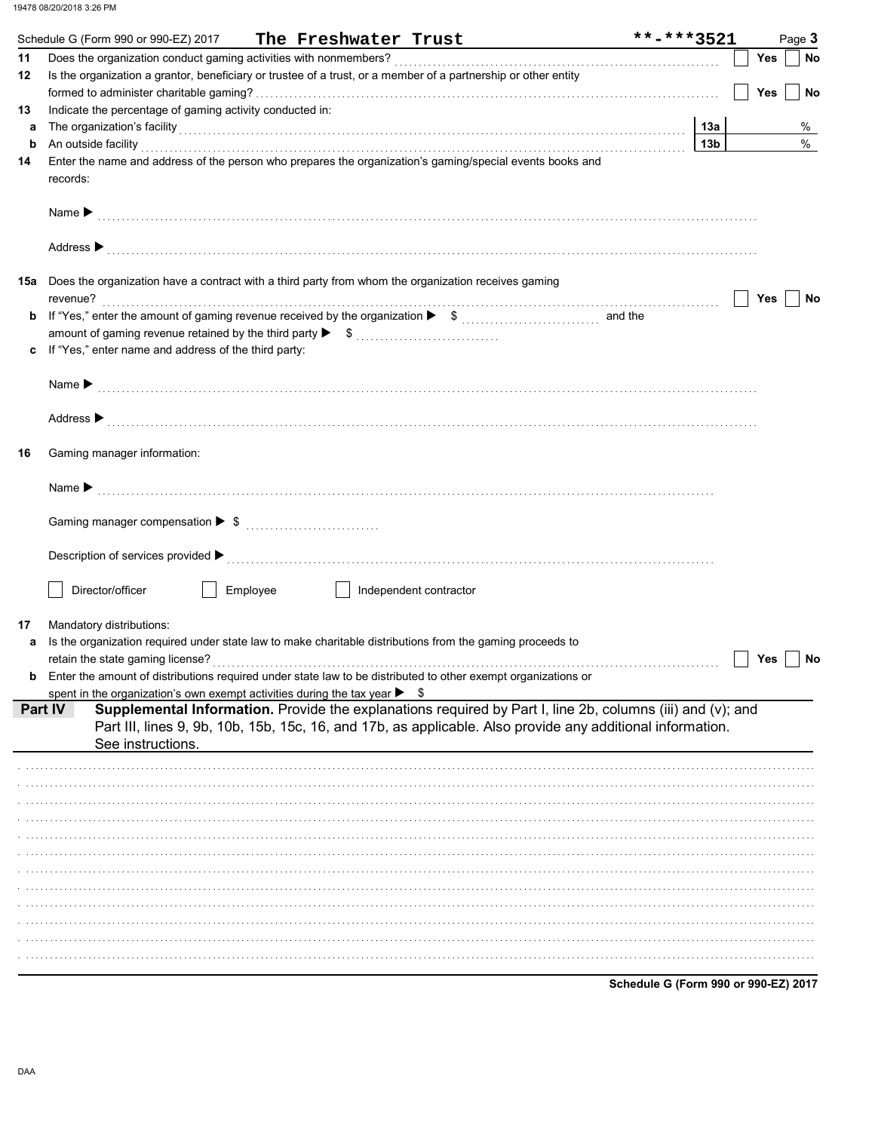|     | Schedule G (Form 990 or 990-EZ) 2017 The Freshwater Trust                                                                                                                                                                                                  | **-***3521                           |            | Page 3    |
|-----|------------------------------------------------------------------------------------------------------------------------------------------------------------------------------------------------------------------------------------------------------------|--------------------------------------|------------|-----------|
| 11  |                                                                                                                                                                                                                                                            |                                      | Yes        | <b>No</b> |
| 12  | Is the organization a grantor, beneficiary or trustee of a trust, or a member of a partnership or other entity                                                                                                                                             |                                      | <b>Yes</b> | <b>No</b> |
| 13  | Indicate the percentage of gaming activity conducted in:                                                                                                                                                                                                   |                                      |            |           |
| a   | The organization's facility [13a]                                                                                                                                                                                                                          |                                      |            | %         |
| b   | An outside facility <b>contract and the contract of the contract of the contract of the contract of the contract of the contract of the contract of the contract of the contract of the contract of the contract of the contract</b>                       | 13 <sub>b</sub>                      |            | $\%$      |
| 14  | Enter the name and address of the person who prepares the organization's gaming/special events books and<br>records:                                                                                                                                       |                                      |            |           |
|     | Name $\blacktriangleright$                                                                                                                                                                                                                                 |                                      |            |           |
|     | Address $\blacktriangleright$                                                                                                                                                                                                                              |                                      |            |           |
| 15a | Does the organization have a contract with a third party from whom the organization receives gaming                                                                                                                                                        |                                      |            |           |
|     | revenue?                                                                                                                                                                                                                                                   |                                      | Yes        | No        |
| b   |                                                                                                                                                                                                                                                            |                                      |            |           |
|     | If "Yes," enter name and address of the third party:                                                                                                                                                                                                       |                                      |            |           |
|     |                                                                                                                                                                                                                                                            |                                      |            |           |
|     | Name $\blacktriangleright$                                                                                                                                                                                                                                 |                                      |            |           |
|     | Address ▶                                                                                                                                                                                                                                                  |                                      |            |           |
| 16  | Gaming manager information:                                                                                                                                                                                                                                |                                      |            |           |
|     | Name $\blacktriangleright$                                                                                                                                                                                                                                 |                                      |            |           |
|     |                                                                                                                                                                                                                                                            |                                      |            |           |
|     | Description of services provided $\blacktriangleright$ [100] contract the service of the service of the services provided $\blacktriangleright$ [100] contract the service of the service of the service of the service of the service of the service of t |                                      |            |           |
|     | Director/officer<br>Employee<br>Independent contractor                                                                                                                                                                                                     |                                      |            |           |
| 17  | Mandatory distributions:                                                                                                                                                                                                                                   |                                      |            |           |
| а   | Is the organization required under state law to make charitable distributions from the gaming proceeds to                                                                                                                                                  |                                      |            |           |
|     | retain the state gaming license?<br><b>b</b> Enter the amount of distributions required under state law to be distributed to other exempt organizations or                                                                                                 |                                      | Yes        | No        |
|     | spent in the organization's own exempt activities during the tax year $\blacktriangleright$ \$                                                                                                                                                             |                                      |            |           |
|     | Supplemental Information. Provide the explanations required by Part I, line 2b, columns (iii) and (v); and<br>PartIV<br>Part III, lines 9, 9b, 10b, 15b, 15c, 16, and 17b, as applicable. Also provide any additional information.                         |                                      |            |           |
|     | See instructions.                                                                                                                                                                                                                                          |                                      |            |           |
|     |                                                                                                                                                                                                                                                            |                                      |            |           |
|     |                                                                                                                                                                                                                                                            |                                      |            |           |
|     |                                                                                                                                                                                                                                                            |                                      |            |           |
|     |                                                                                                                                                                                                                                                            |                                      |            |           |
|     |                                                                                                                                                                                                                                                            |                                      |            |           |
|     |                                                                                                                                                                                                                                                            |                                      |            |           |
|     |                                                                                                                                                                                                                                                            |                                      |            |           |
|     |                                                                                                                                                                                                                                                            |                                      |            |           |
|     |                                                                                                                                                                                                                                                            |                                      |            |           |
|     |                                                                                                                                                                                                                                                            |                                      |            |           |
|     |                                                                                                                                                                                                                                                            | Schedule G (Form 990 or 990-EZ) 2017 |            |           |
|     |                                                                                                                                                                                                                                                            |                                      |            |           |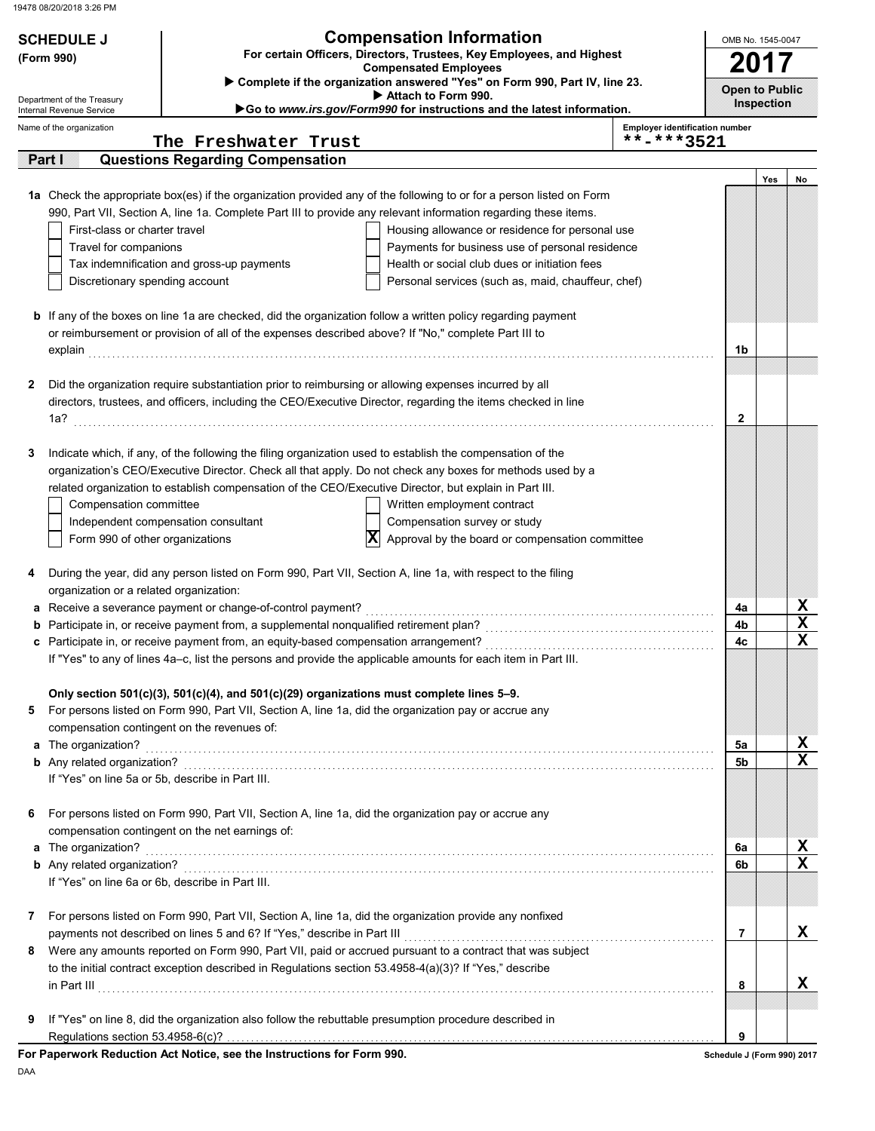| <b>Compensation Information</b><br><b>SCHEDULE J</b>                                                                |                                                                                       |                                                                                                                                                 |                                                     | OMB No. 1545-0047 |             |  |  |  |
|---------------------------------------------------------------------------------------------------------------------|---------------------------------------------------------------------------------------|-------------------------------------------------------------------------------------------------------------------------------------------------|-----------------------------------------------------|-------------------|-------------|--|--|--|
| For certain Officers, Directors, Trustees, Key Employees, and Highest<br>(Form 990)<br><b>Compensated Employees</b> |                                                                                       |                                                                                                                                                 |                                                     |                   |             |  |  |  |
| Department of the Treasury                                                                                          |                                                                                       | Complete if the organization answered "Yes" on Form 990, Part IV, line 23.<br><b>Open to Public</b><br>Attach to Form 990.<br><b>Inspection</b> |                                                     |                   |             |  |  |  |
| Internal Revenue Service                                                                                            |                                                                                       | Go to www.irs.gov/Form990 for instructions and the latest information.                                                                          |                                                     |                   |             |  |  |  |
| Name of the organization                                                                                            | The Freshwater Trust                                                                  |                                                                                                                                                 | <b>Employer identification number</b><br>**-***3521 |                   |             |  |  |  |
| Parial                                                                                                              | <b>Questions Regarding Compensation</b>                                               |                                                                                                                                                 |                                                     |                   |             |  |  |  |
|                                                                                                                     |                                                                                       |                                                                                                                                                 |                                                     | Yes               | No          |  |  |  |
|                                                                                                                     |                                                                                       | 1a Check the appropriate box(es) if the organization provided any of the following to or for a person listed on Form                            |                                                     |                   |             |  |  |  |
|                                                                                                                     |                                                                                       | 990, Part VII, Section A, line 1a. Complete Part III to provide any relevant information regarding these items.                                 |                                                     |                   |             |  |  |  |
| First-class or charter travel                                                                                       |                                                                                       | Housing allowance or residence for personal use                                                                                                 |                                                     |                   |             |  |  |  |
| Travel for companions                                                                                               |                                                                                       | Payments for business use of personal residence                                                                                                 |                                                     |                   |             |  |  |  |
|                                                                                                                     | Tax indemnification and gross-up payments                                             | Health or social club dues or initiation fees                                                                                                   |                                                     |                   |             |  |  |  |
| Discretionary spending account                                                                                      |                                                                                       | Personal services (such as, maid, chauffeur, chef)                                                                                              |                                                     |                   |             |  |  |  |
|                                                                                                                     |                                                                                       |                                                                                                                                                 |                                                     |                   |             |  |  |  |
|                                                                                                                     |                                                                                       | <b>b</b> If any of the boxes on line 1a are checked, did the organization follow a written policy regarding payment                             |                                                     |                   |             |  |  |  |
|                                                                                                                     |                                                                                       | or reimbursement or provision of all of the expenses described above? If "No," complete Part III to                                             |                                                     |                   |             |  |  |  |
|                                                                                                                     |                                                                                       |                                                                                                                                                 | 1b                                                  |                   |             |  |  |  |
| 2                                                                                                                   |                                                                                       | Did the organization require substantiation prior to reimbursing or allowing expenses incurred by all                                           |                                                     |                   |             |  |  |  |
|                                                                                                                     |                                                                                       | directors, trustees, and officers, including the CEO/Executive Director, regarding the items checked in line                                    |                                                     |                   |             |  |  |  |
|                                                                                                                     |                                                                                       |                                                                                                                                                 | 2                                                   |                   |             |  |  |  |
|                                                                                                                     |                                                                                       |                                                                                                                                                 |                                                     |                   |             |  |  |  |
| 3                                                                                                                   |                                                                                       | Indicate which, if any, of the following the filing organization used to establish the compensation of the                                      |                                                     |                   |             |  |  |  |
|                                                                                                                     |                                                                                       | organization's CEO/Executive Director. Check all that apply. Do not check any boxes for methods used by a                                       |                                                     |                   |             |  |  |  |
|                                                                                                                     |                                                                                       | related organization to establish compensation of the CEO/Executive Director, but explain in Part III.                                          |                                                     |                   |             |  |  |  |
| Compensation committee                                                                                              |                                                                                       | Written employment contract                                                                                                                     |                                                     |                   |             |  |  |  |
|                                                                                                                     | Independent compensation consultant                                                   | Compensation survey or study                                                                                                                    |                                                     |                   |             |  |  |  |
| Form 990 of other organizations                                                                                     |                                                                                       | X<br>Approval by the board or compensation committee                                                                                            |                                                     |                   |             |  |  |  |
|                                                                                                                     |                                                                                       |                                                                                                                                                 |                                                     |                   |             |  |  |  |
|                                                                                                                     |                                                                                       | During the year, did any person listed on Form 990, Part VII, Section A, line 1a, with respect to the filing                                    |                                                     |                   |             |  |  |  |
| organization or a related organization:                                                                             |                                                                                       |                                                                                                                                                 |                                                     |                   |             |  |  |  |
|                                                                                                                     | a Receive a severance payment or change-of-control payment?                           |                                                                                                                                                 | 4a                                                  |                   | x           |  |  |  |
|                                                                                                                     | Participate in, or receive payment from, a supplemental nonqualified retirement plan? |                                                                                                                                                 | 4b                                                  |                   | $\mathbf x$ |  |  |  |
|                                                                                                                     | c Participate in, or receive payment from, an equity-based compensation arrangement?  |                                                                                                                                                 | 4c                                                  |                   | $\mathbf x$ |  |  |  |
|                                                                                                                     |                                                                                       | If "Yes" to any of lines 4a-c, list the persons and provide the applicable amounts for each item in Part III.                                   |                                                     |                   |             |  |  |  |
|                                                                                                                     |                                                                                       |                                                                                                                                                 |                                                     |                   |             |  |  |  |
|                                                                                                                     |                                                                                       | Only section 501(c)(3), 501(c)(4), and 501(c)(29) organizations must complete lines 5–9.                                                        |                                                     |                   |             |  |  |  |
| 5                                                                                                                   |                                                                                       | For persons listed on Form 990, Part VII, Section A, line 1a, did the organization pay or accrue any                                            |                                                     |                   |             |  |  |  |
|                                                                                                                     | compensation contingent on the revenues of:                                           |                                                                                                                                                 |                                                     |                   |             |  |  |  |
|                                                                                                                     |                                                                                       |                                                                                                                                                 | 5a                                                  |                   | X           |  |  |  |
|                                                                                                                     |                                                                                       |                                                                                                                                                 | 5b                                                  |                   | $\mathbf x$ |  |  |  |
|                                                                                                                     | If "Yes" on line 5a or 5b, describe in Part III.                                      |                                                                                                                                                 |                                                     |                   |             |  |  |  |
|                                                                                                                     |                                                                                       |                                                                                                                                                 |                                                     |                   |             |  |  |  |
| 6                                                                                                                   |                                                                                       | For persons listed on Form 990, Part VII, Section A, line 1a, did the organization pay or accrue any                                            |                                                     |                   |             |  |  |  |
|                                                                                                                     | compensation contingent on the net earnings of:                                       |                                                                                                                                                 |                                                     |                   |             |  |  |  |
|                                                                                                                     |                                                                                       |                                                                                                                                                 | 6a                                                  |                   | X           |  |  |  |
|                                                                                                                     |                                                                                       |                                                                                                                                                 | 6b                                                  |                   | $\mathbf x$ |  |  |  |
|                                                                                                                     | If "Yes" on line 6a or 6b, describe in Part III.                                      |                                                                                                                                                 |                                                     |                   |             |  |  |  |
|                                                                                                                     |                                                                                       |                                                                                                                                                 |                                                     |                   |             |  |  |  |
| 7                                                                                                                   |                                                                                       | For persons listed on Form 990, Part VII, Section A, line 1a, did the organization provide any nonfixed                                         |                                                     |                   |             |  |  |  |
|                                                                                                                     |                                                                                       |                                                                                                                                                 | $\overline{7}$                                      |                   | x           |  |  |  |
| 8                                                                                                                   |                                                                                       | Were any amounts reported on Form 990, Part VII, paid or accrued pursuant to a contract that was subject                                        |                                                     |                   |             |  |  |  |
|                                                                                                                     |                                                                                       | to the initial contract exception described in Regulations section 53.4958-4(a)(3)? If "Yes," describe                                          |                                                     |                   |             |  |  |  |
|                                                                                                                     |                                                                                       |                                                                                                                                                 | 8                                                   |                   | x           |  |  |  |
|                                                                                                                     |                                                                                       |                                                                                                                                                 |                                                     |                   |             |  |  |  |
| 9                                                                                                                   |                                                                                       | If "Yes" on line 8, did the organization also follow the rebuttable presumption procedure described in                                          |                                                     |                   |             |  |  |  |
| Regulations section $53.4958-6(c)$ ?                                                                                |                                                                                       |                                                                                                                                                 | 9                                                   |                   |             |  |  |  |
|                                                                                                                     | For Paperwork Reduction Act Notice, see the Instructions for Form 990.                |                                                                                                                                                 | Schedule J (Form 990) 2017                          |                   |             |  |  |  |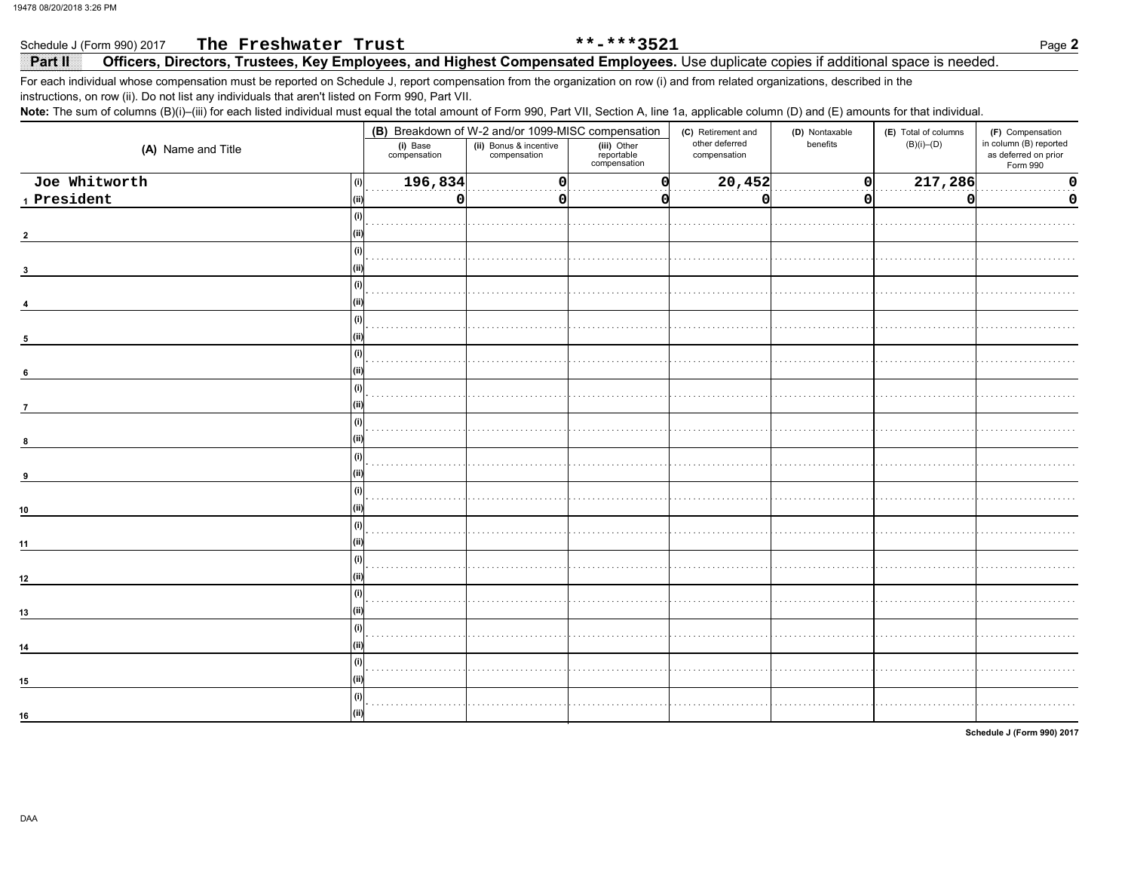### Schedule J (Form 990) 2017 The Freshwater Trust \*\*-\*\*\*3521 Page 2 Officers, Directors, Trustees, Key Employees, and Highest Compensated Employees. Use duplicate copies if additional space is needed. Part II

For each individual whose compensation must be reported on Schedule J, report compensation from the organization on row (i) and from related organizations, described in the instructions, on row (ii). Do not list any individuals that aren't listed on Form 990, Part VII.

Note: The sum of columns (B)(i)-(iii) for each listed individual must equal the total amount of Form 990, Part VII, Section A, line 1a, applicable column (D) and (E) amounts for that individual.

|                                                                                             |                          | (B) Breakdown of W-2 and/or 1099-MISC compensation |                                           |                                | (D) Nontaxable   | (E) Total of columns | (F) Compensation                                           |  |
|---------------------------------------------------------------------------------------------|--------------------------|----------------------------------------------------|-------------------------------------------|--------------------------------|------------------|----------------------|------------------------------------------------------------|--|
| (A) Name and Title                                                                          | (i) Base<br>compensation | (ii) Bonus & incentive<br>compensation             | (iii) Other<br>reportable<br>compensation | other deferred<br>compensation | benefits         | $(B)(i)$ – $(D)$     | in column (B) reported<br>as deferred on prior<br>Form 990 |  |
| Joe Whitworth<br>(i)<br>$\footnotesize\substack{\textnormal{\texttt{1}}$}$ President<br>(ii | 196,834<br>O             | n                                                  |                                           | 20,452<br>n                    | $\mathbf 0$<br>0 | 217,286<br>0         | 0<br>0                                                     |  |
| (i)                                                                                         |                          |                                                    |                                           |                                |                  |                      |                                                            |  |
|                                                                                             |                          |                                                    |                                           |                                |                  |                      |                                                            |  |
| 3                                                                                           |                          |                                                    |                                           |                                |                  |                      |                                                            |  |
| (i)                                                                                         |                          |                                                    |                                           |                                |                  |                      |                                                            |  |
| 5<br>(i)                                                                                    |                          |                                                    |                                           |                                |                  |                      |                                                            |  |
| $6\phantom{a}$                                                                              |                          |                                                    |                                           |                                |                  |                      |                                                            |  |
| (i)<br>$\overline{7}$                                                                       |                          |                                                    |                                           |                                |                  |                      |                                                            |  |
| 8                                                                                           |                          |                                                    |                                           |                                |                  |                      |                                                            |  |
| 9                                                                                           |                          |                                                    |                                           |                                |                  |                      |                                                            |  |
| 10                                                                                          |                          |                                                    |                                           |                                |                  |                      |                                                            |  |
| 11                                                                                          |                          |                                                    |                                           |                                |                  |                      |                                                            |  |
| (i)                                                                                         |                          |                                                    |                                           |                                |                  |                      |                                                            |  |
| $12\,$                                                                                      |                          |                                                    |                                           |                                |                  |                      |                                                            |  |
| 13<br>(i)                                                                                   |                          |                                                    |                                           |                                |                  |                      |                                                            |  |
| 14<br>(i)                                                                                   |                          |                                                    |                                           |                                |                  |                      |                                                            |  |
| 15<br>(i)                                                                                   |                          |                                                    |                                           |                                |                  |                      |                                                            |  |
| 16                                                                                          |                          |                                                    |                                           |                                |                  |                      |                                                            |  |

Schedule J (Form 990) 2017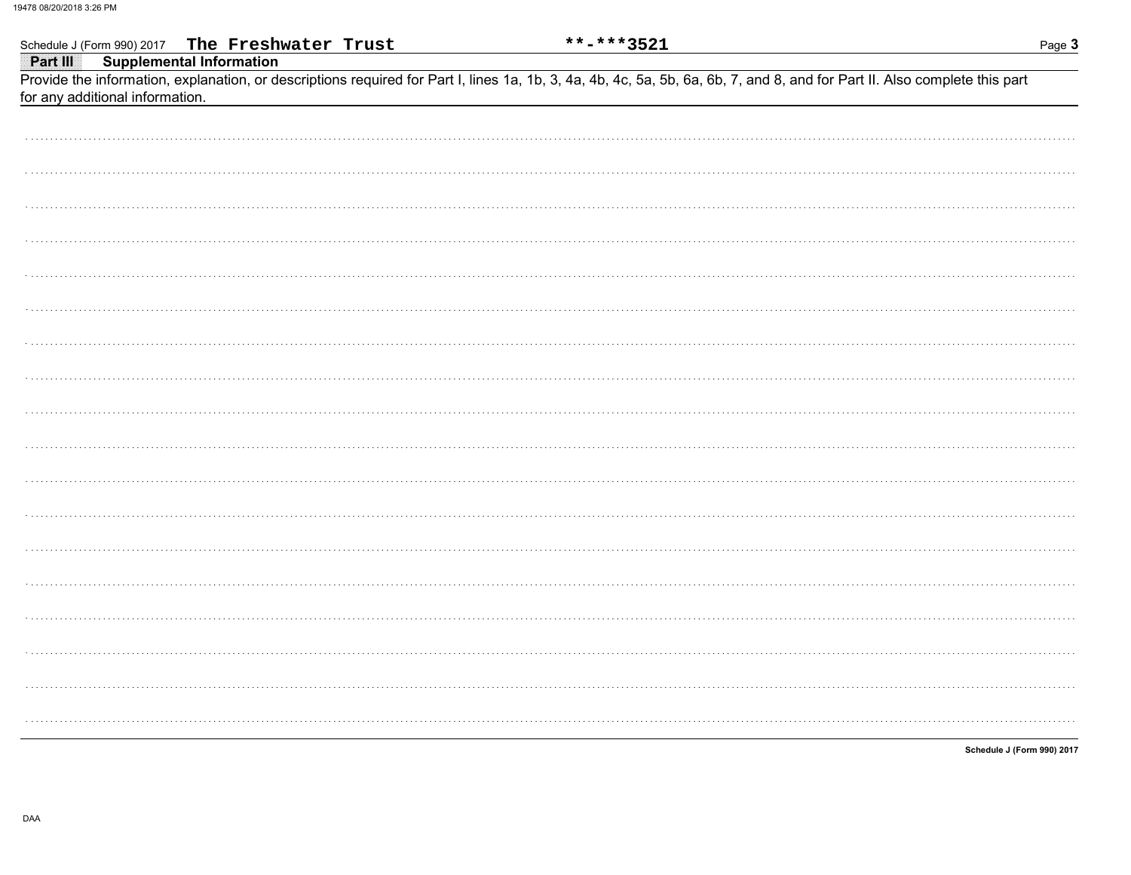| Schedule J (Form 990) 2017 The Freshwater Trust                                                                                                                            | **-***3521                 | Page 3 |
|----------------------------------------------------------------------------------------------------------------------------------------------------------------------------|----------------------------|--------|
| <b>Supplemental Information</b><br>Part III                                                                                                                                |                            |        |
| Provide the information, explanation, or descriptions required for Part I, lines 1a, 1b, 3, 4a, 4b, 4c, 5a, 5b, 6a, 6b, 7, and 8, and for Part II. Also complete this part |                            |        |
| for any additional information.                                                                                                                                            |                            |        |
|                                                                                                                                                                            |                            |        |
|                                                                                                                                                                            |                            |        |
|                                                                                                                                                                            |                            |        |
|                                                                                                                                                                            |                            |        |
|                                                                                                                                                                            |                            |        |
|                                                                                                                                                                            |                            |        |
|                                                                                                                                                                            |                            |        |
|                                                                                                                                                                            |                            |        |
|                                                                                                                                                                            |                            |        |
|                                                                                                                                                                            |                            |        |
|                                                                                                                                                                            |                            |        |
|                                                                                                                                                                            |                            |        |
|                                                                                                                                                                            |                            |        |
|                                                                                                                                                                            |                            |        |
|                                                                                                                                                                            |                            |        |
|                                                                                                                                                                            |                            |        |
|                                                                                                                                                                            |                            |        |
|                                                                                                                                                                            |                            |        |
|                                                                                                                                                                            |                            |        |
|                                                                                                                                                                            |                            |        |
|                                                                                                                                                                            |                            |        |
|                                                                                                                                                                            |                            |        |
|                                                                                                                                                                            |                            |        |
|                                                                                                                                                                            |                            |        |
|                                                                                                                                                                            |                            |        |
|                                                                                                                                                                            |                            |        |
|                                                                                                                                                                            |                            |        |
|                                                                                                                                                                            |                            |        |
|                                                                                                                                                                            |                            |        |
|                                                                                                                                                                            |                            |        |
|                                                                                                                                                                            |                            |        |
|                                                                                                                                                                            |                            |        |
|                                                                                                                                                                            |                            |        |
|                                                                                                                                                                            |                            |        |
|                                                                                                                                                                            |                            |        |
|                                                                                                                                                                            |                            |        |
|                                                                                                                                                                            |                            |        |
|                                                                                                                                                                            |                            |        |
|                                                                                                                                                                            |                            |        |
|                                                                                                                                                                            |                            |        |
|                                                                                                                                                                            |                            |        |
|                                                                                                                                                                            | Schedule J (Form 990) 2017 |        |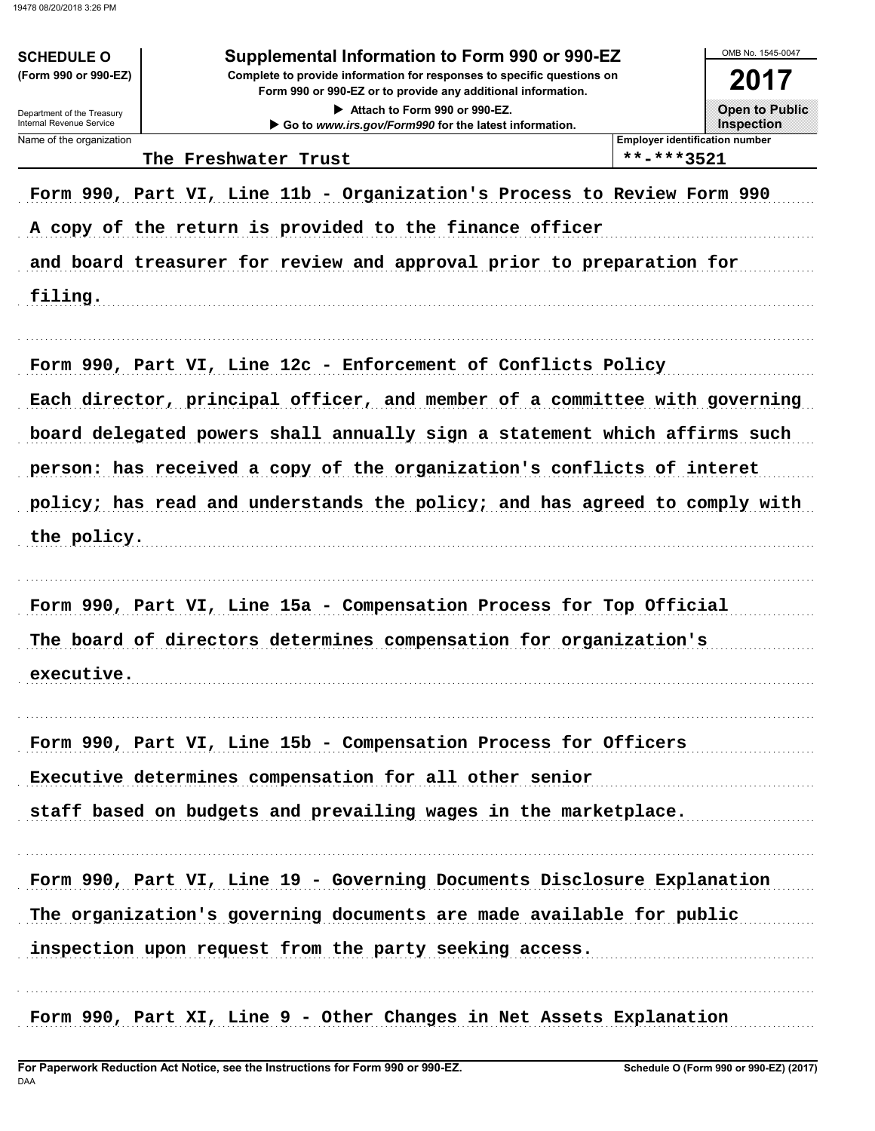| Department of the Treasury<br>Internal Revenue Service<br>Name of the organization | Attach to Form 990 or 990-EZ.<br>Go to www.irs.gov/Form990 for the latest information. | <b>Open to Public</b>                 |
|------------------------------------------------------------------------------------|----------------------------------------------------------------------------------------|---------------------------------------|
|                                                                                    |                                                                                        | Inspection                            |
|                                                                                    |                                                                                        | <b>Employer identification number</b> |
|                                                                                    | The Freshwater Trust                                                                   | **-***3521                            |
|                                                                                    | Form 990, Part VI, Line 11b - Organization's Process to Review Form 990                |                                       |
|                                                                                    | A copy of the return is provided to the finance officer                                |                                       |
|                                                                                    | and board treasurer for review and approval prior to preparation for                   |                                       |
| filing.                                                                            |                                                                                        |                                       |
|                                                                                    |                                                                                        |                                       |
|                                                                                    | Form 990, Part VI, Line 12c - Enforcement of Conflicts Policy                          |                                       |
|                                                                                    | Each director, principal officer, and member of a committee with governing             |                                       |
|                                                                                    | board delegated powers shall annually sign a statement which affirms such              |                                       |
|                                                                                    | person: has received a copy of the organization's conflicts of interet                 |                                       |
|                                                                                    | policy; has read and understands the policy; and has agreed to comply with             |                                       |
| the policy.                                                                        |                                                                                        |                                       |
|                                                                                    | Form 990, Part VI, Line 15a - Compensation Process for Top Official                    |                                       |
|                                                                                    | The board of directors determines compensation for organization's                      |                                       |
|                                                                                    |                                                                                        |                                       |
| executive.                                                                         |                                                                                        |                                       |
|                                                                                    | Form 990, Part VI, Line 15b - Compensation Process for Officers                        |                                       |
|                                                                                    | Executive determines compensation for all other senior                                 |                                       |
|                                                                                    | staff based on budgets and prevailing wages in the marketplace.                        |                                       |
|                                                                                    |                                                                                        |                                       |
|                                                                                    | Form 990, Part VI, Line 19 - Governing Documents Disclosure Explanation                |                                       |
|                                                                                    | The organization's governing documents are made available for public                   |                                       |
|                                                                                    | inspection upon request from the party seeking access.                                 |                                       |
|                                                                                    | Form 990, Part XI, Line 9 - Other Changes in Net Assets Explanation                    |                                       |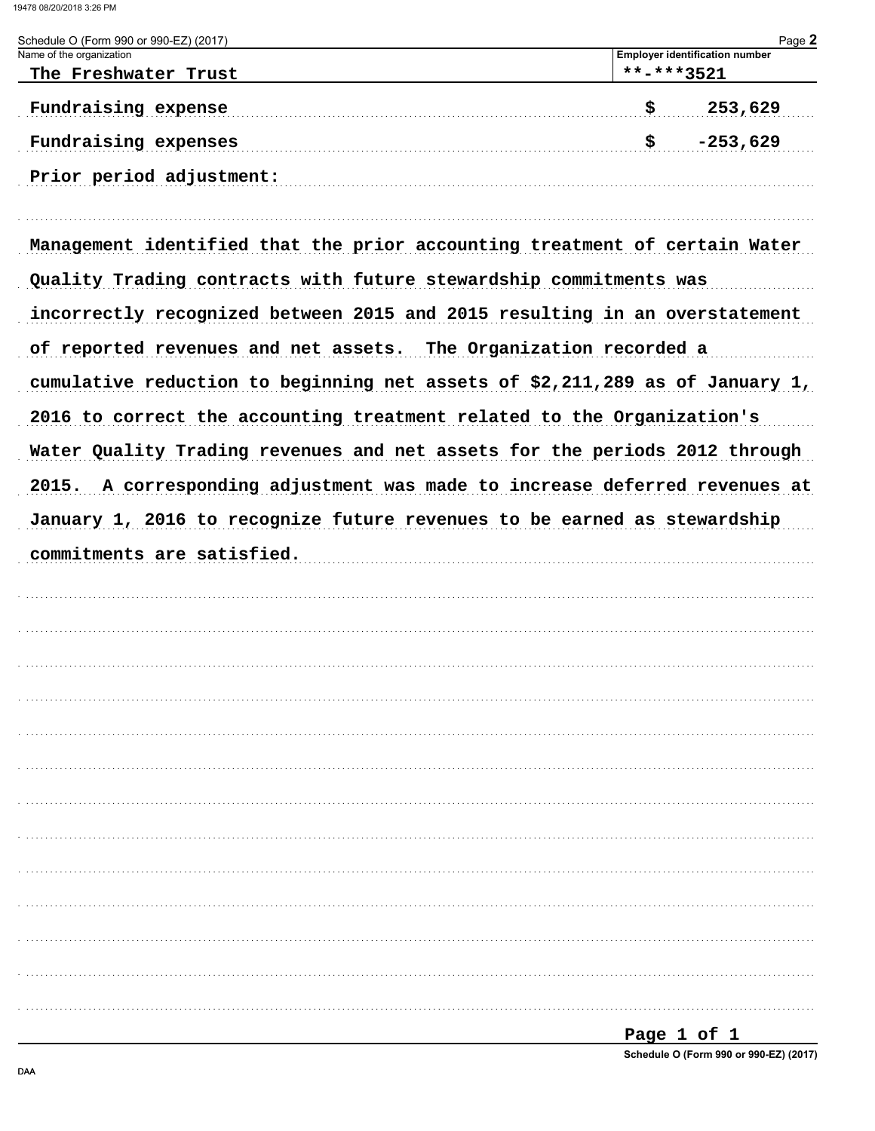| Schedule O (Form 990 or 990-EZ) (2017)<br>Name of the organization           | Page 2<br><b>Employer identification number</b> |
|------------------------------------------------------------------------------|-------------------------------------------------|
| The Freshwater Trust                                                         | **-***3521                                      |
| Fundraising expense                                                          | 253,629<br>\$                                   |
| Fundraising expenses                                                         | $-253,629$<br>\$                                |
| Prior period adjustment:                                                     |                                                 |
| Management identified that the prior accounting treatment of certain Water   |                                                 |
| Quality Trading contracts with future stewardship commitments was            |                                                 |
| incorrectly recognized between 2015 and 2015 resulting in an overstatement   |                                                 |
| of reported revenues and net assets. The Organization recorded a             |                                                 |
| cumulative reduction to beginning net assets of \$2,211,289 as of January 1, |                                                 |
| 2016 to correct the accounting treatment related to the Organization's       |                                                 |
| Water Quality Trading revenues and net assets for the periods 2012 through   |                                                 |
| 2015. A corresponding adjustment was made to increase deferred revenues at   |                                                 |
| January 1, 2016 to recognize future revenues to be earned as stewardship     |                                                 |
| commitments are satisfied.                                                   |                                                 |
|                                                                              |                                                 |
|                                                                              |                                                 |
|                                                                              |                                                 |
|                                                                              |                                                 |
|                                                                              |                                                 |
|                                                                              |                                                 |
|                                                                              |                                                 |
|                                                                              |                                                 |
|                                                                              |                                                 |
|                                                                              |                                                 |
|                                                                              |                                                 |
|                                                                              |                                                 |
|                                                                              |                                                 |
|                                                                              |                                                 |
|                                                                              | Page 1 of 1                                     |

Schedule O (Form 990 or 990-EZ) (2017)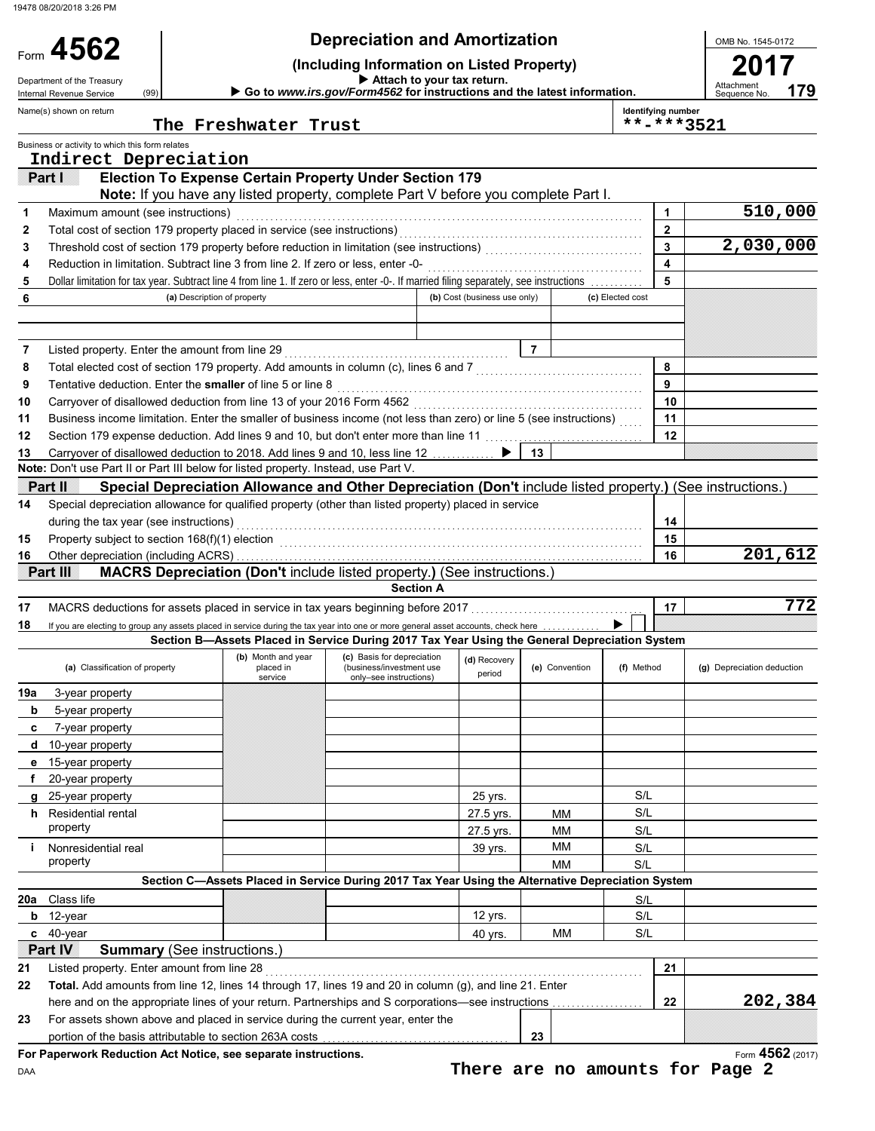| Form $4562$<br>Department of the Treasury<br>Internal Revenue Service | (99)                                       | <b>Depreciation and Amortization</b><br>(Including Information on Listed Property)<br>Go to www.irs.gov/Form4562 for instructions and the latest information.                                                                  |                                                    | OMB No. 1545-0172<br>Attachment<br>179<br>Sequence No |                |                  |                                  |                            |
|-----------------------------------------------------------------------|--------------------------------------------|--------------------------------------------------------------------------------------------------------------------------------------------------------------------------------------------------------------------------------|----------------------------------------------------|-------------------------------------------------------|----------------|------------------|----------------------------------|----------------------------|
| Name(s) shown on return                                               |                                            | The Freshwater Trust                                                                                                                                                                                                           |                                                    |                                                       |                |                  | Identifying number<br>**-***3521 |                            |
| Business or activity to which this form relates                       |                                            |                                                                                                                                                                                                                                |                                                    |                                                       |                |                  |                                  |                            |
| Part I                                                                | Indirect Depreciation                      | <b>Election To Expense Certain Property Under Section 179</b>                                                                                                                                                                  |                                                    |                                                       |                |                  |                                  |                            |
|                                                                       |                                            | Note: If you have any listed property, complete Part V before you complete Part I.                                                                                                                                             |                                                    |                                                       |                |                  |                                  |                            |
| 1                                                                     | Maximum amount (see instructions)          |                                                                                                                                                                                                                                |                                                    |                                                       |                |                  | $\mathbf{1}$                     | 510,000                    |
| 2                                                                     |                                            |                                                                                                                                                                                                                                |                                                    |                                                       |                |                  | $\mathbf{2}$                     |                            |
| 3                                                                     |                                            |                                                                                                                                                                                                                                |                                                    |                                                       |                |                  | 3                                | 2,030,000                  |
| 4                                                                     |                                            | Reduction in limitation. Subtract line 3 from line 2. If zero or less, enter -0-                                                                                                                                               |                                                    |                                                       |                |                  | 4                                |                            |
| 5                                                                     |                                            | Dollar limitation for tax year. Subtract line 4 from line 1. If zero or less, enter -0-. If married filing separately, see instructions                                                                                        |                                                    |                                                       |                |                  | 5                                |                            |
| 6                                                                     |                                            | (a) Description of property                                                                                                                                                                                                    |                                                    | (b) Cost (business use only)                          |                | (c) Elected cost |                                  |                            |
|                                                                       |                                            |                                                                                                                                                                                                                                |                                                    |                                                       |                |                  |                                  |                            |
| 7                                                                     |                                            |                                                                                                                                                                                                                                |                                                    |                                                       | $\overline{7}$ |                  |                                  |                            |
| 8                                                                     |                                            | Total elected cost of section 179 property. Add amounts in column (c), lines 6 and 7 [[[[[[[[[[[[[[[[[[[[[[[[                                                                                                                  |                                                    |                                                       |                |                  | 8                                |                            |
| 9                                                                     |                                            | Tentative deduction. Enter the smaller of line 5 or line 8                                                                                                                                                                     |                                                    |                                                       |                |                  | 9                                |                            |
| 10<br>11                                                              |                                            | Business income limitation. Enter the smaller of business income (not less than zero) or line 5 (see instructions)                                                                                                             |                                                    |                                                       |                |                  | 10<br>11                         |                            |
| 12                                                                    |                                            | Section 179 expense deduction. Add lines 9 and 10, but don't enter more than line 11                                                                                                                                           |                                                    |                                                       |                |                  | 12                               |                            |
| 13                                                                    |                                            | Carryover of disallowed deduction to 2018. Add lines 9 and 10, less line 12                                                                                                                                                    |                                                    |                                                       | 13             |                  |                                  |                            |
|                                                                       |                                            | Note: Don't use Part II or Part III below for listed property. Instead, use Part V.                                                                                                                                            |                                                    |                                                       |                |                  |                                  |                            |
| i Partii II                                                           |                                            | Special Depreciation Allowance and Other Depreciation (Don't include listed property.) (See instructions.)                                                                                                                     |                                                    |                                                       |                |                  |                                  |                            |
| 14                                                                    |                                            | Special depreciation allowance for qualified property (other than listed property) placed in service                                                                                                                           |                                                    |                                                       |                |                  |                                  |                            |
|                                                                       | during the tax year (see instructions)     |                                                                                                                                                                                                                                |                                                    |                                                       |                |                  | 14                               |                            |
| 15                                                                    |                                            | Property subject to section 168(f)(1) election metal contracts and contracts and contracts are property subject to section 168(f)(1) election metal contracts are contracted and contract are contracted and contract are cont |                                                    |                                                       |                |                  | 15                               |                            |
| 16                                                                    |                                            |                                                                                                                                                                                                                                |                                                    |                                                       |                |                  | 16                               | 201,612                    |
| Part III                                                              |                                            | <b>MACRS Depreciation (Don't include listed property.) (See instructions.)</b>                                                                                                                                                 |                                                    |                                                       |                |                  |                                  |                            |
| 17                                                                    |                                            |                                                                                                                                                                                                                                | <b>Section A</b>                                   |                                                       |                |                  | 17                               | 772                        |
| 18                                                                    |                                            | If you are electing to group any assets placed in service during the tax year into one or more general asset accounts, check here                                                                                              |                                                    |                                                       |                |                  |                                  |                            |
|                                                                       |                                            | Section B-Assets Placed in Service During 2017 Tax Year Using the General Depreciation System                                                                                                                                  |                                                    |                                                       |                |                  |                                  |                            |
|                                                                       |                                            | (b) Month and year                                                                                                                                                                                                             | (c) Basis for depreciation                         | (d) Recovery                                          |                |                  |                                  |                            |
|                                                                       | (a) Classification of property             | placed in<br>service                                                                                                                                                                                                           | (business/investment use<br>only-see instructions) | period                                                | (e) Convention | (f) Method       |                                  | (g) Depreciation deduction |
| 19a<br>3-year property                                                |                                            |                                                                                                                                                                                                                                |                                                    |                                                       |                |                  |                                  |                            |
| b<br>5-year property                                                  |                                            |                                                                                                                                                                                                                                |                                                    |                                                       |                |                  |                                  |                            |
| 7-year property<br>c                                                  |                                            |                                                                                                                                                                                                                                |                                                    |                                                       |                |                  |                                  |                            |
| d 10-year property                                                    |                                            |                                                                                                                                                                                                                                |                                                    |                                                       |                |                  |                                  |                            |
| e 15-year property                                                    |                                            |                                                                                                                                                                                                                                |                                                    |                                                       |                |                  |                                  |                            |
| 20-year property<br>f                                                 |                                            |                                                                                                                                                                                                                                |                                                    |                                                       |                |                  |                                  |                            |
| 25-year property<br>g                                                 |                                            |                                                                                                                                                                                                                                |                                                    | 25 yrs.                                               |                | S/L              |                                  |                            |
| <b>h</b> Residential rental                                           |                                            |                                                                                                                                                                                                                                |                                                    | 27.5 yrs.                                             | MМ             | S/L              |                                  |                            |
| property                                                              |                                            |                                                                                                                                                                                                                                |                                                    | 27.5 yrs.                                             | МM             | S/L              |                                  |                            |
| Nonresidential real<br>i.<br>property                                 |                                            |                                                                                                                                                                                                                                |                                                    | 39 yrs.                                               | MМ<br>MМ       | S/L<br>S/L       |                                  |                            |
|                                                                       |                                            | Section C-Assets Placed in Service During 2017 Tax Year Using the Alternative Depreciation System                                                                                                                              |                                                    |                                                       |                |                  |                                  |                            |
| 20a Class life                                                        |                                            |                                                                                                                                                                                                                                |                                                    |                                                       |                | S/L              |                                  |                            |
| $b$ 12-year                                                           |                                            |                                                                                                                                                                                                                                |                                                    | 12 yrs.                                               |                | S/L              |                                  |                            |
| $c$ 40-year                                                           |                                            |                                                                                                                                                                                                                                |                                                    | 40 yrs.                                               | MМ             | S/L              |                                  |                            |
| Part IV                                                               | <b>Summary (See instructions.)</b>         |                                                                                                                                                                                                                                |                                                    |                                                       |                |                  |                                  |                            |
| 21                                                                    | Listed property. Enter amount from line 28 |                                                                                                                                                                                                                                |                                                    |                                                       |                |                  | 21                               |                            |
|                                                                       |                                            |                                                                                                                                                                                                                                |                                                    |                                                       |                |                  |                                  |                            |
|                                                                       |                                            | Total. Add amounts from line 12, lines 14 through 17, lines 19 and 20 in column (g), and line 21. Enter                                                                                                                        |                                                    |                                                       |                |                  |                                  |                            |
|                                                                       |                                            | here and on the appropriate lines of your return. Partnerships and S corporations-see instructions                                                                                                                             |                                                    |                                                       |                |                  | 22                               | 202,384                    |
| 22<br>23                                                              |                                            | For assets shown above and placed in service during the current year, enter the                                                                                                                                                |                                                    |                                                       |                |                  |                                  |                            |
|                                                                       |                                            | portion of the basis attributable to section 263A costs<br>For Paperwork Reduction Act Notice, see separate instructions.                                                                                                      |                                                    |                                                       | 23             |                  |                                  | Form 4562 (2017)           |

**There are no amounts for Page 2**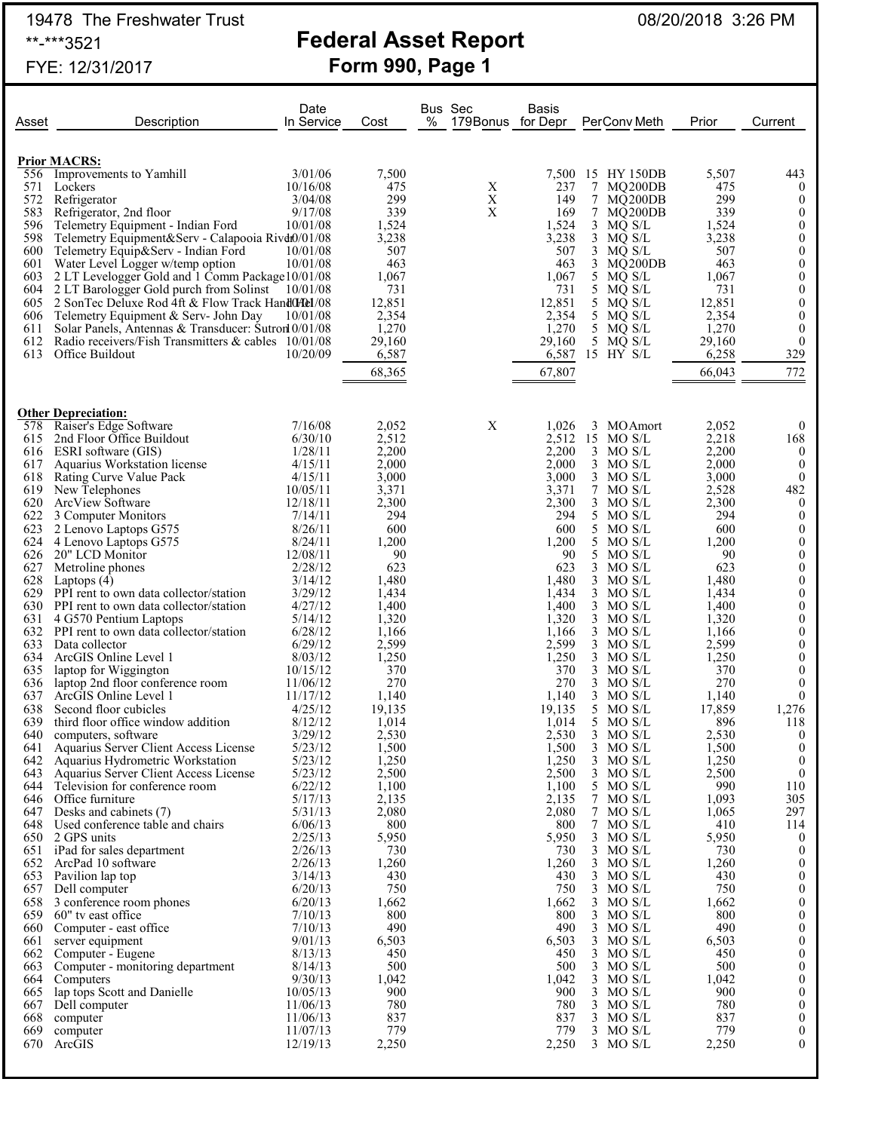19478 The Freshwater Trust **Federal Asset Report** 08/20/2018 3:26 PM<br>\*\*-\*\*\*3521 **Federal Asset Report** FYE: 12/31/2017 **Form 990, Page 1**

Date Bus Sec Basis

| Asset      | Description                                                            | In Service         | Cost            | % | 179 Bonus for Depr |                 | PerConv Meth               | Prior           | Current                          |
|------------|------------------------------------------------------------------------|--------------------|-----------------|---|--------------------|-----------------|----------------------------|-----------------|----------------------------------|
|            |                                                                        |                    |                 |   |                    |                 |                            |                 |                                  |
|            |                                                                        |                    |                 |   |                    |                 |                            |                 |                                  |
| 556        | <b>Prior MACRS:</b><br>Improvements to Yamhill                         | 3/01/06            | 7,500           |   |                    | 7,500           | 15 HY 150DB                | 5,507           | 443                              |
| 571        | Lockers                                                                | 10/16/08           | 475             |   | X                  | 237             | 7<br>MQ200DB               | 475             | $\theta$                         |
| 572        | Refrigerator                                                           | 3/04/08            | 299             |   | $\mathbf X$        | 149             | 7 MQ200DB                  | 299             | $\boldsymbol{0}$                 |
| 583        | Refrigerator, 2nd floor                                                | 9/17/08            | 339             |   | $\mathbf X$        | 169             | 7<br>MQ200DB               | 339             | $\boldsymbol{0}$                 |
| 596        | Telemetry Equipment - Indian Ford                                      | 10/01/08           | 1,524           |   |                    | 1,524           | 3<br>MQ S/L                | 1,524           | 0                                |
| 598        | Telemetry Equipment&Serv - Calapooia Rivdt0/01/08                      |                    | 3,238           |   |                    | 3,238           | 3<br>MQ S/L                | 3,238           | $\boldsymbol{0}$                 |
| 600        | Telemetry Equip&Serv - Indian Ford                                     | 10/01/08           | 507             |   |                    | 507             | 3<br>MQ S/L                | 507             | $\boldsymbol{0}$                 |
|            | 601 Water Level Logger w/temp option                                   | 10/01/08           | 463             |   |                    | 463             | 3<br>MQ200DB               | 463             | $\boldsymbol{0}$                 |
|            | 603 2 LT Levelogger Gold and 1 Comm Package 10/01/08                   |                    | 1,067           |   |                    | 1,067           | 5 MQ S/L                   | 1,067           | $\boldsymbol{0}$                 |
|            | 604 2 LT Barologger Gold purch from Solinst 10/01/08                   |                    | 731             |   |                    | 731             | 5<br>MQ S/L                | 731             | $\boldsymbol{0}$                 |
| 605        | 2 SonTec Deluxe Rod 4ft & Flow Track HandOHel/08                       |                    | 12,851          |   |                    | 12,851          | 5 MQ S/L                   | 12,851          | $\boldsymbol{0}$                 |
|            | 606 Telemetry Equipment & Serv- John Day                               | 10/01/08           | 2,354           |   |                    | 2,354           | 5<br>MQ S/L                | 2,354           | $\boldsymbol{0}$                 |
| 611<br>612 | Solar Panels, Antennas & Transducer: Sutron 0/01/08                    |                    | 1,270           |   |                    | 1,270           | $5$ MQ $S/L$               | 1,270           | $\boldsymbol{0}$<br>$\mathbf{0}$ |
| 613        | Radio receivers/Fish Transmitters & cables 10/01/08<br>Office Buildout | 10/20/09           | 29,160<br>6,587 |   |                    | 29,160<br>6,587 | 5<br>MQ S/L<br>15 HY S/L   | 29,160<br>6,258 | 329                              |
|            |                                                                        |                    |                 |   |                    |                 |                            |                 |                                  |
|            |                                                                        |                    | 68,365          |   |                    | 67,807          |                            | 66,043          | 772                              |
|            |                                                                        |                    |                 |   |                    |                 |                            |                 |                                  |
|            | <b>Other Depreciation:</b>                                             |                    |                 |   |                    |                 |                            |                 |                                  |
| 578        | Raiser's Edge Software                                                 | 7/16/08            | 2,052           |   | X                  | 1,026           | 3<br><b>MO</b> Amort       | 2,052           | $\theta$                         |
| 615        | 2nd Floor Office Buildout                                              | 6/30/10            | 2,512           |   |                    | 2.512           | 15 MO S/L                  | 2,218           | 168                              |
| 616        | ESRI software (GIS)                                                    | 1/28/11            | 2,200           |   |                    | 2,200           | 3<br>MO S/L                | 2,200           | $\theta$                         |
| 617        | Aquarius Workstation license                                           | 4/15/11            | 2,000           |   |                    | 2,000           | $3$ MO S/L                 | 2,000           | $\theta$                         |
| 618        | Rating Curve Value Pack                                                | 4/15/11            | 3,000           |   |                    | 3,000           | 3<br>MO S/L                | 3,000           | $\mathbf{0}$                     |
| 619        | New Telephones                                                         | 10/05/11           | 3,371           |   |                    | 3,371           | 7<br>MO S/L                | 2,528           | 482                              |
| 620        | ArcView Software                                                       | 12/18/11           | 2,300           |   |                    | 2,300           | 3<br>MO S/L                | 2,300           | $\theta$                         |
| 622        | 3 Computer Monitors                                                    | 7/14/11            | 294             |   |                    | 294             | 5 MO S/L                   | 294             | $\mathbf{0}$                     |
| 623        | 2 Lenovo Laptops G575                                                  | 8/26/11            | 600             |   |                    | 600             | 5<br>MO S/L                | 600             | $\boldsymbol{0}$                 |
| 624        | 4 Lenovo Laptops G575                                                  | 8/24/11            | 1,200           |   |                    | 1,200           | 5<br>MO S/L                | 1,200           | $\theta$                         |
|            | 626 20" LCD Monitor                                                    | 12/08/11           | 90              |   |                    | 90              | 5<br>MO S/L                | 90              | $\boldsymbol{0}$                 |
| 627<br>628 | Metroline phones                                                       | 2/28/12            | 623             |   |                    | 623             | 3<br>MO S/L<br>3<br>MO S/L | 623             | $\theta$<br>$\boldsymbol{0}$     |
| 629        | Laptops (4)<br>PPI rent to own data collector/station                  | 3/14/12<br>3/29/12 | 1,480<br>1,434  |   |                    | 1,480<br>1,434  | 3<br>MO S/L                | 1,480<br>1,434  | $\theta$                         |
|            | 630 PPI rent to own data collector/station                             | 4/27/12            | 1,400           |   |                    | 1,400           | 3<br>MO S/L                | 1,400           | 0                                |
|            | 631 4 G570 Pentium Laptops                                             | 5/14/12            | 1,320           |   |                    | 1,320           | 3<br>MO S/L                | 1,320           | $\theta$                         |
|            | 632 PPI rent to own data collector/station                             | 6/28/12            | 1,166           |   |                    | 1,166           | 3<br>MO S/L                | 1,166           | $\boldsymbol{0}$                 |
| 633        | Data collector                                                         | 6/29/12            | 2,599           |   |                    | 2,599           | 3<br>MO S/L                | 2,599           | $\theta$                         |
| 634        | ArcGIS Online Level 1                                                  | 8/03/12            | 1,250           |   |                    | 1,250           | 3<br>MO S/L                | 1,250           | $\boldsymbol{0}$                 |
| 635        | laptop for Wiggington                                                  | 10/15/12           | 370             |   |                    | 370             | 3<br>MO S/L                | 370             | $\theta$                         |
| 636        | laptop 2nd floor conference room                                       | 11/06/12           | 270             |   |                    | 270             | 3<br>MO S/L                | 270             | $\mathbf{0}$                     |
| 637        | ArcGIS Online Level 1                                                  | 11/17/12           | 1,140           |   |                    | 1,140           | 3<br>MO S/L                | 1,140           | $\mathbf{0}$                     |
| 638        | Second floor cubicles                                                  | 4/25/12            | 19,135          |   |                    | 19,135          | 5<br>MO S/L                | 17,859          | 1,276                            |
| 639        | third floor office window addition                                     | 8/12/12            | 1,014           |   |                    | 1,014           | 5<br>MO S/L                | 896             | 118                              |
| 640<br>641 | computers, software<br>Aquarius Server Client Access License           | 3/29/12<br>5/23/12 | 2,530<br>1,500  |   |                    | 2,530<br>1,500  | 3<br>MO S/L<br>3<br>MO S/L | 2,530<br>1,500  | $\boldsymbol{0}$<br>$\theta$     |
|            | 642 Aquarius Hydrometric Workstation                                   | 5/23/12            | 1,250           |   |                    | 1,250           | $3$ MO S/L                 | 1,250           | $\boldsymbol{0}$                 |
|            | 643 Aquarius Server Client Access License                              | 5/23/12            | 2,500           |   |                    | 2,500           | 3 MO S/L                   | 2,500           | $\boldsymbol{0}$                 |
| 644        | Television for conference room                                         | 6/22/12            | 1,100           |   |                    | 1,100           | 5<br>MO S/L                | 990             | 110                              |
|            | 646 Office furniture                                                   | 5/17/13            | 2,135           |   |                    | 2,135           | 7 MO S/L                   | 1,093           | 305                              |
| 647        | Desks and cabinets (7)                                                 | 5/31/13            | 2,080           |   |                    | 2,080           | 7<br>MO S/L                | 1,065           | 297                              |
|            | 648 Used conference table and chairs                                   | 6/06/13            | 800             |   |                    | 800             | 7 MO S/L                   | 410             | 114                              |
|            | 650 2 GPS units                                                        | 2/25/13            | 5,950           |   |                    | 5,950           | 3<br>MO S/L                | 5,950           | $\bf{0}$                         |
|            | 651 iPad for sales department                                          | 2/26/13            | 730             |   |                    | 730             | 3<br>MO S/L                | 730             | $\mathbf{0}$                     |
|            | 652 ArcPad 10 software                                                 | 2/26/13            | 1,260           |   |                    | 1,260           | 3<br>MO S/L                | 1,260           | $\mathbf{0}$                     |
|            | 653 Pavilion lap top                                                   | 3/14/13            | 430             |   |                    | 430             | 3<br>MO S/L                | 430             | $\mathbf{0}$                     |
|            | 657 Dell computer                                                      | 6/20/13<br>6/20/13 | 750<br>1,662    |   |                    | 750<br>1,662    | 3<br>MO S/L<br>3<br>MO S/L | 750<br>1,662    | $\boldsymbol{0}$<br>$\theta$     |
|            | 658 3 conference room phones<br>659 60" tv east office                 | 7/10/13            | 800             |   |                    | 800             | 3<br>MO S/L                | 800             | $\boldsymbol{0}$                 |
|            | 660 Computer - east office                                             | 7/10/13            | 490             |   |                    | 490             | 3<br>MO S/L                | 490             | $\boldsymbol{0}$                 |
| 661        | server equipment                                                       | 9/01/13            | 6,503           |   |                    | 6,503           | MO S/L<br>3                | 6,503           | $\boldsymbol{0}$                 |
|            | 662 Computer - Eugene                                                  | 8/13/13            | 450             |   |                    | 450             | 3<br>MO S/L                | 450             | 0                                |
|            | 663 Computer - monitoring department                                   | 8/14/13            | 500             |   |                    | 500             | MO S/L<br>3                | 500             | $\boldsymbol{0}$                 |
|            | 664 Computers                                                          | 9/30/13            | 1,042           |   |                    | 1,042           | 3<br>MO S/L                | 1,042           | $\boldsymbol{0}$                 |
|            | 665 lap tops Scott and Danielle                                        | 10/05/13           | 900             |   |                    | 900             | MO S/L<br>3                | 900             | $\boldsymbol{0}$                 |
|            | 667 Dell computer                                                      | 11/06/13           | 780             |   |                    | 780             | 3<br>MO S/L                | 780             | $\boldsymbol{0}$                 |
| 668        | computer                                                               | 11/06/13           | 837             |   |                    | 837             | 3<br>MO S/L                | 837             | $\boldsymbol{0}$                 |
| 669        | computer                                                               | 11/07/13           | 779             |   |                    | 779             | $3$ MO S/L                 | 779             | 0                                |
| 670        | ArcGIS                                                                 | 12/19/13           | 2,250           |   |                    | 2,250           | $3$ MO S/L                 | 2,250           | $\theta$                         |
|            |                                                                        |                    |                 |   |                    |                 |                            |                 |                                  |
|            |                                                                        |                    |                 |   |                    |                 |                            |                 |                                  |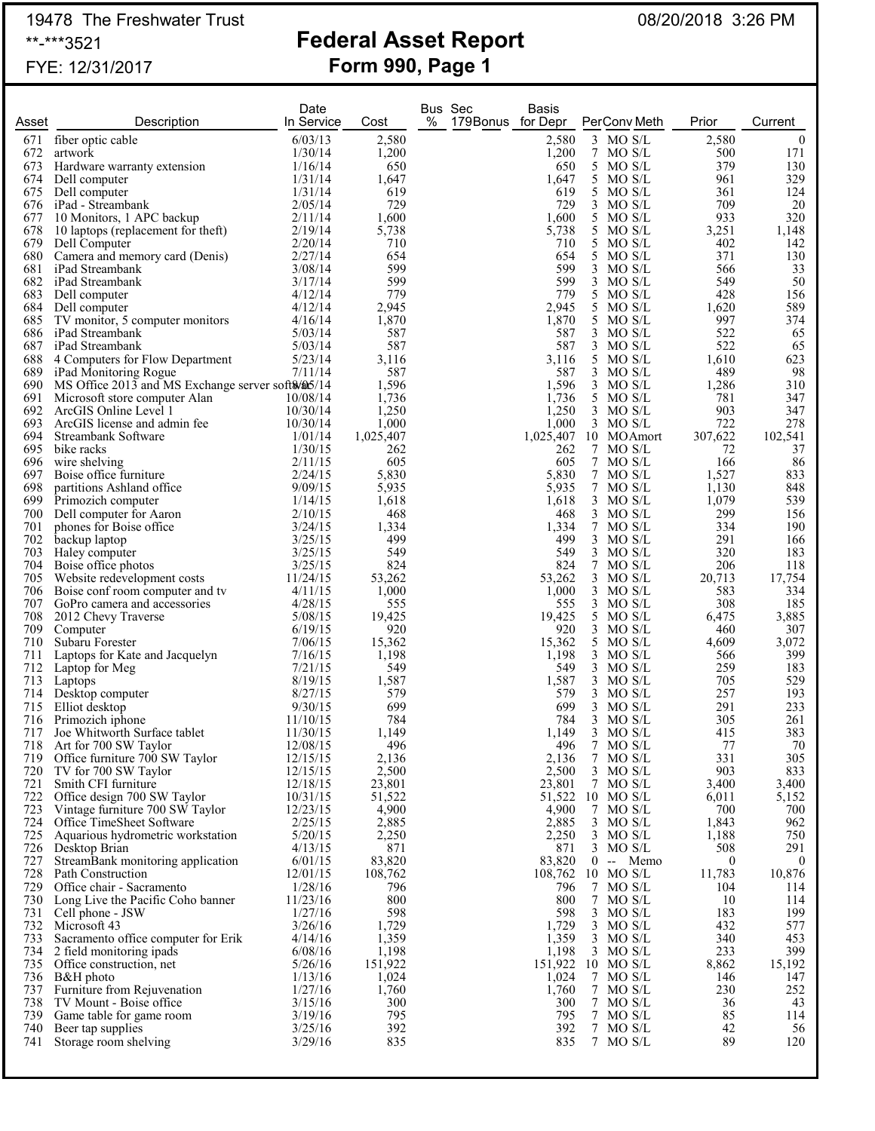# 19478 The Freshwater Trust **Federal Asset Report** 08/20/2018 3:26 PM

## **Federal Asset Report** FYE: 12/31/2017 **Form 990, Page 1**

| Asset      | Description                                                     | Date<br>In Service   | Cost             | <b>Bus Sec</b><br>%<br>179Bonus for Depr | <b>Basis</b>     | PerConv Meth                         | Prior           | Current             |
|------------|-----------------------------------------------------------------|----------------------|------------------|------------------------------------------|------------------|--------------------------------------|-----------------|---------------------|
| 671        | fiber optic cable                                               | 6/03/13              | 2,580            |                                          | 2,580            | 3 MO S/L                             | 2,580           | $\overline{0}$      |
| 672        | artwork                                                         | 1/30/14              | 1,200            |                                          | 1,200            | 7<br>MO S/L                          | 500             | 171                 |
| 673        | Hardware warranty extension                                     | 1/16/14              | 650              |                                          | 650              | 5<br>MO S/L                          | 379             | 130                 |
| 674        | Dell computer                                                   | 1/31/14              | 1,647            |                                          | 1,647            | 5 MO S/L                             | 961             | 329                 |
| 675        | Dell computer                                                   | 1/31/14              | 619              |                                          | 619              | 5<br>MO S/L                          | 361             | 124                 |
| 676        | iPad - Streambank                                               | 2/05/14              | 729              |                                          | 729              | 3<br>MO S/L                          | 709             | 20                  |
| 677<br>678 | 10 Monitors, 1 APC backup<br>10 laptops (replacement for theft) | 2/11/14<br>2/19/14   | 1,600<br>5,738   |                                          | 1,600<br>5,738   | 5<br>MO S/L<br>5<br>MO S/L           | 933<br>3,251    | 320<br>1,148        |
| 679        | Dell Computer                                                   | 2/20/14              | 710              |                                          | 710              | 5<br>MO S/L                          | 402             | 142                 |
| 680        | Camera and memory card (Denis)                                  | 2/27/14              | 654              |                                          | 654              | 5<br>MO S/L                          | 371             | 130                 |
| 681        | iPad Streambank                                                 | 3/08/14              | 599              |                                          | 599              | 3<br>MO S/L                          | 566             | 33                  |
| 682        | iPad Streambank                                                 | 3/17/14              | 599              |                                          | 599              | MO S/L<br>3                          | 549             | 50                  |
| 683        | Dell computer                                                   | 4/12/14              | 779              |                                          | 779              | 5 MO S/L                             | 428             | 156                 |
| 684        | Dell computer                                                   | 4/12/14              | 2,945            |                                          | 2,945            | 5 MO S/L                             | 1,620           | 589                 |
| 685<br>686 | TV monitor, 5 computer monitors<br>iPad Streambank              | 4/16/14<br>5/03/14   | 1,870<br>587     |                                          | 1,870<br>587     | 5<br>MO S/L<br>3<br>MO S/L           | 997<br>522      | 374<br>65           |
|            | 687 iPad Streambank                                             | 5/03/14              | 587              |                                          | 587              | $3$ MO S/L                           | 522             | 65                  |
| 688        | 4 Computers for Flow Department                                 | 5/23/14              | 3,116            |                                          | 3,116            | 5<br>MO S/L                          | 1,610           | 623                 |
| 689        | iPad Monitoring Rogue                                           | 7/11/14              | 587              |                                          | 587              | 3<br>MO S/L                          | 489             | 98                  |
| 690        | MS Office 2013 and MS Exchange server soft \$/\$05/14           |                      | 1,596            |                                          | 1,596            | $3$ MO S/L                           | 1,286           | 310                 |
|            | 691 Microsoft store computer Alan                               | 10/08/14             | 1,736            |                                          | 1,736            | 5 MO S/L                             | 781             | 347                 |
| 692        | ArcGIS Online Level 1                                           | 10/30/14             | 1,250            |                                          | 1,250            | $3$ MO S/L                           | 903             | 347                 |
| 693        | ArcGIS license and admin fee                                    | 10/30/14             | 1,000            |                                          | 1,000            | 3 MO S/L                             | 722             | 278                 |
| 694<br>695 | Streambank Software<br>bike racks                               | 1/01/14<br>1/30/15   | 1,025,407<br>262 |                                          | 1,025,407<br>262 | 10 MOAmort<br>7 MO S/L               | 307,622<br>72   | 102,541<br>37       |
| 696        | wire shelving                                                   | 2/11/15              | 605              |                                          | 605              | 7 MO S/L                             | 166             | 86                  |
| 697        | Boise office furniture                                          | 2/24/15              | 5,830            |                                          | 5,830            | 7 MO S/L                             | 1,527           | 833                 |
| 698        | partitions Ashland office                                       | 9/09/15              | 5,935            |                                          | 5,935            | 7 MO S/L                             | 1,130           | 848                 |
| 699        | Primozich computer                                              | 1/14/15              | 1,618            |                                          | 1,618            | $3$ MO S/L                           | 1,079           | 539                 |
| 700        | Dell computer for Aaron                                         | 2/10/15              | 468              |                                          | 468              | $3$ MO S/L                           | 299             | 156                 |
| 701        | phones for Boise office                                         | 3/24/15              | 1,334            |                                          | 1,334            | 7<br>MO S/L                          | 334             | 190                 |
| 702<br>703 | backup laptop                                                   | 3/25/15<br>3/25/15   | 499<br>549       |                                          | 499<br>549       | $3$ MO S/L<br>$3$ MO S/L             | 291<br>320      | 166<br>183          |
| 704        | Haley computer<br>Boise office photos                           | 3/25/15              | 824              |                                          | 824              | 7<br>MO S/L                          | 206             | 118                 |
| 705        | Website redevelopment costs                                     | 11/24/15             | 53,262           |                                          | 53,262           | 3<br>MO S/L                          | 20,713          | 17,754              |
| 706        | Boise conf room computer and tv                                 | 4/11/15              | 1,000            |                                          | 1,000            | 3<br>MO S/L                          | 583             | 334                 |
| 707        | GoPro camera and accessories                                    | 4/28/15              | 555              |                                          | 555              | $3$ MO S/L                           | 308             | 185                 |
| 708        | 2012 Chevy Traverse                                             | 5/08/15              | 19,425           |                                          | 19,425           | 5 MO S/L                             | 6,475           | 3,885               |
| 709        | Computer                                                        | 6/19/15              | 920              |                                          | 920              | 3<br>MO S/L                          | 460             | 307                 |
| 710<br>711 | Subaru Forester<br>Laptops for Kate and Jacquelyn               | 7/06/15<br>7/16/15   | 15,362           |                                          | 15,362<br>1,198  | 5 MO S/L<br>3<br>MO S/L              | 4,609<br>566    | 3,072<br>399        |
| 712        | Laptop for Meg                                                  | 7/21/15              | 1,198<br>549     |                                          | 549              | MO S/L<br>3                          | 259             | 183                 |
| 713        | Laptops                                                         | 8/19/15              | 1,587            |                                          | 1,587            | 3<br>MO S/L                          | 705             | 529                 |
| 714        | Desktop computer                                                | 8/27/15              | 579              |                                          | 579              | MO S/L<br>3                          | 257             | 193                 |
| 715        | Elliot desktop                                                  | 9/30/15              | 699              |                                          | 699              | 3<br>MO S/L                          | 291             | 233                 |
| 716        | Primozich iphone                                                | 11/10/15             | 784              |                                          | 784              | MO S/L<br>3                          | 305             | 261                 |
| 717        | Joe Whitworth Surface tablet                                    | 11/30/15             | 1,149            |                                          | 1,149            | 3 MO S/L                             | 415             | 383                 |
| 718<br>719 | Art for 700 SW Taylor<br>Office furniture 700 SW Taylor         | 12/08/15<br>12/15/15 | 496<br>2,136     |                                          | 496<br>2,136     | $\tau$<br>MO S/L<br>$\tau$<br>MO S/L | 77<br>331       | 70<br>305           |
| 720        | TV for 700 SW Taylor                                            | 12/15/15             | 2,500            |                                          | 2,500            | 3 MO S/L                             | 903             | 833                 |
| 721        | Smith CFI furniture                                             | 12/18/15             | 23,801           |                                          | 23,801           | 7 MO S/L                             | 3,400           | 3,400               |
| 722        | Office design 700 SW Taylor                                     | 10/31/15             | 51,522           |                                          |                  | 51,522 10 MO S/L                     | 6,011           | 5,152               |
| 723        | Vintage furniture 700 SW Taylor                                 | 12/23/15             | 4,900            |                                          | 4,900            | 7 MO S/L                             | 700             | 700                 |
| 724        | Office TimeSheet Software                                       | 2/25/15              | 2,885            |                                          | 2,885            | 3 MO S/L                             | 1,843           | 962                 |
| 725        | Aquarious hydrometric workstation                               | 5/20/15              | 2,250            |                                          | 2,250            | 3 MO S/L                             | 1,188           | 750                 |
| 727        | 726 Desktop Brian<br>StreamBank monitoring application          | 4/13/15<br>6/01/15   | 871<br>83,820    |                                          | 871<br>83,820    | 3 MO S/L<br>$0 - -$<br>Memo          | 508<br>$\bf{0}$ | 291<br>$\mathbf{0}$ |
|            | 728 Path Construction                                           | 12/01/15             | 108,762          |                                          |                  | 108,762 10 MO S/L                    | 11,783          | 10,876              |
| 729        | Office chair - Sacramento                                       | 1/28/16              | 796              |                                          | 796              | 7 MO S/L                             | 104             | 114                 |
| 730        | Long Live the Pacific Coho banner                               | 11/23/16             | 800              |                                          | 800              | 7 MO S/L                             | 10              | 114                 |
| 731        | Cell phone - JSW                                                | 1/27/16              | 598              |                                          | 598              | 3 MO S/L                             | 183             | 199                 |
| 732        | Microsoft 43                                                    | 3/26/16              | 1,729            |                                          | 1,729            | $3$ MO S/L                           | 432             | 577                 |
| 733        | Sacramento office computer for Erik                             | 4/14/16              | 1,359            |                                          | 1,359            | $3$ MO S/L                           | 340             | 453                 |
| 734        | 2 field monitoring ipads<br>735 Office construction, net        | 6/08/16<br>5/26/16   | 1,198<br>151,922 |                                          | 1,198            | $3$ MO S/L<br>151,922 10 MO S/L      | 233<br>8,862    | 399<br>15,192       |
|            | 736 B&H photo                                                   | 1/13/16              | 1,024            |                                          | 1,024            | 7 MO S/L                             | 146             | 147                 |
| 737        | Furniture from Rejuvenation                                     | 1/27/16              | 1,760            |                                          | 1,760            | 7 MO S/L                             | 230             | 252                 |
| 738        | TV Mount - Boise office                                         | 3/15/16              | 300              |                                          | 300              | 7 MO S/L                             | 36              | 43                  |
| 739        | Game table for game room                                        | 3/19/16              | 795              |                                          | 795              | 7 MO S/L                             | 85              | 114                 |
| 740        | Beer tap supplies                                               | 3/25/16              | 392              |                                          | 392              | 7 MO S/L                             | 42              | 56                  |
| 741        | Storage room shelving                                           | 3/29/16              | 835              |                                          | 835              | 7 MO S/L                             | 89              | 120                 |
|            |                                                                 |                      |                  |                                          |                  |                                      |                 |                     |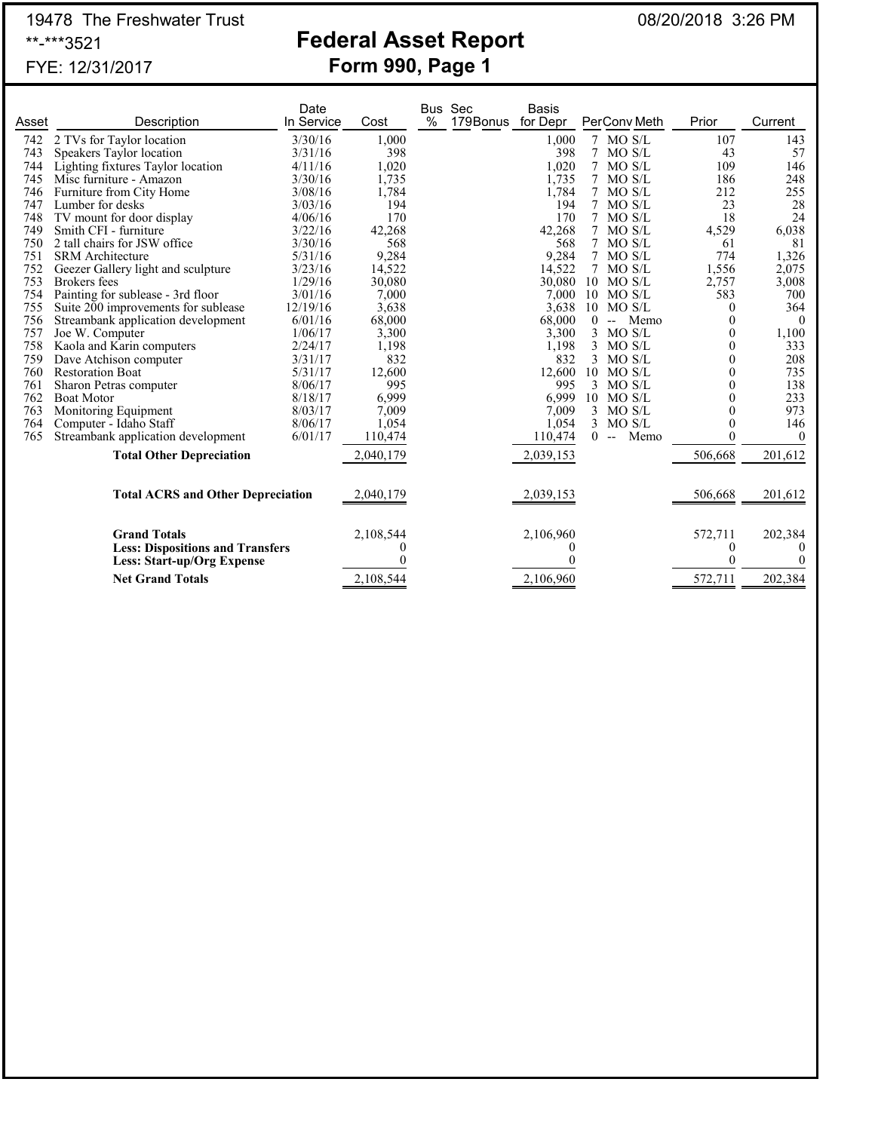# 19478 The Freshwater Trust **Federal Asset Report** 08/20/2018 3:26 PM<br>\*\*<sub>-</sub>\*\*\*3521

# **Federal Asset Report** FYE: 12/31/2017 **Form 990, Page 1**

|       |                                          | Date       |           |      | <b>Bus Sec</b>    | Basis     |        |                                  |                  |          |
|-------|------------------------------------------|------------|-----------|------|-------------------|-----------|--------|----------------------------------|------------------|----------|
| Asset | Description                              | In Service | Cost      | $\%$ | 179Bonus for Depr |           |        | PerConv Meth                     | Prior            | Current  |
| 742   | 2 TVs for Taylor location                | 3/30/16    | 1,000     |      |                   | 1,000     | $\tau$ | MO S/L                           | 107              | 143      |
| 743   | Speakers Taylor location                 | 3/31/16    | 398       |      |                   | 398       | 7      | MO S/L                           | 43               | 57       |
| 744   | Lighting fixtures Taylor location        | 4/11/16    | 1,020     |      |                   | 1,020     | 7      | MO S/L                           | 109              | 146      |
| 745   | Misc furniture - Amazon                  | 3/30/16    | 1,735     |      |                   | 1,735     | 7      | MO S/L                           | 186              | 248      |
| 746   | Furniture from City Home                 | 3/08/16    | 1,784     |      |                   | 1,784     | 7      | MO S/L                           | 212              | 255      |
| 747   | Lumber for desks                         | 3/03/16    | 194       |      |                   | 194       | 7      | MO S/L                           | 23               | 28       |
| 748   | TV mount for door display                | 4/06/16    | 170       |      |                   | 170       | 7      | MO S/L                           | 18               | 24       |
| 749   | Smith CFI - furniture                    | 3/22/16    | 42,268    |      |                   | 42,268    | 7      | MO S/L                           | 4,529            | 6,038    |
| 750   | 2 tall chairs for JSW office             | 3/30/16    | 568       |      |                   | 568       | 7      | MO S/L                           | 61               | 81       |
| 751   | <b>SRM</b> Architecture                  | 5/31/16    | 9,284     |      |                   | 9,284     | 7      | MO S/L                           | 774              | 1,326    |
| 752   | Geezer Gallery light and sculpture       | 3/23/16    | 14,522    |      |                   | 14,522    | 7      | MO S/L                           | 1,556            | 2,075    |
| 753   | <b>Brokers</b> fees                      | 1/29/16    | 30,080    |      |                   | 30,080    |        | $10$ MO S/L                      | 2,757            | 3,008    |
| 754   | Painting for sublease - 3rd floor        | 3/01/16    | 7,000     |      |                   | 7,000     | 10     | MO S/L                           | 583              | 700      |
| 755   | Suite 200 improvements for sublease      | 12/19/16   | 3,638     |      |                   | 3,638     |        | 10 MO S/L                        | $\Omega$         | 364      |
| 756   | Streambank application development       | 6/01/16    | 68,000    |      |                   | 68,000    | 0      | Memo<br>$\overline{\phantom{a}}$ | $\theta$         | $\Omega$ |
| 757   | Joe W. Computer                          | 1/06/17    | 3,300     |      |                   | 3,300     | 3      | MO S/L                           | $\theta$         | 1,100    |
| 758   | Kaola and Karin computers                | 2/24/17    | 1,198     |      |                   | 1,198     | 3      | MO S/L                           | $\theta$         | 333      |
| 759   | Dave Atchison computer                   | 3/31/17    | 832       |      |                   | 832       | 3      | MO S/L                           | $\Omega$         | 208      |
| 760   | <b>Restoration Boat</b>                  | 5/31/17    | 12,600    |      |                   | 12,600    |        | 10 MO S/L                        | $\theta$         | 735      |
| 761   | Sharon Petras computer                   | 8/06/17    | 995       |      |                   | 995       | 3      | MO S/L                           | $\theta$         | 138      |
| 762   | <b>Boat Motor</b>                        | 8/18/17    | 6,999     |      |                   | 6.999     |        | $10$ MO S/L                      | $\theta$         | 233      |
| 763   | Monitoring Equipment                     | 8/03/17    | 7,009     |      |                   | 7,009     | 3      | MO S/L                           | $\boldsymbol{0}$ | 973      |
| 764   | Computer - Idaho Staff                   | 8/06/17    | 1,054     |      |                   | 1,054     | 3      | MO S/L                           | $\theta$         | 146      |
| 765   | Streambank application development       | 6/01/17    | 110,474   |      |                   | 110,474   | 0      | Memo<br>$\overline{\phantom{a}}$ |                  | $\theta$ |
|       | <b>Total Other Depreciation</b>          |            | 2,040,179 |      |                   | 2,039,153 |        |                                  | 506,668          | 201,612  |
|       |                                          |            |           |      |                   |           |        |                                  |                  |          |
|       | <b>Total ACRS and Other Depreciation</b> |            | 2,040,179 |      |                   | 2,039,153 |        |                                  | 506,668          | 201,612  |
|       |                                          |            |           |      |                   |           |        |                                  |                  |          |
|       | <b>Grand Totals</b>                      |            | 2,108,544 |      |                   | 2,106,960 |        |                                  | 572,711          | 202,384  |
|       | <b>Less: Dispositions and Transfers</b>  |            |           |      |                   | $\theta$  |        |                                  | $\theta$         | $\theta$ |
|       | <b>Less: Start-up/Org Expense</b>        |            |           |      |                   |           |        |                                  | 0                | $\theta$ |
|       | <b>Net Grand Totals</b>                  |            | 2,108,544 |      |                   | 2,106,960 |        |                                  | 572,711          | 202,384  |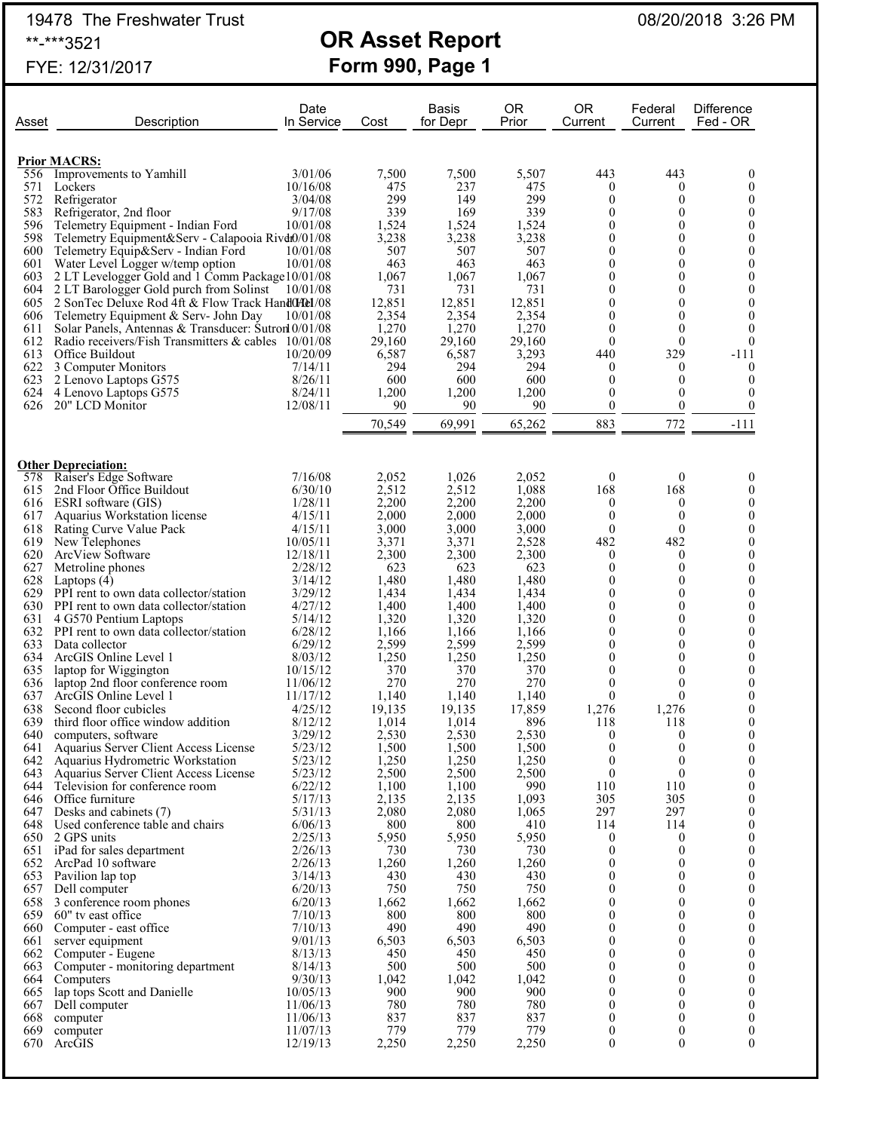19478 The Freshwater Trust 08/20/2018 3:26 PM

# \*\*-\*\*\*3521 **OR Asset Report**

|       | FYE: 12/31/2017                                     |                    |        | <b>Form 990, Page 1</b>  |                    |                                |                    |                               |
|-------|-----------------------------------------------------|--------------------|--------|--------------------------|--------------------|--------------------------------|--------------------|-------------------------------|
| Asset | Description                                         | Date<br>In Service | Cost   | <b>Basis</b><br>for Depr | <b>OR</b><br>Prior | <b>OR</b><br>Current           | Federal<br>Current | <b>Difference</b><br>Fed - OR |
|       |                                                     |                    |        |                          |                    |                                |                    |                               |
|       | <b>Prior MACRS:</b>                                 |                    |        |                          |                    |                                |                    |                               |
| 556   | Improvements to Yamhill                             | 3/01/06            | 7,500  | 7,500                    | 5,507              | 443                            | 443                |                               |
| 571   | Lockers                                             | 10/16/08           | 475    | 237                      | 475                | $\theta$                       | 0                  |                               |
| 572   | Refrigerator                                        | 3/04/08            | 299    | 149                      | 299                | $\theta$                       | $\theta$           | 0                             |
| 583   | Refrigerator, 2nd floor                             | 9/17/08            | 339    | 169                      | 339                | $\overline{0}$                 | 0                  | 0                             |
| 596   | Telemetry Equipment - Indian Ford                   | 10/01/08           | 1,524  | 1,524                    | 1,524              | 0                              | 0                  | 0                             |
| 598   | Telemetry Equipment&Serv - Calapooia Rivdt0/01/08   |                    | 3,238  | 3,238                    | 3,238              | 0                              | 0                  | 0                             |
| 600   | Telemetry Equip&Serv - Indian Ford                  | 10/01/08           | 507    | 507                      | 507                | 0                              | 0                  | 0                             |
| 601   | Water Level Logger w/temp option                    | 10/01/08           | 463    | 463                      | 463                | $\Omega$                       | 0                  | 0                             |
| 603   | 2 LT Levelogger Gold and 1 Comm Package 10/01/08    |                    | 1,067  | 1,067                    | 1,067              | $\theta$                       | 0                  | $\boldsymbol{0}$              |
| 604   | 2 LT Barologger Gold purch from Solinst             | 10/01/08           | 731    | 731                      | 731                | $\theta$                       | 0                  | $\theta$                      |
| 605   | 2 SonTec Deluxe Rod 4ft & Flow Track Hand0Hel/08    |                    | 12,851 | 12,851                   | 12,851             | $\overline{0}$                 | $\theta$           | $\theta$                      |
| 606   | Telemetry Equipment & Serv- John Day                | 10/01/08           | 2,354  | 2,354                    | 2,354              | $\overline{0}$                 | $\theta$           | 0                             |
| 611   | Solar Panels, Antennas & Transducer: Sutron 0/01/08 |                    | 1,270  | 1,270                    | 1,270              | $\theta$                       | 0                  | 0                             |
| 612   | Radio receivers/Fish Transmitters & cables 10/01/08 |                    | 29,160 | 29,160                   | 29,160             | $\theta$                       | $\theta$           | $\theta$                      |
| 613   | Office Buildout                                     | 10/20/09           | 6,587  | 6,587                    | 3,293              | 440                            | 329                | $-111$                        |
| 622   | 3 Computer Monitors                                 | 7/14/11            | 294    | 294                      | 294                | $\boldsymbol{0}$               | 0                  | $\boldsymbol{0}$              |
| 623   | 2 Lenovo Laptops G575                               | 8/26/11            | 600    | 600                      | 600                | $\boldsymbol{0}$               | 0                  | $\theta$                      |
| 624   | 4 Lenovo Laptops G575                               | 8/24/11            | 1,200  | 1,200                    | 1,200              | $\theta$                       | 0                  | $\boldsymbol{0}$              |
| 626   | 20" LCD Monitor                                     | 12/08/11           | 90     | 90                       | 90                 | $\theta$                       | $\theta$           | $\overline{0}$                |
|       |                                                     |                    | 70,549 | 69,991                   | 65,262             | 883                            | 772                | $-111$                        |
|       |                                                     |                    |        |                          |                    |                                |                    |                               |
|       | <b>Other Depreciation:</b>                          |                    |        |                          |                    |                                |                    |                               |
| 578   | Raiser's Edge Software                              | 7/16/08            | 2,052  | 1,026                    | 2,052              | $\boldsymbol{0}$               | $\boldsymbol{0}$   | 0                             |
| 615   | 2nd Floor Office Buildout                           | 6/30/10            | 2,512  | 2,512                    | 1,088              | 168                            | 168                | 0                             |
| 616   | ESRI software (GIS)                                 | 1/28/11            | 2,200  | 2,200                    | 2,200              | $\theta$                       | $\mathbf{0}$       | $\theta$                      |
| 617   | Aquarius Workstation license                        | 4/15/11            | 2,000  | 2,000                    | 2,000              | $\theta$                       | $\theta$           | $\overline{0}$                |
| 618   | Rating Curve Value Pack                             | 4/15/11            | 3,000  | 3,000                    | 3,000              | $\mathbf{0}$                   | $\Omega$           | 0                             |
| 619   | New Telephones                                      | 10/05/11           | 3,371  | 3,371                    | 2,528              | 482                            | 482                | 0                             |
| 620   | ArcView Software                                    | 12/18/11           | 2,300  | 2,300                    | 2,300              | $\theta$<br>$\curvearrowright$ | 0                  | $\theta$                      |

|     | <b>Other Depreciation:</b>                 |          |        |        |        |                  |                  |                  |
|-----|--------------------------------------------|----------|--------|--------|--------|------------------|------------------|------------------|
| 578 | Raiser's Edge Software                     | 7/16/08  | 2,052  | 1,026  | 2,052  | $\theta$         | $\theta$         | 0                |
| 615 | 2nd Floor Office Buildout                  | 6/30/10  | 2,512  | 2,512  | 1,088  | 168              | 168              | $\theta$         |
|     | 616 ESRI software (GIS)                    | 1/28/11  | 2,200  | 2,200  | 2,200  | $\mathbf{0}$     | $\mathbf{0}$     | $\mathbf{0}$     |
| 617 | Aquarius Workstation license               | 4/15/11  | 2,000  | 2,000  | 2,000  | $\mathbf{0}$     | $\mathbf{0}$     | $\mathbf{0}$     |
| 618 | Rating Curve Value Pack                    | 4/15/11  | 3,000  | 3,000  | 3,000  | $\mathbf{0}$     | $\theta$         | $\mathbf{0}$     |
| 619 | New Telephones                             | 10/05/11 | 3,371  | 3,371  | 2,528  | 482              | 482              | $\theta$         |
|     | 620 ArcView Software                       | 12/18/11 | 2,300  | 2,300  | 2,300  | $\boldsymbol{0}$ | $\boldsymbol{0}$ | $\boldsymbol{0}$ |
| 627 | Metroline phones                           | 2/28/12  | 623    | 623    | 623    | $\mathbf{0}$     | $\mathbf{0}$     | $\overline{0}$   |
| 628 | Laptops $(4)$                              | 3/14/12  | 1,480  | 1,480  | 1,480  | $\boldsymbol{0}$ | $\theta$         | $\mathbf{0}$     |
|     | 629 PPI rent to own data collector/station | 3/29/12  | 1,434  | 1,434  | 1,434  | $\boldsymbol{0}$ | $\theta$         | $\overline{0}$   |
|     | 630 PPI rent to own data collector/station | 4/27/12  | 1,400  | 1,400  | 1,400  | $\mathbf{0}$     | $\theta$         | $\mathbf{0}$     |
| 631 | 4 G570 Pentium Laptops                     | 5/14/12  | 1,320  | 1,320  | 1,320  | $\mathbf{0}$     | $\theta$         | $\overline{0}$   |
|     | 632 PPI rent to own data collector/station | 6/28/12  | 1,166  | 1,166  | 1,166  | $\theta$         | $\theta$         | $\theta$         |
| 633 | Data collector                             | 6/29/12  | 2,599  | 2,599  | 2,599  | $\boldsymbol{0}$ | $\theta$         | $\boldsymbol{0}$ |
|     | 634 ArcGIS Online Level 1                  | 8/03/12  | 1,250  | 1,250  | 1,250  | $\boldsymbol{0}$ | $\theta$         | $\mathbf{0}$     |
| 635 | laptop for Wiggington                      | 10/15/12 | 370    | 370    | 370    | $\mathbf{0}$     | $\mathbf{0}$     | $\mathbf{0}$     |
| 636 | laptop 2nd floor conference room           | 11/06/12 | 270    | 270    | 270    | $\mathbf{0}$     | $\theta$         | $\overline{0}$   |
| 637 | ArcGIS Online Level 1                      | 11/17/12 | 1,140  | 1,140  | 1.140  | $\theta$         | $\Omega$         | $\mathbf{0}$     |
| 638 | Second floor cubicles                      | 4/25/12  | 19,135 | 19,135 | 17,859 | 1,276            | 1,276            | $\overline{0}$   |
| 639 | third floor office window addition         | 8/12/12  | 1,014  | 1,014  | 896    | 118              | 118              | $\theta$         |
| 640 | computers, software                        | 3/29/12  | 2,530  | 2,530  | 2,530  | $\theta$         | $\mathbf{0}$     | $\overline{0}$   |
| 641 | Aquarius Server Client Access License      | 5/23/12  | 1,500  | 1,500  | 1,500  | $\mathbf{0}$     | $\theta$         | $\overline{0}$   |
|     | 642 Aquarius Hydrometric Workstation       | 5/23/12  | 1,250  | 1,250  | 1,250  | $\mathbf{0}$     | $\theta$         | $\mathbf{0}$     |
|     | 643 Aquarius Server Client Access License  | 5/23/12  | 2,500  | 2,500  | 2,500  | $\mathbf{0}$     | $\mathbf{0}$     | $\overline{0}$   |
| 644 | Television for conference room             | 6/22/12  | 1,100  | 1,100  | 990    | 110              | 110              | $\mathbf{0}$     |
|     | 646 Office furniture                       | 5/17/13  | 2,135  | 2,135  | 1,093  | 305              | 305              | $\overline{0}$   |
| 647 | Desks and cabinets (7)                     | 5/31/13  | 2,080  | 2,080  | 1,065  | 297              | 297              | $\theta$         |
|     | 648 Used conference table and chairs       | 6/06/13  | 800    | 800    | 410    | 114              | 114              | $\overline{0}$   |
|     | 650 2 GPS units                            | 2/25/13  | 5,950  | 5,950  | 5,950  | $\mathbf{0}$     | $\overline{0}$   | $\theta$         |
| 651 | iPad for sales department                  | 2/26/13  | 730    | 730    | 730    | $\mathbf{0}$     | $\mathbf{0}$     | $\mathbf{0}$     |
|     | 652 ArcPad 10 software                     | 2/26/13  | 1,260  | 1,260  | 1,260  | $\boldsymbol{0}$ | $\theta$         | $\overline{0}$   |
| 653 | Pavilion lap top                           | 3/14/13  | 430    | 430    | 430    | $\theta$         | $\overline{0}$   | $\mathbf{0}$     |
| 657 | Dell computer                              | 6/20/13  | 750    | 750    | 750    | $\boldsymbol{0}$ | $\theta$         | $\overline{0}$   |
| 658 | 3 conference room phones                   | 6/20/13  | 1,662  | 1,662  | 1,662  | $\mathbf{0}$     | $\theta$         | $\theta$         |
| 659 | 60" tv east office                         | 7/10/13  | 800    | 800    | 800    | $\boldsymbol{0}$ | $\mathbf{0}$     | $\overline{0}$   |
| 660 | Computer - east office                     | 7/10/13  | 490    | 490    | 490    | $\theta$         | $\theta$         | $\theta$         |
| 661 | server equipment                           | 9/01/13  | 6,503  | 6,503  | 6,503  | $\mathbf{0}$     | $\theta$         | $\mathbf{0}$     |
| 662 | Computer - Eugene                          | 8/13/13  | 450    | 450    | 450    | $\mathbf{0}$     | $\theta$         | $\overline{0}$   |
| 663 | Computer - monitoring department           | 8/14/13  | 500    | 500    | 500    | $\mathbf{0}$     | $\theta$         | $\mathbf{0}$     |
| 664 | Computers                                  | 9/30/13  | 1,042  | 1,042  | 1,042  | $\mathbf{0}$     | $\theta$         | $\overline{0}$   |
| 665 | lap tops Scott and Danielle                | 10/05/13 | 900    | 900    | 900    | $\theta$         | $\theta$         | $\theta$         |
| 667 | Dell computer                              | 11/06/13 | 780    | 780    | 780    | $\boldsymbol{0}$ | $\theta$         | $\boldsymbol{0}$ |
| 668 | computer                                   | 11/06/13 | 837    | 837    | 837    | $\mathbf{0}$     | $\mathbf{0}$     | $\overline{0}$   |
| 669 | computer                                   | 11/07/13 | 779    | 779    | 779    | $\boldsymbol{0}$ | $\boldsymbol{0}$ | $\boldsymbol{0}$ |
| 670 | ArcGIS                                     | 12/19/13 | 2,250  | 2,250  | 2,250  | $\theta$         | $\theta$         | $\theta$         |
|     |                                            |          |        |        |        |                  |                  |                  |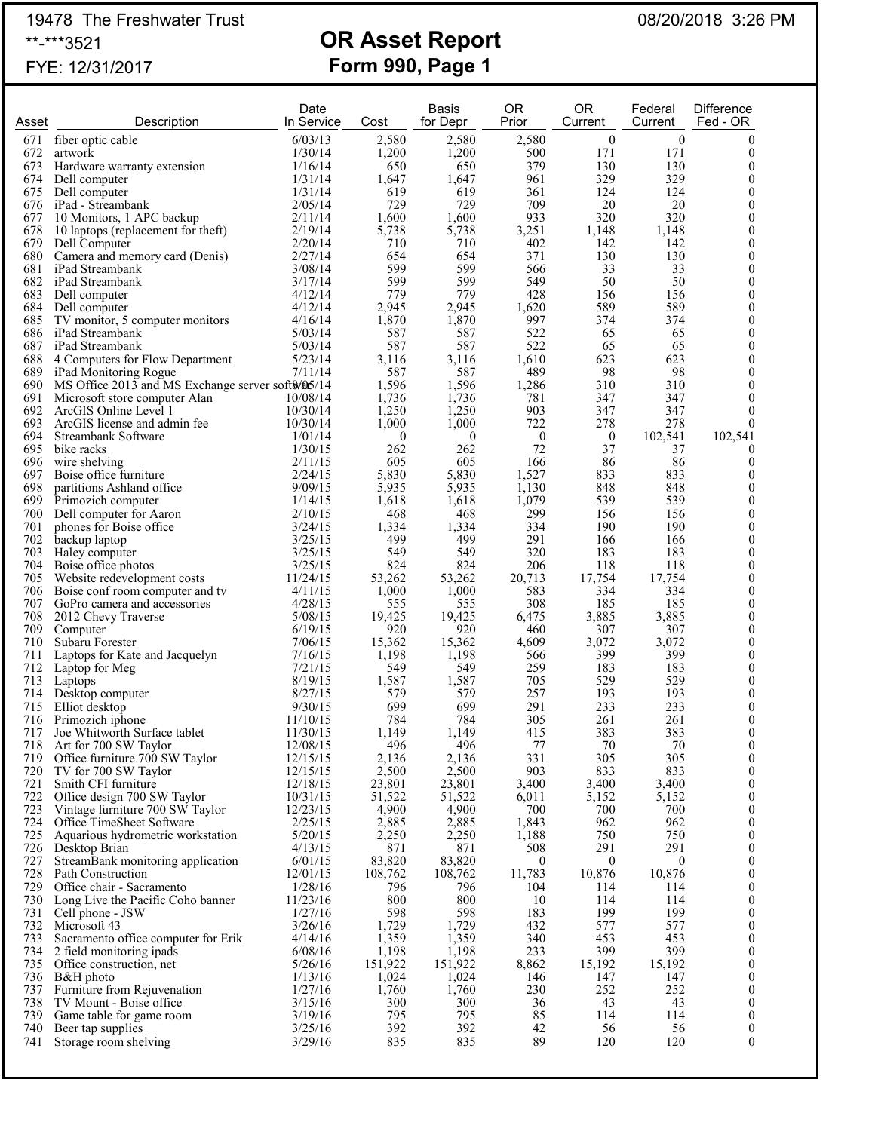## 19478 The Freshwater Trust 08/20/2018 3:26 PM \*\*-\*\*\*3521 **OR Asset Report**

# FYE: 12/31/2017 **Form 990, Page 1**

| Asset      | Description                                                                            | Date<br>In Service   | Cost             | <b>Basis</b><br>for Depr | 0R<br>Prior      | <b>OR</b><br>Current | Federal<br>Current | <b>Difference</b><br>Fed - OR        |
|------------|----------------------------------------------------------------------------------------|----------------------|------------------|--------------------------|------------------|----------------------|--------------------|--------------------------------------|
| 671        | fiber optic cable                                                                      | 6/03/13              | 2,580            | 2,580                    | 2,580            | $\mathbf{0}$         | $\boldsymbol{0}$   | $\theta$                             |
| 672        | artwork                                                                                | 1/30/14              | 1,200            | 1,200                    | 500              | 171                  | 171                | $\mathbf{0}$                         |
| 673        | Hardware warranty extension                                                            | 1/16/14              | 650              | 650                      | 379              | 130                  | 130                | $\boldsymbol{0}$                     |
| 674        | Dell computer                                                                          | 1/31/14              | 1,647            | 1,647                    | 961              | 329                  | 329                | $\boldsymbol{0}$                     |
|            | 675 Dell computer                                                                      | 1/31/14              | 619<br>729       | 619<br>729               | 361<br>709       | 124<br>20            | 124                | $\boldsymbol{0}$<br>$\boldsymbol{0}$ |
| 677        | 676 iPad - Streambank<br>10 Monitors, 1 APC backup                                     | 2/05/14<br>2/11/14   | 1,600            | 1,600                    | 933              | 320                  | 20<br>320          | $\boldsymbol{0}$                     |
| 678        | 10 laptops (replacement for theft)                                                     | 2/19/14              | 5,738            | 5,738                    | 3,251            | 1,148                | 1,148              | $\boldsymbol{0}$                     |
| 679        | Dell Computer                                                                          | 2/20/14              | 710              | 710                      | 402              | 142                  | 142                | $\boldsymbol{0}$                     |
| 680        | Camera and memory card (Denis)                                                         | 2/27/14              | 654              | 654                      | 371              | 130                  | 130                | $\boldsymbol{0}$                     |
| 681        | iPad Streambank                                                                        | 3/08/14              | 599              | 599                      | 566              | 33                   | 33                 | $\boldsymbol{0}$                     |
| 682        | iPad Streambank<br>683 Dell computer                                                   | 3/17/14<br>4/12/14   | 599<br>779       | 599<br>779               | 549<br>428       | 50<br>156            | 50<br>156          | $\boldsymbol{0}$<br>$\boldsymbol{0}$ |
| 684        | Dell computer                                                                          | 4/12/14              | 2.945            | 2,945                    | 1,620            | 589                  | 589                | $\mathbf{0}$                         |
| 685        | TV monitor, 5 computer monitors                                                        | 4/16/14              | 1,870            | 1,870                    | 997              | 374                  | 374                | $\boldsymbol{0}$                     |
|            | 686 iPad Streambank                                                                    | 5/03/14              | 587              | 587                      | 522              | 65                   | 65                 | $\mathbf{0}$                         |
|            | 687 iPad Streambank                                                                    | 5/03/14              | 587              | 587                      | 522              | 65                   | 65                 | $\boldsymbol{0}$                     |
|            | 688 4 Computers for Flow Department                                                    | 5/23/14              | 3,116            | 3,116                    | 1,610<br>489     | 623<br>98            | 623<br>98          | $\mathbf{0}$<br>$\boldsymbol{0}$     |
|            | 689 iPad Monitoring Rogue<br>690 MS Office 2013 and MS Exchange server soft \$/\$05/14 | 7/11/14              | 587<br>1,596     | 587<br>1,596             | 1,286            | 310                  | 310                | $\boldsymbol{0}$                     |
|            | 691 Microsoft store computer Alan                                                      | 10/08/14             | 1,736            | 1,736                    | 781              | 347                  | 347                | $\boldsymbol{0}$                     |
| 692        | ArcGIS Online Level 1                                                                  | 10/30/14             | 1,250            | 1,250                    | 903              | 347                  | 347                | $\theta$                             |
| 693        | ArcGIS license and admin fee                                                           | 10/30/14             | 1,000            | 1,000                    | 722              | 278                  | 278                | $\theta$                             |
| 694        | Streambank Software                                                                    | 1/01/14              | $\mathbf{0}$     | $\overline{0}$           | $\boldsymbol{0}$ | $\boldsymbol{0}$     | 102,541            | 102,541                              |
| 696        | 695 bike racks<br>wire shelving                                                        | 1/30/15<br>2/11/15   | 262<br>605       | 262<br>605               | 72<br>166        | 37<br>86             | 37<br>86           | $\overline{0}$<br>$\theta$           |
| 697        | Boise office furniture                                                                 | 2/24/15              | 5,830            | 5,830                    | 1,527            | 833                  | 833                | $\boldsymbol{0}$                     |
| 698        | partitions Ashland office                                                              | 9/09/15              | 5,935            | 5,935                    | 1,130            | 848                  | 848                | $\theta$                             |
| 699        | Primozich computer                                                                     | 1/14/15              | 1,618            | 1,618                    | 1,079            | 539                  | 539                | $\boldsymbol{0}$                     |
| 700        | Dell computer for Aaron                                                                | 2/10/15              | 468              | 468                      | 299              | 156                  | 156                | $\mathbf{0}$                         |
| 701        | phones for Boise office                                                                | 3/24/15              | 1,334            | 1,334                    | 334              | 190                  | 190                | $\boldsymbol{0}$                     |
| 702<br>703 | backup laptop<br>Haley computer                                                        | 3/25/15<br>3/25/15   | 499<br>549       | 499<br>549               | 291<br>320       | 166<br>183           | 166<br>183         | $\boldsymbol{0}$<br>$\boldsymbol{0}$ |
| 704        | Boise office photos                                                                    | 3/25/15              | 824              | 824                      | 206              | 118                  | 118                | $\boldsymbol{0}$                     |
| 705        | Website redevelopment costs                                                            | 11/24/15             | 53,262           | 53,262                   | 20,713           | 17,754               | 17,754             | $\boldsymbol{0}$                     |
|            | 706 Boise conf room computer and tv                                                    | 4/11/15              | 1,000            | 1,000                    | 583              | 334                  | 334                | $\boldsymbol{0}$                     |
| 707        | GoPro camera and accessories                                                           | 4/28/15              | 555              | 555                      | 308              | 185                  | 185                | $\boldsymbol{0}$                     |
| 708<br>709 | 2012 Chevy Traverse                                                                    | 5/08/15<br>6/19/15   | 19,425<br>920    | 19,425<br>920            | 6,475            | 3,885<br>307         | 3,885<br>307       | $\boldsymbol{0}$                     |
| 710        | Computer<br>Subaru Forester                                                            | 7/06/15              | 15,362           | 15,362                   | 460<br>4,609     | 3,072                | 3,072              | $\boldsymbol{0}$<br>$\boldsymbol{0}$ |
| 711        | Laptops for Kate and Jacquelyn                                                         | 7/16/15              | 1,198            | 1,198                    | 566              | 399                  | 399                | $\boldsymbol{0}$                     |
| 712        | Laptop for Meg                                                                         | 7/21/15              | 549              | 549                      | 259              | 183                  | 183                | $\boldsymbol{0}$                     |
| 713        | Laptops                                                                                | 8/19/15              | 1,587            | 1,587                    | 705              | 529                  | 529                | $\boldsymbol{0}$                     |
|            | 714 Desktop computer                                                                   | 8/27/15              | 579              | 579                      | 257              | 193                  | 193                | $\boldsymbol{0}$                     |
| 715<br>716 | Elliot desktop<br>Primozich iphone                                                     | 9/30/15<br>11/10/15  | 699<br>784       | 699<br>784               | 291<br>305       | 233<br>261           | 233<br>261         | $\boldsymbol{0}$<br>$\boldsymbol{0}$ |
| 717        | Joe Whitworth Surface tablet                                                           | 11/30/15             | 1,149            | 1,149                    | 415              | 383                  | 383                | $\mathbf{0}$                         |
| 718        | Art for 700 SW Taylor                                                                  | 12/08/15             | 496              | 496                      | 77               | 70                   | 70                 | $\boldsymbol{0}$                     |
| 719        | Office furniture 700 SW Taylor                                                         | 12/15/15             | 2,136            | 2,136                    | 331              | 305                  | 305                | $\boldsymbol{0}$                     |
| 720        | TV for 700 SW Taylor                                                                   | 12/15/15             | 2,500            | 2,500                    | 903              | 833                  | 833                | $\boldsymbol{0}$                     |
| 721        | Smith CFI furniture                                                                    | 12/18/15             | 23,801<br>51,522 | 23,801                   | 3,400            | 3,400                | 3,400              | $\boldsymbol{0}$                     |
| 722<br>723 | Office design 700 SW Taylor<br>Vintage furniture 700 SW Taylor                         | 10/31/15<br>12/23/15 | 4,900            | 51,522<br>4,900          | 6,011<br>700     | 5,152<br>700         | 5,152<br>700       | $\boldsymbol{0}$<br>$\boldsymbol{0}$ |
| 724        | Office TimeSheet Software                                                              | 2/25/15              | 2,885            | 2,885                    | 1,843            | 962                  | 962                | $\boldsymbol{0}$                     |
| 725        | Aquarious hydrometric workstation                                                      | 5/20/15              | 2,250            | 2,250                    | 1,188            | 750                  | 750                | $\boldsymbol{0}$                     |
|            | 726 Desktop Brian                                                                      | 4/13/15              | 871              | 871                      | 508              | 291                  | 291                | $\boldsymbol{0}$                     |
| 727        | StreamBank monitoring application                                                      | 6/01/15              | 83,820           | 83,820                   | $\overline{0}$   | $\boldsymbol{0}$     | $\mathbf{0}$       | $\boldsymbol{0}$                     |
| 729        | 728 Path Construction<br>Office chair - Sacramento                                     | 12/01/15<br>1/28/16  | 108,762<br>796   | 108,762<br>796           | 11,783<br>104    | 10,876<br>114        | 10,876<br>114      | $\boldsymbol{0}$<br>$\boldsymbol{0}$ |
| 730        | Long Live the Pacific Coho banner                                                      | 11/23/16             | 800              | 800                      | 10               | 114                  | 114                | $\boldsymbol{0}$                     |
| 731        | Cell phone - JSW                                                                       | 1/27/16              | 598              | 598                      | 183              | 199                  | 199                | $\boldsymbol{0}$                     |
|            | 732 Microsoft 43                                                                       | 3/26/16              | 1,729            | 1,729                    | 432              | 577                  | 577                | $\boldsymbol{0}$                     |
| 733        | Sacramento office computer for Erik                                                    | 4/14/16              | 1,359            | 1,359                    | 340              | 453                  | 453                | $\boldsymbol{0}$                     |
| 734        | 2 field monitoring ipads                                                               | 6/08/16              | 1,198            | 1,198                    | 233              | 399                  | 399                | $\boldsymbol{0}$                     |
|            | 735 Office construction, net<br>736 B&H photo                                          | 5/26/16<br>1/13/16   | 151,922<br>1,024 | 151,922<br>1,024         | 8,862<br>146     | 15,192<br>147        | 15,192<br>147      | $\boldsymbol{0}$<br>$\boldsymbol{0}$ |
| 737        | Furniture from Rejuvenation                                                            | 1/27/16              | 1,760            | 1,760                    | 230              | 252                  | 252                | $\boldsymbol{0}$                     |
| 738        | TV Mount - Boise office                                                                | 3/15/16              | 300              | 300                      | 36               | 43                   | 43                 | $\boldsymbol{0}$                     |
| 739        | Game table for game room                                                               | 3/19/16              | 795              | 795                      | 85               | 114                  | 114                | $\boldsymbol{0}$                     |
| 740        | Beer tap supplies                                                                      | 3/25/16              | 392              | 392                      | 42               | 56                   | 56                 | $\boldsymbol{0}$                     |
| 741        | Storage room shelving                                                                  | 3/29/16              | 835              | 835                      | 89               | 120                  | 120                | $\mathbf{0}$                         |
|            |                                                                                        |                      |                  |                          |                  |                      |                    |                                      |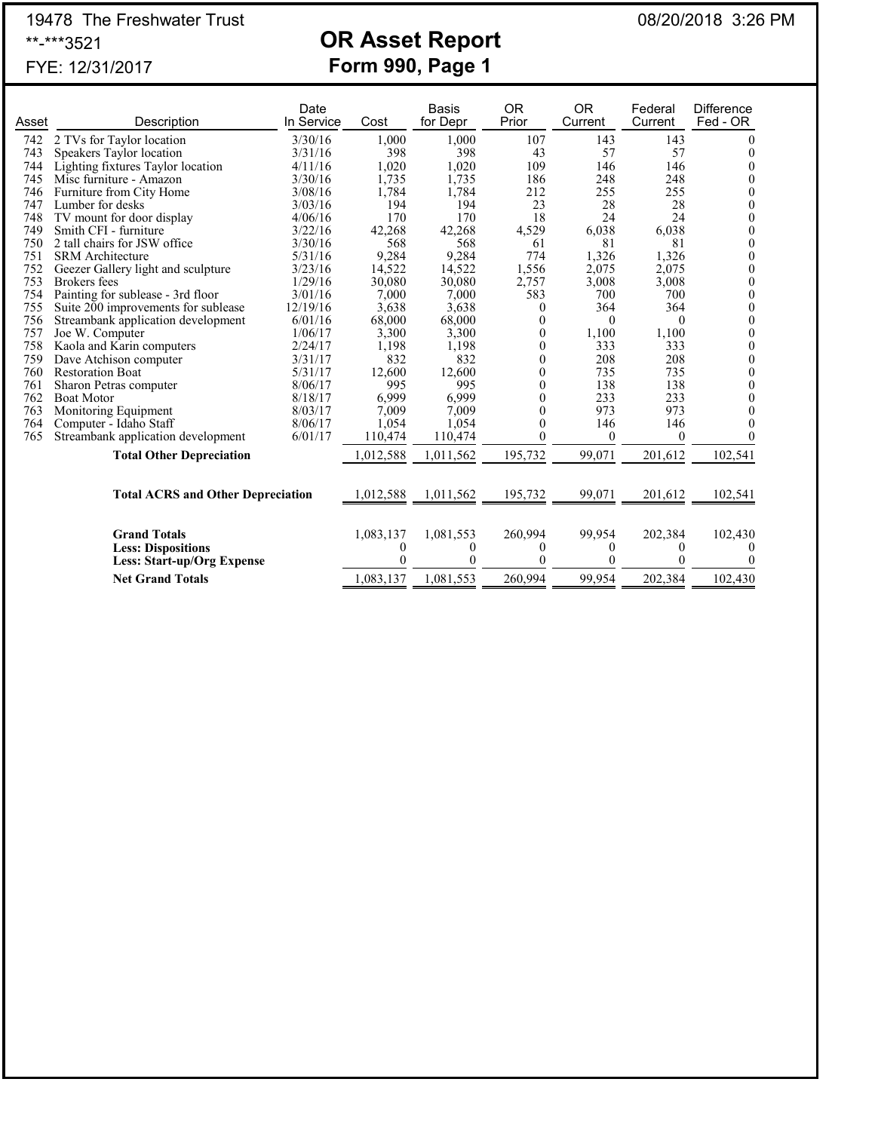## 19478 The Freshwater Trust 08/20/2018 3:26 PM \*\*-\*\*\*3521 **OR Asset Report**

# FYE: 12/31/2017 **Form 990, Page 1**

| Asset | Description                              | Date<br>In Service | Cost      | <b>Basis</b><br>for Depr | <b>OR</b><br>Prior | <b>OR</b><br>Current | Federal<br>Current | Difference<br>Fed - OR |
|-------|------------------------------------------|--------------------|-----------|--------------------------|--------------------|----------------------|--------------------|------------------------|
| 742   | 2 TVs for Taylor location                | 3/30/16            | 1,000     | 1,000                    | 107                | 143                  | 143                | $_{0}$                 |
| 743   | Speakers Taylor location                 | 3/31/16            | 398       | 398                      | 43                 | 57                   | 57                 | 0                      |
| 744   | Lighting fixtures Taylor location        | 4/11/16            | 1,020     | 1,020                    | 109                | 146                  | 146                | $_{0}$                 |
| 745   | Misc furniture - Amazon                  | 3/30/16            | 1,735     | 1,735                    | 186                | 248                  | 248                | 0                      |
| 746   | Furniture from City Home                 | 3/08/16            | 1,784     | 1,784                    | 212                | 255                  | 255                | 0                      |
| 747   | Lumber for desks                         | 3/03/16            | 194       | 194                      | 23                 | 28                   | 28                 | 0                      |
| 748   | TV mount for door display                | 4/06/16            | 170       | 170                      | 18                 | 24                   | 24                 | 0                      |
| 749   | Smith CFI - furniture                    | 3/22/16            | 42,268    | 42,268                   | 4,529              | 6,038                | 6,038              | 0                      |
| 750   | 2 tall chairs for JSW office             | 3/30/16            | 568       | 568                      | 61                 | 81                   | 81                 | 0                      |
| 751   | <b>SRM</b> Architecture                  | 5/31/16            | 9,284     | 9,284                    | 774                | 1,326                | 1,326              | 0                      |
| 752   | Geezer Gallery light and sculpture       | 3/23/16            | 14,522    | 14,522                   | 1,556              | 2,075                | 2,075              | 0                      |
| 753   | Brokers fees                             | 1/29/16            | 30,080    | 30,080                   | 2,757              | 3,008                | 3,008              | 0                      |
| 754   | Painting for sublease - 3rd floor        | 3/01/16            | 7,000     | 7,000                    | 583                | 700                  | 700                | 0                      |
| 755   | Suite 200 improvements for sublease      | 12/19/16           | 3,638     | 3,638                    | 0                  | 364                  | 364                | 0                      |
| 756   | Streambank application development       | 6/01/16            | 68,000    | 68,000                   | $\theta$           | $\Omega$             | 0                  | 0                      |
| 757   | Joe W. Computer                          | 1/06/17            | 3,300     | 3,300                    | $\theta$           | 1,100                | 1,100              | 0                      |
| 758   | Kaola and Karin computers                | 2/24/17            | 1,198     | 1,198                    | $\theta$           | 333                  | 333                | 0                      |
| 759   | Dave Atchison computer                   | 3/31/17            | 832       | 832                      | $\Omega$           | 208                  | 208                | 0                      |
| 760   | <b>Restoration Boat</b>                  | 5/31/17            | 12,600    | 12,600                   |                    | 735                  | 735                | 0                      |
| 761   | Sharon Petras computer                   | 8/06/17            | 995       | 995                      |                    | 138                  | 138                | 0                      |
| 762   | <b>Boat Motor</b>                        | 8/18/17            | 6,999     | 6,999                    |                    | 233                  | 233                |                        |
| 763   | Monitoring Equipment                     | 8/03/17            | 7,009     | 7,009                    |                    | 973                  | 973                |                        |
| 764   | Computer - Idaho Staff                   | 8/06/17            | 1,054     | 1,054                    |                    | 146                  | 146                |                        |
| 765   | Streambank application development       | 6/01/17            | 110,474   | 110,474                  | 0                  | $\theta$             | 0                  |                        |
|       | <b>Total Other Depreciation</b>          |                    | 1,012,588 | 1,011,562                | 195,732            | 99,071               | 201,612            | 102,541                |
|       |                                          |                    |           |                          |                    |                      |                    |                        |
|       | <b>Total ACRS and Other Depreciation</b> |                    | 1,012,588 | 1,011,562                | 195,732            | 99,071               | 201,612            | 102,541                |
|       |                                          |                    |           |                          |                    |                      |                    |                        |
|       | <b>Grand Totals</b>                      |                    | 1,083,137 | 1,081,553                | 260,994            | 99,954               | 202,384            | 102,430                |
|       | <b>Less: Dispositions</b>                |                    | 0         | $\theta$                 | 0                  | 0                    | $_{0}$             |                        |
|       | <b>Less: Start-up/Org Expense</b>        |                    | $\theta$  | $\theta$                 | $\theta$           | $\theta$             | $\theta$           | $_{0}$                 |
|       | <b>Net Grand Totals</b>                  |                    | 1,083,137 | 1,081,553                | 260,994            | 99,954               | 202,384            | 102,430                |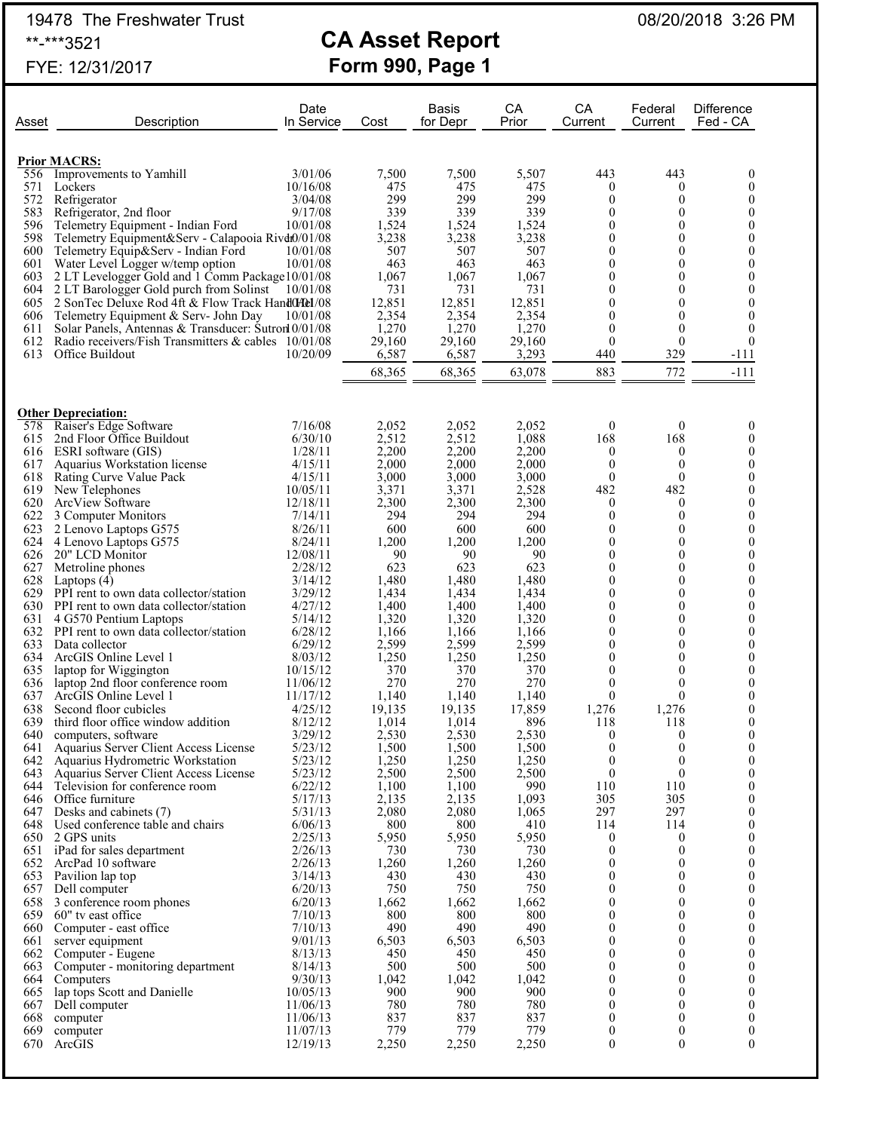19478 The Freshwater Trust 08/20/2018 3:26 PM

# \*\*-\*\*\*3521 **CA Asset Report** FYE: 12/31/2017 **Form 990, Page 1**

Date **Basis** CA CA Federal Difference

| Asset      | Description                                                                                                | In Service         | Cost            | for Depr        | Prior           | Current                              | Current                          | Fed - CA                             |
|------------|------------------------------------------------------------------------------------------------------------|--------------------|-----------------|-----------------|-----------------|--------------------------------------|----------------------------------|--------------------------------------|
|            |                                                                                                            |                    |                 |                 |                 |                                      |                                  |                                      |
|            |                                                                                                            |                    |                 |                 |                 |                                      |                                  |                                      |
|            | <b>Prior MACRS:</b><br>Improvements to Yamhill                                                             | 3/01/06            | 7,500           | 7,500           | 5,507           | 443                                  | 443                              | $\boldsymbol{0}$                     |
| 556<br>571 | Lockers                                                                                                    | 10/16/08           | 475             | 475             | 475             | $\boldsymbol{0}$                     | $\boldsymbol{0}$                 | $\mathbf{0}$                         |
| 572        | Refrigerator                                                                                               | 3/04/08            | 299             | 299             | 299             | $\boldsymbol{0}$                     | $\theta$                         | $\boldsymbol{0}$                     |
| 583        | Refrigerator, 2nd floor                                                                                    | 9/17/08            | 339             | 339             | 339             | $\theta$                             | $\theta$                         | $\boldsymbol{0}$                     |
| 596        | Telemetry Equipment - Indian Ford                                                                          | 10/01/08           | 1,524           | 1,524           | 1,524           | $\boldsymbol{0}$                     | $\theta$                         | $\boldsymbol{0}$                     |
| 598        | Telemetry Equipment&Serv - Calapooia Rivdit0/01/08                                                         |                    | 3,238           | 3,238           | 3,238           | $\boldsymbol{0}$                     | $\overline{0}$                   | $\boldsymbol{0}$                     |
| 600        | Telemetry Equip&Serv - Indian Ford                                                                         | 10/01/08           | 507             | 507             | 507             | $\boldsymbol{0}$                     | $\overline{0}$                   | $\boldsymbol{0}$                     |
| 601        | Water Level Logger w/temp option                                                                           | 10/01/08           | 463             | 463             | 463             | $\boldsymbol{0}$                     | $\overline{0}$                   | $\boldsymbol{0}$                     |
| 603        | 2 LT Levelogger Gold and 1 Comm Package 10/01/08                                                           |                    | 1,067           | 1,067           | 1,067           | $\boldsymbol{0}$                     | $\overline{0}$                   | $\mathbf{0}$                         |
| 604        | 2 LT Barologger Gold purch from Solinst                                                                    | 10/01/08           | 731             | 731             | 731             | $\theta$                             | $\overline{0}$                   | $\theta$                             |
| 605        | 2 SonTec Deluxe Rod 4ft & Flow Track HandOHel/08                                                           |                    | 12,851          | 12,851          | 12,851          | $\mathbf{0}$                         | $\theta$                         | $\boldsymbol{0}$                     |
| 606        | Telemetry Equipment & Serv- John Day                                                                       | 10/01/08           | 2,354           | 2,354           | 2,354           | $\boldsymbol{0}$                     | $\theta$                         | $\theta$                             |
| 611<br>612 | Solar Panels, Antennas & Transducer: Sutron 0/01/08<br>Radio receivers/Fish Transmitters & cables 10/01/08 |                    | 1,270<br>29,160 | 1,270<br>29,160 | 1,270<br>29,160 | $\boldsymbol{0}$<br>$\mathbf{0}$     | $\theta$<br>$\mathbf{0}$         | $\mathbf{0}$<br>$\theta$             |
| 613        | Office Buildout                                                                                            | 10/20/09           | 6,587           | 6,587           | 3,293           | 440                                  | 329                              | $-111$                               |
|            |                                                                                                            |                    |                 |                 |                 |                                      |                                  |                                      |
|            |                                                                                                            |                    | 68,365          | 68,365          | 63,078          | 883                                  | 772                              | $-111$                               |
|            |                                                                                                            |                    |                 |                 |                 |                                      |                                  |                                      |
|            |                                                                                                            |                    |                 |                 |                 |                                      |                                  |                                      |
| 578        | <b>Other Depreciation:</b><br>Raiser's Edge Software                                                       | 7/16/08            | 2,052           | 2,052           | 2.052           | $\mathbf{0}$                         | $\boldsymbol{0}$                 | $\boldsymbol{0}$                     |
| 615        | 2nd Floor Office Buildout                                                                                  | 6/30/10            | 2,512           | 2,512           | 1,088           | 168                                  | 168                              | $\mathbf{0}$                         |
| 616        | ESRI software (GIS)                                                                                        | 1/28/11            | 2,200           | 2,200           | 2,200           | $\boldsymbol{0}$                     | $\overline{0}$                   | $\boldsymbol{0}$                     |
| 617        | Aquarius Workstation license                                                                               | 4/15/11            | 2,000           | 2,000           | 2,000           | $\theta$                             | $\mathbf{0}$                     | $\mathbf{0}$                         |
| 618        | Rating Curve Value Pack                                                                                    | 4/15/11            | 3,000           | 3,000           | 3,000           | $\mathbf{0}$                         | $\mathbf{0}$                     | $\boldsymbol{0}$                     |
| 619        | New Telephones                                                                                             | 10/05/11           | 3,371           | 3,371           | 2,528           | 482                                  | 482                              | $\mathbf{0}$                         |
| 620        | ArcView Software                                                                                           | 12/18/11           | 2,300           | 2,300           | 2,300           | $\boldsymbol{0}$                     | $\boldsymbol{0}$                 | $\boldsymbol{0}$                     |
| 622        | 3 Computer Monitors                                                                                        | 7/14/11            | 294             | 294             | 294             | $\theta$                             | $\mathbf{0}$                     | $\boldsymbol{0}$                     |
| 623        | 2 Lenovo Laptops G575                                                                                      | 8/26/11            | 600             | 600             | 600             | $\theta$                             | $\theta$                         | $\boldsymbol{0}$                     |
| 624        | 4 Lenovo Laptops G575                                                                                      | 8/24/11            | 1,200           | 1,200           | 1,200           | $\theta$                             | $\theta$                         | $\boldsymbol{0}$                     |
| 626        | 20" LCD Monitor                                                                                            | 12/08/11           | 90              | 90              | 90              | $\mathbf{0}$                         | $\overline{0}$                   | $\boldsymbol{0}$                     |
| 627        | Metroline phones                                                                                           | 2/28/12            | 623             | 623             | 623             | $\theta$                             | $\overline{0}$                   | $\mathbf{0}$                         |
| 628        | Laptops $(4)$                                                                                              | 3/14/12            | 1,480           | 1,480           | 1,480           | $\theta$                             | $\overline{0}$                   | $\boldsymbol{0}$                     |
| 629        | PPI rent to own data collector/station                                                                     | 3/29/12            | 1,434           | 1,434           | 1,434           | $\theta$                             | $\overline{0}$                   | $\boldsymbol{0}$                     |
|            | 630 PPI rent to own data collector/station                                                                 | 4/27/12            | 1,400           | 1,400           | 1,400           | $\theta$                             | $\overline{0}$                   | $\boldsymbol{0}$                     |
| 631        | 4 G570 Pentium Laptops                                                                                     | 5/14/12            | 1,320           | 1,320           | 1,320           | $\theta$                             | $\overline{0}$                   | $\mathbf{0}$                         |
|            | 632 PPI rent to own data collector/station                                                                 | 6/28/12            | 1,166           | 1,166           | 1,166           | $\theta$                             | $\overline{0}$                   | $\boldsymbol{0}$                     |
| 633<br>634 | Data collector<br>ArcGIS Online Level 1                                                                    | 6/29/12<br>8/03/12 | 2,599<br>1,250  | 2,599<br>1,250  | 2,599<br>1,250  | $\theta$<br>$\boldsymbol{0}$         | $\overline{0}$<br>$\overline{0}$ | $\boldsymbol{0}$<br>$\boldsymbol{0}$ |
| 635        | laptop for Wiggington                                                                                      | 10/15/12           | 370             | 370             | 370             | $\theta$                             | $\theta$                         | $\mathbf{0}$                         |
| 636        | laptop 2nd floor conference room                                                                           | 11/06/12           | 270             | 270             | 270             | $\theta$                             | $\mathbf{0}$                     | $\boldsymbol{0}$                     |
| 637        | ArcGIS Online Level 1                                                                                      | 11/17/12           | 1,140           | 1,140           | 1,140           | $\theta$                             | $\overline{0}$                   | $\mathbf{0}$                         |
| 638        | Second floor cubicles                                                                                      | 4/25/12            | 19,135          | 19,135          | 17,859          | 1,276                                | 1,276                            | $\boldsymbol{0}$                     |
| 639        | third floor office window addition                                                                         | 8/12/12            | 1,014           | 1,014           | 896             | 118                                  | 118                              | $\boldsymbol{0}$                     |
| 640        | computers, software                                                                                        | 3/29/12            | 2,530           | 2,530           | 2,530           | $\boldsymbol{0}$                     | $\boldsymbol{0}$                 | $\boldsymbol{0}$                     |
| 641        | Aquarius Server Client Access License                                                                      | 5/23/12            | 1,500           | 1,500           | 1,500           | $\boldsymbol{0}$                     | $\theta$                         | $\mathbf{0}$                         |
| 642        | Aquarius Hydrometric Workstation                                                                           | 5/23/12            | 1,250           | 1,250           | 1,250           | $\boldsymbol{0}$                     | $\boldsymbol{0}$                 | $\boldsymbol{0}$                     |
| 643        | Aquarius Server Client Access License                                                                      | 5/23/12            | 2,500           | 2,500           | 2,500           | $\boldsymbol{0}$                     | $\boldsymbol{0}$                 | $\boldsymbol{0}$                     |
| 644        | Television for conference room                                                                             | 6/22/12            | 1,100           | 1,100           | 990             | 110                                  | 110                              | $\mathbf{0}$                         |
|            | 646 Office furniture                                                                                       | 5/17/13            | 2,135           | 2,135           | 1,093           | 305                                  | 305                              | $\mathbf{0}$                         |
| 647        | Desks and cabinets (7)                                                                                     | 5/31/13            | 2,080           | 2,080           | 1,065           | 297                                  | 297                              | $\boldsymbol{0}$                     |
| 648        | Used conference table and chairs                                                                           | 6/06/13            | 800             | 800             | 410             | 114                                  | 114                              | 0                                    |
| 651        | 650 2 GPS units<br>iPad for sales department                                                               | 2/25/13<br>2/26/13 | 5,950<br>730    | 5,950<br>730    | 5,950<br>730    | $\boldsymbol{0}$<br>$\boldsymbol{0}$ | $\mathbf{0}$<br>$\boldsymbol{0}$ | $\boldsymbol{0}$<br>0                |
| 652        | ArcPad 10 software                                                                                         | 2/26/13            | 1,260           | 1,260           | 1,260           | $\boldsymbol{0}$                     | $\boldsymbol{0}$                 | $\boldsymbol{0}$                     |
| 653        | Pavilion lap top                                                                                           | 3/14/13            | 430             | 430             | 430             | $\boldsymbol{0}$                     | $\overline{0}$                   | 0                                    |
| 657        | Dell computer                                                                                              | 6/20/13            | 750             | 750             | 750             | $\boldsymbol{0}$                     | $\boldsymbol{0}$                 | $\boldsymbol{0}$                     |
| 658        | 3 conference room phones                                                                                   | 6/20/13            | 1,662           | 1,662           | 1,662           | $\theta$                             | $\overline{0}$                   | 0                                    |
| 659        | 60" tv east office                                                                                         | 7/10/13            | 800             | 800             | 800             | $\boldsymbol{0}$                     | $\boldsymbol{0}$                 | $\boldsymbol{0}$                     |
| 660        | Computer - east office                                                                                     | 7/10/13            | 490             | 490             | 490             | $\boldsymbol{0}$                     | $\overline{0}$                   | 0                                    |
| 661        | server equipment                                                                                           | 9/01/13            | 6,503           | 6,503           | 6,503           | $\boldsymbol{0}$                     | $\overline{0}$                   | $\boldsymbol{0}$                     |
| 662        | Computer - Eugene                                                                                          | 8/13/13            | 450             | 450             | 450             | $\boldsymbol{0}$                     | $\overline{0}$                   | 0                                    |
| 663        | Computer - monitoring department                                                                           | 8/14/13            | 500             | 500             | 500             | $\boldsymbol{0}$                     | $\overline{0}$                   | $\boldsymbol{0}$                     |
| 664        | Computers                                                                                                  | 9/30/13            | 1,042           | 1,042           | 1,042           | $\boldsymbol{0}$                     | $\overline{0}$                   | 0                                    |
| 665        | lap tops Scott and Danielle                                                                                | 10/05/13           | 900             | 900             | 900             | $\boldsymbol{0}$                     | $\overline{0}$                   | $\boldsymbol{0}$                     |
| 667        | Dell computer                                                                                              | 11/06/13           | 780             | 780             | 780             | $\boldsymbol{0}$                     | $\overline{0}$                   | 0                                    |
| 668        | computer                                                                                                   | 11/06/13           | 837             | 837             | 837             | $\boldsymbol{0}$                     | $\overline{0}$                   | $\mathbf{0}$                         |
| 669        | computer                                                                                                   | 11/07/13           | 779             | 779             | 779             | $\boldsymbol{0}$                     | $\boldsymbol{0}$                 | $\boldsymbol{0}$                     |
| 670        | ArcGIS                                                                                                     | 12/19/13           | 2,250           | 2,250           | 2,250           | $\boldsymbol{0}$                     | $\theta$                         | $\overline{0}$                       |
|            |                                                                                                            |                    |                 |                 |                 |                                      |                                  |                                      |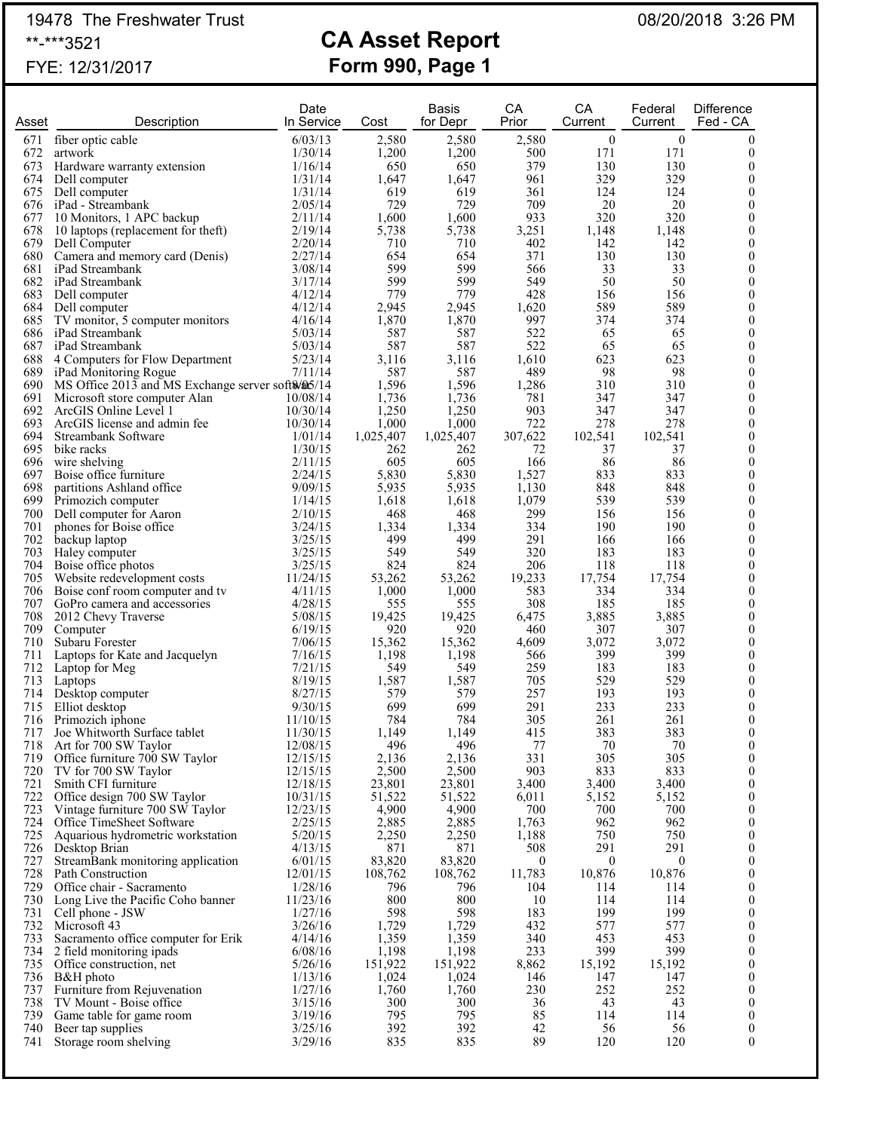# 19478 The Freshwater Trust **CA Asset Report** 08/20/2018 3:26 PM<br>\*\*-\*\*\*3521

## **CA Asset Report** FYE: 12/31/2017 **Form 990, Page 1**

| Asset      | Description                                                         | Date<br>In Service   | Cost             | Basis<br>for Depr | СA<br>Prior         | CA<br>Current           | Federal<br>Current | <b>Difference</b><br>Fed - CA        |
|------------|---------------------------------------------------------------------|----------------------|------------------|-------------------|---------------------|-------------------------|--------------------|--------------------------------------|
| 671        | fiber optic cable                                                   | 6/03/13              | 2,580            | 2,580             | 2,580               | $\boldsymbol{0}$        | $\boldsymbol{0}$   | $\mathbf{0}$                         |
| 672<br>673 | artwork<br>Hardware warranty extension                              | 1/30/14<br>1/16/14   | 1,200<br>650     | 1,200<br>650      | 500<br>379          | 171<br>130              | 171<br>130         | $\boldsymbol{0}$<br>$\theta$         |
|            | 674 Dell computer                                                   | 1/31/14              | 1,647            | 1,647             | 961                 | 329                     | 329                | 0                                    |
|            | 675 Dell computer                                                   | 1/31/14              | 619              | 619               | 361                 | 124                     | 124                | $\mathbf{0}$                         |
|            | 676 iPad - Streambank                                               | 2/05/14              | 729              | 729               | 709                 | 20                      | 20                 | 0                                    |
| 678        | 677 10 Monitors, 1 APC backup<br>10 laptops (replacement for theft) | 2/11/14<br>2/19/14   | 1,600<br>5,738   | 1,600<br>5,738    | 933<br>3,251        | 320<br>1,148            | 320<br>1,148       | $\mathbf{0}$<br>0                    |
|            | 679 Dell Computer                                                   | 2/20/14              | 710              | 710               | 402                 | 142                     | 142                | $\boldsymbol{0}$                     |
|            | 680 Camera and memory card (Denis)                                  | 2/27/14              | 654              | 654               | 371                 | 130                     | 130                | $\boldsymbol{0}$                     |
|            | 681 iPad Streambank                                                 | 3/08/14              | 599              | 599               | 566                 | 33                      | 33                 | $\theta$                             |
|            | 682 iPad Streambank<br>683 Dell computer                            | 3/17/14<br>4/12/14   | 599<br>779       | 599<br>779        | 549<br>428          | 50<br>156               | 50<br>156          | $\boldsymbol{0}$<br>$\boldsymbol{0}$ |
|            | 684 Dell computer                                                   | 4/12/14              | 2,945            | 2,945             | 1,620               | 589                     | 589                | $\boldsymbol{0}$                     |
|            | 685 TV monitor, 5 computer monitors                                 | 4/16/14              | 1,870            | 1,870             | 997                 | 374                     | 374                | $\boldsymbol{0}$                     |
|            | 686 iPad Streambank<br>687 iPad Streambank                          | 5/03/14<br>5/03/14   | 587<br>587       | 587<br>587        | 522<br>522          | 65<br>65                | 65<br>65           | 0<br>$\boldsymbol{0}$                |
|            | 688 4 Computers for Flow Department                                 | 5/23/14              | 3,116            | 3,116             | 1,610               | 623                     | 623                | $\boldsymbol{0}$                     |
|            | 689 iPad Monitoring Rogue                                           | 7/11/14              | 587              | 587               | 489                 | 98                      | 98                 | $\theta$                             |
|            | 690 MS Office 2013 and MS Exchange server soft \$/05/14             |                      | 1,596            | 1,596             | 1,286               | 310                     | 310                | $\boldsymbol{0}$                     |
|            | 691 Microsoft store computer Alan<br>692 ArcGIS Online Level 1      | 10/08/14<br>10/30/14 | 1,736<br>1,250   | 1,736<br>1,250    | 781<br>903          | 347<br>347              | 347<br>347         | $\boldsymbol{0}$<br>$\boldsymbol{0}$ |
| 693        | ArcGIS license and admin fee                                        | 10/30/14             | 1,000            | 1,000             | 722                 | 278                     | 278                | $\boldsymbol{0}$                     |
| 694        | Streambank Software                                                 | 1/01/14              | 1,025,407        | 1,025,407         | 307,622             | 102,541                 | 102,541            | $\boldsymbol{0}$                     |
|            | 695 bike racks                                                      | 1/30/15              | 262              | 262               | 72                  | 37                      | 37                 | $\boldsymbol{0}$                     |
| 697        | 696 wire shelving<br>Boise office furniture                         | 2/11/15<br>2/24/15   | 605<br>5,830     | 605<br>5,830      | 166<br>1,527        | 86<br>833               | 86<br>833          | $\boldsymbol{0}$<br>$\theta$         |
| 698        | partitions Ashland office                                           | 9/09/15              | 5,935            | 5,935             | 1,130               | 848                     | 848                | $\boldsymbol{0}$                     |
| 699        | Primozich computer                                                  | 1/14/15              | 1,618            | 1,618             | 1,079               | 539                     | 539                | $\boldsymbol{0}$                     |
| 700        | Dell computer for Aaron                                             | 2/10/15              | 468              | 468               | 299                 | 156                     | 156                | $\boldsymbol{0}$                     |
| 701<br>702 | phones for Boise office<br>backup laptop                            | 3/24/15<br>3/25/15   | 1,334<br>499     | 1,334<br>499      | 334<br>291          | 190<br>166              | 190<br>166         | $\boldsymbol{0}$<br>0                |
|            | 703 Haley computer                                                  | 3/25/15              | 549              | 549               | 320                 | 183                     | 183                | $\boldsymbol{0}$                     |
|            | 704 Boise office photos                                             | 3/25/15              | 824              | 824               | 206                 | 118                     | 118                | $\boldsymbol{0}$                     |
|            | 705 Website redevelopment costs                                     | 11/24/15             | 53,262           | 53,262            | 19,233              | 17,754                  | 17,754             | $\boldsymbol{0}$                     |
| 707        | 706 Boise conf room computer and tv<br>GoPro camera and accessories | 4/11/15<br>4/28/15   | 1,000<br>555     | 1,000<br>555      | 583<br>308          | 334<br>185              | 334<br>185         | 0<br>$\theta$                        |
| 708        | 2012 Chevy Traverse                                                 | 5/08/15              | 19,425           | 19,425            | 6,475               | 3,885                   | 3,885              | $\boldsymbol{0}$                     |
| 709        | Computer                                                            | 6/19/15              | 920              | 920               | 460                 | 307                     | 307                | $\mathbf{0}$                         |
| 710        | Subaru Forester                                                     | 7/06/15              | 15,362           | 15,362            | 4,609               | 3,072                   | 3,072              | 0                                    |
| 711<br>712 | Laptops for Kate and Jacquelyn<br>Laptop for Meg                    | 7/16/15<br>7/21/15   | 1,198<br>549     | 1,198<br>549      | 566<br>259          | 399<br>183              | 399<br>183         | $\theta$<br>$\boldsymbol{0}$         |
| 713        | Laptops                                                             | 8/19/15              | 1,587            | 1,587             | 705                 | 529                     | 529                | $\mathbf{0}$                         |
| 714        | Desktop computer                                                    | 8/27/15              | 579              | 579               | 257                 | 193                     | 193                | $\boldsymbol{0}$                     |
| 715        | Elliot desktop                                                      | 9/30/15              | 699              | 699               | 291                 | 233                     | 233                | $\boldsymbol{0}$                     |
| 716        | Primozich iphone<br>717 Joe Whitworth Surface tablet                | 11/10/15<br>11/30/15 | 784<br>1,149     | 784<br>1,149      | 305<br>415          | 261<br>383              | 261<br>383         | $\mathbf{0}$<br>$\Omega$             |
| 718        | Art for 700 SW Taylor                                               | 12/08/15             | 496              | 496               | 77                  | 70                      | 70                 | $\boldsymbol{0}$                     |
| 719        | Office furniture 700 SW Taylor                                      | 12/15/15             | 2,136            | 2,136             | 331                 | 305                     | 305                | $\mathbf{0}$                         |
| 720        | TV for 700 SW Taylor                                                | 12/15/15             | 2,500            | 2,500             | 903                 | 833                     | 833                | 0                                    |
| 721<br>722 | Smith CFI furniture<br>Office design 700 SW Taylor                  | 12/18/15<br>10/31/15 | 23,801<br>51,522 | 23,801<br>51,522  | 3,400<br>6,011      | 3,400<br>5,152          | 3,400<br>5,152     | $\boldsymbol{0}$<br>0                |
| 723        | Vintage furniture 700 SW Taylor                                     | 12/23/15             | 4,900            | 4,900             | 700                 | 700                     | 700                | $\boldsymbol{0}$                     |
| 724        | Office TimeSheet Software                                           | 2/25/15              | 2,885            | 2,885             | 1,763               | 962                     | 962                | 0                                    |
| 725        | Aquarious hydrometric workstation                                   | 5/20/15              | 2,250            | 2,250<br>871      | 1,188               | 750                     | 750<br>291         | $\boldsymbol{0}$                     |
| 726<br>727 | Desktop Brian<br>StreamBank monitoring application                  | 4/13/15<br>6/01/15   | 871<br>83,820    | 83,820            | 508<br>$\mathbf{0}$ | 291<br>$\boldsymbol{0}$ | $\mathbf{0}$       | 0<br>$\boldsymbol{0}$                |
| 728        | Path Construction                                                   | 12/01/15             | 108,762          | 108,762           | 11,783              | 10,876                  | 10,876             | 0                                    |
| 729        | Office chair - Sacramento                                           | 1/28/16              | 796              | 796               | 104                 | 114                     | 114                | $\boldsymbol{0}$                     |
| 730        | Long Live the Pacific Coho banner                                   | 11/23/16             | 800              | 800               | 10                  | 114                     | 114                | 0<br>$\boldsymbol{0}$                |
| 731<br>732 | Cell phone - JSW<br>Microsoft 43                                    | 1/27/16<br>3/26/16   | 598<br>1,729     | 598<br>1,729      | 183<br>432          | 199<br>577              | 199<br>577         | $\boldsymbol{0}$                     |
| 733        | Sacramento office computer for Erik                                 | 4/14/16              | 1,359            | 1,359             | 340                 | 453                     | 453                | $\boldsymbol{0}$                     |
| 734        | 2 field monitoring ipads                                            | 6/08/16              | 1,198            | 1,198             | 233                 | 399                     | 399                | $\boldsymbol{0}$                     |
|            | 735 Office construction, net                                        | 5/26/16              | 151,922          | 151,922           | 8,862               | 15,192                  | 15,192<br>147      | 0                                    |
| 737        | 736 B&H photo<br>Furniture from Rejuvenation                        | 1/13/16<br>1/27/16   | 1,024<br>1,760   | 1,024<br>1,760    | 146<br>230          | 147<br>252              | 252                | $\boldsymbol{0}$<br>$\boldsymbol{0}$ |
| 738        | TV Mount - Boise office                                             | 3/15/16              | 300              | 300               | 36                  | 43                      | 43                 | $\boldsymbol{0}$                     |
| 739        | Game table for game room                                            | 3/19/16              | 795              | 795               | 85                  | 114                     | 114                | $\boldsymbol{0}$                     |
| 740<br>741 | Beer tap supplies<br>Storage room shelving                          | 3/25/16<br>3/29/16   | 392<br>835       | 392<br>835        | 42<br>89            | 56<br>120               | 56<br>120          | $\boldsymbol{0}$<br>$\boldsymbol{0}$ |
|            |                                                                     |                      |                  |                   |                     |                         |                    |                                      |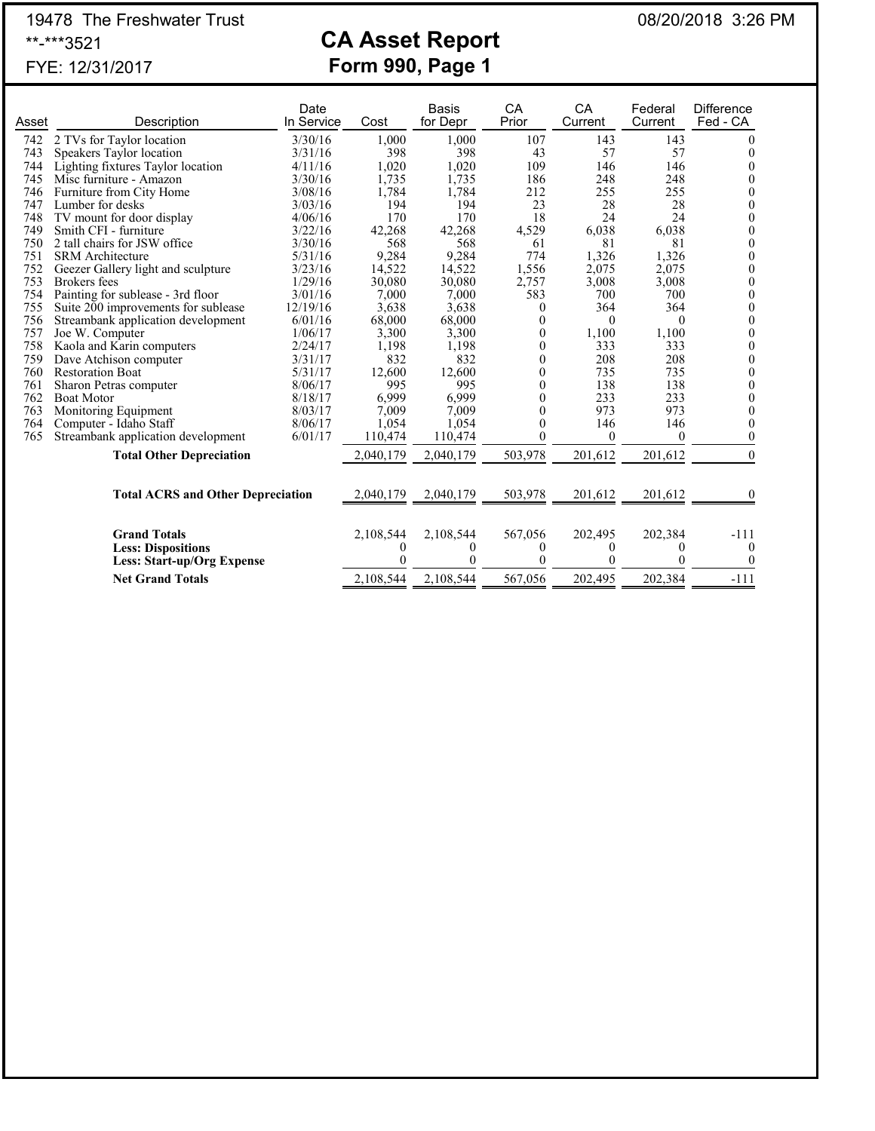# 19478 The Freshwater Trust **CA Asset Report** 08/20/2018 3:26 PM<br>\*\*-\*\*\*3521

# **CA Asset Report** FYE: 12/31/2017 **Form 990, Page 1**

|       |                                          | Date       |           | <b>Basis</b> | CA       | CA       | Federal  | <b>Difference</b> |
|-------|------------------------------------------|------------|-----------|--------------|----------|----------|----------|-------------------|
| Asset | Description                              | In Service | Cost      | for Depr     | Prior    | Current  | Current  | Fed - CA          |
| 742   | 2 TVs for Taylor location                | 3/30/16    | 1,000     | 1,000        | 107      | 143      | 143      | O                 |
| 743   | Speakers Taylor location                 | 3/31/16    | 398       | 398          | 43       | 57       | 57       | 0                 |
| 744   | Lighting fixtures Taylor location        | 4/11/16    | 1,020     | 1,020        | 109      | 146      | 146      | 0                 |
| 745   | Misc furniture - Amazon                  | 3/30/16    | 1,735     | 1,735        | 186      | 248      | 248      | 0                 |
| 746   | Furniture from City Home                 | 3/08/16    | 1,784     | 1,784        | 212      | 255      | 255      | $\theta$          |
| 747   | Lumber for desks                         | 3/03/16    | 194       | 194          | 23       | 28       | 28       | $\mathbf{0}$      |
| 748   | TV mount for door display                | 4/06/16    | 170       | 170          | 18       | 24       | 24       | $\theta$          |
| 749   | Smith CFI - furniture                    | 3/22/16    | 42,268    | 42,268       | 4,529    | 6,038    | 6,038    | 0                 |
| 750   | 2 tall chairs for JSW office             | 3/30/16    | 568       | 568          | 61       | 81       | 81       | $\mathbf{0}$      |
| 751   | <b>SRM</b> Architecture                  | 5/31/16    | 9,284     | 9,284        | 774      | 1,326    | 1,326    | $\mathbf{0}$      |
| 752   | Geezer Gallery light and sculpture       | 3/23/16    | 14,522    | 14,522       | 1,556    | 2,075    | 2,075    | $\mathbf{0}$      |
| 753   | <b>Brokers</b> fees                      | 1/29/16    | 30,080    | 30,080       | 2,757    | 3,008    | 3,008    | $\mathbf{0}$      |
| 754   | Painting for sublease - 3rd floor        | 3/01/16    | 7,000     | 7,000        | 583      | 700      | 700      | $\mathbf{0}$      |
| 755   | Suite 200 improvements for sublease      | 12/19/16   | 3,638     | 3,638        | $\theta$ | 364      | 364      | 0                 |
| 756   | Streambank application development       | 6/01/16    | 68,000    | 68,000       |          | $\theta$ | $\theta$ | $\theta$          |
| 757   | Joe W. Computer                          | 1/06/17    | 3,300     | 3,300        |          | 1,100    | 1,100    | 0                 |
| 758   | Kaola and Karin computers                | 2/24/17    | 1,198     | 1,198        |          | 333      | 333      | $\Omega$          |
| 759   | Dave Atchison computer                   | 3/31/17    | 832       | 832          |          | 208      | 208      | 0                 |
| 760   | <b>Restoration Boat</b>                  | 5/31/17    | 12,600    | 12,600       |          | 735      | 735      | 0                 |
| 761   | Sharon Petras computer                   | 8/06/17    | 995       | 995          |          | 138      | 138      | 0                 |
| 762   | <b>Boat Motor</b>                        | 8/18/17    | 6,999     | 6,999        |          | 233      | 233      | 0                 |
| 763   | Monitoring Equipment                     | 8/03/17    | 7,009     | 7,009        |          | 973      | 973      | 0                 |
| 764   | Computer - Idaho Staff                   | 8/06/17    | 1,054     | 1,054        |          | 146      | 146      | 0                 |
| 765   | Streambank application development       | 6/01/17    | 110,474   | 110,474      | $\theta$ | $\Omega$ | $\theta$ | $\Omega$          |
|       | <b>Total Other Depreciation</b>          |            | 2,040,179 | 2,040,179    | 503,978  | 201,612  | 201,612  | $\theta$          |
|       |                                          |            |           |              |          |          |          |                   |
|       | <b>Total ACRS and Other Depreciation</b> |            | 2,040,179 | 2,040,179    | 503,978  | 201,612  | 201,612  | 0                 |
|       |                                          |            |           |              |          |          |          |                   |
|       | <b>Grand Totals</b>                      |            | 2,108,544 | 2,108,544    | 567,056  | 202,495  | 202,384  | $-111$            |
|       | <b>Less: Dispositions</b>                |            | O         |              | 0        | $\theta$ | $\theta$ | $\theta$          |
|       | Less: Start-up/Org Expense               |            |           |              | 0        | $\Omega$ | $\theta$ | 0                 |
|       | <b>Net Grand Totals</b>                  |            | 2,108,544 | 2,108,544    | 567,056  | 202,495  | 202,384  | $-111$            |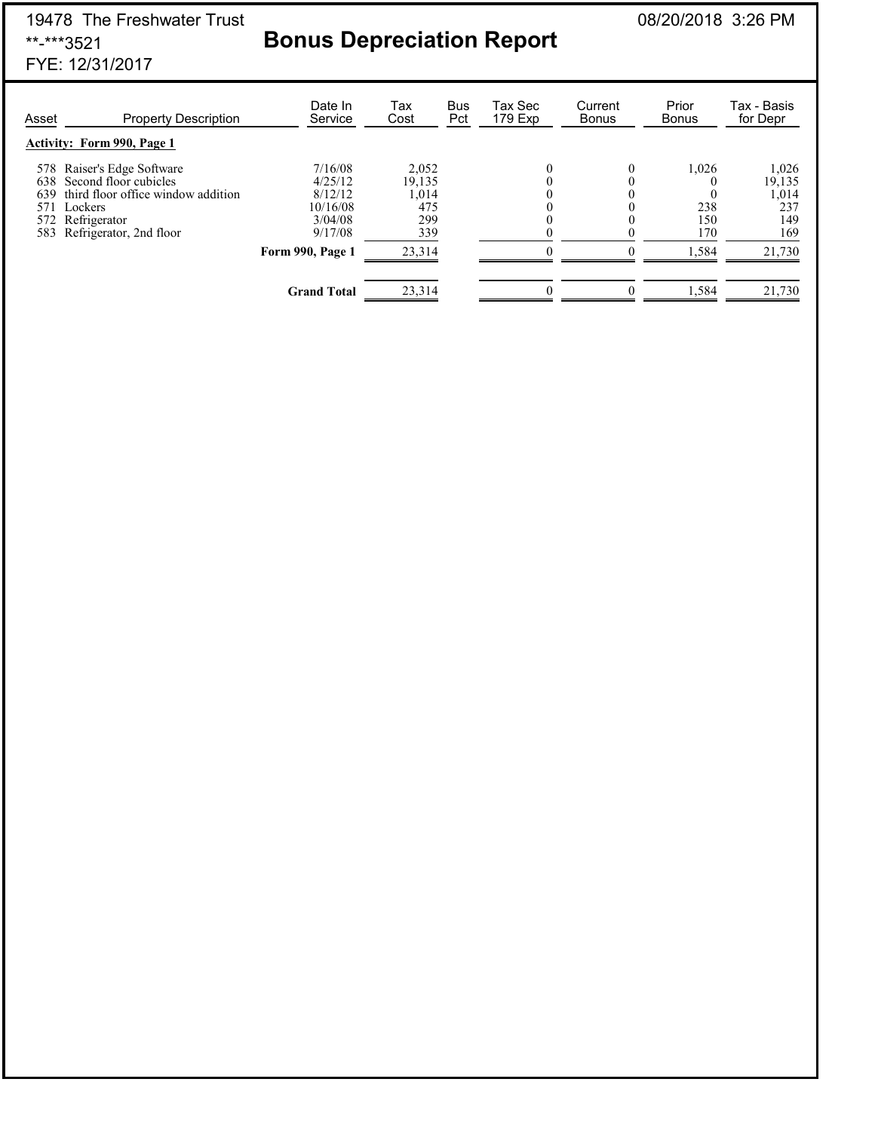# 19478 The Freshwater Trust<br>**Bonus Depreciation Report** 08/20/2018 3:26 PM<br>**Bonus Depreciation Report**

# **Bonus Depreciation Report**

FYE: 12/31/2017

| Asset | <b>Property Description</b>                                                                                                                                     | Date In<br>Service                                              | Tax<br>Cost                                   | <b>Bus</b><br>Pct | Tax Sec<br>179 Exp | Current<br><b>Bonus</b> | Prior<br><b>Bonus</b>      | Tax - Basis<br>for Depr                       |
|-------|-----------------------------------------------------------------------------------------------------------------------------------------------------------------|-----------------------------------------------------------------|-----------------------------------------------|-------------------|--------------------|-------------------------|----------------------------|-----------------------------------------------|
|       | <b>Activity: Form 990, Page 1</b>                                                                                                                               |                                                                 |                                               |                   |                    |                         |                            |                                               |
| 639   | 578 Raiser's Edge Software<br>638 Second floor cubicles<br>third floor office window addition<br>571 Lockers<br>572 Refrigerator<br>583 Refrigerator, 2nd floor | 7/16/08<br>4/25/12<br>8/12/12<br>10/16/08<br>3/04/08<br>9/17/08 | 2.052<br>19,135<br>1,014<br>475<br>299<br>339 |                   |                    | 0                       | 1,026<br>238<br>150<br>170 | 1,026<br>19,135<br>1,014<br>237<br>149<br>169 |
|       |                                                                                                                                                                 | Form 990, Page 1                                                | 23,314                                        |                   |                    |                         | 1,584                      | 21,730                                        |
|       |                                                                                                                                                                 | <b>Grand Total</b>                                              | 23,314                                        |                   | 0                  |                         | 1,584                      | 21,730                                        |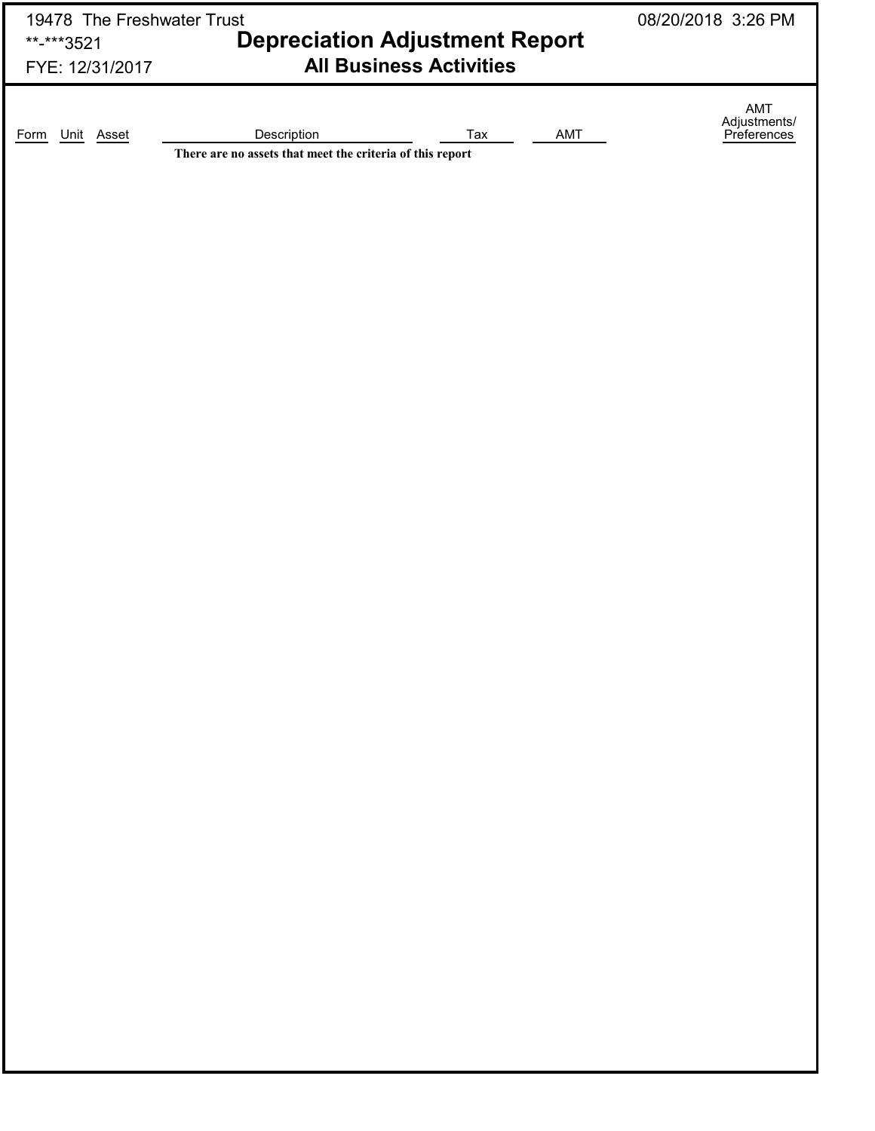| 19478 The Freshwater Trust |                                                                          |                                | 08/20/2018 3:26 PM |                                           |
|----------------------------|--------------------------------------------------------------------------|--------------------------------|--------------------|-------------------------------------------|
| **-***3521                 | <b>Depreciation Adjustment Report</b>                                    |                                |                    |                                           |
| FYE: 12/31/2017            |                                                                          | <b>All Business Activities</b> |                    |                                           |
|                            |                                                                          |                                |                    |                                           |
|                            |                                                                          |                                |                    | AMT<br>Adjustments/<br><u>Preferences</u> |
| Unit Asset<br>Form         | Description<br>There are no assets that meet the criteria of this report | Tax                            | AMT                |                                           |
|                            |                                                                          |                                |                    |                                           |
|                            |                                                                          |                                |                    |                                           |
|                            |                                                                          |                                |                    |                                           |
|                            |                                                                          |                                |                    |                                           |
|                            |                                                                          |                                |                    |                                           |
|                            |                                                                          |                                |                    |                                           |
|                            |                                                                          |                                |                    |                                           |
|                            |                                                                          |                                |                    |                                           |
|                            |                                                                          |                                |                    |                                           |
|                            |                                                                          |                                |                    |                                           |
|                            |                                                                          |                                |                    |                                           |
|                            |                                                                          |                                |                    |                                           |
|                            |                                                                          |                                |                    |                                           |
|                            |                                                                          |                                |                    |                                           |
|                            |                                                                          |                                |                    |                                           |
|                            |                                                                          |                                |                    |                                           |
|                            |                                                                          |                                |                    |                                           |
|                            |                                                                          |                                |                    |                                           |
|                            |                                                                          |                                |                    |                                           |
|                            |                                                                          |                                |                    |                                           |
|                            |                                                                          |                                |                    |                                           |
|                            |                                                                          |                                |                    |                                           |
|                            |                                                                          |                                |                    |                                           |
|                            |                                                                          |                                |                    |                                           |
|                            |                                                                          |                                |                    |                                           |
|                            |                                                                          |                                |                    |                                           |
|                            |                                                                          |                                |                    |                                           |
|                            |                                                                          |                                |                    |                                           |
|                            |                                                                          |                                |                    |                                           |
|                            |                                                                          |                                |                    |                                           |
|                            |                                                                          |                                |                    |                                           |
|                            |                                                                          |                                |                    |                                           |
|                            |                                                                          |                                |                    |                                           |
|                            |                                                                          |                                |                    |                                           |
|                            |                                                                          |                                |                    |                                           |
|                            |                                                                          |                                |                    |                                           |
|                            |                                                                          |                                |                    |                                           |
|                            |                                                                          |                                |                    |                                           |
|                            |                                                                          |                                |                    |                                           |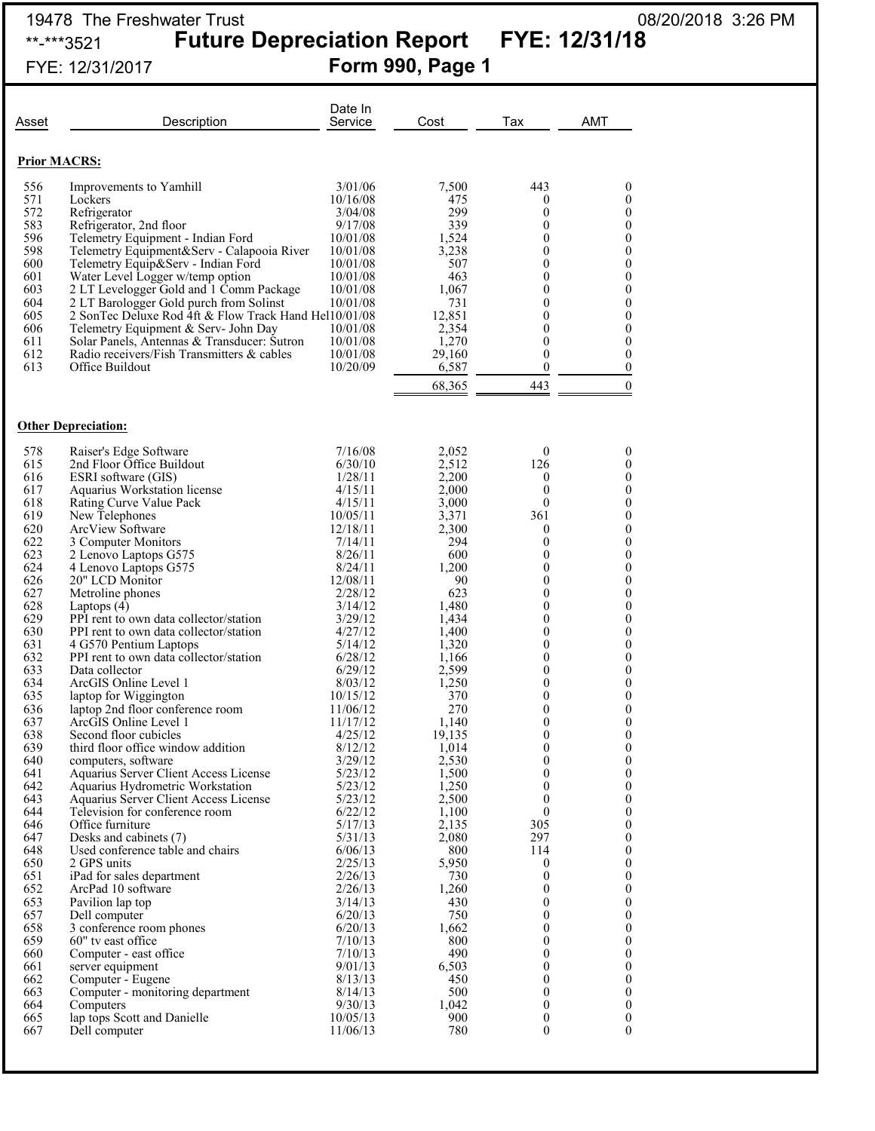### 19478 The Freshwater Trust 08/20/2018 3:26 PM \*\*-\*\*\*3521 **Future Depreciation Report FYE: 12/31/18**

# FYE: 12/31/2017 **Form 990, Page 1**

|                     | Description                                                                         | Date In<br>Service   | Cost            | Tax                      | AMT                                  |
|---------------------|-------------------------------------------------------------------------------------|----------------------|-----------------|--------------------------|--------------------------------------|
| Asset               |                                                                                     |                      |                 |                          |                                      |
| <b>Prior MACRS:</b> |                                                                                     |                      |                 |                          |                                      |
| 556                 | Improvements to Yamhill                                                             | 3/01/06              | 7,500           | 443                      | $\boldsymbol{0}$                     |
| 571                 | Lockers                                                                             | 10/16/08             | 475             | 0                        | 0                                    |
| 572<br>583          | Refrigerator<br>Refrigerator, 2nd floor                                             | 3/04/08<br>9/17/08   | 299<br>339      | $\mathbf{0}$<br>$\theta$ | $\boldsymbol{0}$<br>$\theta$         |
| 596                 | Telemetry Equipment - Indian Ford                                                   | 10/01/08             | 1,524           | $\theta$                 | $\boldsymbol{0}$                     |
| 598                 | Telemetry Equipment&Serv - Calapooia River                                          | 10/01/08             | 3,238           | $\theta$                 | $\theta$                             |
| 600                 | Telemetry Equip&Serv - Indian Ford                                                  | 10/01/08             | 507             | $\theta$                 | $\boldsymbol{0}$                     |
| 601<br>603          | Water Level Logger w/temp option<br>2 LT Levelogger Gold and 1 Comm Package         | 10/01/08<br>10/01/08 | 463<br>1,067    | $\theta$<br>0            | $\boldsymbol{0}$<br>$\boldsymbol{0}$ |
| 604                 | 2 LT Barologger Gold purch from Solinst                                             | 10/01/08             | 731             | $\theta$                 | $\mathbf{0}$                         |
| 605                 | 2 SonTec Deluxe Rod 4ft & Flow Track Hand Hel10/01/08                               |                      | 12,851          | $\theta$                 | $\boldsymbol{0}$                     |
| 606<br>611          | Telemetry Equipment & Serv- John Day<br>Solar Panels, Antennas & Transducer: Sutron | 10/01/08<br>10/01/08 | 2,354<br>1,270  | $\theta$<br>$\theta$     | $\boldsymbol{0}$<br>$\boldsymbol{0}$ |
| 612                 | Radio receivers/Fish Transmitters & cables                                          | 10/01/08             | 29,160          | $\theta$                 | $\theta$                             |
| 613                 | Office Buildout                                                                     | 10/20/09             | 6,587           | $\mathbf{0}$             | $\mathbf{0}$                         |
|                     |                                                                                     |                      | 68,365          | 443                      | $\boldsymbol{0}$                     |
|                     | <b>Other Depreciation:</b>                                                          |                      |                 |                          |                                      |
| 578                 | Raiser's Edge Software                                                              | 7/16/08              | 2,052           | $\mathbf{0}$             | $\theta$                             |
| 615                 | 2nd Floor Office Buildout                                                           | 6/30/10              | 2,512           | 126                      | $\Omega$                             |
| 616<br>617          | ESRI software (GIS)                                                                 | 1/28/11<br>4/15/11   | 2,200<br>2,000  | $\mathbf{0}$<br>$\theta$ | $\theta$<br>$\theta$                 |
| 618                 | Aquarius Workstation license<br>Rating Curve Value Pack                             | 4/15/11              | 3,000           | $\theta$                 | $\boldsymbol{0}$                     |
| 619                 | New Telephones                                                                      | 10/05/11             | 3,371           | 361                      | $\theta$                             |
| 620                 | ArcView Software                                                                    | 12/18/11             | 2,300           | $\boldsymbol{0}$         | $\boldsymbol{0}$                     |
| 622<br>623          | 3 Computer Monitors<br>2 Lenovo Laptops G575                                        | 7/14/11<br>8/26/11   | 294<br>600      | $\theta$<br>$\theta$     | $\mathbf{0}$<br>$\boldsymbol{0}$     |
| 624                 | 4 Lenovo Laptops G575                                                               | 8/24/11              | 1,200           | $\theta$                 | $\mathbf{0}$                         |
| 626                 | 20" LCD Monitor                                                                     | 12/08/11             | 90              | $\theta$                 | $\boldsymbol{0}$                     |
| 627                 | Metroline phones                                                                    | 2/28/12              | 623             | $\theta$                 | $\boldsymbol{0}$                     |
| 628<br>629          | Laptops $(4)$<br>PPI rent to own data collector/station                             | 3/14/12<br>3/29/12   | 1,480<br>1,434  | 0<br>$\theta$            | $\boldsymbol{0}$<br>$\boldsymbol{0}$ |
| 630                 | PPI rent to own data collector/station                                              | 4/27/12              | 1,400           | $\theta$                 | $\boldsymbol{0}$                     |
| 631                 | 4 G570 Pentium Laptops                                                              | 5/14/12              | 1,320           | $\theta$                 | $\theta$                             |
| 632<br>633          | PPI rent to own data collector/station<br>Data collector                            | 6/28/12<br>6/29/12   | 1,166<br>2,599  | $\theta$<br>$\theta$     | $\boldsymbol{0}$<br>$\theta$         |
| 634                 | ArcGIS Online Level 1                                                               | 8/03/12              | 1,250           | 0                        | $\boldsymbol{0}$                     |
| 635                 | laptop for Wiggington                                                               | 10/15/12             | 370             | 0                        | $\boldsymbol{0}$                     |
| 636                 | laptop 2nd floor conference room<br>ArcGIS Online Level 1                           | 11/06/12             | 270             | $\boldsymbol{0}$         | $\boldsymbol{0}$                     |
| 637<br>638          | Second floor cubicles                                                               | 11/17/12<br>4/25/12  | 1,140<br>19,135 | $\theta$<br>0            | $\theta$<br>0                        |
| 639                 | third floor office window addition                                                  | 8/12/12              | 1,014           | $\boldsymbol{0}$         | $\boldsymbol{0}$                     |
| 640                 | computers, software                                                                 | 3/29/12              | 2,530           | $\boldsymbol{0}$         | $\boldsymbol{0}$                     |
| 641<br>642          | Aquarius Server Client Access License<br>Aquarius Hydrometric Workstation           | 5/23/12<br>5/23/12   | 1,500<br>1,250  | $\theta$<br>$\theta$     | $\boldsymbol{0}$<br>$\boldsymbol{0}$ |
| 643                 | Aquarius Server Client Access License                                               | 5/23/12              | 2,500           | $\theta$                 | $\mathbf{0}$                         |
| 644                 | Television for conference room                                                      | 6/22/12              | 1,100           | $\theta$                 | $\boldsymbol{0}$                     |
| 646                 | Office furniture                                                                    | 5/17/13              | 2,135           | 305                      | $\mathbf{0}$                         |
| 647<br>648          | Desks and cabinets (7)<br>Used conference table and chairs                          | 5/31/13<br>6/06/13   | 2,080<br>800    | 297<br>114               | $\boldsymbol{0}$<br>$\boldsymbol{0}$ |
| 650                 | 2 GPS units                                                                         | 2/25/13              | 5,950           | $\boldsymbol{0}$         | $\boldsymbol{0}$                     |
| 651                 | iPad for sales department                                                           | 2/26/13              | 730             | $\theta$                 | $\mathbf{0}$                         |
| 652                 | ArcPad 10 software                                                                  | 2/26/13              | 1,260           | $\mathbf{0}$             | $\boldsymbol{0}$                     |
| 653<br>657          | Pavilion lap top<br>Dell computer                                                   | 3/14/13<br>6/20/13   | 430<br>750      | $\Omega$<br>$\mathbf{0}$ | $\mathbf{0}$<br>$\boldsymbol{0}$     |
| 658                 | 3 conference room phones                                                            | 6/20/13              | 1,662           | $\mathbf{0}$             | $\boldsymbol{0}$                     |
| 659                 | 60" tv east office                                                                  | 7/10/13              | 800             | $\mathbf{0}$             | $\boldsymbol{0}$                     |
| 660                 | Computer - east office                                                              | 7/10/13              | 490             | $\theta$                 | $\boldsymbol{0}$                     |
| 661<br>662          | server equipment<br>Computer - Eugene                                               | 9/01/13<br>8/13/13   | 6,503<br>450    | $\mathbf{0}$<br>0        | $\boldsymbol{0}$<br>$\boldsymbol{0}$ |
| 663                 | Computer - monitoring department                                                    | 8/14/13              | 500             | $\mathbf{0}$             | $\boldsymbol{0}$                     |
| 664                 | Computers                                                                           | 9/30/13              | 1,042           | $\theta$                 | $\boldsymbol{0}$                     |
| 665                 | lap tops Scott and Danielle                                                         | 10/05/13             | 900             | $\boldsymbol{0}$         | $\boldsymbol{0}$                     |
| 667                 | Dell computer                                                                       | 11/06/13             | 780             | $\boldsymbol{0}$         | $\boldsymbol{0}$                     |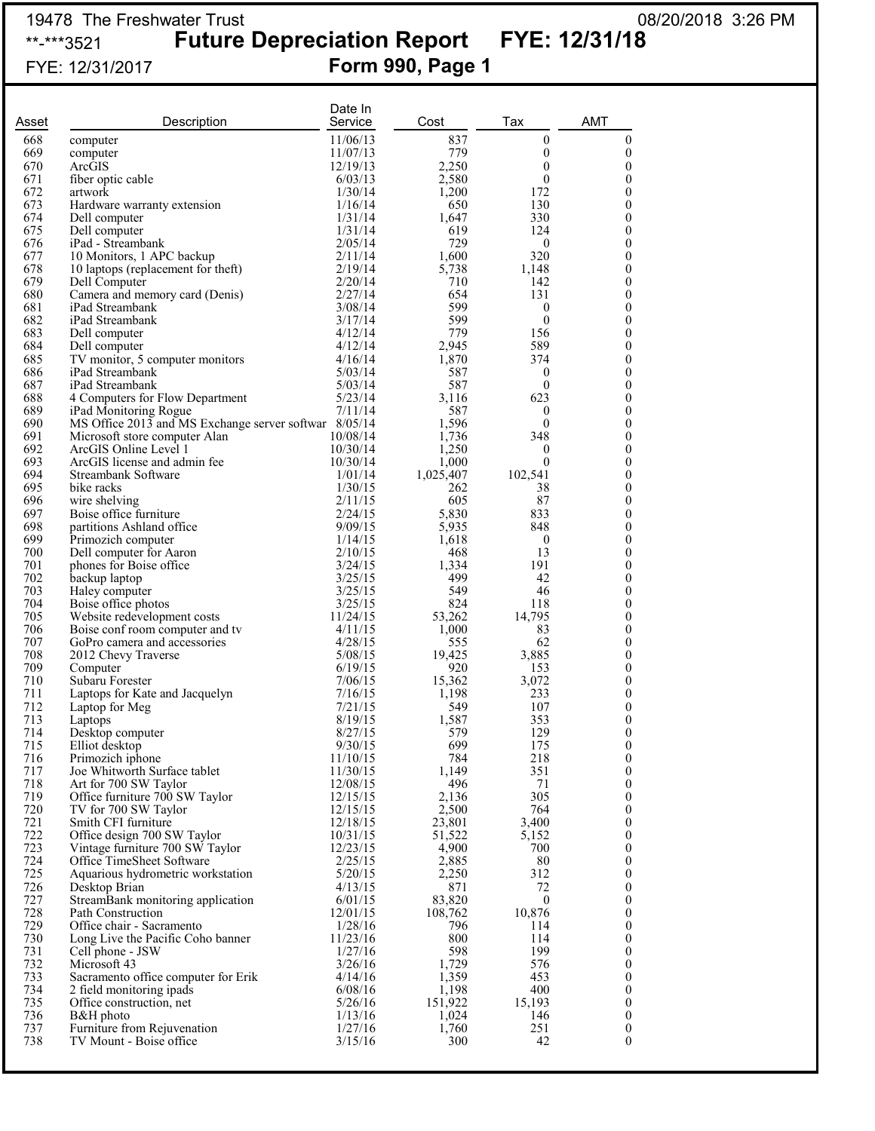### 19478 The Freshwater Trust 08/20/2018 3:26 PM \*\*-\*\*\*3521 **Future Depreciation Report FYE: 12/31/18**

# FYE: 12/31/2017 **Form 990, Page 1**

| Asset      | Description                                                     | Date In<br>Service   | Cost            | Tax                   | <b>AMT</b>            |
|------------|-----------------------------------------------------------------|----------------------|-----------------|-----------------------|-----------------------|
| 668        | computer                                                        | 11/06/13             | 837             | $\boldsymbol{0}$      | $\boldsymbol{0}$      |
| 669        | computer                                                        | 11/07/13             | 779             | $\boldsymbol{0}$      | $\boldsymbol{0}$      |
| 670        | ArcGIS                                                          | 12/19/13             | 2,250           | 0                     | 0                     |
| 671        | fiber optic cable                                               | 6/03/13              | 2,580           | $\boldsymbol{0}$      | 0                     |
| 672        | artwork                                                         | 1/30/14              | 1,200           | 172                   | 0                     |
| 673<br>674 | Hardware warranty extension<br>Dell computer                    | 1/16/14<br>1/31/14   | 650<br>1,647    | 130<br>330            | 0<br>0                |
| 675        | Dell computer                                                   | 1/31/14              | 619             | 124                   | 0                     |
| 676        | iPad - Streambank                                               | 2/05/14              | 729             | $\mathbf{0}$          | 0                     |
| 677        | 10 Monitors, 1 APC backup                                       | 2/11/14              | 1,600           | 320                   | 0                     |
| 678        | 10 laptops (replacement for theft)                              | 2/19/14              | 5,738           | 1,148                 | 0                     |
| 679        | Dell Computer                                                   | 2/20/14              | 710             | 142                   | 0                     |
| 680        | Camera and memory card (Denis)                                  | 2/27/14              | 654             | 131                   | 0                     |
| 681        | iPad Streambank                                                 | 3/08/14              | 599             | 0                     | 0                     |
| 682<br>683 | iPad Streambank                                                 | 3/17/14<br>4/12/14   | 599<br>779      | $\mathbf{0}$<br>156   | 0<br>0                |
| 684        | Dell computer<br>Dell computer                                  | 4/12/14              | 2,945           | 589                   | 0                     |
| 685        | TV monitor, 5 computer monitors                                 | 4/16/14              | 1,870           | 374                   | 0                     |
| 686        | iPad Streambank                                                 | 5/03/14              | 587             | 0                     | 0                     |
| 687        | iPad Streambank                                                 | 5/03/14              | 587             | $\mathbf{0}$          | 0                     |
| 688        | 4 Computers for Flow Department                                 | 5/23/14              | 3,116           | 623                   | 0                     |
| 689        | iPad Monitoring Rogue                                           | 7/11/14              | 587             | 0                     | 0                     |
| 690        | MS Office 2013 and MS Exchange server softwar 8/05/14           |                      | 1,596           | 0                     | 0                     |
| 691        | Microsoft store computer Alan                                   | 10/08/14             | 1,736           | 348                   | 0                     |
| 692<br>693 | ArcGIS Online Level 1<br>ArcGIS license and admin fee           | 10/30/14<br>10/30/14 | 1,250<br>1,000  | 0<br>$\boldsymbol{0}$ | 0<br>0                |
| 694        | Streambank Software                                             | 1/01/14              | 1,025,407       | 102,541               | 0                     |
| 695        | bike racks                                                      | 1/30/15              | 262             | 38                    | 0                     |
| 696        | wire shelving                                                   | 2/11/15              | 605             | 87                    | 0                     |
| 697        | Boise office furniture                                          | 2/24/15              | 5,830           | 833                   | 0                     |
| 698        | partitions Ashland office                                       | 9/09/15              | 5,935           | 848                   | 0                     |
| 699        | Primozich computer                                              | 1/14/15              | 1,618           | $\mathbf{0}$          | 0                     |
| 700        | Dell computer for Aaron                                         | 2/10/15              | 468             | 13                    | 0                     |
| 701        | phones for Boise office                                         | 3/24/15              | 1,334           | 191                   | 0                     |
| 702<br>703 | backup laptop                                                   | 3/25/15              | 499             | 42                    | 0                     |
| 704        | Haley computer<br>Boise office photos                           | 3/25/15<br>3/25/15   | 549<br>824      | 46<br>118             | 0<br>0                |
| 705        | Website redevelopment costs                                     | 11/24/15             | 53,262          | 14,795                | 0                     |
| 706        | Boise conf room computer and tv                                 | 4/11/15              | 1,000           | 83                    | 0                     |
| 707        | GoPro camera and accessories                                    | 4/28/15              | 555             | 62                    | 0                     |
| 708        | 2012 Chevy Traverse                                             | 5/08/15              | 19,425          | 3,885                 | 0                     |
| 709        | Computer                                                        | 6/19/15              | 920             | 153                   | 0                     |
| 710        | Subaru Forester                                                 | 7/06/15              | 15,362          | 3,072                 | 0                     |
| 711        | Laptops for Kate and Jacquelyn                                  | 7/16/15              | 1,198           | 233                   | 0                     |
| 712<br>713 | Laptop for Meg                                                  | 7/21/15              | 549             | 107<br>353            | 0                     |
| 714        | Laptops                                                         | 8/19/15<br>8/27/15   | 1,587<br>579    | 129                   | 0<br>0                |
| 715        | Desktop computer<br>Elliot desktop                              | 9/30/15              | 699             | 175                   | $\boldsymbol{0}$      |
| 716        | Primozich iphone                                                | 11/10/15             | 784             | 218                   | 0                     |
| 717        | Joe Whitworth Surface tablet                                    | 11/30/15             | 1,149           | 351                   | $\boldsymbol{0}$      |
| 718        | Art for 700 SW Taylor                                           | 12/08/15             | 496             | 71                    | 0                     |
| 719        | Office furniture 700 SW Taylor                                  | 12/15/15             | 2,136           | 305                   | $\boldsymbol{0}$      |
| 720        | TV for 700 SW Taylor                                            | 12/15/15             | 2,500           | 764                   | 0                     |
| 721        | Smith CFI furniture                                             | 12/18/15             | 23,801          | 3,400                 | $\boldsymbol{0}$      |
| 722<br>723 | Office design 700 SW Taylor                                     | 10/31/15<br>12/23/15 | 51,522<br>4,900 | 5,152<br>700          | 0<br>$\boldsymbol{0}$ |
| 724        | Vintage furniture 700 SW Taylor<br>Office TimeSheet Software    | 2/25/15              | 2,885           | 80                    | 0                     |
| 725        | Aquarious hydrometric workstation                               | 5/20/15              | 2,250           | 312                   | $\boldsymbol{0}$      |
| 726        | Desktop Brian                                                   | 4/13/15              | 871             | 72                    | 0                     |
| 727        | StreamBank monitoring application                               | 6/01/15              | 83,820          | $\boldsymbol{0}$      | $\boldsymbol{0}$      |
| 728        | Path Construction                                               | 12/01/15             | 108,762         | 10,876                | 0                     |
| 729        | Office chair - Sacramento                                       | 1/28/16              | 796             | 114                   | $\boldsymbol{0}$      |
| 730        | Long Live the Pacific Coho banner                               | 11/23/16             | 800             | 114                   | 0                     |
| 731        | Cell phone - JSW                                                | 1/27/16              | 598             | 199                   | 0                     |
| 732<br>733 | Microsoft 43                                                    | 3/26/16              | 1,729           | 576                   | 0                     |
| 734        | Sacramento office computer for Erik<br>2 field monitoring ipads | 4/14/16<br>6/08/16   | 1,359<br>1,198  | 453<br>400            | $\boldsymbol{0}$<br>0 |
| 735        | Office construction, net                                        | 5/26/16              | 151,922         | 15,193                | $\boldsymbol{0}$      |
| 736        | B&H photo                                                       | 1/13/16              | 1,024           | 146                   | 0                     |
| 737        | Furniture from Rejuvenation                                     | 1/27/16              | 1,760           | 251                   | $\boldsymbol{0}$      |
| 738        | TV Mount - Boise office                                         | 3/15/16              | 300             | 42                    | 0                     |
|            |                                                                 |                      |                 |                       |                       |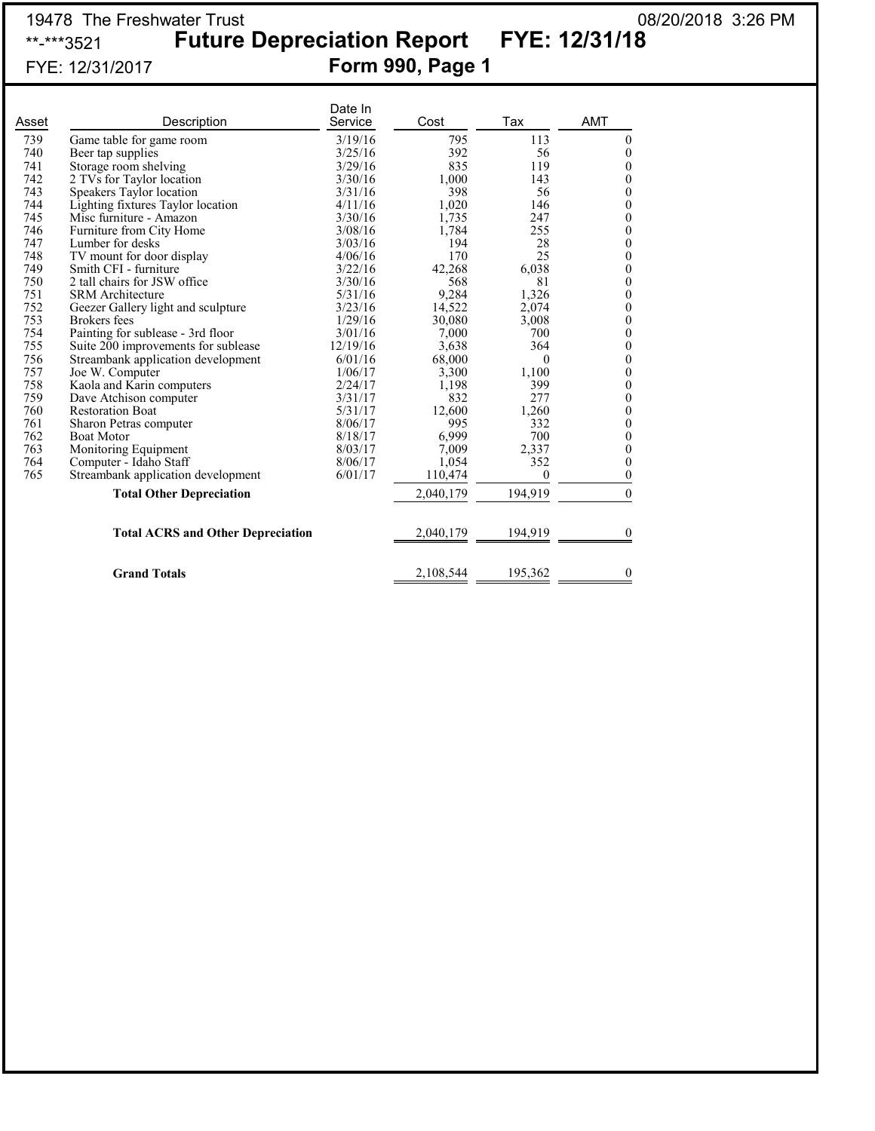## 19478 The Freshwater Trust 08/20/2018 3:26 PM \*\*-\*\*\*3521 **Future Depreciation Report FYE: 12/31/18** FYE: 12/31/2017 **Form 990, Page 1**

| Asset | Description                              | Date In<br>Service | Cost      | Tax      | <b>AMT</b>       |
|-------|------------------------------------------|--------------------|-----------|----------|------------------|
| 739   | Game table for game room                 | 3/19/16            | 795       | 113      | $\boldsymbol{0}$ |
| 740   | Beer tap supplies                        | 3/25/16            | 392       | 56       | $\boldsymbol{0}$ |
| 741   | Storage room shelving                    | 3/29/16            | 835       | 119      | $\boldsymbol{0}$ |
| 742   | 2 TVs for Taylor location                | 3/30/16            | 1,000     | 143      | $\boldsymbol{0}$ |
| 743   | Speakers Taylor location                 | 3/31/16            | 398       | 56       | $\boldsymbol{0}$ |
| 744   | Lighting fixtures Taylor location        | 4/11/16            | 1,020     | 146      | $\mathbf{0}$     |
| 745   | Misc furniture - Amazon                  | 3/30/16            | 1,735     | 247      | $\mathbf{0}$     |
| 746   | Furniture from City Home                 | 3/08/16            | 1,784     | 255      | $\boldsymbol{0}$ |
| 747   | Lumber for desks                         | 3/03/16            | 194       | 28       | $\boldsymbol{0}$ |
| 748   | TV mount for door display                | 4/06/16            | 170       | 25       | $\boldsymbol{0}$ |
| 749   | Smith CFI - furniture                    | 3/22/16            | 42,268    | 6,038    | $\boldsymbol{0}$ |
| 750   | 2 tall chairs for JSW office             | 3/30/16            | 568       | 81       | $\boldsymbol{0}$ |
| 751   | <b>SRM</b> Architecture                  | 5/31/16            | 9,284     | 1,326    | $\boldsymbol{0}$ |
| 752   | Geezer Gallery light and sculpture       | 3/23/16            | 14,522    | 2,074    | $\boldsymbol{0}$ |
| 753   | Brokers fees                             | 1/29/16            | 30,080    | 3,008    | $\boldsymbol{0}$ |
| 754   | Painting for sublease - 3rd floor        | 3/01/16            | 7,000     | 700      | $\boldsymbol{0}$ |
| 755   | Suite 200 improvements for sublease      | 12/19/16           | 3,638     | 364      | $\boldsymbol{0}$ |
| 756   | Streambank application development       | 6/01/16            | 68,000    | $\theta$ | $\boldsymbol{0}$ |
| 757   | Joe W. Computer                          | 1/06/17            | 3,300     | 1,100    | $\boldsymbol{0}$ |
| 758   | Kaola and Karin computers                | 2/24/17            | 1,198     | 399      | $\boldsymbol{0}$ |
| 759   | Dave Atchison computer                   | 3/31/17            | 832       | 277      | $\boldsymbol{0}$ |
| 760   | <b>Restoration Boat</b>                  | 5/31/17            | 12,600    | 1,260    | $\boldsymbol{0}$ |
| 761   | Sharon Petras computer                   | 8/06/17            | 995       | 332      | $\boldsymbol{0}$ |
| 762   | <b>Boat Motor</b>                        | 8/18/17            | 6,999     | 700      | $\boldsymbol{0}$ |
| 763   | Monitoring Equipment                     | 8/03/17            | 7,009     | 2,337    | $\boldsymbol{0}$ |
| 764   | Computer - Idaho Staff                   | 8/06/17            | 1,054     | 352      | $\boldsymbol{0}$ |
| 765   | Streambank application development       | 6/01/17            | 110,474   | $\theta$ | $\boldsymbol{0}$ |
|       | <b>Total Other Depreciation</b>          |                    | 2,040,179 | 194,919  | $\theta$         |
|       | <b>Total ACRS and Other Depreciation</b> |                    | 2,040,179 | 194,919  | $\Omega$         |
|       | <b>Grand Totals</b>                      |                    | 2,108,544 | 195,362  | $\theta$         |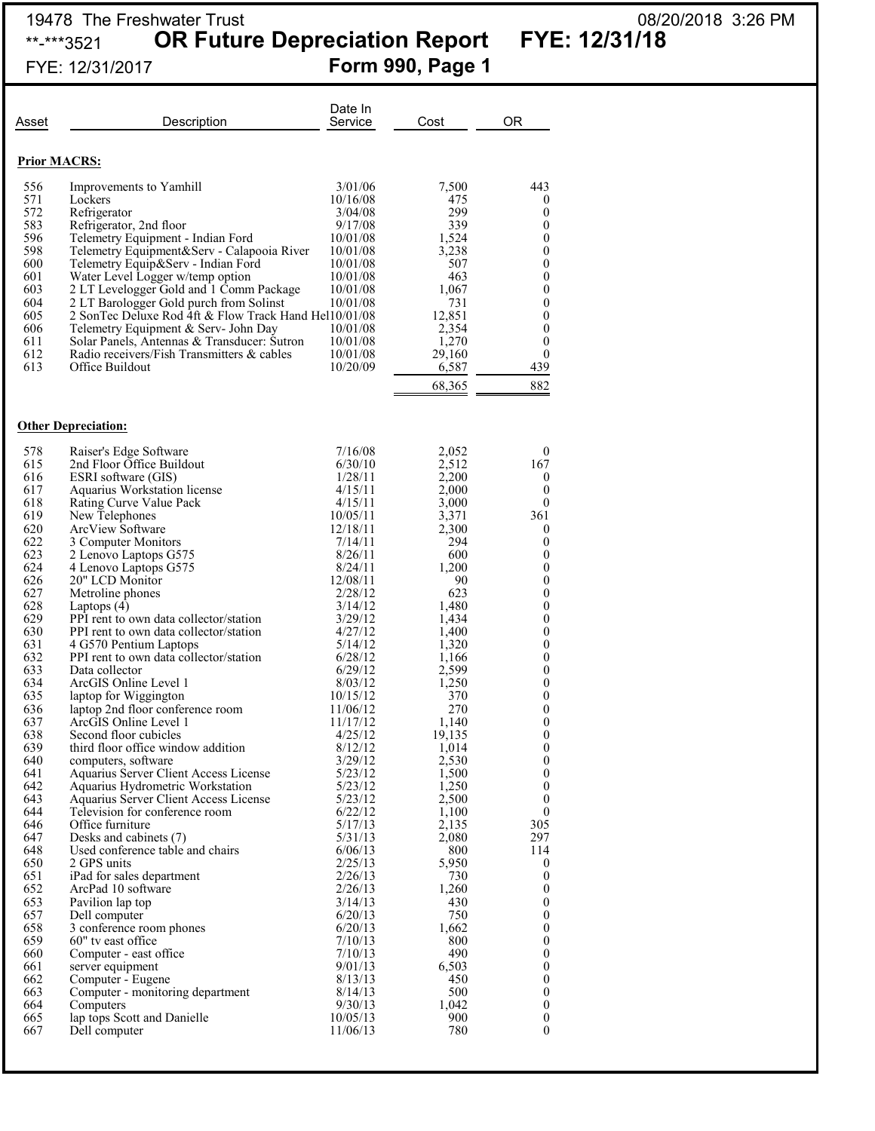# 19478 The Freshwater Trust 08/20/2018 3:26 PM

\*\*-\*\*\*3521 **OR Future Depreciation Report FYE: 12/31/18**

| FYE: 12/31/2017 | <b>Form 990, Page 1</b> |  |
|-----------------|-------------------------|--|
|                 |                         |  |

| Asset               | Description                                                                               | Date In<br>Service   | Cost            | <b>OR</b>                            |
|---------------------|-------------------------------------------------------------------------------------------|----------------------|-----------------|--------------------------------------|
| <b>Prior MACRS:</b> |                                                                                           |                      |                 |                                      |
| 556                 | Improvements to Yamhill                                                                   | 3/01/06              | 7,500           | 443                                  |
| 571<br>572          | Lockers<br>Refrigerator                                                                   | 10/16/08<br>3/04/08  | 475<br>299      | $\bf{0}$<br>$\boldsymbol{0}$         |
| 583                 | Refrigerator, 2nd floor                                                                   | 9/17/08              | 339             | 0                                    |
| 596                 | Telemetry Equipment - Indian Ford                                                         | 10/01/08             | 1,524           | $\boldsymbol{0}$                     |
| 598<br>600          | Telemetry Equipment&Serv - Calapooia River<br>Telemetry Equip&Serv - Indian Ford          | 10/01/08<br>10/01/08 | 3,238<br>507    | 0<br>$\boldsymbol{0}$                |
| 601                 | Water Level Logger w/temp option                                                          | 10/01/08             | 463             | $\boldsymbol{0}$                     |
| 603<br>604          | 2 LT Levelogger Gold and 1 Comm Package<br>2 LT Barologger Gold purch from Solinst        | 10/01/08<br>10/01/08 | 1,067<br>731    | $\boldsymbol{0}$<br>0                |
| 605                 | 2 SonTec Deluxe Rod 4ft & Flow Track Hand Hel10/01/08                                     |                      | 12,851          | $\mathbf{0}$                         |
| 606                 | Telemetry Equipment & Serv- John Day                                                      | 10/01/08             | 2,354           | 0                                    |
| 611<br>612          | Solar Panels, Antennas & Transducer: Sutron<br>Radio receivers/Fish Transmitters & cables | 10/01/08<br>10/01/08 | 1,270<br>29,160 | $\theta$<br>$\boldsymbol{0}$         |
| 613                 | Office Buildout                                                                           | 10/20/09             | 6,587           | 439                                  |
|                     |                                                                                           |                      | 68,365          | 882                                  |
|                     |                                                                                           |                      |                 |                                      |
|                     | <b>Other Depreciation:</b>                                                                |                      |                 |                                      |
| 578<br>615          | Raiser's Edge Software<br>2nd Floor Office Buildout                                       | 7/16/08<br>6/30/10   | 2,052<br>2,512  | $\mathbf{0}$<br>167                  |
| 616                 | ESRI software (GIS)                                                                       | 1/28/11              | 2,200           | $\boldsymbol{0}$                     |
| 617                 | Aquarius Workstation license                                                              | 4/15/11              | 2,000           | $\boldsymbol{0}$                     |
| 618<br>619          | Rating Curve Value Pack<br>New Telephones                                                 | 4/15/11<br>10/05/11  | 3,000<br>3,371  | $\mathbf{0}$<br>361                  |
| 620                 | ArcView Software                                                                          | 12/18/11             | 2,300           | $\boldsymbol{0}$                     |
| 622                 | 3 Computer Monitors                                                                       | 7/14/11              | 294             | 0                                    |
| 623<br>624          | 2 Lenovo Laptops G575<br>4 Lenovo Laptops G575                                            | 8/26/11<br>8/24/11   | 600<br>1,200    | $\boldsymbol{0}$<br>$\boldsymbol{0}$ |
| 626                 | 20" LCD Monitor                                                                           | 12/08/11             | 90              | $\boldsymbol{0}$                     |
| 627                 | Metroline phones                                                                          | 2/28/12              | 623             | 0                                    |
| 628<br>629          | Laptops $(4)$<br>PPI rent to own data collector/station                                   | 3/14/12<br>3/29/12   | 1,480<br>1,434  | $\boldsymbol{0}$<br>0                |
| 630                 | PPI rent to own data collector/station                                                    | 4/27/12              | 1,400           | $\boldsymbol{0}$                     |
| 631                 | 4 G570 Pentium Laptops                                                                    | 5/14/12              | 1,320           | 0                                    |
| 632<br>633          | PPI rent to own data collector/station<br>Data collector                                  | 6/28/12<br>6/29/12   | 1,166<br>2,599  | $\boldsymbol{0}$<br>0                |
| 634                 | ArcGIS Online Level 1                                                                     | 8/03/12              | 1,250           | 0                                    |
| 635                 | laptop for Wiggington                                                                     | 10/15/12             | 370             | 0                                    |
| 636<br>637          | laptop 2nd floor conference room<br>ArcGIS Online Level 1                                 | 11/06/12<br>11/17/12 | 270<br>1,140    | $\boldsymbol{0}$<br>$\boldsymbol{0}$ |
| 638                 | Second floor cubicles                                                                     | 4/25/12              | 19,135          | $\boldsymbol{0}$                     |
| 639                 | third floor office window addition                                                        | 8/12/12              | 1,014           | 0                                    |
| 640<br>641          | computers, software<br>Aquarius Server Client Access License                              | 3/29/12<br>5/23/12   | 2,530<br>1,500  | $\boldsymbol{0}$<br>0                |
| 642                 | Aquarius Hydrometric Workstation                                                          | 5/23/12              | 1,250           | $\boldsymbol{0}$                     |
| 643                 | Aquarius Server Client Access License                                                     | 5/23/12              | 2,500           | $\boldsymbol{0}$                     |
| 644<br>646          | Television for conference room<br>Office furniture                                        | 6/22/12<br>5/17/13   | 1,100<br>2,135  | 0<br>305                             |
| 647                 | Desks and cabinets (7)                                                                    | 5/31/13              | 2,080           | 297                                  |
| 648                 | Used conference table and chairs                                                          | 6/06/13              | 800             | 114                                  |
| 650<br>651          | 2 GPS units<br>iPad for sales department                                                  | 2/25/13<br>2/26/13   | 5,950<br>730    | $\bf{0}$<br>$\boldsymbol{0}$         |
| 652                 | ArcPad 10 software                                                                        | 2/26/13              | 1,260           | $\boldsymbol{0}$                     |
| 653                 | Pavilion lap top                                                                          | 3/14/13              | 430             | 0                                    |
| 657<br>658          | Dell computer<br>3 conference room phones                                                 | 6/20/13<br>6/20/13   | 750<br>1,662    | $\boldsymbol{0}$<br>0                |
| 659                 | 60" tv east office                                                                        | 7/10/13              | 800             | $\boldsymbol{0}$                     |
| 660                 | Computer - east office                                                                    | 7/10/13              | 490             | 0                                    |
| 661<br>662          | server equipment<br>Computer - Eugene                                                     | 9/01/13<br>8/13/13   | 6,503<br>450    | $\mathbf{0}$<br>0                    |
| 663                 | Computer - monitoring department                                                          | 8/14/13              | 500             | $\mathbf{0}$                         |
| 664                 | Computers                                                                                 | 9/30/13              | 1,042           | 0                                    |
| 665<br>667          | lap tops Scott and Danielle<br>Dell computer                                              | 10/05/13<br>11/06/13 | 900<br>780      | $\mathbf{0}$<br>0                    |
|                     |                                                                                           |                      |                 |                                      |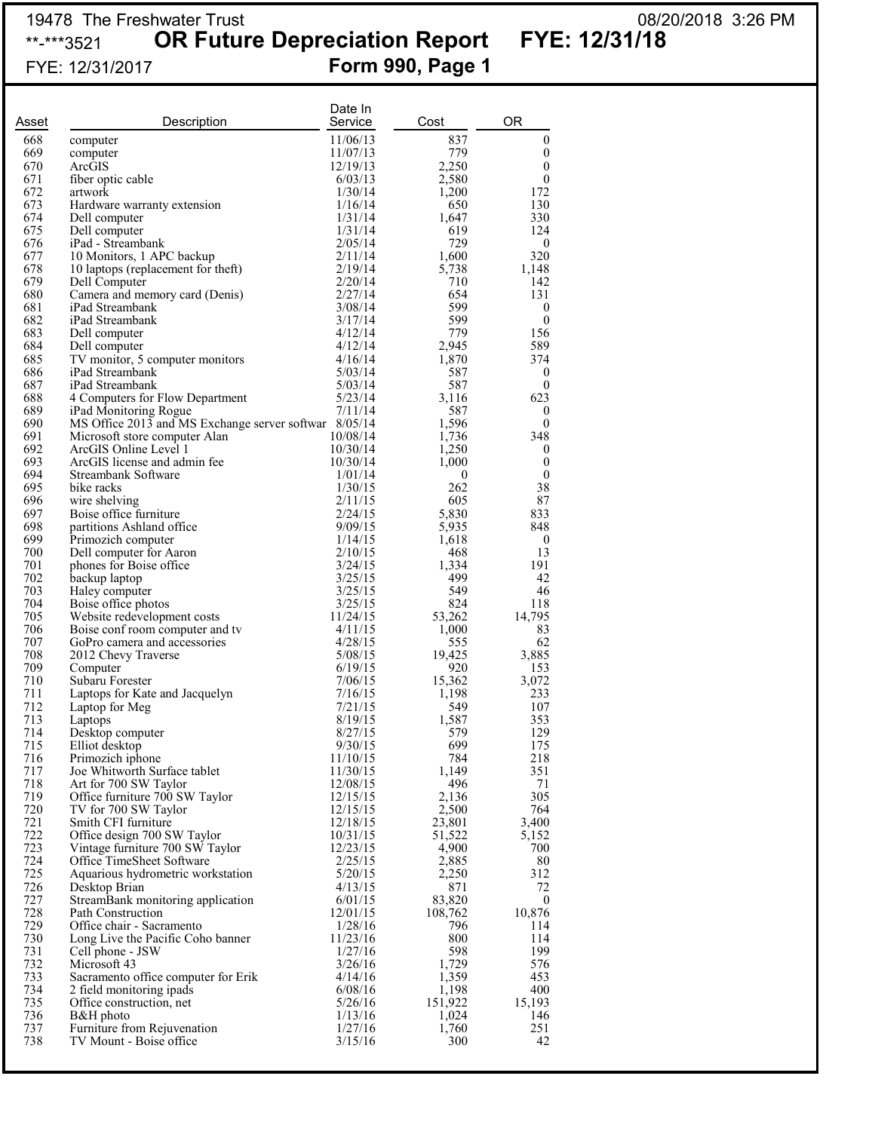### 19478 The Freshwater Trust 08/20/2018 3:26 PM \*\*-\*\*\*3521 **OR Future Depreciation Report FYE: 12/31/18**

# FYE: 12/31/2017 **Form 990, Page 1**

| Asset      | Description                                                                    | Date In<br>Service   | Cost           | <b>OR</b>                            |
|------------|--------------------------------------------------------------------------------|----------------------|----------------|--------------------------------------|
| 668        | computer                                                                       | 11/06/13             | 837            | $\boldsymbol{0}$                     |
| 669        | computer                                                                       | 11/07/13             | 779            | $\boldsymbol{0}$                     |
| 670        | ArcGIS                                                                         | 12/19/13             | 2,250          | $\boldsymbol{0}$                     |
| 671        | fiber optic cable                                                              | 6/03/13              | 2,580          | $\boldsymbol{0}$                     |
| 672        | artwork                                                                        | 1/30/14              | 1,200          | 172                                  |
| 673<br>674 | Hardware warranty extension<br>Dell computer                                   | 1/16/14<br>1/31/14   | 650<br>1,647   | 130<br>330                           |
| 675        | Dell computer                                                                  | 1/31/14              | 619            | 124                                  |
| 676        | iPad - Streambank                                                              | 2/05/14              | 729            | $\boldsymbol{0}$                     |
| 677        | 10 Monitors, 1 APC backup                                                      | 2/11/14              | 1,600          | 320                                  |
| 678        | 10 laptops (replacement for theft)                                             | 2/19/14              | 5,738          | 1,148                                |
| 679        | Dell Computer                                                                  | 2/20/14              | 710            | 142                                  |
| 680        | Camera and memory card (Denis)                                                 | 2/27/14              | 654            | 131                                  |
| 681<br>682 | iPad Streambank<br>iPad Streambank                                             | 3/08/14<br>3/17/14   | 599<br>599     | $\boldsymbol{0}$<br>$\boldsymbol{0}$ |
| 683        | Dell computer                                                                  | 4/12/14              | 779            | 156                                  |
| 684        | Dell computer                                                                  | 4/12/14              | 2,945          | 589                                  |
| 685        | TV monitor, 5 computer monitors                                                | 4/16/14              | 1,870          | 374                                  |
| 686        | iPad Streambank                                                                | 5/03/14              | 587            | $\boldsymbol{0}$                     |
| 687        | iPad Streambank                                                                | 5/03/14              | 587            | $\boldsymbol{0}$                     |
| 688<br>689 | 4 Computers for Flow Department                                                | 5/23/14              | 3,116          | 623                                  |
| 690        | iPad Monitoring Rogue<br>MS Office 2013 and MS Exchange server softwar 8/05/14 | 7/11/14              | 587<br>1,596   | $\boldsymbol{0}$<br>$\boldsymbol{0}$ |
| 691        | Microsoft store computer Alan                                                  | 10/08/14             | 1,736          | 348                                  |
| 692        | ArcGIS Online Level 1                                                          | 10/30/14             | 1,250          | $\boldsymbol{0}$                     |
| 693        | ArcGIS license and admin fee                                                   | 10/30/14             | 1,000          | $\boldsymbol{0}$                     |
| 694        | Streambank Software                                                            | 1/01/14              | $\bf{0}$       | $\boldsymbol{0}$                     |
| 695        | bike racks                                                                     | 1/30/15              | 262            | 38                                   |
| 696<br>697 | wire shelving<br>Boise office furniture                                        | 2/11/15<br>2/24/15   | 605<br>5,830   | 87<br>833                            |
| 698        | partitions Ashland office                                                      | 9/09/15              | 5,935          | 848                                  |
| 699        | Primozich computer                                                             | 1/14/15              | 1,618          | $\boldsymbol{0}$                     |
| 700        | Dell computer for Aaron                                                        | 2/10/15              | 468            | 13                                   |
| 701        | phones for Boise office                                                        | 3/24/15              | 1,334          | 191                                  |
| 702        | backup laptop                                                                  | 3/25/15              | 499            | 42                                   |
| 703        | Haley computer                                                                 | 3/25/15              | 549            | 46                                   |
| 704<br>705 | Boise office photos<br>Website redevelopment costs                             | 3/25/15<br>11/24/15  | 824<br>53,262  | 118<br>14,795                        |
| 706        | Boise conf room computer and tv                                                | 4/11/15              | 1,000          | 83                                   |
| 707        | GoPro camera and accessories                                                   | 4/28/15              | 555            | 62                                   |
| 708        | 2012 Chevy Traverse                                                            | 5/08/15              | 19,425         | 3,885                                |
| 709        | Computer                                                                       | 6/19/15              | 920            | 153                                  |
| 710<br>711 | Subaru Forester                                                                | 7/06/15              | 15,362         | 3,072                                |
| 712        | Laptops for Kate and Jacquelyn<br>Laptop for Meg                               | 7/16/15<br>7/21/15   | 1,198<br>549   | 233<br>107                           |
| 713        | Laptops                                                                        | 8/19/15              | 1,587          | 353                                  |
| 714        | Desktop computer                                                               | 8/27/15              | 579            | 129                                  |
| 715        | Elliot desktop                                                                 | 9/30/15              | 699            | 175                                  |
| 716        | Primozich iphone                                                               | 11/10/15             | 784            | 218                                  |
| 717        | Joe Whitworth Surface tablet                                                   | 11/30/15             | 1,149          | 351                                  |
| 718<br>719 | Art for 700 SW Taylor<br>Office furniture 700 SW Taylor                        | 12/08/15<br>12/15/15 | 496<br>2,136   | 71<br>305                            |
| 720        | TV for 700 SW Taylor                                                           | 12/15/15             | 2,500          | 764                                  |
| 721        | Smith CFI furniture                                                            | 12/18/15             | 23,801         | 3,400                                |
| 722        | Office design 700 SW Taylor                                                    | 10/31/15             | 51,522         | 5,152                                |
| 723        | Vintage furniture 700 SW Taylor                                                | 12/23/15             | 4,900          | 700                                  |
| 724        | Office TimeSheet Software                                                      | 2/25/15              | 2,885          | 80                                   |
| 725<br>726 | Aquarious hydrometric workstation                                              | 5/20/15<br>4/13/15   | 2,250<br>871   | 312<br>72                            |
| 727        | Desktop Brian<br>StreamBank monitoring application                             | 6/01/15              | 83,820         | $\boldsymbol{0}$                     |
| 728        | Path Construction                                                              | 12/01/15             | 108,762        | 10,876                               |
| 729        | Office chair - Sacramento                                                      | 1/28/16              | 796            | 114                                  |
| 730        | Long Live the Pacific Coho banner                                              | 11/23/16             | 800            | 114                                  |
| 731        | Cell phone - JSW                                                               | 1/27/16              | 598            | 199                                  |
| 732        | Microsoft 43                                                                   | 3/26/16              | 1,729          | 576                                  |
| 733<br>734 | Sacramento office computer for Erik<br>2 field monitoring ipads                | 4/14/16<br>6/08/16   | 1,359<br>1,198 | 453<br>400                           |
| 735        | Office construction, net                                                       | 5/26/16              | 151,922        | 15,193                               |
| 736        | B&H photo                                                                      | 1/13/16              | 1,024          | 146                                  |
| 737        | Furniture from Rejuvenation                                                    | 1/27/16              | 1,760          | 251                                  |
| 738        | TV Mount - Boise office                                                        | 3/15/16              | 300            | 42                                   |
|            |                                                                                |                      |                |                                      |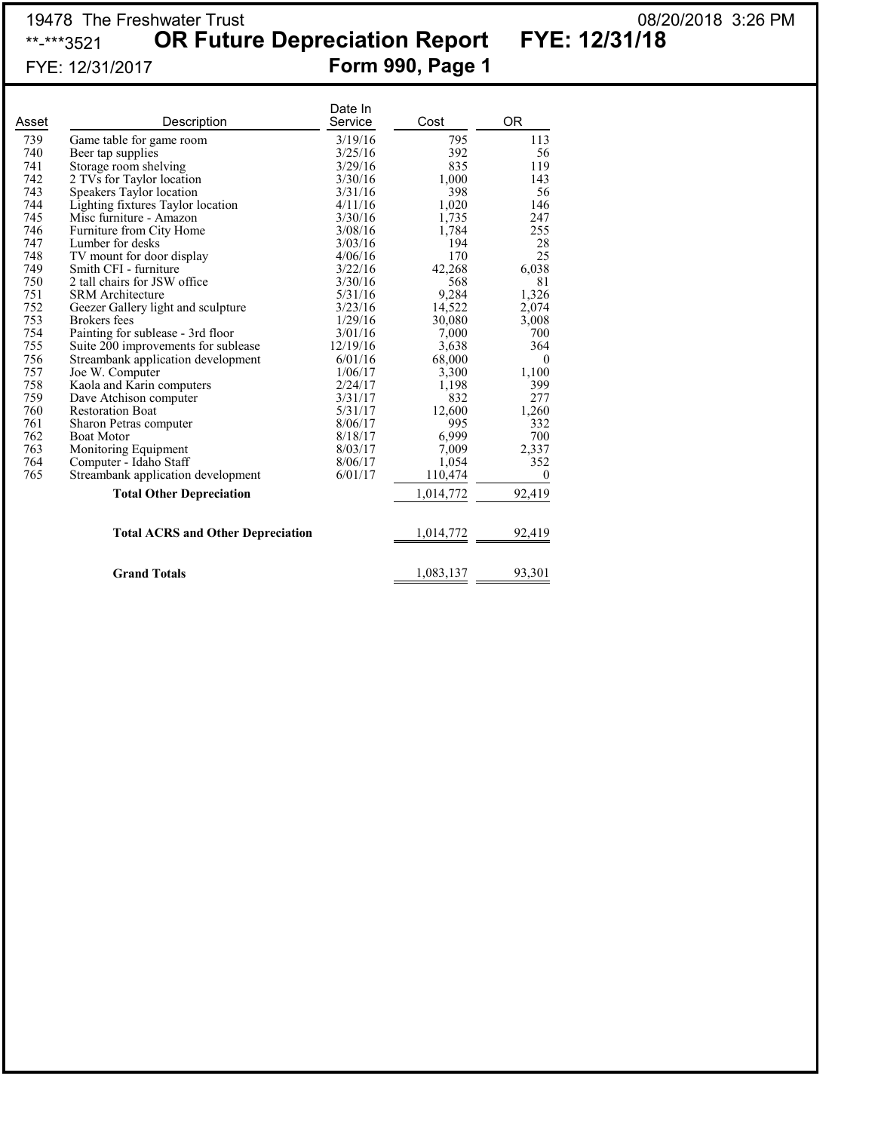## 19478 The Freshwater Trust 08/20/2018 3:26 PM \*\*-\*\*\*3521 **OR Future Depreciation Report FYE: 12/31/18** FYE: 12/31/2017 **Form 990, Page 1**

|       |                                          | Date In  |           |              |
|-------|------------------------------------------|----------|-----------|--------------|
| Asset | Description                              | Service  | Cost      | 0R           |
| 739   | Game table for game room                 | 3/19/16  | 795       | 113          |
| 740   | Beer tap supplies                        | 3/25/16  | 392       | 56           |
| 741   | Storage room shelving                    | 3/29/16  | 835       | 119          |
| 742   | 2 TVs for Taylor location                | 3/30/16  | 1,000     | 143          |
| 743   | Speakers Taylor location                 | 3/31/16  | 398       | 56           |
| 744   | Lighting fixtures Taylor location        | 4/11/16  | 1,020     | 146          |
| 745   | Misc furniture - Amazon                  | 3/30/16  | 1,735     | 247          |
| 746   | Furniture from City Home                 | 3/08/16  | 1,784     | 255          |
| 747   | Lumber for desks                         | 3/03/16  | 194       | 28           |
| 748   | TV mount for door display                | 4/06/16  | 170       | 25           |
| 749   | Smith CFI - furniture                    | 3/22/16  | 42,268    | 6,038        |
| 750   | 2 tall chairs for JSW office             | 3/30/16  | 568       | 81           |
| 751   | <b>SRM</b> Architecture                  | 5/31/16  | 9,284     | 1,326        |
| 752   | Geezer Gallery light and sculpture       | 3/23/16  | 14,522    | 2,074        |
| 753   | Brokers fees                             | 1/29/16  | 30,080    | 3,008        |
| 754   | Painting for sublease - 3rd floor        | 3/01/16  | 7,000     | 700          |
| 755   | Suite 200 improvements for sublease      | 12/19/16 | 3,638     | 364          |
| 756   | Streambank application development       | 6/01/16  | 68,000    | $\mathbf{0}$ |
| 757   | Joe W. Computer                          | 1/06/17  | 3,300     | 1,100        |
| 758   | Kaola and Karin computers                | 2/24/17  | 1,198     | 399          |
| 759   | Dave Atchison computer                   | 3/31/17  | 832       | 277          |
| 760   | <b>Restoration Boat</b>                  | 5/31/17  | 12,600    | 1,260        |
| 761   | Sharon Petras computer                   | 8/06/17  | 995       | 332          |
| 762   | <b>Boat Motor</b>                        | 8/18/17  | 6,999     | 700          |
| 763   | Monitoring Equipment                     | 8/03/17  | 7,009     | 2,337        |
| 764   | Computer - Idaho Staff                   | 8/06/17  | 1,054     | 352          |
| 765   | Streambank application development       | 6/01/17  | 110,474   | $\theta$     |
|       | <b>Total Other Depreciation</b>          |          | 1,014,772 | 92,419       |
|       | <b>Total ACRS and Other Depreciation</b> |          | 1,014,772 | 92,419       |
|       |                                          |          |           |              |
|       | <b>Grand Totals</b>                      |          | 1,083,137 | 93,301       |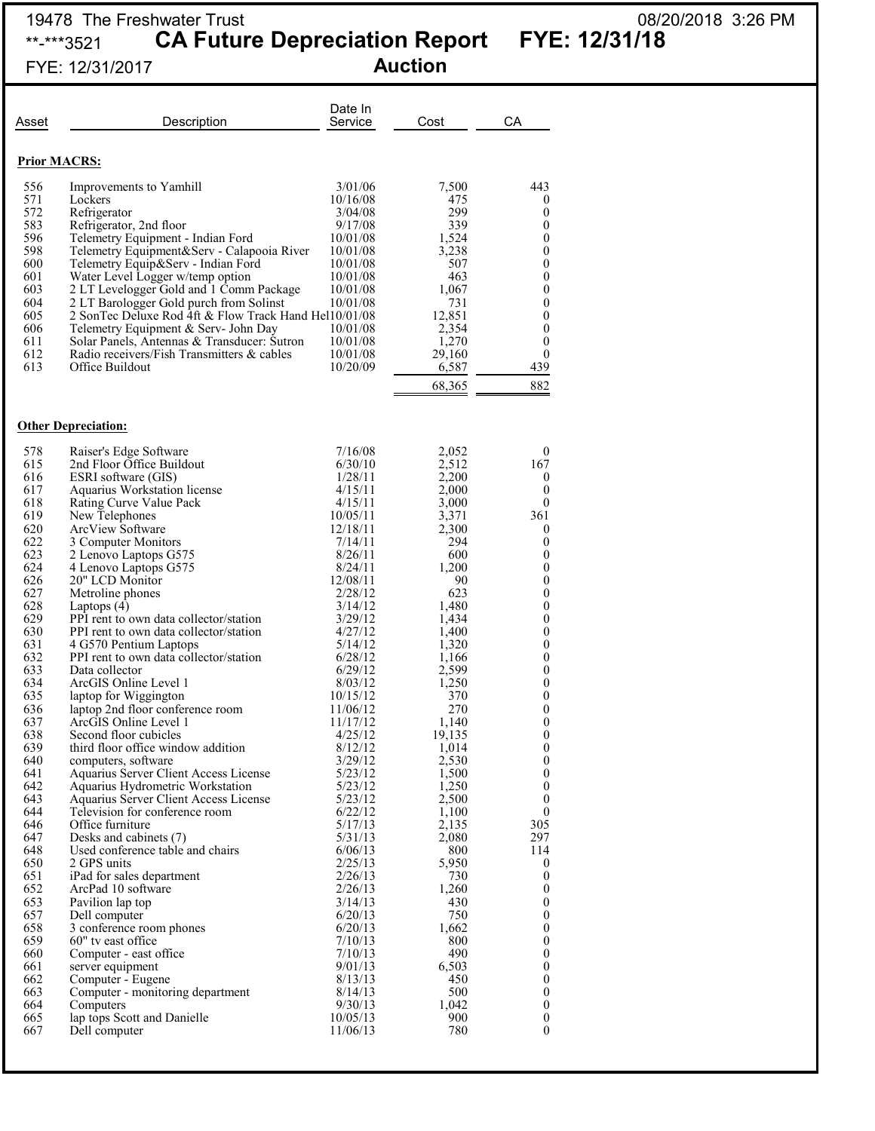### 19478 The Freshwater Trust 08/20/2018 3:26 PM \*\*-\*\*\*3521 **CA Future Depreciation Report FYE: 12/31/18**

FYE: 12/31/2017 **Auction**

|  | 08/20/2018 3:26 PM |  |
|--|--------------------|--|
|  |                    |  |

|                     | FIE. 12/31/2017                                                                                  |                      | <b>\นบเเบ</b> !! |                                      |
|---------------------|--------------------------------------------------------------------------------------------------|----------------------|------------------|--------------------------------------|
| Asset               | Description                                                                                      | Date In<br>Service   | Cost             | СA                                   |
| <b>Prior MACRS:</b> |                                                                                                  |                      |                  |                                      |
| 556                 | Improvements to Yamhill                                                                          | 3/01/06              | 7,500            | 443                                  |
| 571                 | Lockers                                                                                          | 10/16/08             | 475              | 0                                    |
| 572                 | Refrigerator                                                                                     | 3/04/08              | 299              | $\boldsymbol{0}$                     |
| 583<br>596          | Refrigerator, 2nd floor<br>Telemetry Equipment - Indian Ford                                     | 9/17/08<br>10/01/08  | 339<br>1,524     | $\overline{0}$<br>$\boldsymbol{0}$   |
| 598                 | Telemetry Equipment&Serv - Calapooia River                                                       | 10/01/08             | 3,238            | $\overline{0}$                       |
| 600                 | Telemetry Equip&Serv - Indian Ford                                                               | 10/01/08             | 507              | $\boldsymbol{0}$                     |
| 601                 | Water Level Logger w/temp option                                                                 | 10/01/08             | 463              | $\boldsymbol{0}$                     |
| 603                 | 2 LT Levelogger Gold and 1 Comm Package                                                          | 10/01/08             | 1,067            | $\boldsymbol{0}$                     |
| 604<br>605          | 2 LT Barologger Gold purch from Solinst<br>2 SonTec Deluxe Rod 4ft & Flow Track Hand Hel10/01/08 | 10/01/08             | 731<br>12,851    | $\boldsymbol{0}$<br>$\boldsymbol{0}$ |
| 606                 | Telemetry Equipment & Serv- John Day                                                             | 10/01/08             | 2,354            | $\boldsymbol{0}$                     |
| 611                 | Solar Panels, Antennas & Transducer: Sutron                                                      | 10/01/08             | 1,270            | $\boldsymbol{0}$                     |
| 612                 | Radio receivers/Fish Transmitters & cables                                                       | 10/01/08             | 29,160           | $\theta$                             |
| 613                 | Office Buildout                                                                                  | 10/20/09             | 6,587            | 439                                  |
|                     |                                                                                                  |                      | 68,365           | 882                                  |
|                     |                                                                                                  |                      |                  |                                      |
|                     | <b>Other Depreciation:</b>                                                                       |                      |                  |                                      |
| 578                 | Raiser's Edge Software                                                                           | 7/16/08              | 2,052            | $\mathbf{0}$                         |
| 615                 | 2nd Floor Office Buildout                                                                        | 6/30/10              | 2,512            | 167                                  |
| 616                 | ESRI software (GIS)                                                                              | 1/28/11              | 2,200            | 0                                    |
| 617                 | Aquarius Workstation license                                                                     | 4/15/11              | 2,000            | $\mathbf{0}$                         |
| 618                 | Rating Curve Value Pack                                                                          | 4/15/11              | 3,000            | $\mathbf{0}$                         |
| 619<br>620          | New Telephones<br>ArcView Software                                                               | 10/05/11<br>12/18/11 | 3,371<br>2,300   | 361<br>$\mathbf{0}$                  |
| 622                 | 3 Computer Monitors                                                                              | 7/14/11              | 294              | $\mathbf{0}$                         |
| 623                 | 2 Lenovo Laptops G575                                                                            | 8/26/11              | 600              | $\boldsymbol{0}$                     |
| 624                 | 4 Lenovo Laptops G575                                                                            | 8/24/11              | 1,200            | $\boldsymbol{0}$                     |
| 626                 | 20" LCD Monitor                                                                                  | 12/08/11             | 90               | $\boldsymbol{0}$                     |
| 627<br>628          | Metroline phones<br>Laptops $(4)$                                                                | 2/28/12<br>3/14/12   | 623<br>1,480     | $\boldsymbol{0}$<br>$\boldsymbol{0}$ |
| 629                 | PPI rent to own data collector/station                                                           | 3/29/12              | 1,434            | $\boldsymbol{0}$                     |
| 630                 | PPI rent to own data collector/station                                                           | 4/27/12              | 1,400            | 0                                    |
| 631                 | 4 G570 Pentium Laptops                                                                           | 5/14/12              | 1,320            | $\boldsymbol{0}$                     |
| 632<br>633          | PPI rent to own data collector/station<br>Data collector                                         | 6/28/12<br>6/29/12   | 1,166<br>2,599   | $\boldsymbol{0}$<br>$\boldsymbol{0}$ |
| 634                 | ArcGIS Online Level 1                                                                            | 8/03/12              | 1,250            | $\boldsymbol{0}$                     |
| 635                 | laptop for Wiggington                                                                            | 10/15/12             | 370              | $\mathbf{0}$                         |
| 636                 | laptop 2nd floor conference room                                                                 | 11/06/12             | 270              | $\boldsymbol{0}$                     |
| 637                 | ArcGIS Online Level 1                                                                            | 11/17/12             | 1,140            | $\boldsymbol{0}$                     |
| 638<br>639          | Second floor cubicles<br>third floor office window addition                                      | 4/25/12<br>8/12/12   | 19,135<br>1,014  | $\boldsymbol{0}$<br>$\boldsymbol{0}$ |
| 640                 | computers, software                                                                              | 3/29/12              | 2,530            | 0                                    |
| 641                 | Aquarius Server Client Access License                                                            | 5/23/12              | 1,500            | $\boldsymbol{0}$                     |
| 642                 | Aquarius Hydrometric Workstation                                                                 | 5/23/12              | 1,250            | $\mathbf{0}$                         |
| 643                 | Aquarius Server Client Access License                                                            | 5/23/12              | 2,500            | $\theta$                             |
| 644<br>646          | Television for conference room                                                                   | 6/22/12              | 1,100<br>2,135   | $\mathbf{0}$<br>305                  |
| 647                 | Office furniture<br>Desks and cabinets (7)                                                       | 5/17/13<br>5/31/13   | 2,080            | 297                                  |
| 648                 | Used conference table and chairs                                                                 | 6/06/13              | 800              | 114                                  |
| 650                 | 2 GPS units                                                                                      | 2/25/13              | 5,950            | $\boldsymbol{0}$                     |
| 651                 | iPad for sales department                                                                        | 2/26/13              | 730              | $\boldsymbol{0}$                     |
| 652                 | ArcPad 10 software                                                                               | 2/26/13              | 1,260            | $\mathbf{0}$                         |

Dell computer

651 iPad for sales department 2/26/13 730<br>652 ArcPad 10 software 2/26/13 1,260

653 Pavilion lap top 3/14/13 430<br>657 Dell computer 6/20/13 750 657 Dell computer 6/20/13 750<br>658 3 conference room phones 6/20/13 1,662 658 3 conference room phones 6/20/13 1,662<br>659 60" tv east office 7/10/13 800 659 60" tv east office  $\begin{array}{ccc} 659 & 60 \\ 660 & \text{Computer - east office} \end{array}$  7/10/13  $\begin{array}{ccc} 800 & 800 \\ 7/10/13 & 490 \end{array}$ 660 Computer - east office 7/10/13 490<br>661 server equipment 9/01/13 6,503

652 ArcPad 10 software  $\begin{array}{cccc} 652 & \text{ArcPad 10 software} \\ 653 & \text{Pavilion lap} \\ 657 & \text{Dell computer} \\ 658 & 3 \text{ conference room phones} \\ 658 & 60 & \text{Computer - east office} \\ 660 & \text{Computer - extent force} \\ 661 & \text{server equipment} \\ 662 & \text{Computer - Eugene} \\ 663 & \text{Computer - Eugene} \\ 664 & \text{System} \\ 665 & 7110/13 & 6,503 \\ 662 & \text{Computer - Eugene} \\ 665 & 7110/13 &$ 

661 server equipment 9/01/13 6,503 0 662 Computer - Eugene 8/13/13 450 0 663 Computer - monitoring department  $\begin{array}{cccc} 8/14/13 & 500 & 0 \\ 664 & \text{Computers} & 9/30/13 & 1,042 \end{array}$  0 664 Computers 9/30/13 1,042 0<br>665 lap tops Scott and Danielle 10/05/13 900 0 665 lap tops Scott and Danielle 10/05/13 900 0<br>667 Dell computer 11/06/13 780 0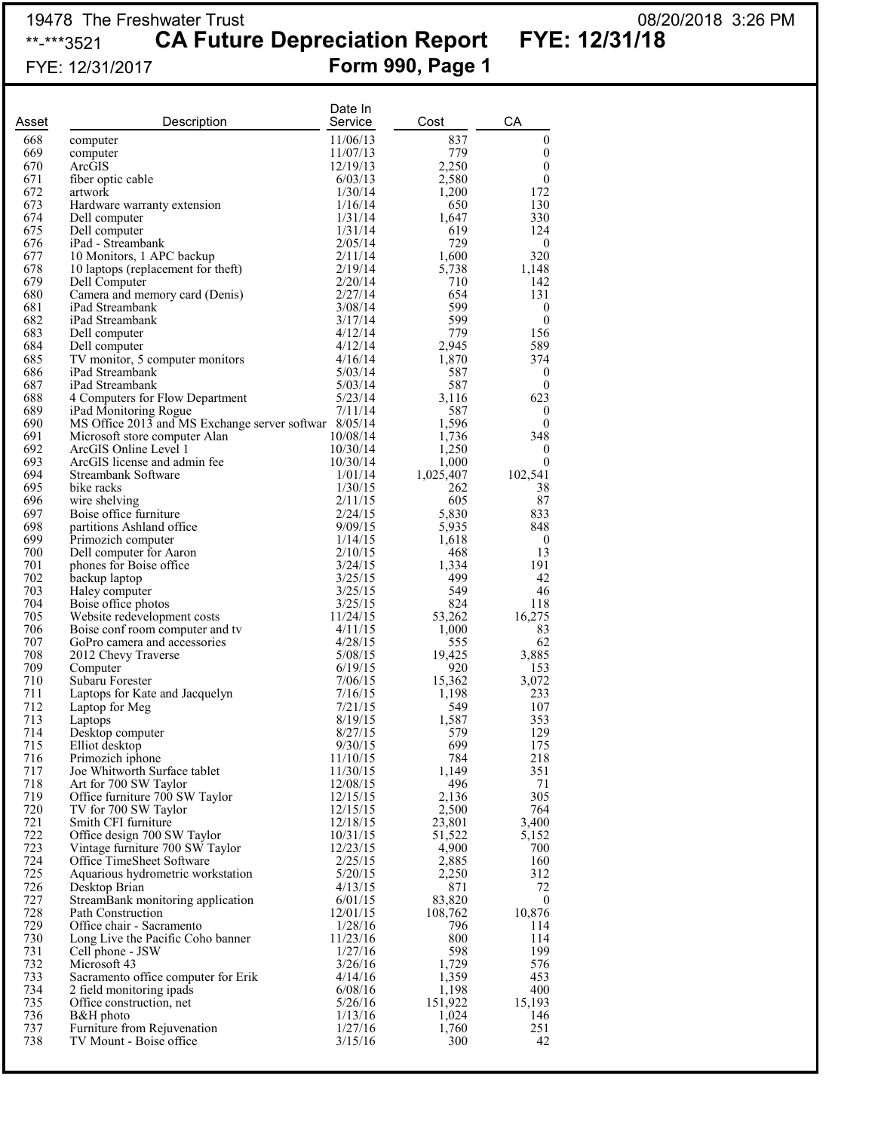## 19478 The Freshwater Trust<br>\*\*-\*\*\*3521 CA Future Depreciation Report FYE: 12/31/18 \*\*<sub>-\*\*\*3521</sub> CA Future Depreciation Report

FYE: 12/31/2017 **Form 990, Page 1**

| Asset      | Description                                                                            | Date In<br>Service   | Cost              | CA                         |
|------------|----------------------------------------------------------------------------------------|----------------------|-------------------|----------------------------|
| 668        | computer                                                                               | 11/06/13             | 837               | $\boldsymbol{0}$           |
| 669        | computer                                                                               | 11/07/13             | 779               | $\boldsymbol{0}$           |
| 670        | ArcGIS                                                                                 | 12/19/13             | 2,250             | $\boldsymbol{0}$           |
| 671<br>672 | fiber optic cable<br>artwork                                                           | 6/03/13<br>1/30/14   | 2,580<br>1,200    | $\boldsymbol{0}$<br>172    |
| 673        | Hardware warranty extension                                                            | 1/16/14              | 650               | 130                        |
| 674        | Dell computer                                                                          | 1/31/14              | 1,647             | 330                        |
| 675        | Dell computer                                                                          | 1/31/14              | 619               | 124                        |
| 676        | iPad - Streambank                                                                      | 2/05/14              | 729               | $\boldsymbol{0}$           |
| 677<br>678 | 10 Monitors, 1 APC backup                                                              | 2/11/14<br>2/19/14   | 1,600<br>5,738    | 320                        |
| 679        | 10 laptops (replacement for theft)<br>Dell Computer                                    | 2/20/14              | 710               | 1,148<br>142               |
| 680        | Camera and memory card (Denis)                                                         | 2/27/14              | 654               | 131                        |
| 681        | iPad Streambank                                                                        | 3/08/14              | 599               | $\boldsymbol{0}$           |
| 682        | iPad Streambank                                                                        | 3/17/14              | 599               | $\boldsymbol{0}$           |
| 683<br>684 | Dell computer                                                                          | 4/12/14              | 779               | 156                        |
| 685        | Dell computer<br>TV monitor, 5 computer monitors                                       | 4/12/14<br>4/16/14   | 2,945<br>1,870    | 589<br>374                 |
| 686        | iPad Streambank                                                                        | 5/03/14              | 587               | $\boldsymbol{0}$           |
| 687        | iPad Streambank                                                                        | 5/03/14              | 587               | $\boldsymbol{0}$           |
| 688        | 4 Computers for Flow Department                                                        | 5/23/14              | 3,116             | 623                        |
| 689<br>690 | iPad Monitoring Rogue                                                                  | 7/11/14              | 587               | $\boldsymbol{0}$           |
| 691        | MS Office 2013 and MS Exchange server softwar 8/05/14<br>Microsoft store computer Alan | 10/08/14             | 1,596<br>1,736    | $\boldsymbol{0}$<br>348    |
| 692        | ArcGIS Online Level 1                                                                  | 10/30/14             | 1,250             | $\theta$                   |
| 693        | ArcGIS license and admin fee                                                           | 10/30/14             | 1,000             | $\boldsymbol{0}$           |
| 694        | Streambank Software                                                                    | 1/01/14              | 1,025,407         | 102,541                    |
| 695        | bike racks                                                                             | 1/30/15              | 262               | 38                         |
| 696<br>697 | wire shelving<br>Boise office furniture                                                | 2/11/15<br>2/24/15   | 605<br>5,830      | 87<br>833                  |
| 698        | partitions Ashland office                                                              | 9/09/15              | 5,935             | 848                        |
| 699        | Primozich computer                                                                     | 1/14/15              | 1,618             | $\boldsymbol{0}$           |
| 700        | Dell computer for Aaron                                                                | 2/10/15              | 468               | 13                         |
| 701        | phones for Boise office                                                                | 3/24/15              | 1,334             | 191                        |
| 702<br>703 | backup laptop                                                                          | 3/25/15<br>3/25/15   | 499<br>549        | 42<br>46                   |
| 704        | Haley computer<br>Boise office photos                                                  | 3/25/15              | 824               | 118                        |
| 705        | Website redevelopment costs                                                            | 11/24/15             | 53,262            | 16,275                     |
| 706        | Boise conf room computer and tv                                                        | 4/11/15              | 1,000             | 83                         |
| 707        | GoPro camera and accessories                                                           | 4/28/15              | 555               | 62                         |
| 708<br>709 | 2012 Chevy Traverse                                                                    | 5/08/15<br>6/19/15   | 19,425<br>920     | 3,885<br>153               |
| 710        | Computer<br>Subaru Forester                                                            | 7/06/15              | 15,362            | 3,072                      |
| 711        | Laptops for Kate and Jacquelyn                                                         | 7/16/15              | 1,198             | 233                        |
| 712        | Laptop for Meg                                                                         | 7/21/15              | 549               | 107                        |
| 713        | Laptops                                                                                | 8/19/15              | 1,587             | 353                        |
| 714<br>715 | Desktop computer<br>Elliot desktop                                                     | 8/27/15<br>9/30/15   | 579<br>699        | 129<br>175                 |
| 716        | Primozich iphone                                                                       | 11/10/15             | 784               | 218                        |
| 717        | Joe Whitworth Surface tablet                                                           | 11/30/15             | 1,149             | 351                        |
| 718        | Art for 700 SW Taylor                                                                  | 12/08/15             | 496               | 71                         |
| 719        | Office furniture 700 SW Taylor                                                         | 12/15/15             | 2,136             | 305                        |
| 720<br>721 | TV for 700 SW Taylor<br>Smith CFI furniture                                            | 12/15/15<br>12/18/15 | 2,500             | 764<br>3,400               |
| 722        | Office design 700 SW Taylor                                                            | 10/31/15             | 23,801<br>51,522  | 5,152                      |
| 723        | Vintage furniture 700 SW Taylor                                                        | 12/23/15             | 4,900             | 700                        |
| 724        | Office TimeSheet Software                                                              | 2/25/15              | 2,885             | 160                        |
| 725        | Aquarious hydrometric workstation                                                      | 5/20/15              | 2,250             | 312                        |
| 726<br>727 | Desktop Brian                                                                          | 4/13/15              | 871               | 72                         |
| 728        | StreamBank monitoring application<br>Path Construction                                 | 6/01/15<br>12/01/15  | 83,820<br>108,762 | $\boldsymbol{0}$<br>10,876 |
| 729        | Office chair - Sacramento                                                              | 1/28/16              | 796               | 114                        |
| 730        | Long Live the Pacific Coho banner                                                      | 11/23/16             | 800               | 114                        |
| 731        | Cell phone - JSW                                                                       | 1/27/16              | 598               | 199                        |
| 732        | Microsoft 43                                                                           | 3/26/16              | 1,729             | 576                        |
| 733<br>734 | Sacramento office computer for Erik<br>2 field monitoring ipads                        | 4/14/16<br>6/08/16   | 1,359<br>1,198    | 453<br>400                 |
| 735        | Office construction, net                                                               | 5/26/16              | 151,922           | 15,193                     |
| 736        | B&H photo                                                                              | 1/13/16              | 1,024             | 146                        |
| 737        | Furniture from Rejuvenation                                                            | 1/27/16              | 1,760             | 251                        |
| 738        | TV Mount - Boise office                                                                | 3/15/16              | 300               | 42                         |
|            |                                                                                        |                      |                   |                            |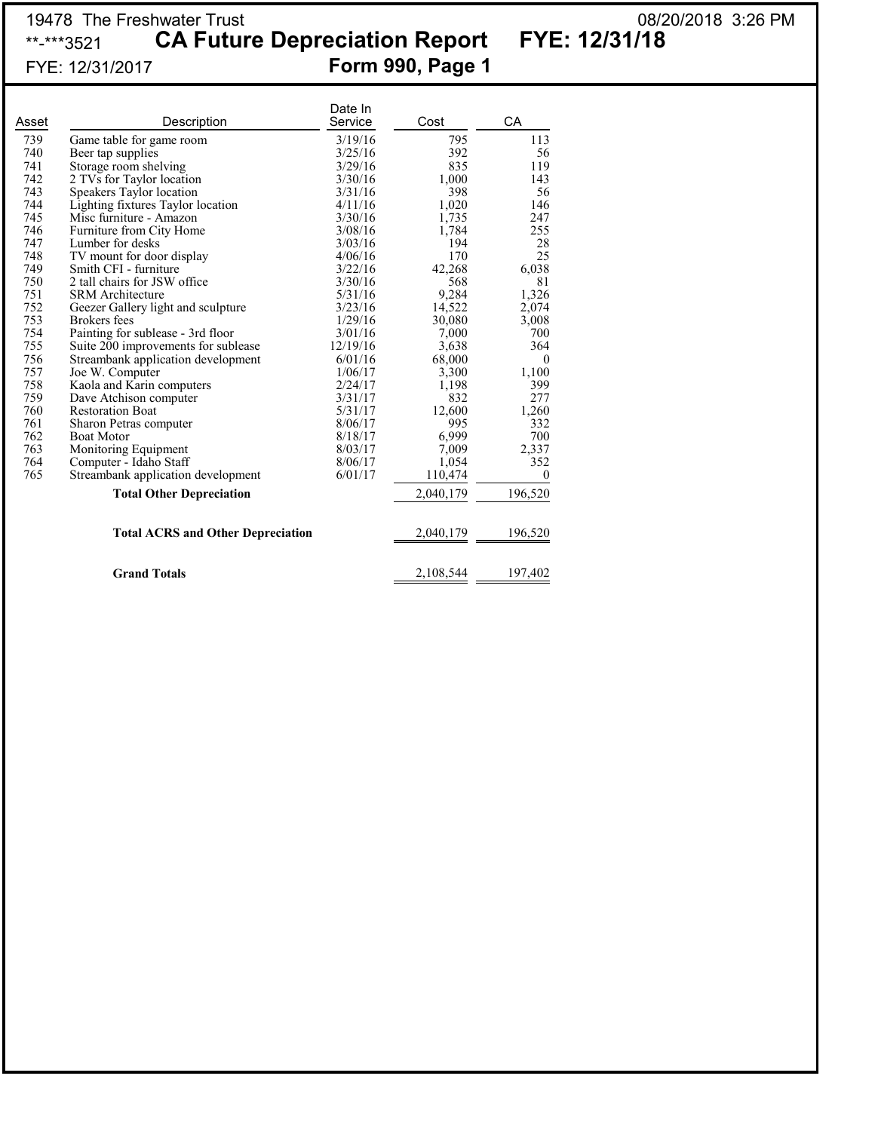## 19478 The Freshwater Trust 08/20/2018 3:26 PM \*\*-\*\*\*3521 **CA Future Depreciation Report FYE: 12/31/18** FYE: 12/31/2017 **Form 990, Page 1**

|       |                                          | Date In  |           |              |
|-------|------------------------------------------|----------|-----------|--------------|
| Asset | Description                              | Service  | Cost      | CA           |
| 739   | Game table for game room                 | 3/19/16  | 795       | 113          |
| 740   | Beer tap supplies                        | 3/25/16  | 392       | 56           |
| 741   | Storage room shelving                    | 3/29/16  | 835       | 119          |
| 742   | 2 TVs for Taylor location                | 3/30/16  | 1,000     | 143          |
| 743   | Speakers Taylor location                 | 3/31/16  | 398       | 56           |
| 744   | Lighting fixtures Taylor location        | 4/11/16  | 1,020     | 146          |
| 745   | Misc furniture - Amazon                  | 3/30/16  | 1,735     | 247          |
| 746   | Furniture from City Home                 | 3/08/16  | 1,784     | 255          |
| 747   | Lumber for desks                         | 3/03/16  | 194       | 28           |
| 748   | TV mount for door display                | 4/06/16  | 170       | 25           |
| 749   | Smith CFI - furniture                    | 3/22/16  | 42,268    | 6,038        |
| 750   | 2 tall chairs for JSW office             | 3/30/16  | 568       | 81           |
| 751   | <b>SRM</b> Architecture                  | 5/31/16  | 9,284     | 1,326        |
| 752   | Geezer Gallery light and sculpture       | 3/23/16  | 14,522    | 2,074        |
| 753   | <b>Brokers</b> fees                      | 1/29/16  | 30,080    | 3,008        |
| 754   | Painting for sublease - 3rd floor        | 3/01/16  | 7,000     | 700          |
| 755   | Suite 200 improvements for sublease      | 12/19/16 | 3,638     | 364          |
| 756   | Streambank application development       | 6/01/16  | 68,000    | $\mathbf{0}$ |
| 757   | Joe W. Computer                          | 1/06/17  | 3,300     | 1,100        |
| 758   | Kaola and Karin computers                | 2/24/17  | 1,198     | 399          |
| 759   | Dave Atchison computer                   | 3/31/17  | 832       | 277          |
| 760   | <b>Restoration Boat</b>                  | 5/31/17  | 12,600    | 1,260        |
| 761   | Sharon Petras computer                   | 8/06/17  | 995       | 332          |
| 762   | <b>Boat Motor</b>                        | 8/18/17  | 6,999     | 700          |
| 763   | Monitoring Equipment                     | 8/03/17  | 7,009     | 2,337        |
| 764   | Computer - Idaho Staff                   | 8/06/17  | 1,054     | 352          |
| 765   | Streambank application development       | 6/01/17  | 110,474   | $\theta$     |
|       | <b>Total Other Depreciation</b>          |          | 2,040,179 | 196,520      |
|       | <b>Total ACRS and Other Depreciation</b> |          | 2,040,179 | 196,520      |
|       | <b>Grand Totals</b>                      |          | 2,108,544 | 197,402      |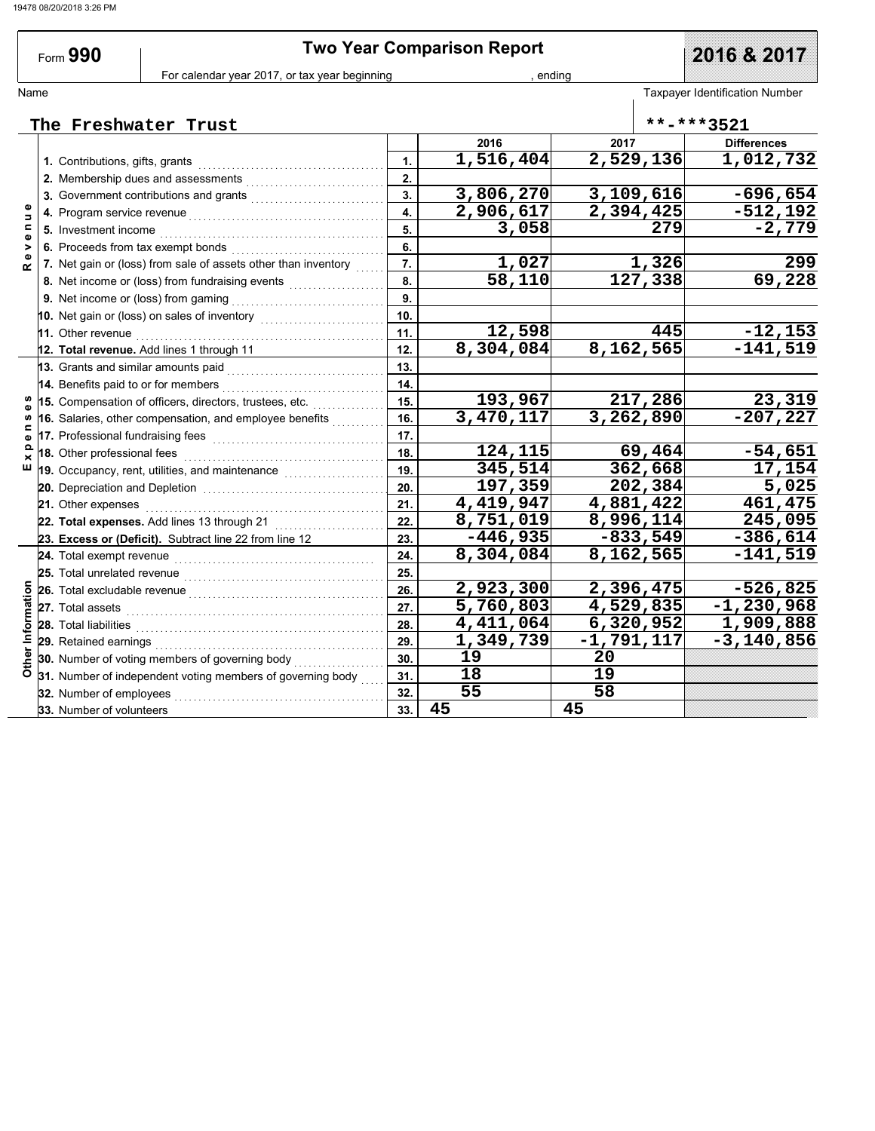| Form 990                                   | <b>Two Year Comparison Report</b>                                                                                                                                                                                                                                  | 2016 & 2017               |                           |                            |                                |  |
|--------------------------------------------|--------------------------------------------------------------------------------------------------------------------------------------------------------------------------------------------------------------------------------------------------------------------|---------------------------|---------------------------|----------------------------|--------------------------------|--|
|                                            | For calendar year 2017, or tax year beginning<br>ending                                                                                                                                                                                                            |                           |                           |                            |                                |  |
| Name                                       |                                                                                                                                                                                                                                                                    |                           |                           |                            | Taxpayer Identification Number |  |
|                                            | The Freshwater Trust                                                                                                                                                                                                                                               |                           |                           |                            | **-***3521                     |  |
|                                            |                                                                                                                                                                                                                                                                    |                           | 2016                      | 2017                       | <b>Differences</b>             |  |
|                                            |                                                                                                                                                                                                                                                                    | $\mathbf{1}$ .            | 1,516,404                 | 2,529,136                  | 1,012,732                      |  |
|                                            |                                                                                                                                                                                                                                                                    | 2.                        |                           |                            |                                |  |
|                                            | 3. Government contributions and grants                                                                                                                                                                                                                             | 3.                        | 3,806,270                 | 3,109,616                  | $-696,654$                     |  |
| 5                                          |                                                                                                                                                                                                                                                                    | $\overline{\mathbf{4}}$ . | 2,906,617                 | $\overline{2,}$ 394,425    | $-512,192$                     |  |
|                                            | 5. Investment income <i>[[CONDIGALITERS]</i> and <b>b</b> and <b>b</b> and <b>b</b> and <b>b</b> and <b>b</b> and <b>condigate of the state of the state of the state of the state of the state of the state of the state of the state of the state of the sta</b> | 5.                        | 3,058                     | 279                        | $-2,779$                       |  |
|                                            | 6. Proceeds from tax exempt bonds                                                                                                                                                                                                                                  | 6.                        |                           |                            |                                |  |
|                                            | 7. Net gain or (loss) from sale of assets other than inventory                                                                                                                                                                                                     | 7.                        | 1,027                     | 1,326                      | 299                            |  |
|                                            | 8. Net income or (loss) from fundraising events                                                                                                                                                                                                                    | 8.                        | 58,110                    | $\overline{127,338}$       | 69,228                         |  |
|                                            |                                                                                                                                                                                                                                                                    | 9.                        |                           |                            |                                |  |
|                                            | 10. Net gain or (loss) on sales of inventory [10. Net gain or (loss) on sales of inventory                                                                                                                                                                         | 10.                       |                           |                            |                                |  |
| <b>11.</b> Other revenue                   |                                                                                                                                                                                                                                                                    | 11.                       | 12,598                    | 445                        | $-12, 153$                     |  |
|                                            | 12. Total revenue. Add lines 1 through 11                                                                                                                                                                                                                          | 12.                       | 8,304,084                 | 8,162,565                  | $-141,519$                     |  |
|                                            | 13. Grants and similar amounts paid <b>constants</b> of the state of the state of the state of the state of the state of the state of the state of the state of the state of the state of the state of the state of the state of th                                | 13.                       |                           |                            |                                |  |
|                                            | 14. Benefits paid to or for members                                                                                                                                                                                                                                | 14.                       |                           |                            |                                |  |
|                                            | 15. Compensation of officers, directors, trustees, etc.                                                                                                                                                                                                            | 15.                       | 193,967                   | 217,286                    | 23,319                         |  |
|                                            | 16. Salaries, other compensation, and employee benefits                                                                                                                                                                                                            | 16.                       | 3,470,117                 | 3,262,890                  | $-207, 227$                    |  |
|                                            |                                                                                                                                                                                                                                                                    | 17.                       |                           |                            |                                |  |
|                                            | 18. Other professional fees <b>constant of the system</b>                                                                                                                                                                                                          | 18.                       | 124,115                   | 69,464                     | $-54,651$                      |  |
| ш                                          | 19. Occupancy, rent, utilities, and maintenance <i>mimimimimimimi</i>                                                                                                                                                                                              | 19.                       | 345,514                   | 362,668                    | 17,154                         |  |
|                                            |                                                                                                                                                                                                                                                                    | 20.                       | 197,359                   | 202,384                    | 5,025                          |  |
| 21. Other expenses                         |                                                                                                                                                                                                                                                                    | 21.                       | 4,419,947                 | 4,881,422                  | 461,475                        |  |
|                                            | 22. Total expenses. Add lines 13 through 21                                                                                                                                                                                                                        | 22.                       | 8,751,019                 | 8,996,114                  | 245,095                        |  |
|                                            | 23. Excess or (Deficit). Subtract line 22 from line 12                                                                                                                                                                                                             | 23.                       | $-446,935$                | $-833,549$                 | $-386,614$                     |  |
|                                            | 24. Total exempt revenue <b>construction</b> and a construction of the construction of the construction of the construction of the construction of the construction of the construction of the construction of the construction of                                 | 24.                       | 8,304,084                 | 8,162,565                  | $-141,519$                     |  |
| 25. Total unrelated revenue                |                                                                                                                                                                                                                                                                    | 25.                       |                           |                            |                                |  |
|                                            | 26. Total excludable revenue                                                                                                                                                                                                                                       | 26.                       | 2,923,300                 | 2,396,475                  | $-526,825$                     |  |
|                                            | 27. Total assets <b>Production and State and Production Contract and Production Contract and Production Contract </b>                                                                                                                                              | 27.                       | $\overline{5}$ , 760, 803 | 4,529,835                  | $-1, 230, 968$                 |  |
| 28. Total liabilities                      |                                                                                                                                                                                                                                                                    | 28.                       | 4,411,064                 | 6,320,952                  | 1,909,888                      |  |
| Other Information<br>29. Retained earnings |                                                                                                                                                                                                                                                                    | 29.                       | 1,349,739                 | $\overline{-1}$ , 791, 117 | $-3,140,856$                   |  |
|                                            | 30. Number of voting members of governing body                                                                                                                                                                                                                     | 30.                       | 19                        | 20                         |                                |  |
|                                            | 31. Number of independent voting members of governing body                                                                                                                                                                                                         | 31.                       | 18                        | 19                         |                                |  |
| 32. Number of employees                    |                                                                                                                                                                                                                                                                    | 32.                       | $\overline{55}$           | 58                         |                                |  |
| 33. Number of volunteers                   |                                                                                                                                                                                                                                                                    | 33.                       | 45                        | 45                         |                                |  |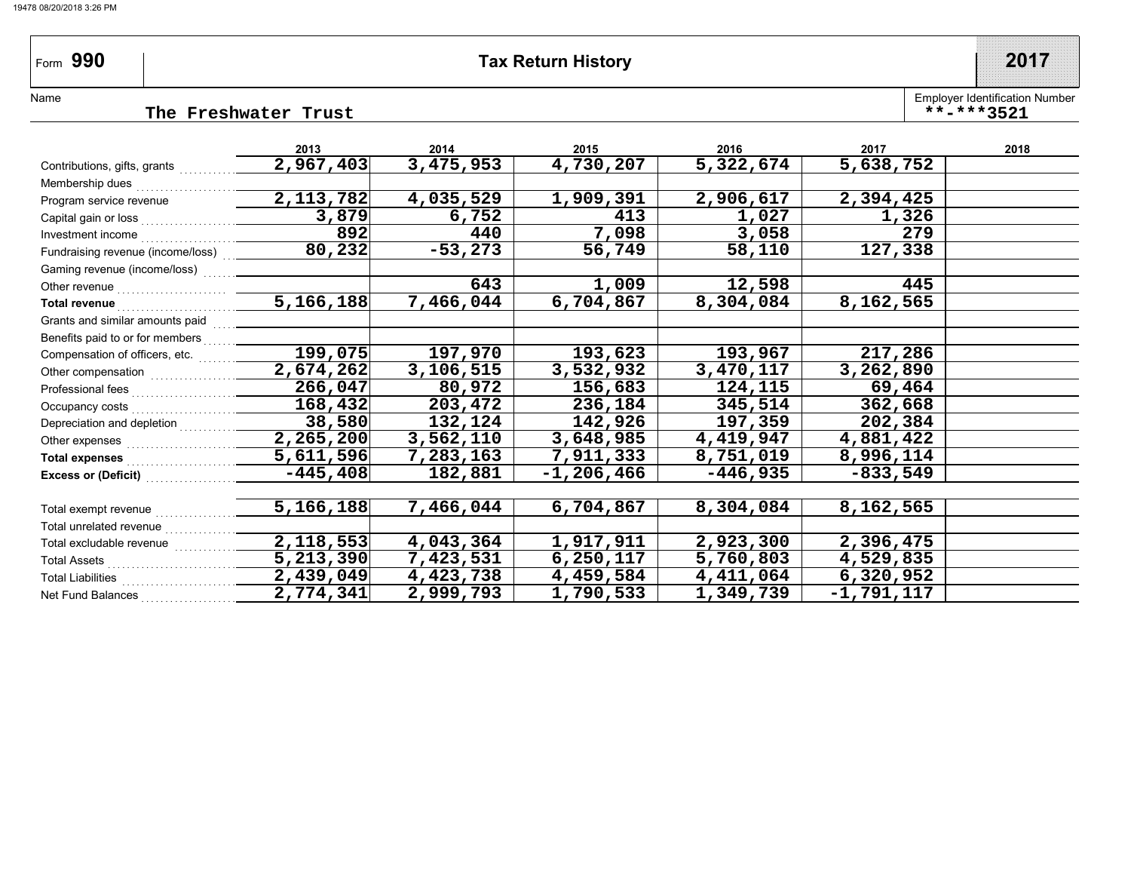Form 990

### **Part 2017 Tax Return History 2017**

Employer Identification Number

**\*\*-\*\*\*3521**

Name

**The Freshwater Trust**

|                                                                                                                                                                                                                                      | 2013        | 2014      | 2015           | 2016       | 2017         | 2018 |
|--------------------------------------------------------------------------------------------------------------------------------------------------------------------------------------------------------------------------------------|-------------|-----------|----------------|------------|--------------|------|
| Contributions, gifts, grants                                                                                                                                                                                                         | 2,967,403   | 3,475,953 | 4,730,207      | 5,322,674  | 5,638,752    |      |
| Membership dues                                                                                                                                                                                                                      |             |           |                |            |              |      |
| Program service revenue                                                                                                                                                                                                              | 2, 113, 782 | 4,035,529 | 1,909,391      | 2,906,617  | 2,394,425    |      |
| Capital gain or loss                                                                                                                                                                                                                 | 3,879       | 6,752     | 413            | 1,027      | 1,326        |      |
| Investment income                                                                                                                                                                                                                    | 892         | 440       | 7,098          | 3,058      | 279          |      |
| Fundraising revenue (income/loss)                                                                                                                                                                                                    | 80, 232     | $-53,273$ | 56,749         | 58,110     | 127,338      |      |
| Gaming revenue (income/loss)                                                                                                                                                                                                         |             |           |                |            |              |      |
| Other revenue                                                                                                                                                                                                                        |             | 643       | 1,009          | 12,598     | 445          |      |
| Total revenue <b>contract and the contract of the contract of the contract of the contract of the contract of the contract of the contract of the contract of the contract of the contract of the contract of the contract of th</b> | 5,166,188   | 7,466,044 | 6,704,867      | 8,304,084  | 8,162,565    |      |
| Grants and similar amounts paid                                                                                                                                                                                                      |             |           |                |            |              |      |
| Benefits paid to or for members                                                                                                                                                                                                      |             |           |                |            |              |      |
| Compensation of officers, etc.                                                                                                                                                                                                       | 199,075     | 197,970   | 193,623        | 193,967    | 217,286      |      |
| Other compensation<br>                                                                                                                                                                                                               | 2,674,262   | 3,106,515 | 3,532,932      | 3,470,117  | 3,262,890    |      |
|                                                                                                                                                                                                                                      | 266,047     | 80,972    | 156,683        | 124,115    | 69,464       |      |
| Occupancy costs                                                                                                                                                                                                                      | 168,432     | 203,472   | 236,184        | 345,514    | 362,668      |      |
| Depreciation and depletion                                                                                                                                                                                                           | 38,580      | 132,124   | 142,926        | 197,359    | 202,384      |      |
| Other expenses                                                                                                                                                                                                                       | 2, 265, 200 | 3,562,110 | 3,648,985      | 4,419,947  | 4,881,422    |      |
| <b>Total expenses</b>                                                                                                                                                                                                                | 5,611,596   | 7,283,163 | 7,911,333      | 8,751,019  | 8,996,114    |      |
| <b>Excess or (Deficit)</b>                                                                                                                                                                                                           | $-445, 408$ | 182,881   | $-1, 206, 466$ | $-446,935$ | $-833,549$   |      |
|                                                                                                                                                                                                                                      |             |           |                |            |              |      |
| Total exempt revenue                                                                                                                                                                                                                 | 5,166,188   | 7,466,044 | 6,704,867      | 8,304,084  | 8,162,565    |      |
| Total unrelated revenue                                                                                                                                                                                                              |             |           |                |            |              |      |
| Total excludable revenue                                                                                                                                                                                                             | 2,118,553   | 4,043,364 | 1,917,911      | 2,923,300  | 2,396,475    |      |
| <b>Total Assets</b>                                                                                                                                                                                                                  | 5, 213, 390 | 7,423,531 | 6, 250, 117    | 5,760,803  | 4,529,835    |      |
| <b>Total Liabilities</b>                                                                                                                                                                                                             | 2,439,049   | 4,423,738 | 4,459,584      | 4,411,064  | 6,320,952    |      |
| Net Fund Balances                                                                                                                                                                                                                    | 2,774,341   | 2,999,793 | 1,790,533      | 1,349,739  | $-1,791,117$ |      |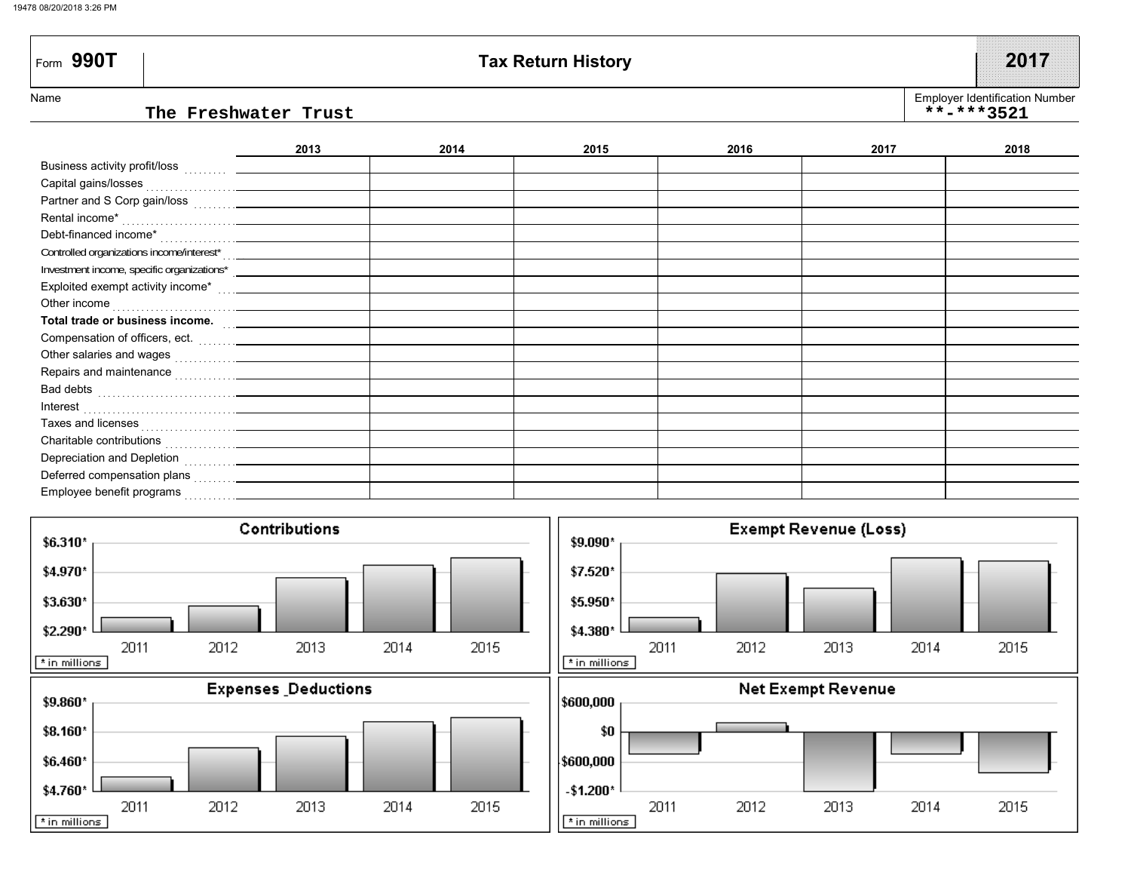Deferred compensation plans . . . . . . . . . . .



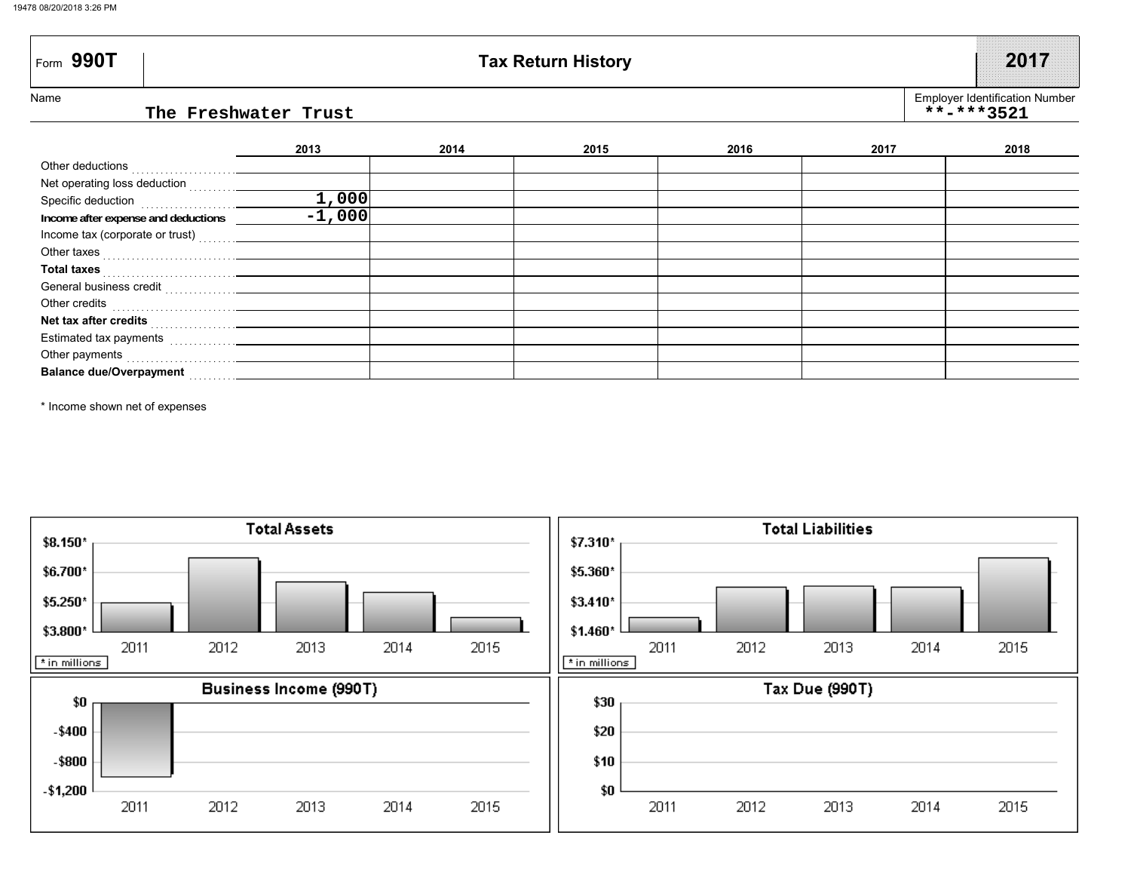| $\mathsf{F}_{\mathsf{orm}}$ 990T          |      |      | <b>Tax Return History</b> |      |      | 2017                                                |
|-------------------------------------------|------|------|---------------------------|------|------|-----------------------------------------------------|
| Name<br>The Freshwater Trust              |      |      |                           |      |      | <b>Employer Identification Number</b><br>**-***3521 |
|                                           | 2013 | 2014 | 2015                      | 2016 | 2017 | 2018                                                |
|                                           |      |      |                           |      |      |                                                     |
|                                           |      |      |                           |      |      |                                                     |
| Specific deduction<br>$\frac{1}{2}$ , 000 |      |      |                           |      |      |                                                     |
|                                           |      |      |                           |      |      |                                                     |
|                                           |      |      |                           |      |      |                                                     |
|                                           |      |      |                           |      |      |                                                     |
|                                           |      |      |                           |      |      |                                                     |
|                                           |      |      |                           |      |      |                                                     |
|                                           |      |      |                           |      |      |                                                     |
|                                           |      |      |                           |      |      |                                                     |
|                                           |      |      |                           |      |      |                                                     |
| Other payments                            |      |      |                           |      |      |                                                     |

\* Income shown net of expenses

**Balance due/Overpayment**

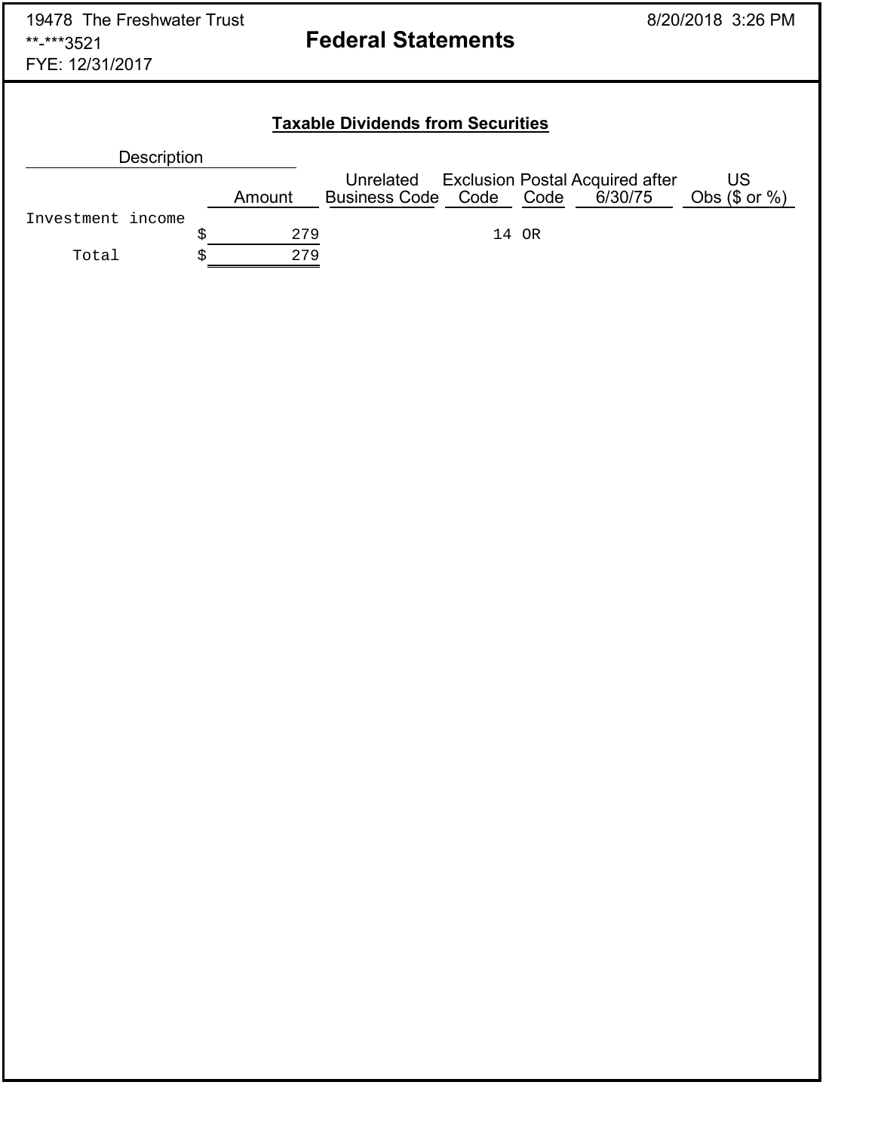## **Taxable Dividends from Securities**

| <b>Description</b> |        |                                      |       |                                                   |                          |
|--------------------|--------|--------------------------------------|-------|---------------------------------------------------|--------------------------|
|                    | Amount | Unrelated<br>Business Code Code Code |       | <b>Exclusion Postal Acquired after</b><br>6/30/75 | US<br>Obs $(\$$ or $%$ ) |
| Investment income  |        |                                      |       |                                                   |                          |
|                    | 279    |                                      | 14 OR |                                                   |                          |
| Total              | 279    |                                      |       |                                                   |                          |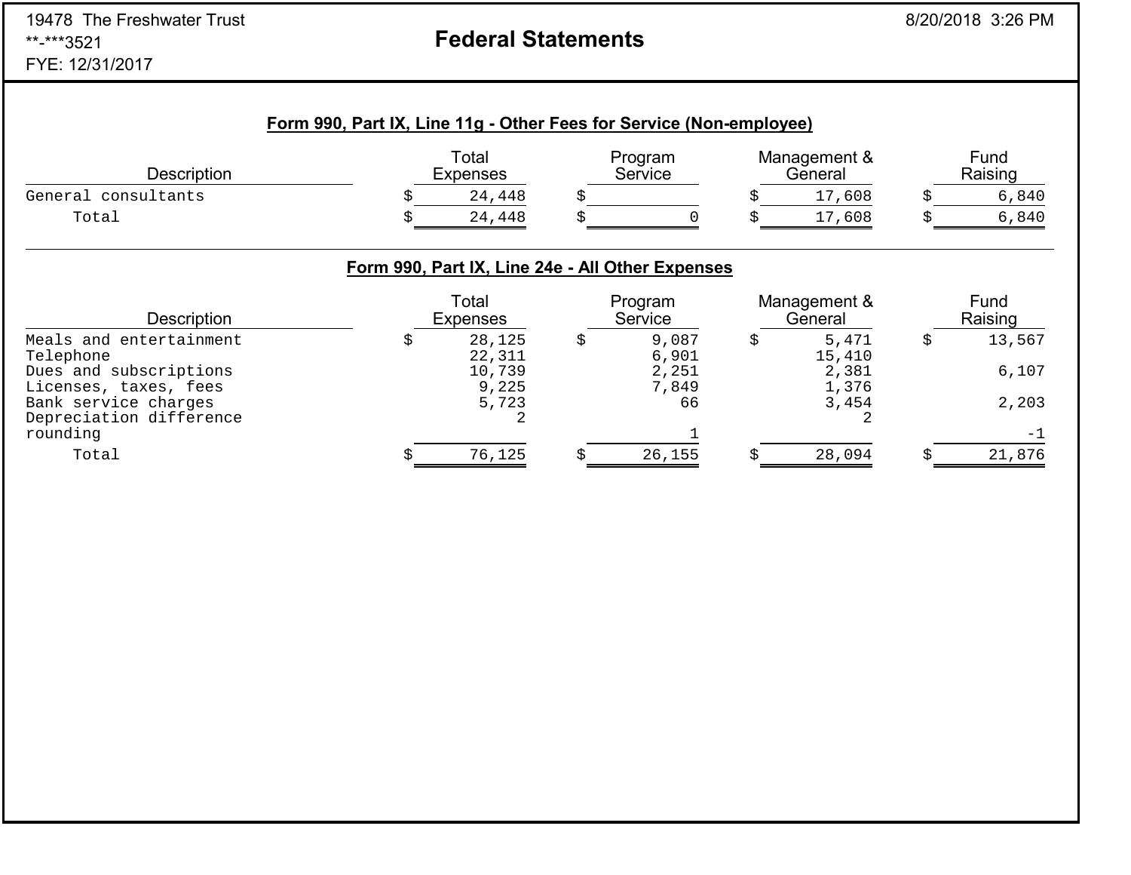# **Federal Statements**

|                     | Form 990, Part IX, Line 11g - Other Fees for Service (Non-employee) |                          |                    |                         |                 |
|---------------------|---------------------------------------------------------------------|--------------------------|--------------------|-------------------------|-----------------|
| Description         |                                                                     | Total<br><b>Expenses</b> | Program<br>Service | Management &<br>General | Fund<br>Raising |
| General consultants |                                                                     | 24,448                   |                    | 17,608                  | 6,840           |
| Total               |                                                                     | 24,448                   |                    | 17,608                  | 6,840           |

## **Form 990, Part IX, Line 24e - All Other Expenses**

| <b>Description</b>      | Total<br><b>Expenses</b> | Program<br>Service | Management &<br>General | Fund<br>Raising |
|-------------------------|--------------------------|--------------------|-------------------------|-----------------|
| Meals and entertainment | 28,125                   | 9,087              | 5,471                   | 13,567          |
| Telephone               | 22,311                   | 6,901              | 15,410                  |                 |
| Dues and subscriptions  | 10,739                   | 2,251              | 2,381                   | 6,107           |
| Licenses, taxes, fees   | 9,225                    | 7,849              | 1,376                   |                 |
| Bank service charges    | 5,723                    | 66                 | 3,454                   | 2,203           |
| Depreciation difference |                          |                    |                         |                 |
| rounding                |                          |                    |                         | $-1$            |
| Total                   | 76,125                   | 26,155             | 28,094                  | 21,876          |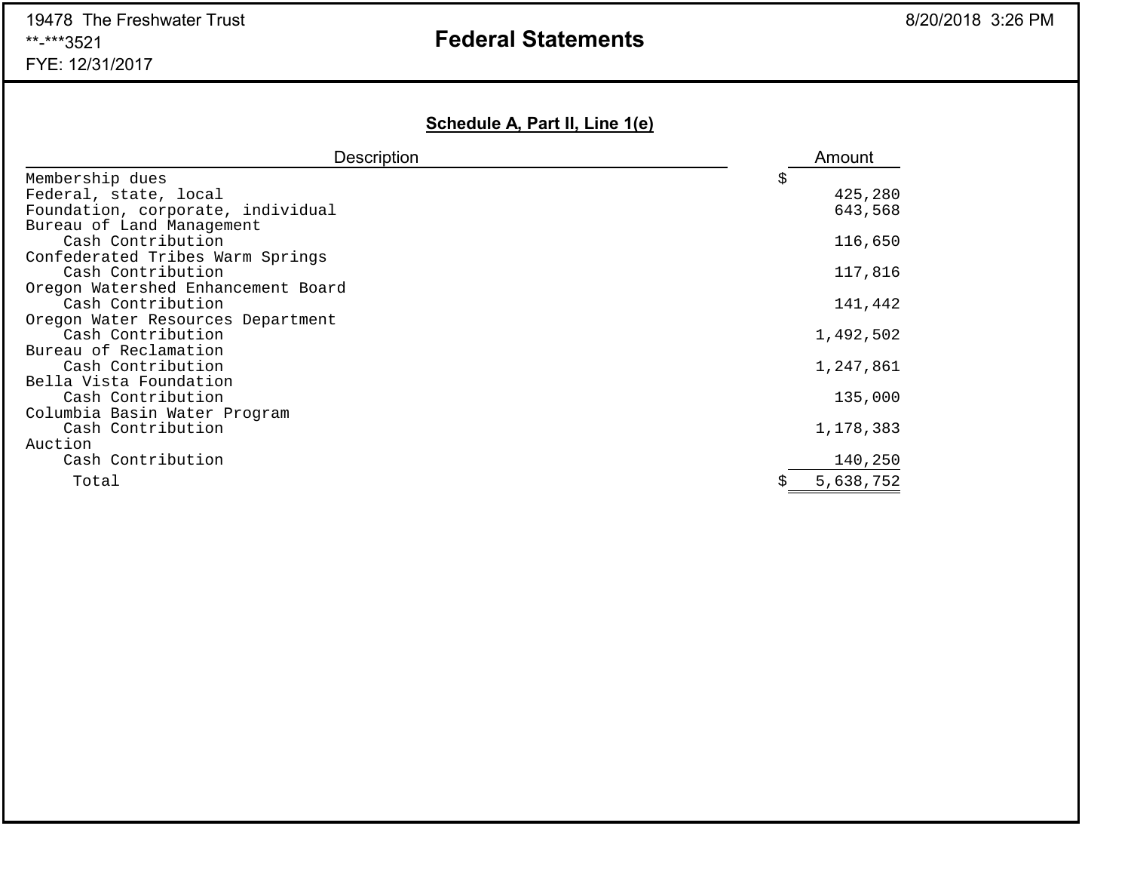## **Federal Statements**

## **Schedule A, Part II, Line 1(e)**

| <b>Description</b>                 | Amount    |
|------------------------------------|-----------|
| Membership dues                    | \$        |
| Federal, state, local              | 425,280   |
| Foundation, corporate, individual  | 643,568   |
| Bureau of Land Management          |           |
| Cash Contribution                  | 116,650   |
| Confederated Tribes Warm Springs   |           |
| Cash Contribution                  | 117,816   |
| Oregon Watershed Enhancement Board |           |
| Cash Contribution                  | 141,442   |
| Oregon Water Resources Department  |           |
| Cash Contribution                  | 1,492,502 |
| Bureau of Reclamation              |           |
| Cash Contribution                  | 1,247,861 |
| Bella Vista Foundation             |           |
| Cash Contribution                  | 135,000   |
| Columbia Basin Water Program       |           |
| Cash Contribution                  | 1,178,383 |
| Auction                            |           |
| Cash Contribution                  | 140,250   |
| Total                              | 5,638,752 |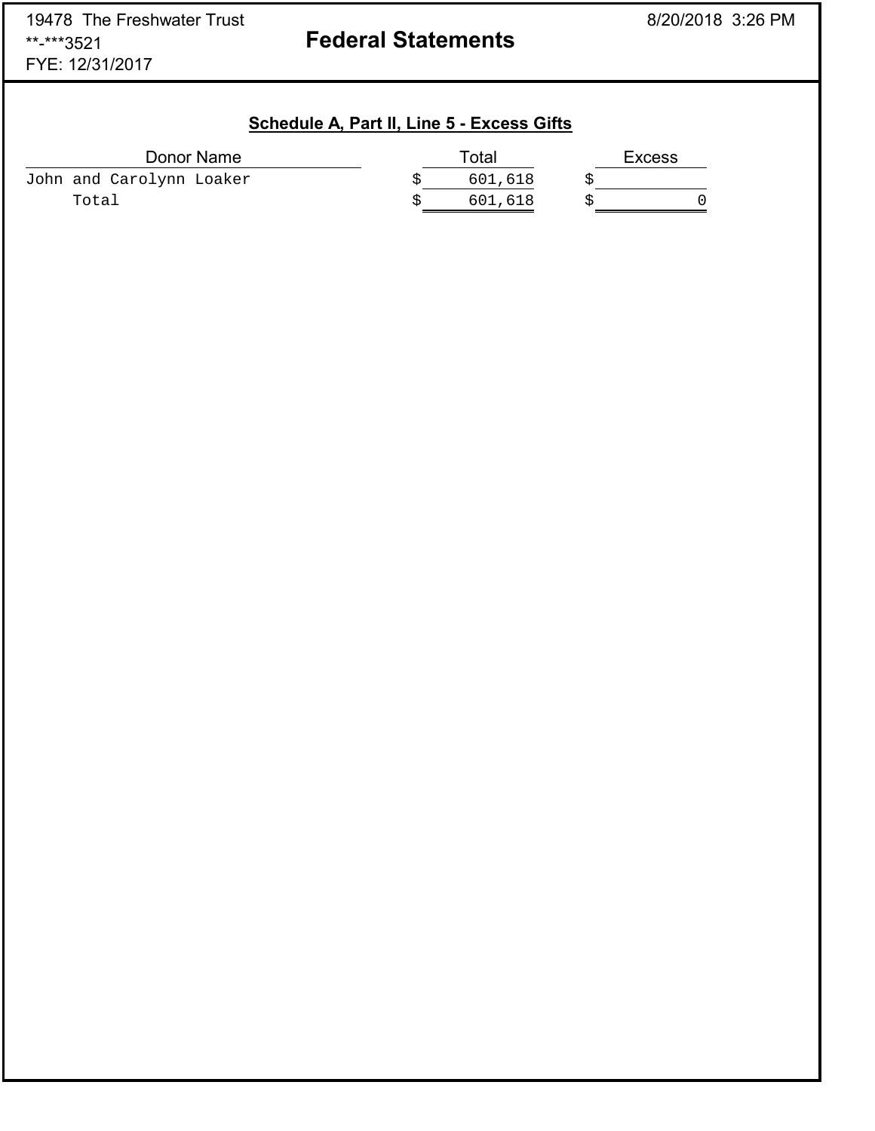**Federal Statements** 

| Schedule A, Part II, Line 5 - Excess Gifts |
|--------------------------------------------|
|--------------------------------------------|

| Donor Name               | Total   | Excess |
|--------------------------|---------|--------|
| John and Carolynn Loaker | 601,618 |        |
| Total                    | 601,618 |        |